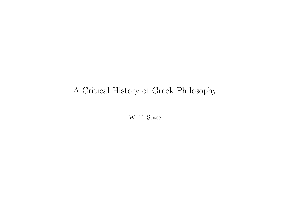#### A Critical History of Greek Philosophy

W. T. Stace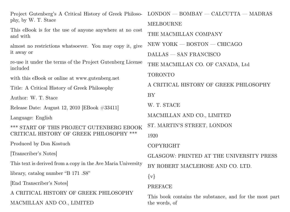Project Gutenberg's A Critical History of Greek Philosophy, by W. T. Stace This eBook is for the use of anyone anywhere at no cost and with almost no restrictions whatsoever. You may copy it, give it away or re-use it under the terms of the Project Gutenberg License included with this eBook or online at www.gutenberg.net Title: A Critical History of Greek Philosophy Author: W. T. Stace Release Date: August 12, 2010 [EBook #33411] Language: English \*\*\* START OF THIS PROJECT GUTENBERG EBOOK CRITICAL HISTORY OF GREEK PHILOSOPHY \*\*\* Produced by Don Kostuch [Transcriber's Notes] This text is derived from a copy in the Ave Maria University library, catalog number "B 171 .S8" [End Transcriber's Notes] A CRITICAL HISTORY OF GREEK PHILOSOPHY MACMILLAN AND CO., LIMITED LONDON — BOMBAY — CALCUTTA — MADRAS MELBOURNE THE MACMILLAN COMPANY NEW YORK — BOSTON — CHICAGO DALLAS — SAN FRANCISCO THE MACMILLAN CO. OF CANADA, Ltd TORONTO A CRITICAL HISTORY OF GREEK PHILOSOPHY BY W. T. STACE MACMILLAN AND CO., LIMITED ST. MARTIN'S STREET, LONDON 1920 COPYRIGHT GLASGOW: PRINTED AT THE UNIVERSITY PRESS BY ROBERT MACLEHOSE AND CO. LTD.  $\{v\}$ PREFACE This book contains the substance, and for the most part the words, of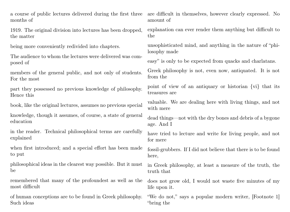a course of public lectures delivered during the first three months of

1919. The original division into lectures has been dropped, the matter

being more conveniently redivided into chapters.

The audience to whom the lectures were delivered was composed of

members of the general public, and not only of students. For the most

part they possessed no previous knowledge of philosophy. Hence this

book, like the original lectures, assumes no previous special

knowledge, though it assumes, of course, a state of general education

in the reader. Technical philosophical terms are carefully explained

when first introduced; and a special effort has been made to put

philosophical ideas in the clearest way possible. But it must be

remembered that many of the profoundest as well as the most difficult

of human conceptions are to be found in Greek philosophy. Such ideas

are difficult in themselves, however clearly expressed. No amount of

explanation can ever render them anything but difficult to the

unsophisticated mind, and anything in the nature of "philosophy made

easy" is only to be expected from quacks and charlatans.

Greek philosophy is not, even now, antiquated. It is not from the

point of view of an antiquary or historian {vi} that its treasures are

valuable. We are dealing here with living things, and not with mere

dead things—not with the dry bones and debris of a bygone age. And I

have tried to lecture and write for living people, and not for mere

fossil-grubbers. If I did not believe that there is to be found here,

in Greek philosophy, at least a measure of the truth, the truth that

does not grow old, I would not waste five minutes of my life upon it.

"We do not," says a popular modern writer, [Footnote 1] "bring the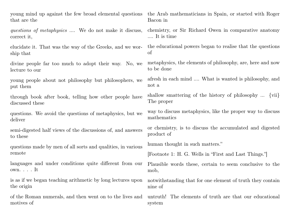young mind up against the few broad elemental questions that are the

questions of metaphysics .... We do not make it discuss, correct it,

elucidate it. That was the way of the Greeks, and we worship that

divine people far too much to adopt their way. No, we lecture to our

young people about not philosophy but philosophers, we put them

through book after book, telling how other people have discussed these

questions. We avoid the questions of metaphysics, but we deliver

semi-digested half views of the discussions of, and answers to these

questions made by men of all sorts and qualities, in various remote

languages and under conditions quite different from our own. . . . It

is as if we began teaching arithmetic by long lectures upon the origin

of the Roman numerals, and then went on to the lives and motives of

the Arab mathematicians in Spain, or started with Roger Bacon in

chemistry, or Sir Richard Owen in comparative anatomy .... It is time

the educational powers began to realise that the questions of

metaphysics, the elements of philosophy, are, here and now to be done

afresh in each mind .... What is wanted is philosophy, and not a

shallow smattering of the history of philosophy ... {vii} The proper

way to discuss metaphysics, like the proper way to discuss mathematics

or chemistry, is to discuss the accumulated and digested product of

human thought in such matters."

[Footnote 1: H. G. Wells in "First and Last Things."]

Plausible words these, certain to seem conclusive to the mob,

notwithstanding that for one element of truth they contain nine of

untruth! The elements of truth are that our educational system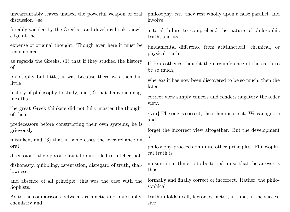discussion—so

forcibly wielded by the Greeks—and develops book knowledge at the

expense of original thought. Though even here it must be remembered,

as regards the Greeks, (1) that if they studied the history of

philosophy but little, it was because there was then but little

history of philosophy to study, and  $(2)$  that if anyone imagines that

the great Greek thinkers did not fully master the thought of their

predecessors before constructing their own systems, he is grievously

mistaken, and (3) that in some cases the over-reliance on oral

discussion—the opposite fault to ours—led to intellectual

dishonesty, quibbling, ostentation, disregard of truth, shallowness,

and absence of all principle; this was the case with the Sophists.

As to the comparisons between arithmetic and philosophy, chemistry and

unwarrantably leaves unused the powerful weapon of oral philosophy, etc., they rest wholly upon a false parallel, and involve

> a total failure to comprehend the nature of philosophic truth, and its

> fundamental difference from arithmetical, chemical, or physical truth.

> If Eratosthenes thought the circumference of the earth to be so much,

> whereas it has now been discovered to be so much, then the later

> correct view simply cancels and renders nugatory the older view.

> {viii} The one is correct, the other incorrect. We can ignore and

> forget the incorrect view altogether. But the development of

> philosophy proceeds on quite other principles. Philosophical truth is

> no sum in arithmetic to be totted up so that the answer is thus

> formally and finally correct or incorrect. Rather, the philosophical

> truth unfolds itself, factor by factor, in time, in the successive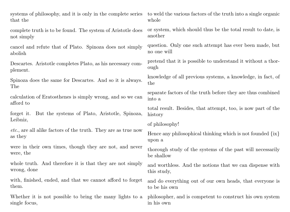that the

complete truth is to be found. The system of Aristotle does not simply

cancel and refute that of Plato. Spinoza does not simply abolish

Descartes. Aristotle completes Plato, as his necessary complement.

Spinoza does the same for Descartes. And so it is always. The

calculation of Eratosthenes is simply wrong, and so we can afford to

forget it. But the systems of Plato, Aristotle, Spinoza, Leibniz,

etc., are all alike factors of the truth. They are as true now as they

were in their own times, though they are not, and never were, the

whole truth. And therefore it is that they are not simply wrong, done

with, finished, ended, and that we cannot afford to forget them.

Whether it is not possible to bring the many lights to a single focus,

systems of philosophy, and it is only in the complete series to weld the various factors of the truth into a single organic whole

> or system, which should thus be the total result to date, is another

> question. Only one such attempt has ever been made, but no one will

> pretend that it is possible to understand it without a thorough

> knowledge of all previous systems, a knowledge, in fact, of the

> separate factors of the truth before they are thus combined into a

> total result. Besides, that attempt, too, is now part of the history

of philosophy!

Hence any philosophical thinking which is not founded  $\{ix\}$ upon a

thorough study of the systems of the past will necessarily be shallow

and worthless. And the notions that we can dispense with this study,

and do everything out of our own heads, that everyone is to be his own

philosopher, and is competent to construct his own system in his own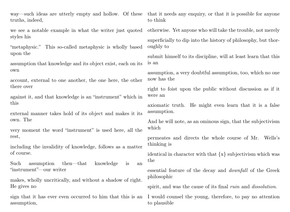truths, indeed,

we see a notable example in what the writer just quoted styles his

"metaphysic." This so-called metaphysic is wholly based upon the

assumption that knowledge and its object exist, each on its own

account, external to one another, the one here, the other there over

against it, and that knowledge is an "instrument" which in this

external manner takes hold of its object and makes it its own. The

very moment the word "instrument" is used here, all the rest,

including the invalidity of knowledge, follows as a matter of course.

Such assumption then—that knowledge is an "instrument"—our writer

makes, wholly uncritically, and without a shadow of right. He gives no

sign that it has ever even occurred to him that this is an assumption,

way—such ideas are utterly empty and hollow. Of these that it needs any enquiry, or that it is possible for anyone to think

otherwise. Yet anyone who will take the trouble, not merely

superficially to dip into the history of philosophy, but thoroughly to

submit himself to its discipline, will at least learn that this is an

assumption, a very doubtful assumption, too, which no one now has the

right to foist upon the public without discussion as if it were an

axiomatic truth. He might even learn that it is a false assumption.

And he will note, as an ominous sign, that the subjectivism which

permeates and directs the whole course of Mr. Wells's thinking is

identical in character with that {x} subjectivism which was the

essential feature of the decay and downfall of the Greek philosophic

spirit, and was the cause of its final *ruin* and *dissolution*.

I would counsel the young, therefore, to pay no attention to plausible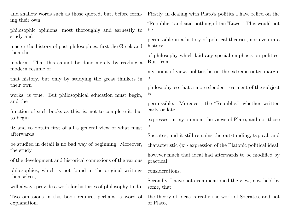and shallow words such as those quoted, but, before forming their own

philosophic opinions, most thoroughly and earnestly to study and

master the history of past philosophies, first the Greek and then the

modern. That this cannot be done merely by reading a modern resume of

that history, but only by studying the great thinkers in their own

works, is true. But philosophical education must begin, and the

function of such books as this, is, not to complete it, but to begin

it; and to obtain first of all a general view of what must afterwards

be studied in detail is no bad way of beginning. Moreover, the study

of the development and historical connexions of the various

philosophies, which is not found in the original writings themselves,

will always provide a work for histories of philosophy to do.

Two omissions in this book require, perhaps, a word of explanation.

Firstly, in dealing with Plato's politics I have relied on the

"Republic," and said nothing of the "Laws." This would not be

permissible in a history of political theories, nor even in a history

of philosophy which laid any special emphasis on politics. But, from

my point of view, politics lie on the extreme outer margin of

philosophy, so that a more slender treatment of the subject is

permissible. Moreover, the "Republic," whether written early or late,

expresses, in my opinion, the views of Plato, and not those of

Socrates, and it still remains the outstanding, typical, and

characteristic {xi} expression of the Platonic political ideal,

however much that ideal had afterwards to be modified by practical

considerations.

Secondly, I have not even mentioned the view, now held by some, that

the theory of Ideas is really the work of Socrates, and not of Plato,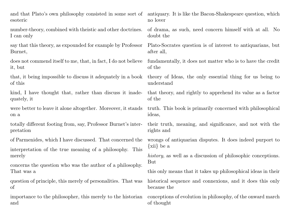and that Plato's own philosophy consisted in some sort of antiquary. It is like the Bacon-Shakespeare question, which esoteric

number-theory, combined with theistic and other doctrines. I can only

say that this theory, as expounded for example by Professor Burnet,

does not commend itself to me, that, in fact, I do not believe it, but

that, it being impossible to discuss it adequately in a book of this

kind, I have thought that, rather than discuss it inadequately, it

were better to leave it alone altogether. Moreover, it stands on a

totally different footing from, say, Professor Burnet's interpretation

of Parmenides, which I have discussed. That concerned the

interpretation of the true meaning of a philosophy. This merely

concerns the question who was the author of a philosophy. That was a

question of principle, this merely of personalities. That was of

importance to the philosopher, this merely to the historian and

no lover

of drama, as such, need concern himself with at all. No doubt the

Plato-Socrates question is of interest to antiquarians, but after all,

fundamentally, it does not matter who is to have the credit of the

theory of Ideas, the only essential thing for us being to understand

that theory, and rightly to apprehend its value as a factor of the

truth. This book is primarily concerned with philosophical ideas,

their truth, meaning, and significance, and not with the rights and

wrongs of antiquarian disputes. It does indeed purport to {xii} be a

history, as well as a discussion of philosophic conceptions. But

this only means that it takes up philosophical ideas in their

historical sequence and connexions, and it does this only because the

conceptions of evolution in philosophy, of the onward march of thought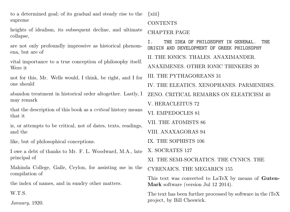to a determined goal; of its gradual and steady rise to the supreme

heights of idealism, its subsequent decline, and ultimate collapse,

are not only profoundly impressive as historical phenomena, but are of

vital importance to a true conception of philosophy itself. Were it

not for this, Mr. Wells would, I think, be right, and I for one should

abandon treatment in historical order altogether. Lastly, I may remark

that the description of this book as a critical history means that it

is, or attempts to be critical, not of dates, texts, readings, and the

like, but of philosophical conceptions.

I owe a debt of thanks to Mr. F. L. Woodward, M.A., late principal of

Mahinda College, Galle, Ceylon, for assisting me in the compilation of

the index of names, and in sundry other matters.

W.T.S.

January, 1920.

{xiii}

#### **CONTENTS**

#### CHAPTER PAGE

I. THE IDEA OF PHILOSOPHY IN GENERAL. THE ORIGIN AND DEVELOPMENT OF GREEK PHILOSOPHY II. THE IONICS. THALES. ANAXIMANDER. ANAXIMENES. OTHER IONIC THINKERS 20 III. THE PYTHAGOREANS 31 IV. THE ELEATICS. XENOPHANES. PARMENIDES. ZENO. CRITICAL REMARKS ON ELEATICISM 40 V. HERACLEITUS 72 VI. EMPEDOCLES 81 VII. THE ATOMISTS 86 VIII. ANAXAGORAS 94 IX. THE SOPHISTS 106 X. SOCRATES 127 XI. THE SEMI-SOCRATICS. THE CYNICS. THE CYRENAICS. THE MEGARICS 155

This text was converted to LaTeX by means of Guten-Mark software (version Jul 12 2014).

The text has been further processed by software in the iTeX project, by Bill Cheswick.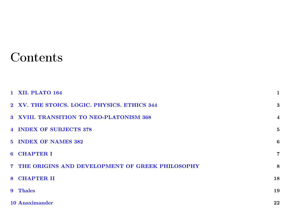## **Contents**

|              | <b>1 XII. PLATO 164</b>                           | 1              |
|--------------|---------------------------------------------------|----------------|
|              | 2 XV. THE STOICS. LOGIC. PHYSICS. ETHICS 344      | 3              |
|              | 3 XVIII. TRANSITION TO NEO-PLATONISM 368          | $\overline{4}$ |
|              | 4 INDEX OF SUBJECTS 378                           | 5              |
|              | 5 INDEX OF NAMES 382                              | 6              |
|              | 6 CHAPTER I                                       | $\overline{7}$ |
|              | 7 THE ORIGINS AND DEVELOPMENT OF GREEK PHILOSOPHY | 8              |
|              | 8 CHAPTER II                                      | 18             |
| $\mathbf{Q}$ | <b>Thales</b>                                     | 19             |
|              | 10 Anaximander                                    | 22             |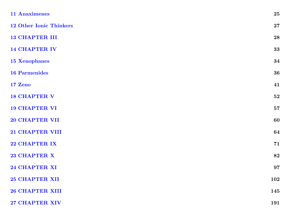| <b>11 Anaximenes</b>           | 25         |
|--------------------------------|------------|
| <b>12 Other Ionic Thinkers</b> | ${\bf 27}$ |
| <b>13 CHAPTER III</b>          | 28         |
| <b>14 CHAPTER IV</b>           | 33         |
| <b>15 Xenophanes</b>           | 34         |
| <b>16 Parmenides</b>           | 36         |
| 17 Zeno                        | 41         |
| <b>18 CHAPTER V</b>            | ${\bf 52}$ |
| <b>19 CHAPTER VI</b>           | ${\bf 57}$ |
| <b>20 CHAPTER VII</b>          | 60         |
| 21 CHAPTER VIII                | 64         |
| 22 CHAPTER IX                  | 71         |
| 23 CHAPTER X                   | 82         |
| 24 CHAPTER XI                  | 97         |
| <b>25 CHAPTER XII</b>          | 102        |
| <b>26 CHAPTER XIII</b>         | 145        |
| 27 CHAPTER XIV                 | 191        |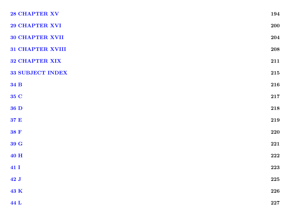| 28 CHAPTER XV         | 194         |
|-----------------------|-------------|
| 29 CHAPTER XVI        | <b>200</b>  |
| 30 CHAPTER XVII       | 204         |
| 31 CHAPTER XVIII      | ${\bf 208}$ |
| <b>32 CHAPTER XIX</b> | 211         |
| 33 SUBJECT INDEX      | 215         |
| 34 B                  | 216         |
| 35 C                  | $\bf 217$   |
| 36 D                  | $\bf 218$   |
| 37 E                  | 219         |
| 38 F                  | 220         |
| 39 G                  | ${\bf 221}$ |
| 40 H                  | ${\bf 222}$ |
| 41 I                  | 223         |
| 42J                   | $\bf 225$   |
| 43 K                  | 226         |
| 44 L                  | $\bf 227$   |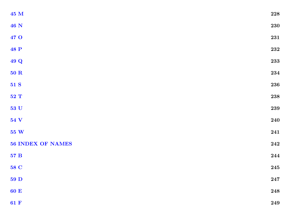| ${\bf 45}$ M             | $\bf 228$   |
|--------------------------|-------------|
| <b>46 N</b>              | ${\bf 230}$ |
| 47 O                     | $\bf 231$   |
| <b>48 P</b>              | $\bf 232$   |
| 49 Q                     | 233         |
| ${\bf 50}$ R             | $\bf 234$   |
| 51 S                     | 236         |
| 52 T                     | $\bf 238$   |
| $\bf 53$ U               | ${\bf 239}$ |
| 54 V                     | 240         |
| ${\bf 55}~{\bf W}$       | 241         |
| <b>56 INDEX OF NAMES</b> | 242         |
| $57\ \mathrm{B}$         | 244         |
| 58 C                     | ${\bf 245}$ |
| $59$ D                   | ${\bf 247}$ |
| 60 E                     | ${\bf 248}$ |
| 61 $F$                   | $\bf 249$   |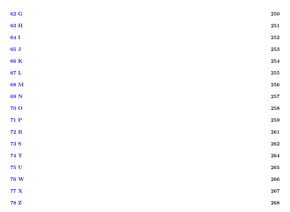| $\bf 62~G$       | ${\bf 250}$ |
|------------------|-------------|
| $\bf63$ H        | ${\bf 251}$ |
| 64 I             | ${\bf 252}$ |
| 65J              | ${\bf 253}$ |
| $\bf 66~K$       | ${\bf 254}$ |
| $67\ {\rm L}$    | ${\bf 255}$ |
| 68 M             | ${\bf 256}$ |
| 69 N             | ${\bf 257}$ |
| <b>70 O</b>      | ${\bf 258}$ |
| $71\ \mathrm{P}$ | ${\bf 259}$ |
| ${\bf 72}$ R     | ${\bf 261}$ |
| <b>73 S</b>      | ${\bf 262}$ |
| 74 T             | ${\bf 264}$ |
| ${\bf 75}$ U     | ${\bf 265}$ |
| ${\bf 76}$ W     | ${\bf 266}$ |
| $77~\mathrm{X}$  | ${\bf 267}$ |
| $78\ \mathrm{Z}$ | ${\bf 268}$ |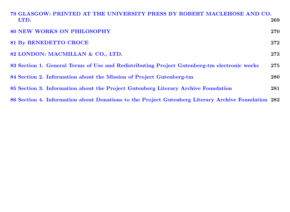| 79 GLASGOW: PRINTED AT THE UNIVERSITY PRESS BY ROBERT MACLEHOSE AND CO.<br>LTD.                    | 269 |
|----------------------------------------------------------------------------------------------------|-----|
| <b>80 NEW WORKS ON PHILOSOPHY</b>                                                                  | 270 |
| <b>81 By BENEDETTO CROCE</b>                                                                       | 272 |
| 82 LONDON: MACMILLAN & CO., LTD.                                                                   | 273 |
| 83 Section 1. General Terms of Use and Redistributing Project Gutenberg-tm electronic works        | 275 |
| 84 Section 2. Information about the Mission of Project Gutenberg-tm                                | 280 |
| 85 Section 3. Information about the Project Gutenberg Literary Archive Foundation                  | 281 |
| 86 Section 4. Information about Donations to the Project Gutenberg Literary Archive Foundation 282 |     |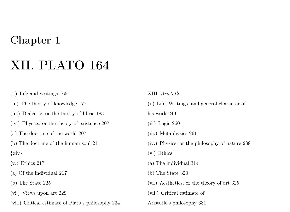## XII. PLATO 164

- <span id="page-16-0"></span>(i.) Life and writings 165
- (ii.) The theory of knowledge 177
- (iii.) Dialectic, or the theory of Ideas 183
- (iv.) Physics, or the theory of existence 207
- (a) The doctrine of the world 207
- (b) The doctrine of the human soul 211
- $\{xiv\}$
- (v.) Ethics 217
- (a) Of the individual 217
- (b) The State 225
- (vi.) Views upon art 229
- (vii.) Critical estimate of Plato's philosophy 234

XIII. Aristotle:

(i.) Life, Writings, and general character of

his work 249

- (ii.) Logic 260
- (iii.) Metaphysics 261
- (iv.) Physics, or the philosophy of nature 288
- (v.) Ethics:
- (a) The individual 314
- (b) The State 320
- (vi.) Aesthetics, or the theory of art 325
- (vii.) Critical estimate of
- Aristotle's philosophy 331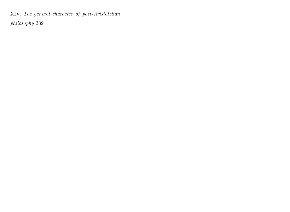XIV. The general character of post-Aristotelian

philosophy 339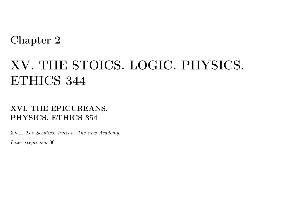# XV. THE STOICS. LOGIC. PHYSICS. ETHICS 344

<span id="page-18-0"></span>XVI. THE EPICUREANS. PHYSICS. ETHICS 354

XVII. The Sceptics. Pyrrho. The new Academy. Later scepticism 361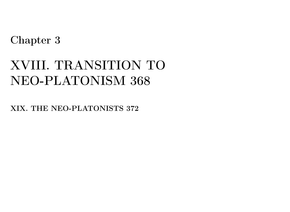# XVIII. TRANSITION TO NEO-PLATONISM 368

<span id="page-19-0"></span>XIX. THE NEO-PLATONISTS 372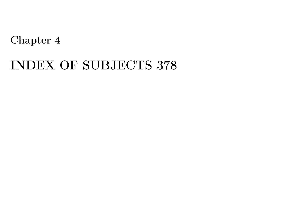## <span id="page-20-0"></span>INDEX OF SUBJECTS 378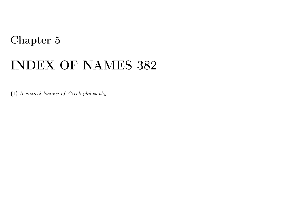## INDEX OF NAMES 382

<span id="page-21-0"></span>{1} A critical history of Greek philosophy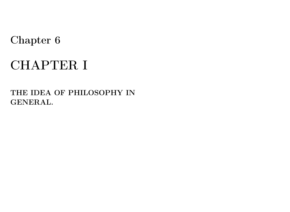# CHAPTER I

<span id="page-22-0"></span>THE IDEA OF PHILOSOPHY IN GENERAL.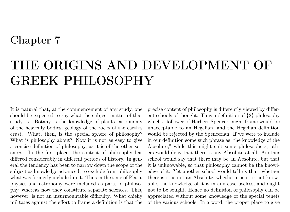# THE ORIGINS AND DEVELOPMENT OF GREEK PHILOSOPHY

<span id="page-23-0"></span>It is natural that, at the commencement of any study, one should be expected to say what the subject-matter of that study is. Botany is the knowledge of plants, astronomy of the heavenly bodies, geology of the rocks of the earth's crust. What, then, is the special sphere of philosophy? What is philosophy about? Now it is not as easy to give a concise definition of philosophy, as it is of the other sciences. In the first place, the content of philosophy has differed considerably in different periods of history. In general the tendency has been to narrow down the scope of the subject as knowledge advanced, to exclude from philosophy what was formerly included in it. Thus in the time of Plato, physics and astronomy were included as parts of philosophy, whereas now they constitute separate sciences. This, however, is not an insurmountable difficulty. What chiefly militates against the effort to frame a definition is that the precise content of philosophy is differently viewed by different schools of thought. Thus a definition of {2} philosophy which a follower of Herbert Spencer might frame would be unacceptable to an Hegelian, and the Hegelian definition would be rejected by the Spencerian. If we were to include in our definition some such phrase as "the knowledge of the Absolute," while this might suit some philosophers, others would deny that there is any Absolute at all. Another school would say that there may be an Absolute, but that it is unknowable, so that philosophy cannot be the knowledge of it. Yet another school would tell us that, whether there is or is not an Absolute, whether it is or is not knowable, the knowledge of it is in any case useless, and ought not to be sought. Hence no definition of philosophy can be appreciated without some knowledge of the special tenets of the various schools. In a word, the proper place to give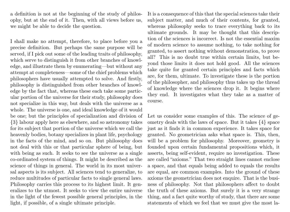a definition is not at the beginning of the study of philosophy, but at the end of it. Then, with all views before us, we might be able to decide the question.

I shall make no attempt, therefore, to place before you a precise definition. But perhaps the same purpose will be served, if I pick out some of the leading traits of philosophy, which serve to distinguish it from other branches of knowledge, and illustrate them by enumerating—but without any attempt at completeness—some of the chief problems which philosophers have usually attempted to solve. And firstly, philosophy is distinguished from other branches of knowledge by the fact that, whereas these each take some particular portion of the universe for their study, philosophy does not specialize in this way, but deals with the universe as a whole. The universe is one, and ideal knowledge of it would be one; but the principles of specialization and division of {3} labour apply here as elsewhere, and so astronomy takes for its subject that portion of the universe which we call the heavenly bodies, botany specializes in plant life, psychology in the facts of the mind, and so on. But philosophy does not deal with this or that particular sphere of being, but with being as such. It seeks to see the universe as a single co-ordinated system of things. It might be described as the science of things in general. The world in its most universal aspects is its subject. All sciences tend to generalize, to reduce multitudes of particular facts to single general laws. Philosophy carries this process to its highest limit. It generalizes to the utmost. It seeks to view the entire universe in the light of the fewest possible general principles, in the light, if possible, of a single ultimate principle.

It is a consequence of this that the special sciences take their subject matter, and much of their contents, for granted, whereas philosophy seeks to trace everything back to its ultimate grounds. It may be thought that this description of the sciences is incorrect. Is not the essential maxim of modern science to assume nothing, to take nothing for granted, to assert nothing without demonstration, to prove all? This is no doubt true within certain limits, but beyond those limits it does not hold good. All the sciences take quite for granted certain principles and facts which are, for them, ultimate. To investigate these is the portion of the philosopher, and philosophy thus takes up the thread of knowledge where the sciences drop it. It begins where they end. It investigates what they take as a matter of course.

Let us consider some examples of this. The science of geometry deals with the laws of space. But it takes {4} space just as it finds it in common experience. It takes space for granted. No geometrician asks what space is. This, then, will be a problem for philosophy. Moreover, geometry is founded upon certain fundamental propositions which, it asserts, being self-evident, require no investigation. These are called "axioms." That two straight lines cannot enclose a space, and that equals being added to equals the results are equal, are common examples. Into the ground of these axioms the geometrician does not enquire. That is the business of philosophy. Not that philosophers affect to doubt the truth of these axioms. But surely it is a very strange thing, and a fact quite worthy of study, that there are some statements of which we feel that we must give the most la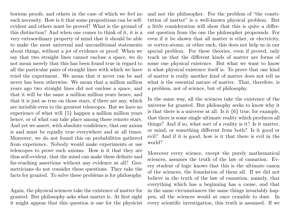borious proofs, and others in the case of which we feel no such necessity. How is it that some propositions can be selfevident and others must be proved? What is the ground of this distinction? And when one comes to think of it, it is a very extraordinary property of mind that it should be able to make the most universal and unconditional statements about things, without a jot of evidence or proof. When we say that two straight lines cannot enclose a space, we do not mean merely that this has been found true in regard to all the particular pairs of straight lines with which we have tried the experiment. We mean that it never can be and never has been otherwise. We mean that a million million years ago two straight lines did not enclose a space, and that it will be the same a million million years hence, and that it is just as true on those stars, if there are any, which are invisible even to the greatest telescopes. But we have no experience of what will {5} happen a million million years hence, or of what can take place among those remote stars. And yet we assert, with absolute confidence, that our axiom is and must be equally true everywhere and at all times. Moreover, we do not found this on probabilities gathered from experience. Nobody would make experiments or use telescopes to prove such axioms. How is it that they are thus self-evident, that the mind can make these definite and far-reaching assertions without any evidence at all? Geometricians do not consider these questions. They take the facts for granted. To solve these problems is for philosophy.

Again, the physical sciences take the existence of matter for granted. But philosophy asks what matter is. At first sight it might appear that this question is one for the physicist and not the philosopher. For the problem of "the constitution of matter" is a well-known physical problem. But a little consideration will show that this is quite a different question from the one the philosopher propounds. For even if it be shown that all matter is ether, or electricity, or vortex-atoms, or other such, this does not help us in our special problem. For these theories, even if proved, only teach us that the different kinds of matter are forms of some one physical existence. But what we want to know is what physical existence itself is. To prove that one kind of matter is really another kind of matter does not tell us what is the essential nature of matter. That, therefore, is a problem, not of science, but of philosophy.

In the same way, all the sciences take the existence of the universe for granted. But philosophy seeks to know why it is that there is a universe at all. Is it {6} true, for example, that there is some single ultimate reality which produces all things? And if so, what sort of a reality is it? Is it matter, or mind, or something different from both? Is it good or evil? And if it is good, how is it that there is evil in the world?

Moreover every science, except the purely mathematical sciences, assumes the truth of the law of causation. Every student of logic knows that this is the ultimate canon of the sciences, the foundation of them all. If we did not believe in the truth of the law of causation, namely, that everything which has a beginning has a cause, and that in the same circumstances the same things invariably happen, all the sciences would at once crumble to dust. In every scientific investigation, this truth is assumed. If we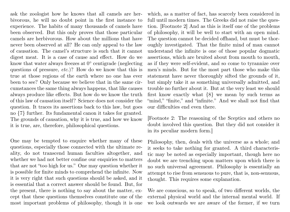ask the zoologist how he knows that all camels are herbivorous, he will no doubt point in the first instance to experience. The habits of many thousands of camels have been observed. But this only proves that those particular camels are herbivorous. How about the millions that have never been observed at all? He can only appeal to the law of causation. The camel's structure is such that it cannot digest meat. It is a case of cause and effect. How do we know that water always freezes at  $0^{\circ}$  centigrade (neglecting questions of pressure, etc.)? How do we know that this is true at those regions of the earth where no one has ever been to see? Only because we believe that in the same circumstances the same thing always happens, that like causes always produce like effects. But how do we know the truth of this law of causation itself? Science does not consider the question. It traces its assertions back to this law, but goes no {7} further. Its fundamental canon it takes for granted. The grounds of causation, why it is true, and how we know it is true, are, therefore, philosophical questions.

One may be tempted to enquire whether many of these questions, especially those connected with the ultimate reality, do not transcend human faculties altogether, and whether we had not better confine our enquiries to matters that are not "too high for us." One may question whether it is possible for finite minds to comprehend the infinite. Now it is very right that such questions should be asked, and it is essential that a correct answer should be found. But, for the present, there is nothing to say about the matter, except that these questions themselves constitute one of the most important problems of philosophy, though it is one which, as a matter of fact, has scarcely been considered in full until modern times. The Greeks did not raise the question. [Footnote 2] And as this is itself one of the problems of philosophy, it will be well to start with an open mind. The question cannot be decided offhand, but must be thoroughly investigated. That the finite mind of man cannot understand the infinite is one of those popular dogmatic assertions, which are bruited about from mouth to mouth, as if they were self-evident, and so come to tyrannize over men's minds. But for the most part those who make this statement have never thoroughly sifted the grounds of it, but simply take it as something universally admitted, and trouble no further about it. But at the very least we should first know exactly what {8} we mean by such terms as "mind," "finite," and "infinite." And we shall not find that our difficulties end even there.

[Footnote 2: The reasoning of the Sceptics and others no doubt involved this question. But they did not consider it in its peculiar modern form.]

Philosophy, then, deals with the universe as a whole; and it seeks to take nothing for granted. A third characteristic may be noted as especially important, though here no doubt we are trenching upon matters upon which there is no such universal agreement. Philosophy is essentially an attempt to rise from sensuous to pure, that is, non-senuous, thought. This requires some explanation.

We are conscious, so to speak, of two different worlds, the external physical world and the internal mental world. If we look outwards we are aware of the former, if we turn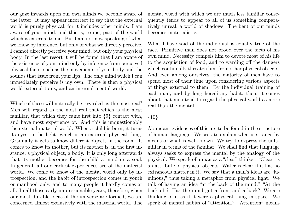our gaze inwards upon our own minds we become aware of the latter. It may appear incorrect to say that the external world is purely physical, for it includes other minds. I am aware of your mind, and this is, to me, part of the world which is external to me. But I am not now speaking of what we know by inference, but only of what we directly perceive. I cannot directly perceive your mind, but only your physical body. In the last resort it will be found that I am aware of the existence of your mind only by inference from perceived physical facts, such as the movements of your body and the sounds that issue from your lips. The only mind which I can immediately perceive is my own. There is then a physical world external to us, and an internal mental world.

Which of these will naturally be regarded as the most real? Men will regard as the most real that which is the most familiar, that which they came first into {9} contact with, and have most experience of. And this is unquestionably the external material world. When a child is born, it turns its eyes to the light, which is an external physical thing. Gradually it gets to know different objects in the room. It comes to know its mother, but its mother is, in the first instance, a physical object, a body. It is only long afterwards that its mother becomes for the child a mind or a soul. In general, all our earliest experiences are of the material world. We come to know of the mental world only by introspection, and the habit of introspection comes in youth or manhood only, and to many people it hardly comes at all. In all those early impressionable years, therefore, when our most durable ideas of the universe are formed, we are concerned almost exclusively with the material world. The

mental world with which we are much less familiar consequently tends to appear to all of us something comparatively unreal, a world of shadows. The bent of our minds becomes materialistic.

What I have said of the individual is equally true of the race. Primitive man does not brood over the facts of his own mind. Necessity compels him to devote most of his life to the acquisition of food, and to warding off the dangers which continually threaten him from other physical objects. And even among ourselves, the majority of men have to spend most of their time upon considering various aspects of things external to them. By the individual training of each man, and by long hereditary habit, then, it comes about that men tend to regard the physical world as more real than the mental.

#### {10}

Abundant evidences of this are to be found in the structure of human language. We seek to explain what is strange by means of what is well-known. We try to express the unfamiliar in terms of the familiar. We shall find that language always seeks to express the mental by the analogy of the physical. We speak of a man as a "clear" thinker. "Clear" is an attribute of physical objects. Water is clear if it has no extraneous matter in it. We say that a man's ideas are "luminous," thus taking a metaphor from physical light. We talk of having an idea "at the back of the mind." "At the back of"? Has the mind got a front and a back? We are thinking of it as if it were a physical thing in space. We speak of mental habits of "attention." "Attention" means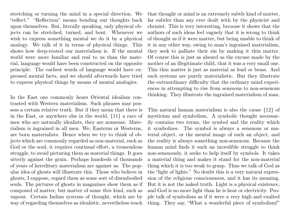stretching or turning the mind in a special direction. We "reflect." "Reflection" means bending our thoughts back upon themselves. But, literally speaking, only physical objects can be stretched, turned, and bent. Whenever we wish to express something mental we do it by a physical analogy. We talk of it in terms of physical things. This shows how deep-rooted our materialism is. If the mental world were more familiar and real to us than the material, language would have been constructed on the opposite principle. The earliest words of language would have expressed mental facts, and we should afterwards have tried to express physical things by means of mental analogies.

In the East one commonly hears Oriental idealism contrasted with Western materialism. Such phrases may possess a certain relative truth. But if they mean that there is in the East, or anywhere else in the world, {11} a race of men who are naturally idealists, they are nonsense. Materialism is ingrained in all men. We, Easterns or Westerns, are born materialists. Hence when we try to think of objects which are commonly regarded as non-material, such as God or the soul, it requires continual effort, a tremendous struggle, to avoid picturing them as material things. It goes utterly against the grain. Perhaps hundreds of thousands of years of hereditary materialism are against us. The popular idea of ghosts will illustrate this. Those who believe in ghosts, I suppose, regard them as some sort of disembodied souls. The pictures of ghosts in magazines show them as if composed of matter, but matter of some thin kind, such as vapour. Certain Indian systems of thought, which are by way of regarding themselves as idealistic, nevertheless teach that thought or mind is an extremely subtle kind of matter, far subtler than any ever dealt with by the physicist and chemist. This is very interesting, because it shows that the authors of such ideas feel vaguely that it is wrong to think of thought as if it were matter, but being unable to think of it in any other way, owing to man's ingrained materialism, they seek to palliate their sin by making it thin matter. Of course this is just as absurd as the excuse made by the mother of an illegitimate child, that it was a very small one. This thin matter is just as material as lead or brass. And such systems are purely materialistic. But they illustrate the extraordinary difficulty that the ordinary mind experiences in attempting to rise from sensuous to non-sensuous thinking. They illustrate the ingrained materialism of man.

This natural human materialism is also the cause {12} of mysticism and symbolism. A symbolic thought necessarily contains two terms, the symbol and the reality which it symbolizes. The symbol is always a sensuous or material object, or the mental image of such an object, and the reality is always something non-sensuous. Because the human mind finds it such an incredible struggle to think non-sensuously, it seeks to help itself by symbols. It takes a material thing and makes it stand for the non-material thing which it is too weak to grasp. Thus we talk of God as the "light of lights." No doubt this is a very natural expression of the religious consciousness, and it has its meaning. But it is not the naked truth. Light is a physical existence, and God is no more light than he is heat or electricity. People talk of symbolism as if it were a very high and exalted thing. They say, "What a wonderful piece of symbolism!"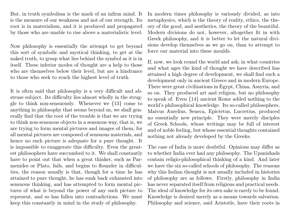But, in truth symbolism is the mark of an infirm mind. It is the measure of our weakness and not of our strength. Its root is in materialism, and it is produced and propagated by those who are unable to rise above a materialistic level.

Now philosophy is essentially the attempt to get beyond this sort of symbolic and mystical thinking, to get at the naked truth, to grasp what lies behind the symbol as it is in itself. These inferior modes of thought are a help to those who are themselves below their level, but are a hindrance to those who seek to reach the highest level of truth.

It is often said that philosophy is a very difficult and abstruse subject. Its difficulty lies almost wholly in the struggle to think non-sensuously. Whenever we {13} come to anything in philosophy that seems beyond us, we shall generally find that the root of the trouble is that we are trying to think non-sensuous objects in a sensuous way, that is, we are trying to form mental pictures and images of them, for all mental pictures are composed of sensuous materials, and hence no such picture is adequate for a pure thought. It is impossible to exaggerate this difficulty. Even the greatest philosophers have succumbed to it. We shall constantly have to point out that when a great thinker, such as Parmenides or Plato, fails, and begins to flounder in difficulties, the reason usually is that, though for a time he has attained to pure thought, he has sunk back exhausted into sensuous thinking, and has attempted to form mental pictures of what is beyond the power of any such picture to represent, and so has fallen into contradictions. We must keep this constantly in mind in the study of philosophy.

In modern times philosophy is variously divided, as into metaphysics, which is the theory of reality, ethics, the theory of the good, and aesthetics, the theory of the beautiful. Modern divisions do not, however, altogether fit in with Greek philosophy, and it is better to let the natural divisions develop themselves as we go on, than to attempt to force our material into these moulds.

If, now, we look round the world and ask; in what countries and what ages the kind of thought we have described has attained a high degree of development, we shall find such a development only in ancient Greece and in modern Europe. There were great civilizations in Egypt, China, Assyria, and so on. They produced art and religion, but no philosophy to speak of. Even {14} ancient Rome added nothing to the world's philosophical knowledge. Its so-called philosophers, Marcus Aurelius, Seneca, Epictetus, Lucretius, produced no essentially new principle. They were merely disciples of Greek Schools, whose writings may be full of interest and of noble feeling, but whose essential thoughts contained nothing not already developed by the Greeks.

The case of India is more doubtful. Opinions may differ as to whether India ever had any philosophy. The Upanishads contain religio-philosophical thinking of a kind. And later we have the six so-called schools of philosophy. The reasons why this Indian thought is not usually included in histories of philosophy are as follows. Firstly, philosophy in India has never separated itself from religious and practical needs. The ideal of knowledge for its own sake is rarely to be found. Knowledge is desired merely as a means towards salvation. Philosophy and science, said Aristotle, have their roots in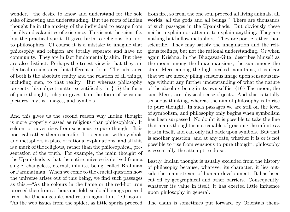wonder,—the desire to know and understand for the sole sake of knowing and understanding. But the roots of Indian thought lie in the anxiety of the individual to escape from the ills and calamities of existence. This is not the scientific, but the practical spirit. It gives birth to religions, but not to philosophies. Of course it is a mistake to imagine that philosophy and religion are totally separate and have no community. They are in fact fundamentally akin. But they are also distinct. Perhaps the truest view is that they are identical in substance, but different in form. The substance of both is the absolute reality and the relation of all things, including men, to that reality. But whereas philosophy presents this subject-matter scientifically, in {15} the form of pure thought, religion gives it in the form of sensuous pictures, myths, images, and symbols.

And this gives us the second reason why Indian thought is more properly classed as religious than philosophical. It seldom or never rises from sensuous to pure thought. It is poetical rather than scientific. It is content with symbols and metaphors in place of rational explanations, and all this is a mark of the religious, rather than the philosophical, presentation of the truth. For example, the main thought of the Upanishads is that the entire universe is derived from a single, changeless, eternal, infinite, being, called Brahman or Paramatman. When we come to the crucial question how the universe arises out of this being, we find such passages as this:—"As the colours in the flame or the red-hot iron proceed therefrom a thousand-fold, so do all beings proceed from the Unchangeable, and return again to it." Or again, "As the web issues from the spider, as little sparks proceed

from fire, so from the one soul proceed all living animals, all worlds, all the gods and all beings." There are thousands of such passages in the Upanishads. But obviously these neither explain nor attempt to explain anything. They are nothing but hollow metaphors. They are poetic rather than scientific. They may satisfy the imagination and the religious feelings, but not the rational understanding. Or when again Krishna, in the Bhagavat-Gita, describes himself as the moon among the lunar mansions, the sun among the stars, Meru among the high-peaked mountains, it is clear that we are merely piling sensuous image upon sensuous image without any further understanding of what the nature of the absolute being in its own self is. {16} The moon, the sun, Meru, are physical sense-objects. And this is totally sensuous thinking, whereas the aim of philosophy is to rise to pure thought. In such passages we are still on the level of symbolism, and philosophy only begins when symbolism has been surpassed. No doubt it is possible to take the line that man's thought is not capable of grasping the infinite as it is in itself, and can only fall back upon symbols. But that is another question, and at any rate, whether it is or is not possible to rise from sensuous to pure thought, philosophy is essentially the attempt to do so.

Lastly, Indian thought is usually excluded from the history of philosophy because, whatever its character, it lies outside the main stream of human development. It has been cut off by geographical and other barriers. Consequently, whatever its value in itself, it has exerted little influence upon philosophy in general.

The claim is sometimes put forward by Orientals them-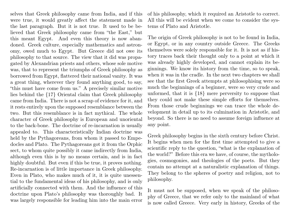selves that Greek philosophy came from India, and if this were true, it would greatly affect the statement made in the last paragraph. But it is not true. It used to be believed that Greek philosophy came from "the East," but this meant Egypt. And even this theory is now abandoned. Greek culture, especially mathematics and astronomy, owed much to Egypt. But Greece did not owe its philosophy to that source. The view that it did was propagated by Alexandrian priests and others, whose sole motive was, that to represent the triumphs of Greek philosophy as borrowed from Egypt, flattered their national vanity. It was a great thing, wherever they found anything good, to say, "this must have come from us." A precisely similar motive lies behind the {17} Oriental claim that Greek philosophy came from India. There is not a scrap of evidence for it, and it rests entirely upon the supposed resemblance between the two. But this resemblance is in fact mythical. The whole character of Greek philosophy is European and unoriental to the back-bone. The doctrine of re-incarnation is usually appealed to. This characteristically Indian doctrine was held by the Pythagoreans, from whom it passed to Empedocles and Plato. The Pythagoreans got it from the Orphic sect, to whom quite possibly it came indirectly from India, although even this is by no means certain, and is in fact highly doubtful. But even if this be true, it proves nothing. Re-incarnation is of little importance in Greek philosophy. Even in Plato, who makes much of it, it is quite unessential to the fundamental ideas of his philosophy, and is only artificially connected with them. And the influence of this doctrine upon Plato's philosophy was thoroughly bad. It was largely responsible for leading him into the main error

of his philosophy, which it required an Aristotle to correct. All this will be evident when we come to consider the systems of Plato and Aristotle.

The origin of Greek philosophy is not to be found in India, or Egypt, or in any country outside Greece. The Greeks themselves were solely responsible for it. It is not as if history traces back their thought only to a point at which it was already highly developed, and cannot explain its beginnings. We know its history from the time, so to speak, when it was in the cradle. In the next two chapters we shall see that the first Greek attempts at philosophising were so much the beginnings of a beginner, were so very crude and unformed, that it is {18} mere perversity to suppose that they could not make these simple efforts for themselves. From those crude beginnings we can trace the whole development in detail up to its culmination in Aristotle, and beyond. So there is no need to assume foreign influence at any point.

Greek philosophy begins in the sixth century before Christ. It begins when men for the first time attempted to give a scientific reply to the question, "what is the explanation of the world?" Before this era we have, of course, the mythologies, cosmogonies, and theologies of the poets. But they contain no attempt at a naturalistic explanation of things. They belong to the spheres of poetry and religion, not to philosophy.

It must not be supposed, when we speak of the philosophy of Greece, that we refer only to the mainland of what is now called Greece. Very early in history, Greeks of the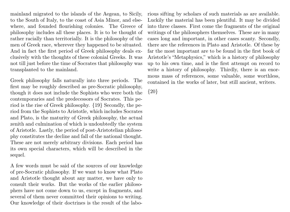mainland migrated to the islands of the Aegean, to Sicily, to the South of Italy, to the coast of Asia Minor, and elsewhere, and founded flourishing colonies. The Greece of philosophy includes all these places. It is to be thought of rather racially than territorially. It is the philosophy of the men of Greek race, wherever they happened to be situated. And in fact the first period of Greek philosophy deals exclusively with the thoughts of these colonial Greeks. It was not till just before the time of Socrates that philosophy was transplanted to the mainland.

Greek philosophy falls naturally into three periods. The first may be roughly described as pre-Socratic philosophy, though it does not include the Sophists who were both the contemporaries and the predecessors of Socrates. This period is the rise of Greek philosophy. {19} Secondly, the period from the Sophists to Aristotle, which includes Socrates and Plato, is the maturity of Greek philosophy, the actual zenith and culmination of which is undoubtedly the system of Aristotle. Lastly, the period of post-Aristotelian philosophy constitutes the decline and fall of the national thought. These are not merely arbitrary divisions. Each period has its own special characters, which will be described in the sequel.

A few words must be said of the sources of our knowledge of pre-Socratic philosophy. If we want to know what Plato and Aristotle thought about any matter, we have only to consult their works. But the works of the earlier philosophers have not come down to us, except in fragments, and several of them never committed their opinions to writing. Our knowledge of their doctrines is the result of the laborious sifting by scholars of such materials as are available. Luckily the material has been plentiful. It may be divided into three classes. First come the fragments of the original writings of the philosophers themselves. These are in many cases long and important, in other cases scanty. Secondly, there are the references in Plato and Aristotle. Of these by far the most important are to be found in the first book of Aristotle's "Metaphysics," which is a history of philosophy up to his own time, and is the first attempt on record to write a history of philosophy. Thirdly, there is an enormous mass of references, some valuable, some worthless, contained in the works of later, but still ancient, writers.

{20}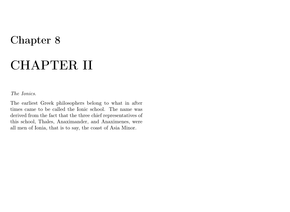## CHAPTER II

#### <span id="page-33-0"></span>The Ionics.

The earliest Greek philosophers belong to what in after times came to be called the Ionic school. The name was derived from the fact that the three chief representatives of this school, Thales, Anaximander, and Anaximenes, were all men of Ionia, that is to say, the coast of Asia Minor.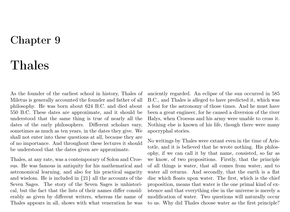## Thales

<span id="page-34-0"></span>As the founder of the earliest school in history, Thales of Miletus is generally accounted the founder and father of all philosophy. He was born about 624 B.C. and died about 550 B.C. These dates are approximate, and it should be understood that the same thing is true of nearly all the dates of the early philosophers. Different scholars vary, sometimes as much as ten years, in the dates they give. We shall not enter into these questions at all, because they are of no importance. And throughout these lectures it should be understood that the dates given are approximate.

Thales, at any rate, was a contemporary of Solon and Croesus. He was famous in antiquity for his mathematical and astronomical learning, and also for his practical sagacity and wisdom. He is included in {21} all the accounts of the Seven Sages. The story of the Seven Sages is unhistorical, but the fact that the lists of their names differ considerably as given by different writers, whereas the name of Thales appears in all, shows with what veneration he was

anciently regarded. An eclipse of the sun occurred in 585 B.C., and Thales is alleged to have predicted it, which was a feat for the astronomy of those times. And he must have been a great engineer, for he caused a diversion of the river Halys, when Croesus and his army were unable to cross it. Nothing else is known of his life, though there were many apocryphal stories.

No writings by Thales were extant even in the time of Aristotle, and it is believed that he wrote nothing. His philosophy, if we can call it by that name, consisted, so far as we know, of two propositions. Firstly, that the principle of all things is water, that all comes from water, and to water all returns. And secondly, that the earth is a flat disc which floats upon water. The first, which is the chief proposition, means that water is the one primal kind of existence and that everything else in the universe is merely a modification of water. Two questions will naturally occur to us. Why did Thales choose water as the first principle?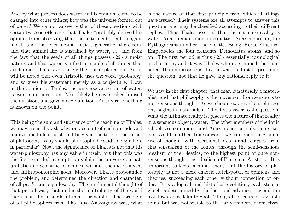And by what process does water, in his opinion, come to be changed into other things; how was the universe formed out of water? We cannot answer either of these questions with certainty. Aristotle says that Thales "probably derived his opinion from observing that the nutriment of all things is moist, and that even actual heat is generated therefrom, and that animal life is sustained by water, ... and from the fact that the seeds of all things possess {22} a moist nature, and that water is a first principle of all things that are humid." This is very likely the true explanation. But it will be noted that even Aristotle uses the word "probably," and so gives his statement merely as a conjecture. How, in the opinion of Thales, the universe arose out of water, is even more uncertain. Most likely he never asked himself the question, and gave no explanation. At any rate nothing is known on the point.

This being the sum and substance of the teaching of Thales, we may naturally ask why, on account of such a crude and undeveloped idea, he should be given the title of the father of philosophy. Why should philosophy be said to begin here in particular? Now, the significance of Thales is not that his water-philosophy has any value in itself, but that this was the first recorded attempt to explain the universe on naturalistic and scientific principles, without the aid of myths and anthropomorphic gods. Moreover, Thales propounded the problem, and determined the direction and character, of all pre-Socratic philosophy. The fundamental thought of that period was, that under the multiplicity of the world there must be a single ultimate principle. The problem of all philosophers from Thales to Anaxagoras was, what

is the nature of that first principle from which all things have issued? Their systems are all attempts to answer this question, and may be classified according to their different replies. Thus Thales asserted that the ultimate reality is water, Anaximander indefinite matter, Anaximenes air, the Pythagoreans number, the Eleatics Being, Heracleitus fire, Empedocles the four elements, Democritus atoms, and so on. The first period is thus {23} essentially cosmological in character, and it was Thales who determined the character. His importance is that he was the first to propound the question, not that he gave any rational reply to it.

We saw in the first chapter, that man is naturally a materialist, and that philosophy is the movement from sensuous to non-sensuous thought. As we should expect, then, philosophy begins in materialism. The first answer to the question, what the ultimate reality is, places the nature of that reality in a sensuous object, water. The other members of the Ionic school, Anaximander, and Anaximenes, are also materialists. And from their time onwards we can trace the gradual rise of thought, with occasional breaks and relapses, from this sensualism of the Ionics, through the semi-sensuous idealism of the Eleatics, to the highest point of pure nonsensuous thought, the idealism of Plato and Aristotle. It is important to keep in mind, then, that the history of philosophy is not a mere chaotic hotch-potch of opinions and theories, succeeding each other without connection or order. It is a logical and historical evolution, each step in which is determined by the last, and advances beyond the last towards a definite goal. The goal, of course, is visible to us, but was not visible to the early thinkers themselves.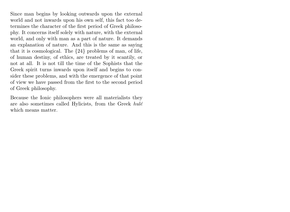Since man begins by looking outwards upon the external world and not inwards upon his own self, this fact too determines the character of the first period of Greek philosophy. It concerns itself solely with nature, with the external world, and only with man as a part of nature. It demands an explanation of nature. And this is the same as saying that it is cosmological. The {24} problems of man, of life, of human destiny, of ethics, are treated by it scantily, or not at all. It is not till the time of the Sophists that the Greek spirit turns inwards upon itself and begins to consider these problems, and with the emergence of that point of view we have passed from the first to the second period of Greek philosophy.

Because the Ionic philosophers were all materialists they are also sometimes called Hylicists, from the Greek hulé which means matter.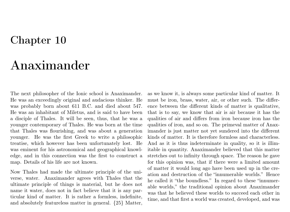# Anaximander

The next philosopher of the Ionic school is Anaximander. He was an exceedingly original and audacious thinker. He was probably born about 611 B.C. and died about 547. He was an inhabitant of Miletus, and is said to have been a disciple of Thales. It will be seen, thus, that he was a younger contemporary of Thales. He was born at the time that Thales was flourishing, and was about a generation younger. He was the first Greek to write a philosophic treatise, which however has been unfortunately lost. He was eminent for his astronomical and geographical knowledge, and in this connection was the first to construct a map. Details of his life are not known.

Now Thales had made the ultimate principle of the universe, water. Anaximander agrees with Thales that the ultimate principle of things is material, but he does not name it water, does not in fact believe that it is any particular kind of matter. It is rather a formless, indefinite, and absolutely featureless matter in general. {25} Matter,

as we know it, is always some particular kind of matter. It must be iron, brass, water, air, or other such. The difference between the different kinds of matter is qualitative, that is to say, we know that air is air because it has the qualities of air and differs from iron because iron has the qualities of iron, and so on. The primeval matter of Anaximander is just matter not yet sundered into the different kinds of matter. It is therefore formless and characterless. And as it is thus indeterminate in quality, so it is illimitable in quantity. Anaximander believed that this matter stretches out to infinity through space. The reason he gave for this opinion was, that if there were a limited amount of matter it would long ago have been used up in the creation and destruction of the "innumerable worlds." Hence he called it "the boundless." In regard to these "innumerable worlds," the traditional opinion about Anaximander was that he believed these worlds to succeed each other in time, and that first a world was created, developed, and was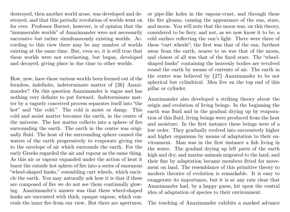destroyed, then another world arose, was developed and destroyed, and that this periodic revolution of worlds went on for ever. Professor Burnet, however, is of opinion that the "innumerable worlds" of Anaximander were not necessarily successive but rather simultaneously existing worlds. According to this view there may be any number of worlds existing at the same time. But, even so, it is still true that these worlds were not everlasting, but began, developed and decayed, giving place in due time to other worlds.

How, now, have these various worlds been formed out of the formless, indefinite, indeterminate matter of {26} Anaximander? On this question Anaximander is vague and has nothing very definite to put forward. Indeterminate matter by a vaguely conceived process separates itself into "the hot" and "the cold." The cold is moist or damp. This cold and moist matter becomes the earth, in the centre of the universe. The hot matter collects into a sphere of fire surrounding the earth. The earth in the centre was originally fluid. The heat of the surrounding sphere caused the waters of the earth progressively to evaporate giving rise to the envelope of air which surrounds the earth. For the early Greeks regarded the air and vapour as the same thing. As this air or vapour expanded under the action of heat it burst the outside hot sphere of fire into a series of enormous "wheel-shaped husks," resembling cart wheels, which encircle the earth. You may naturally ask how it is that if these are composed of fire we do not see them continually glowing. Anaximander's answer was that these wheel-shaped husks are encrusted with thick, opaque vapour, which conceals the inner fire from our view. But there are apertures,

or pipe-like holes in the vapour-crust, and through these the fire gleams, causing the appearance of the sun, stars, and moon. You will note that the moon was, on this theory, considered to be fiery, and not, as we now know it to be, a cold surface reflecting the sun's light. There were three of these "cart wheels"; the first was that of the sun, furthest away from the earth, nearer to us was that of the moon, and closest of all was that of the fixed stars. The "wheelshaped husks" containing the heavenly bodies are revolved round the earth by means of currents of air. The earth in the centre was believed by {27} Anaximander to be not spherical but cylindrical. Men live on the top end of this pillar or cylinder.

Anaximander also developed a striking theory about the origin and evolution of living beings. In the beginning the earth was fluid and in the gradual drying up by evaporation of this fluid, living beings were produced from the heat and moisture. In the first instance these beings were of a low order. They gradually evolved into successively higher and higher organisms by means of adaptation to their environment. Man was in the first instance a fish living in the water. The gradual drying up left parts of the earth high and dry, and marine animals migrated to the land, and their fins by adaptation became members fitted for movement on land. The resemblance of this primitive theory to modern theories of evolution is remarkable. It is easy to exaggerate its importance, but it is at any rate clear that Anaximander had, by a happy guess, hit upon the central idea of adaptation of species to their environment.

The teaching of Anaximander exhibits a marked advance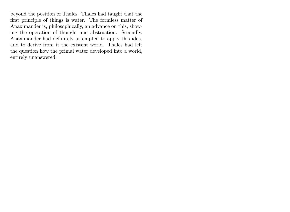beyond the position of Thales. Thales had taught that the first principle of things is water. The formless matter of Anaximander is, philosophically, an advance on this, showing the operation of thought and abstraction. Secondly, Anaximander had definitely attempted to apply this idea, and to derive from it the existent world. Thales had left the question how the primal water developed into a world, entirely unanswered.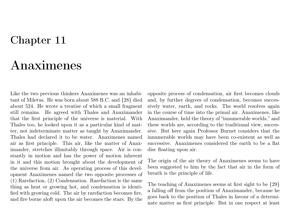# Anaximenes

Like the two previous thinkers Anaximenes was an inhabitant of Miletus. He was born about 588 B.C. and {28} died about 524. He wrote a treatise of which a small fragment still remains. He agreed with Thales and Anaximander that the first principle of the universe is material. With Thales too, he looked upon it as a particular kind of matter, not indeterminate matter as taught by Anaximander. Thales had declared it to be water. Anaximenes named air as first principle. This air, like the matter of Anaximander, stretches illimitably through space. Air is constantly in motion and has the power of motion inherent in it and this motion brought about the development of the universe from air. As operating process of this development Anaximenes named the two opposite processes of (1) Rarefaction, (2) Condensation. Rarefaction is the same thing as heat or growing hot, and condensation is identified with growing cold. The air by rarefaction becomes fire, and fire borne aloft upon the air becomes the stars. By the opposite process of condensation, air first becomes clouds and, by further degrees of condensation, becomes successively water, earth, and rocks. The world resolves again in the course of time into the primal air. Anaximenes, like Anaximander, held the theory of "innumerable worlds," and these worlds are, according to the traditional view, successive. But here again Professor Burnet considers that the innumerable worlds may have been co-existent as well as successive. Anaximenes considered the earth to be a flat disc floating upon air.

The origin of the air theory of Anaximenes seems to have been suggested to him by the fact that air in the form of breath is the principle of life.

The teaching of Anaximenes seems at first sight to be {29} a falling off from the position of Anaximander, because he goes back to the position of Thales in favour of a determinate matter as first principle. But in one respect at least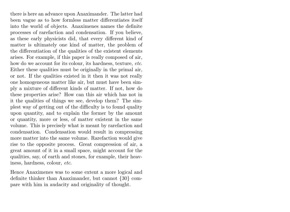there is here an advance upon Anaximander. The latter had been vague as to how formless matter differentiates itself into the world of objects. Anaximenes names the definite processes of rarefaction and condensation. If you believe, as these early physicists did, that every different kind of matter is ultimately one kind of matter, the problem of the differentiation of the qualities of the existent elements arises. For example, if this paper is really composed of air, how do we account for its colour, its hardness, texture, etc. Either these qualities must be originally in the primal air, or not. If the qualities existed in it then it was not really one homogeneous matter like air, but must have been simply a mixture of different kinds of matter. If not, how do these properties arise? How can this air which has not in it the qualities of things we see, develop them? The simplest way of getting out of the difficulty is to found quality upon quantity, and to explain the former by the amount or quantity, more or less, of matter existent in the same volume. This is precisely what is meant by rarefaction and condensation. Condensation would result in compressing more matter into the same volume. Rarefaction would give rise to the opposite process. Great compression of air, a great amount of it in a small space, might account for the qualities, say, of earth and stones, for example, their heaviness, hardness, colour, etc.

Hence Anaximenes was to some extent a more logical and definite thinker than Anaximander, but cannot {30} compare with him in audacity and originality of thought.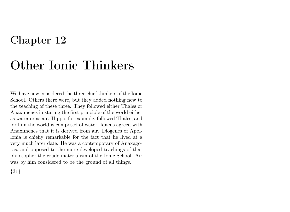# Other Ionic Thinkers

We have now considered the three chief thinkers of the Ionic School. Others there were, but they added nothing new to the teaching of these three. They followed either Thales or Anaximenes in stating the first principle of the world either as water or as air. Hippo, for example, followed Thales, and for him the world is composed of water, Idaeus agreed with Anaximenes that it is derived from air. Diogenes of Apollonia is chiefly remarkable for the fact that he lived at a very much later date. He was a contemporary of Anaxagoras, and opposed to the more developed teachings of that philosopher the crude materialism of the Ionic School. Air was by him considered to be the ground of all things.

{31}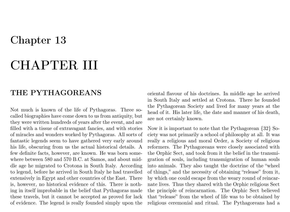## CHAPTER III

### THE PYTHAGOREANS

Not much is known of the life of Pythagoras. Three socalled biographies have come down to us from antiquity, but they were written hundreds of years after the event, and are filled with a tissue of extravagant fancies, and with stories of miracles and wonders worked by Pythagoras. All sorts of fantastic legends seem to have gathered very early around his life, obscuring from us the actual historical details. A few definite facts, however, are known. He was born somewhere between 580 and 570 B.C. at Samos, and about middle age he migrated to Crotona in South Italy. According to legend, before he arrived in South Italy he had travelled extensively in Egypt and other countries of the East. There is, however, no historical evidence of this. There is nothing in itself improbable in the belief that Pythagoras made these travels, but it cannot be accepted as proved for lack of evidence. The legend is really founded simply upon the

oriental flavour of his doctrines. In middle age he arrived in South Italy and settled at Crotona. There he founded the Pythagorean Society and lived for many years at the head of it. His later life, the date and manner of his death, are not certainly known.

Now it is important to note that the Pythagorean {32} Society was not primarily a school of philosophy at all. It was really a religious and moral Order, a Society of religious reformers. The Pythagoreans were closely associated with the Orphic Sect, and took from it the belief in the transmigration of souls, including transmigration of human souls into animals. They also taught the doctrine of the "wheel of things," and the necessity of obtaining "release" from it, by which one could escape from the weary round of reincarnate lives. Thus they shared with the Orphic religious Sect the principle of reincarnation. The Orphic Sect believed that "release" from the wheel of life was to be obtained by religious ceremonial and ritual. The Pythagoreans had a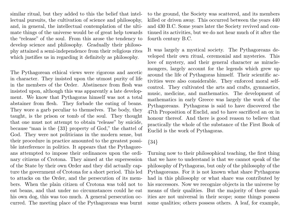similar ritual, but they added to this the belief that intellectual pursuits, the cultivation of science and philosophy, and, in general, the intellectual contemplation of the ultimate things of the universe would be of great help towards the "release" of the soul. From this arose the tendency to develop science and philosophy. Gradually their philosophy attained a semi-independence from their religious rites which justifies us in regarding it definitely as philosophy.

The Pythagorean ethical views were rigorous and ascetic in character. They insisted upon the utmost purity of life in the members of the Order. Abstinence from flesh was insisted upon, although this was apparently a late development. We know that Pythagoras himself was not a total abstainer from flesh. They forbade the eating of beans. They wore a garb peculiar to themselves. The body, they taught, is the prison or tomb of the soul. They thought that one must not attempt to obtain "release" by suicide, because "man is the {33} property of God," the chattel of God. They were not politicians in the modern sense, but their procedure in practice amounted to the greatest possible interference in politics. It appears that the Pythagoreans attempted to impose their ordinances upon the ordinary citizens of Crotona. They aimed at the supersession of the State by their own Order and they did actually capture the government of Crotona for a short period. This led to attacks on the Order, and the persecution of its members. When the plain citizen of Crotona was told not to eat beans, and that under no circumstances could he eat his own dog, this was too much. A general persecution occurred. The meeting place of the Pythagoreans was burnt

to the ground, the Society was scattered, and its members killed or driven away. This occurred between the years 440 and 430 B.C. Some years later the Society revived and continued its activities, but we do not hear much of it after the fourth century B.C.

It was largely a mystical society. The Pythagoreans developed their own ritual, ceremonial and mysteries. This love of mystery, and their general character as miraclemongers, largely account for the legends which grew up around the life of Pythagoras himself. Their scientific activities were also considerable. They enforced moral selfcontrol. They cultivated the arts and crafts, gymnastics, music, medicine, and mathematics. The development of mathematics in early Greece was largely the work of the Pythagoreans. Pythagoras is said to have discovered the 47th Proposition of Euclid, and to have sacrificed an ox in honour thereof. And there is good reason to believe that practically the whole of the substance of the First Book of Euclid is the work of Pythagoras.

### {34}

Turning now to their philosophical teaching, the first thing that we have to understand is that we cannot speak of the philosophy of Pythagoras, but only of the philosophy of the Pythagoreans. For it is not known what share Pythagoras had in this philosophy or what share was contributed by his successors. Now we recognize objects in the universe by means of their qualities. But the majority of these qualities are not universal in their scope; some things possess some qualities; others possess others. A leaf, for example,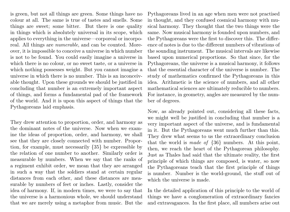is green, but not all things are green. Some things have no colour at all. The same is true of tastes and smells. Some things are sweet; some bitter. But there is one quality in things which is absolutely universal in its scope, which applies to everything in the universe—corporeal or incorporeal. All things are numerable, and can be counted. Moreover, it is impossible to conceive a universe in which number is not to be found. You could easily imagine a universe in which there is no colour, or no sweet taste, or a universe in which nothing possesses weight. But you cannot imagine a universe in which there is no number. This is an inconceivable thought. Upon these grounds we should be justified in concluding that number is an extremely important aspect of things, and forms a fundamental pad of the framework of the world. And it is upon this aspect of things that the Pythagoreans laid emphasis.

They drew attention to proportion, order, and harmony as the dominant notes of the universe. Now when we examine the ideas of proportion, order, and harmony, we shall see that they are closely connected with number. Proportion, for example, must necessarily {35} be expressible by the relation of one number to another. Similarly order is measurable by numbers. When we say that the ranks of a regiment exhibit order, we mean that they are arranged in such a way that the soldiers stand at certain regular distances from each other, and these distances are measurable by numbers of feet or inches. Lastly, consider the idea of harmony. If, in modern times, we were to say that the universe is a harmonious whole, we should understand that we are merely using a metaphor from music. But the

Pythagoreans lived in an age when men were not practised in thought, and they confused cosmical harmony with musical harmony. They thought that the two things were the same. Now musical harmony is founded upon numbers, and the Pythagoreans were the first to discover this. The difference of notes is due to the different numbers of vibrations of the sounding instrument. The musical intervals are likewise based upon numerical proportions. So that since, for the Pythagoreans, the universe is a musical harmony, it follows that the essential character of the universe is number. The study of mathematics confirmed the Pythagoreans in this idea. Arithmetic is the science of numbers, and all other mathematical sciences are ultimately reducible to numbers. For instance, in geometry, angles are measured by the number of degrees.

Now, as already pointed out, considering all these facts, we might well be justified in concluding that number is a very important aspect of the universe, and is fundamental in it. But the Pythagoreans went much further than this. They drew what seems to us the extraordinary conclusion that the world is *made of*  $\{36\}$  numbers. At this point, then, we reach the heart of the Pythagorean philosophy. Just as Thales had said that the ultimate reality, the first principle of which things are composed, is water, so now the Pythagoreans teach that the first principle of things is number. Number is the world-ground, the stuff out of which the universe is made.

In the detailed application of this principle to the world of things we have a conglomeration of extraordinary fancies and extravagances. In the first place, all numbers arise out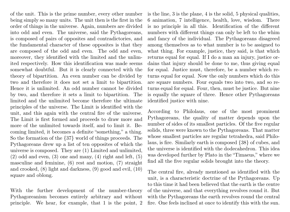of the unit. This is the prime number, every other number being simply so many units. The unit then is the first in the order of things in the universe. Again, numbers are divided into odd and even. The universe, said the Pythagoreans, is composed of pairs of opposites and contradictories, and the fundamental character of these opposites is that they are composed of the odd and even. The odd and even, moreover, they identified with the limited and the unlimited respectively. How this identification was made seems somewhat doubtful. But it is clearly connected with the theory of bipartition. An even number can be divided by two and therefore it does not set a limit to bipartition. Hence it is unlimited. An odd number cannot be divided by two, and therefore it sets a limit to bipartition. The limited and the unlimited become therefore the ultimate principles of the universe. The Limit is identified with the unit, and this again with the central fire of the universe. The Limit is first formed and proceeds to draw more and more of the unlimited towards itself, and to limit it. Becoming limited, it becomes a definite "something," a thing. So the formation of the {37} world of things proceeds. The Pythagoreans drew up a list of ten opposites of which the universe is composed. They are (1) Limited and unlimited,  $(2)$  odd and even,  $(3)$  one and many,  $(4)$  right and left,  $(5)$ masculine and feminine, (6) rest and motion, (7) straight and crooked, (8) light and darkness, (9) good and evil, (10) square and oblong.

With the further development of the number-theory Pythagoreanism becomes entirely arbitrary and without principle. We hear, for example, that 1 is the point, 2 is the line, 3 is the plane, 4 is the solid, 5 physical qualities, 6 animation, 7 intelligence, health, love, wisdom. There is no principle in all this. Identification of the different numbers with different things can only be left to the whim and fancy of the individual. The Pythagoreans disagreed among themselves as to what number is to be assigned to what thing. For example, justice, they said, is that which returns equal for equal. If I do a man an injury, justice ordains that injury should be done to me, thus giving equal for equal. Justice must, therefore, be a number which returns equal for equal. Now the only numbers which do this are square numbers. Four equals two into two, and so returns equal for equal. Four, then, must be justice. But nine is equally the square of three. Hence other Pythagoreans identified justice with nine.

According to Philolaus, one of the most prominent Pythagoreans, the quality of matter depends upon the number of sides of its smallest particles. Of the five regular solids, three were known to the Pythagoreans. That matter whose smallest particles are regular tetrahedra, said Philolaus, is fire. Similarly earth is composed {38} of cubes, and the universe is identified with the dodecahedron. This idea was developed further by Plato in the "Timaeus," where we find all the five regular solids brought into the theory.

The central fire, already mentioned as identified with the unit, is a characteristic doctrine of the Pythagoreans. Up to this time it had been believed that the earth is the centre of the universe, and that everything revolves round it. But with the Pythagoreans the earth revolves round the central fire. One feels inclined at once to identify this with the sun.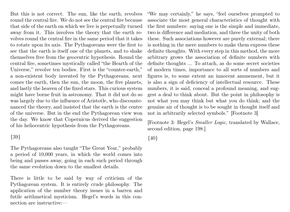But this is not correct. The sun, like the earth, revolves round the central fire. We do not see the central fire because that side of the earth on which we live is perpetually turned away from it. This involves the theory that the earth revolves round the central fire in the same period that it takes to rotate upon its axis. The Pythagoreans were the first to see that the earth is itself one of the planets, and to shake themselves free from the geocentric hypothesis. Round the central fire, sometimes mystically called "the Hearth of the Universe," revolve ten bodies. First is the "counter-earth," a non-existent body invented by the Pythagoreans, next comes the earth, then the sun, the moon, the five planets, and lastly the heaven of the fixed stars. This curious system might have borne fruit in astronomy. That it did not do so was largely due to the influence of Aristotle, who discountenanced the theory, and insisted that the earth is the centre of the universe. But in the end the Pythagorean view won the day. We know that Copernicus derived the suggestion of his heliocentric hypothesis from the Pythagoreans.

#### {39}

The Pythagoreans also taught "The Great Year," probably a period of 10,000 years, in which the world comes into being and passes away, going in each such period through the same evolution down to the smallest details.

There is little to be said by way of criticism of the Pythagorean system. It is entirely crude philosophy. The application of the number theory issues in a barren and futile arithmetical mysticism. Hegel's words in this connection are instructive:—

"We may certainly," he says, "feel ourselves prompted to associate the most general characteristics of thought with the first numbers: saying one is the simple and immediate, two is difference and mediation, and three the unity of both these. Such associations however are purely external; there is nothing in the mere numbers to make them express these definite thoughts. With every step in this method, the more arbitrary grows the association of definite numbers with definite thoughts ... To attach, as do some secret societies of modern times, importance to all sorts of numbers and figures is, to some extent an innocent amusement, but it is also a sign of deficiency of intellectual resource. These numbers, it is said, conceal a profound meaning, and suggest a deal to think about. But the point in philosophy is not what you may think but what you do think; and the genuine air of thought is to be sought in thought itself and not in arbitrarily selected symbols." [Footnote 3]

[Footnote 3: Hegel's Smaller Logic, translated by Wallace, second edition, page 198.]

{40}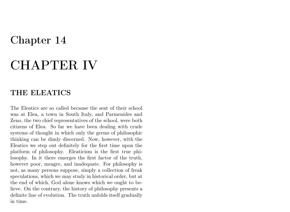## CHAPTER IV

### THE ELEATICS

The Eleatics are so called because the seat of their school was at Elea, a town in South Italy, and Parmenides and Zeno, the two chief representatives of the school, were both citizens of Elea. So far we have been dealing with crude systems of thought in which only the germs of philosophic thinking can be dimly discerned. Now, however, with the Eleatics we step out definitely for the first time upon the platform of philosophy. Eleaticism is the first true philosophy. In it there emerges the first factor of the truth, however poor, meagre, and inadequate. For philosophy is not, as many persons suppose, simply a collection of freak speculations, which we may study in historical order, but at the end of which, God alone knows which we ought to believe. On the contrary, the history of philosophy presents a definite line of evolution. The truth unfolds itself gradually in time.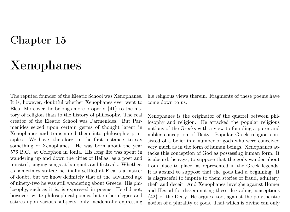# Xenophanes

The reputed founder of the Eleatic School was Xenophanes. It is, however, doubtful whether Xenophanes ever went to Elea. Moreover, he belongs more properly {41} to the history of religion than to the history of philosophy. The real creator of the Eleatic School was Parmenides. But Parmenides seized upon certain germs of thought latent in Xenophanes and transmuted them into philosophic principles. We have, therefore, in the first instance, to say something of Xenophanes. He was born about the year 576 B.C., at Colophon in Ionia. His long life was spent in wandering up and down the cities of Hellas, as a poet and minstrel, singing songs at banquets and festivals. Whether, as sometimes stated; he finally settled at Elea is a matter of doubt, but we know definitely that at the advanced age of ninety-two he was still wandering about Greece. His philosophy, such as it is, is expressed in poems. He did not, however, write philosophical poems, but rather elegies and satires upon various subjects, only incidentally expressing

his religious views therein. Fragments of these poems have come down to us.

Xenophanes is the originator of the quarrel between philosophy and religion. He attacked the popular religious notions of the Greeks with a view to founding a purer and nobler conception of Deity. Popular Greek religion consisted of a belief in a number of gods who were conceived very much as in the form of human beings. Xenophanes attacks this conception of God as possessing human form. It is absurd, he says, to suppose that the gods wander about from place to place, as represented in the Greek legends. It is absurd to suppose that the gods had a beginning. It is disgraceful to impute to them stories of fraud, adultery, theft and deceit. And Xenophanes inveighs against Homer and Hesiod for disseminating these degrading conceptions {42} of the Deity. He argues, too, against the polytheistic notion of a plurality of gods. That which is divine can only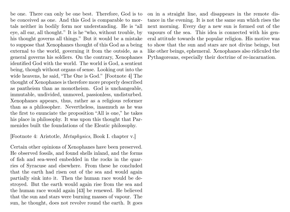be one. There can only be one best. Therefore, God is to be conceived as one. And this God is comparable to mortals neither in bodily form nor understanding. He is "all eye, all ear, all thought." It is he "who, without trouble, by his thought governs all things." But it would be a mistake to suppose that Xenophanes thought of this God as a being external to the world, governing it from the outside, as a general governs his soldiers. On the contrary, Xenophanes identified God with the world. The world is God, a sentient being, though without organs of sense. Looking out into the wide heavens, he said, "The One is God." [Footnote 4] The thought of Xenophanes is therefore more properly described as pantheism than as monotheism. God is unchangeable, immutable, undivided, unmoved, passionless, undisturbed. Xenophanes appears, thus, rather as a religious reformer than as a philosopher. Nevertheless, inasmuch as he was the first to enunciate the proposition "All is one," he takes his place in philosophy. It was upon this thought that Parmenides built the foundations of the Eleatic philosophy.

[Footnote 4: Aristotle, Metaphysics, Book I. chapter v.]

Certain other opinions of Xenophanes have been preserved. He observed fossils, and found shells inland, and the forms of fish and sea-weed embedded in the rocks in the quarries of Syracuse and elsewhere. From these he concluded that the earth had risen out of the sea and would again partially sink into it. Then the human race would be destroyed. But the earth would again rise from the sea and the human race would again [43] be renewed. He believed that the sun and stars were burning masses of vapour. The sun, he thought, does not revolve round the earth. It goes

on in a straight line, and disappears in the remote distance in the evening. It is not the same sun which rises the next morning. Every day a new sun is formed out of the vapours of the sea. This idea is connected with his general attitude towards the popular religion. His motive was to show that the sun and stars are not divine beings, but like other beings, ephemeral. Xenophanes also ridiculed the Pythagoreans, especially their doctrine of re-incarnation.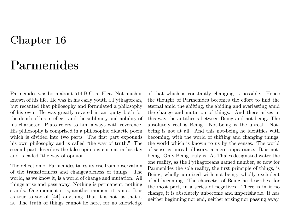# Parmenides

Parmenides was born about 514 B.C. at Elea. Not much is known of his life. He was in his early youth a Pythagorean, but recanted that philosophy and formulated a philosophy of his own. He was greatly revered in antiquity both for the depth of his intellect, and the sublimity and nobility of his character. Plato refers to him always with reverence. His philosophy is comprised in a philosophic didactic poem which is divided into two parts. The first part expounds his own philosophy and is called "the way of truth." The second part describes the false opinions current in his day and is called "the way of opinion."

The reflection of Parmenides takes its rise from observation of the transitoriness and changeableness of things. The world, as we know it, is a world of change and mutation. All things arise and pass away. Nothing is permanent, nothing stands. One moment it is, another moment it is not. It is as true to say of {44} anything, that it is not, as that it is. The truth of things cannot lie here, for no knowledge

of that which is constantly changing is possible. Hence the thought of Parmenides becomes the effort to find the eternal amid the shifting, the abiding and everlasting amid the change and mutation of things. And there arises in this way the antithesis between Being and not-being. The absolutely real is Being. Not-being is the unreal. Notbeing is not at all. And this not-being he identifies with becoming, with the world of shifting and changing things, the world which is known to us by the senses. The world of sense is unreal, illusory, a mere appearance. It is notbeing. Only Being truly is. As Thales designated water the one reality, as the Pythagoreans named number, so now for Parmenides the sole reality, the first principle of things, is Being, wholly unmixed with not-being, wholly excludent of all becoming. The character of Being he describes, for the most part, in a series of negatives. There is in it no change, it is absolutely unbecome and imperishable. It has neither beginning nor end, neither arising nor passing away.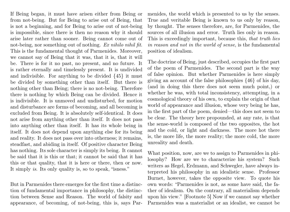If Being began, it must have arisen either from Being or from not-being. But for Being to arise out of Being, that is not a beginning, and for Being to arise out of not-being is impossible, since there is then no reason why it should arise later rather than sooner. Being cannot come out of not-being, nor something out of nothing. Ex nihilo nihil fit. This is the fundamental thought of Parmenides. Moreover, we cannot say of Being that it was, that it is, that it will be. There is for it no past, no present, and no future. It is rather eternally and timelessly present. It is undivided and indivisible. For anything to be divided {45} it must be divided by something other than itself. But there is nothing other than Being; there is no not-being. Therefore there is nothing by which Being can be divided. Hence it is indivisible. It is unmoved and undisturbed, for motion and disturbance are forms of becoming, and all becoming is excluded from Being. It is absolutely self-identical. It does not arise from anything other than itself. It does not pass into anything other than itself. It has its whole being in itself. It does not depend upon anything else for its being and reality. It does not pass over into otherness; it remains, steadfast, and abiding in itself. Of positive character Being has nothing. Its sole character is simply its being. It cannot be said that it is this or that; it cannot be said that it has this or that quality, that it is here or there, then or now. It simply is. Its only quality is, so to speak, "isness."

But in Parmenides there emerges for the first time a distinction of fundamental importance in philosophy, the distinction between Sense and Reason. The world of falsity and appearance, of becoming, of not-being, this is, says Parmenides, the world which is presented to us by the senses. True and veritable Being is known to us only by reason, by thought. The senses therefore, are, for Parmenides, the sources of all illusion and error. Truth lies only in reason. This is exceedingly important, because this, that truth lies in reason and not in the world of sense, is the fundamental position of idealism.

The doctrine of Being, just described, occupies the first part of the poem of Parmenides. The second part is the way of false opinion. But whether Parmenides is here simply giving an account of the false philosophies {46} of his day, (and in doing this there does not seem much point,) or whether he was, with total inconsistency, attempting, in a cosmological theory of his own, to explain the origin of that world of appearance and illusion, whose very being he has, in the first part of the poem, denied—this does not seem to be clear. The theory here propounded, at any rate, is that the sense-world is composed of the two opposites, the hot and the cold, or light and darkness. The more hot there is, the more life, the more reality; the more cold, the more unreality and death.

What position, now, are we to assign to Parmenides in philosophy? How are we to characterize his system? Such writers as Hegel, Erdmann, and Schwegler, have always interpreted his philosophy in an idealistic sense. Professor Burnet, however, takes the opposite view. To quote his own words: "Parmenides is not, as some have said, the father of idealism. On the contrary, all materialism depends upon his view." [Footnote 5] Now if we cannot say whether Parmenides was a materialist or an idealist, we cannot be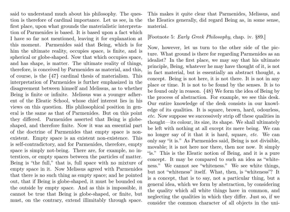said to understand much about his philosophy. The question is therefore of cardinal importance. Let us see, in the first place, upon what grounds the materialistic interpretation of Parmenides is based. It is based upon a fact which I have so far not mentioned, leaving it for explanation at this moment. Parmenides said that Being, which is for him the ultimate reality, occupies space, is finite, and is spherical or globe-shaped. Now that which occupies space, and has shape, is matter. The ultimate reality of things, therefore, is conceived by Parmenides as material, and this, of course, is the {47} cardinal thesis of materialism. This interpretation of Parmenides is further emphasized in the disagreement between himself and Melissus, as to whether Being is finite or infinite. Melissus was a younger adherent of the Eleatic School, whose chief interest lies in his views on this question. His philosophical position in general is the same as that of Parmenides. But on this point they differed. Parmenides asserted that Being is globeshaped, and therefore finite. Now it was an essential part of the doctrine of Parmenides that empty space is nonexistent. Empty space is an existent non-existence. This is self-contradictory, and for Parmenides, therefore, empty space is simply not-being. There are, for example, no interstices, or empty spaces between the particles of matter. Being is "the full," that is, full space with no mixture of empty space in it. Now Melissus agreed with Parmenides that there is no such thing as empty space; and he pointed out, that if Being is globe-shaped, it must be bounded on the outside by empty space. And as this is impossible, it cannot be true that Being is globe-shaped, or finite, but must, on the contrary, extend illimitably through space.

This makes it quite clear that Parmenides, Melissus, and the Eleatics generally, did regard Being as, in some sense, material.

#### [Footnote 5: Early Greek Philosophy, chap. iv. §89.]

Now, however, let us turn to the other side of the picture. What ground is there for regarding Parmenides as an idealist? In the first place, we may say that his ultimate principle, Being, whatever he may have thought of it, is not in fact material, but is essentially an abstract thought, a concept. Being is not here, it is not there. It is not in any place or time. It is not to be found by the senses. It is to be found only in reason. {48} We form the idea of Being by the process of abstraction. For example, we see this desk. Our entire knowledge of the desk consists in our knowledge of its qualities. It is square, brown, hard, odourless, etc. Now suppose we successively strip off these qualities in thought—its colour, its size, its shape. We shall ultimately be left with nothing at all except its mere being. We can no longer say of it that it is hard, square, etc. We can only say "it is." As Parmenides said, Being is not divisible, movable; it is not here nor there, then nor now. It simply "is." This is the Eleatic notion of Being, and it is a pure concept. It may be compared to such an idea as "whiteness." We cannot see "whiteness." We see white things, but not "whiteness" itself. What, then, is "whiteness"? It is a concept, that is to say, not a particular thing, but a general idea, which we form by abstraction, by considering the quality which all white things have in common, and neglecting the qualities in which they differ. Just so, if we consider the common character of all objects in the uni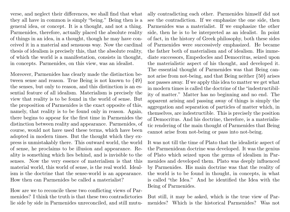verse, and neglect their differences, we shall find that what they all have in common is simply "being." Being then is a general idea, or concept. It is a thought, and not a thing. Parmenides, therefore, actually placed the absolute reality of things in an idea, in a thought, though he may have conceived it in a material and sensuous way. Now the cardinal thesis of idealism is precisely this, that the absolute reality, of which the world is a manifestation, consists in thought, in concepts. Parmenides, on this view, was an idealist.

Moreover, Parmenides has clearly made the distinction between sense and reason. True Being is not known to {49} the senses, but only to reason, and this distinction is an essential feature of all idealism. Materialism is precisely the view that reality is to be found in the world of sense. But the proposition of Parmenides is the exact opposite of this, namely, that reality is to be found only in reason. Again, there begins to appear for the first time in Parmenides the distinction between reality and appearance. Parmenides, of course, would not have used these terms, which have been adopted in modern times. But the thought which they express is unmistakably there. This outward world, the world of sense, he proclaims to be illusion and appearance. Reality is something which lies behind, and is invisible to the senses. Now the very essence of materialism is that this material world, this world of sense, is the real world. Idealism is the doctrine that the sense-world is an appearance. How then can Parmenides be called a materialist?

How are we to reconcile these two conflicting views of Parmenides? I think the truth is that these two contradictories lie side by side in Parmenides unreconciled, and still mutually contradicting each other. Parmenides himself did not see the contradiction. If we emphasize the one side, then Parmenides was a materialist. If we emphasize the other side, then he is to be interpreted as an idealist. In point of fact, in the history of Greek philosophy, both these sides of Parmenides were successively emphasized. He became the father both of materialism and of idealism. His immediate successors, Empedocles and Democritus, seized upon the materialistic aspect of his thought, and developed it. The essential thought of Parmenides was that Being cannot arise from not-being, and that Being neither {50} arises nor passes away. If we apply this idea to matter we get what in modern times is called the doctrine of the "indestructibility of matter." Matter has no beginning and no end. The apparent arising and passing away of things is simply the aggregation and separation of particles of matter which, in themselves, are indestructible. This is precisely the position of Democritus. And his doctrine, therefore, is a materialistic rendering of the main thought of Parmenides that Being cannot arise from not-being or pass into not-being.

It was not till the time of Plato that the idealistic aspect of the Parmenidean doctrine was developed. It was the genius of Plato which seized upon the germs of idealism in Parmenides and developed them. Plato was deeply influenced by Parmenides. His main doctrine was that the reality of the world is to be found in thought, in concepts, in what is called "the Idea." And he identified the Idea with the Being of Parmenides.

But still, it may be asked, which is the true view of Parmenides? Which is the historical Parmenides? Was not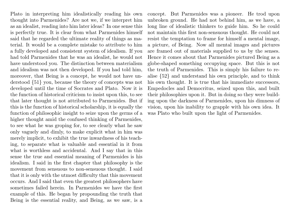Plato in interpreting him idealistically reading his own thought into Parmenides? Are not we, if we interpret him as an idealist, reading into him later ideas? In one sense this is perfectly true. It is clear from what Parmenides himself said that he regarded the ultimate reality of things as material. It would be a complete mistake to attribute to him a fully developed and consistent system of idealism. If you had told Parmenides that he was an idealist, he would not have understood you. The distinction between materialism and idealism was not then developed. If you had told him, moreover, that Being is a concept, he would not have understood {51} you, because the theory of concepts was not developed until the time of Socrates and Plato. Now it is the function of historical criticism to insist upon this, to see that later thought is not attributed to Parmenides. But if this is the function of historical scholarship, it is equally the function of philosophic insight to seize upon the germs of a higher thought amid the confused thinking of Parmenides, to see what he was groping for, to see clearly what he saw only vaguely and dimly, to make explicit what in him was merely implicit, to exhibit the true inwardness of his teaching, to separate what is valuable and essential in it from what is worthless and accidental. And I say that in this sense the true and essential meaning of Parmenides is his idealism. I said in the first chapter that philosophy is the movement from sensuous to non-sensuous thought. I said that it is only with the utmost difficulty that this movement occurs. And I said that even the greatest philosophers have sometimes failed herein. In Parmenides we have the first example of this. He began by propounding the truth that Being is the essential reality, and Being, as we saw, is a concept. But Parmenides was a pioneer. He trod upon unbroken ground. He had not behind him, as we have, a long line of idealistic thinkers to guide him. So he could not maintain this first non-sensuous thought. He could not resist the temptation to frame for himself a mental image, a picture, of Being. Now all mental images and pictures are framed out of materials supplied to us by the senses. Hence it comes about that Parmenides pictured Being as a globe-shaped something occupying space. But this is not the truth of Parmenides. This is simply his failure to realise {52} and understand his own principle, and to think his own thought. It is true that his immediate successors, Empedocles and Democritus, seized upon this, and built their philosophies upon it. But in doing so they were building upon the darkness of Parmenides, upon his dimness of vision, upon his inability to grapple with his own idea. It was Plato who built upon the light of Parmenides.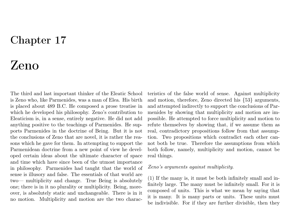# Zeno

The third and last important thinker of the Eleatic School is Zeno who, like Parmenides, was a man of Elea. His birth is placed about 489 B.C. He composed a prose treatise in which he developed his philosophy. Zeno's contribution to Eleaticism is, in a sense, entirely negative. He did not add anything positive to the teachings of Parmenides. He supports Parmenides in the doctrine of Being. But it is not the conclusions of Zeno that are novel, it is rather the reasons which he gave for them. In attempting to support the Parmenidean doctrine from a new point of view he developed certain ideas about the ultimate character of space and time which have since been of the utmost importance in philosophy. Parmenides had taught that the world of sense is illusory and false. The essentials of that world are two— multiplicity and change. True Being is absolutely one; there is in it no plurality or multiplicity. Being, moreover, is absolutely static and unchangeable. There is in it no motion. Multiplicity and motion are the two characteristics of the false world of sense. Against multiplicity and motion, therefore, Zeno directed his {53} arguments, and attempted indirectly to support the conclusions of Parmenides by showing that multiplicity and motion are impossible. He attempted to force multiplicity and motion to refute themselves by showing that, if we assume them as real, contradictory propositions follow from that assumption. Two propositions which contradict each other cannot both be true. Therefore the assumptions from which both follow, namely, multiplicity and motion, cannot be real things.

#### Zeno's arguments against multiplicity.

(1) If the many is, it must be both infinitely small and infinitely large. The many must be infinitely small. For it is composed of units. This is what we mean by saying that it is many. It is many parts or units. These units must be indivisible. For if they are further divisible, then they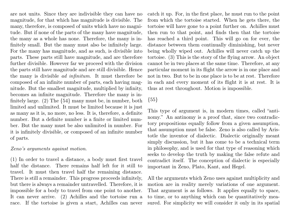are not units. Since they are indivisible they can have no magnitude, for that which has magnitude is divisible. The many, therefore, is composed of units which have no magnitude. But if none of the parts of the many have magnitude, the many as a whole has none. Therefore, the many is infinitely small. But the many must also be infinitely large. For the many has magnitude, and as such, is divisible into parts. These parts still have magnitude, and are therefore further divisible. However far we proceed with the division the parts still have magnitude and are still divisible. Hence the many is divisible ad infinitum. It must therefore be composed of an infinite number of parts, each having magnitude. But the smallest magnitude, multiplied by infinity, becomes an infinite magnitude. Therefore the many is infinitely large. (2) The {54} many must be, in number, both limited and unlimited. It must be limited because it is just as many as it is, no more, no less. It is, therefore, a definite number. But a definite number is a finite or limited number. But the many must be also unlimited in number. For it is infinitely divisible, or composed of an infinite number of parts.

#### Zeno's arguments against motion.

(1) In order to travel a distance, a body must first travel half the distance. There remains half left for it still to travel. It must then travel half the remaining distance. There is still a remainder. This progress proceeds infinitely, but there is always a remainder untravelled. Therefore, it is impossible for a body to travel from one point to another. It can never arrive. (2) Achilles and the tortoise run a race. If the tortoise is given a start, Achilles can never

catch it up. For, in the first place, he must run to the point from which the tortoise started. When he gets there, the tortoise will have gone to a point further on. Achilles must then run to that point, and finds then that the tortoise has reached a third point. This will go on for ever, the distance between them continually diminishing, but never being wholly wiped out. Achilles will never catch up the tortoise. (3) This is the story of the flying arrow. An object cannot be in two places at the same time. Therefore, at any particular moment in its flight the arrow is in one place and not in two. But to be in one place is to be at rest. Therefore in each and every moment of its flight it is at rest. It is thus at rest throughout. Motion is impossible.

#### ${55}$

This type of argument is, in modern times, called "antinomy." An antinomy is a proof that, since two contradictory propositions equally follow from a given assumption, that assumption must be false. Zeno is also called by Aristotle the inventor of dialectic. Dialectic originally meant simply discussion, but it has come to be a technical term in philosophy, and is used for that type of reasoning which seeks to develop the truth by making the false refute and contradict itself. The conception of dialectic is especially important in Zeno, Plato, Kant, and Hegel.

All the arguments which Zeno uses against multiplicity and motion are in reality merely variations of one argument. That argument is as follows. It applies equally to space, to time, or to anything which can be quantitatively measured. For simplicity we will consider it only in its spatial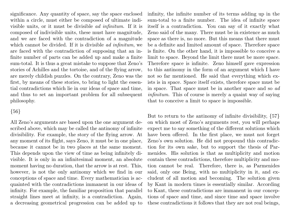significance. Any quantity of space, say the space enclosed within a circle, must either be composed of ultimate indivisible units, or it must be divisible ad infinitum. If it is composed of indivisible units, these must have magnitude, and we are faced with the contradiction of a magnitude which cannot be divided. If it is divisible *ad infinitum*, we are faced with the contradiction of supposing that an infinite number of parts can be added up and make a finite sum-total. It is thus a great mistake to suppose that Zeno's stories of Achilles and the tortoise, and of the flying arrow, are merely childish puzzles. On the contrary, Zeno was the first, by means of these stories, to bring to light the essential contradictions which lie in our ideas of space and time, and thus to set an important problem for all subsequent philosophy.

#### {56}

All Zeno's arguments are based upon the one argument described above, which may be called the antinomy of infinite divisibility. For example, the story of the flying arrow. At any moment of its flight, says Zeno, it must be in one place, because it cannot be in two places at the same moment. This depends upon the view of time as being infinitely divisible. It is only in an infinitesimal moment, an absolute moment having no duration, that the arrow is at rest. This, however, is not the only antinomy which we find in our conceptions of space and time. Every mathematician is acquainted with the contradictions immanent in our ideas of infinity. For example, the familiar proposition that parallel straight lines meet at infinity, is a contradiction. Again, a decreasing geometrical progression can be added up to

infinity, the infinite number of its terms adding up in the sum-total to a finite number. The idea of infinite space itself is a contradiction. You can say of it exactly what Zeno said of the many. There must be in existence as much space as there is, no more. But this means that there must be a definite and limited amount of space. Therefore space is finite. On the other hand, it is impossible to conceive a limit to space. Beyond the limit there must be more space. Therefore space is infinite. Zeno himself gave expression to this antinomy in the form of an argument which I have not so far mentioned. He said that everything which exists is in space. Space itself exists, therefore space must be in space. That space must be in another space and so ad infinitum. This of course is merely a quaint way of saying that to conceive a limit to space is impossible.

But to return to the antinomy of infinite divisibility, {57} on which most of Zeno's arguments rest, you will perhaps expect me to say something of the different solutions which have been offered. In the first place, we must not forget Zeno's own solution. He did not propound this contradiction for its own sake, but to support the thesis of Parmenides. His solution is that as multiplicity and motion contain these contradictions, therefore multiplicity and motion cannot be real. Therefore, there is, as Parmenides said, only one Being, with no multiplicity in it, and excludent of all motion and becoming. The solution given by Kant in modern times is essentially similar. According to Kant, these contradictions are immanent in our conceptions of space and time, and since time and space involve these contradictions it follows that they are not real beings,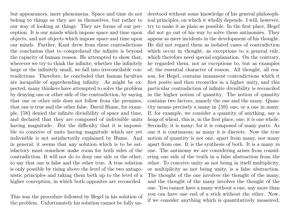but appearances, mere phenomena. Space and time do not belong to things as they are in themselves, but rather to our way of looking at things. They are forms of our perception. It is our minds which impose space and time upon objects, and not objects which impose space and time upon our minds. Further, Kant drew from these contradictions the conclusion that to comprehend the infinite is beyond the capacity of human reason. He attempted to show that, wherever we try to think the infinite, whether the infinitely large or the infinitely small, we fall into irreconcilable contradictions. Therefore, he concluded that human faculties are incapable of apprehending infinity. As might be expected, many thinkers have attempted to solve the problem by denying one or other side of the contradiction, by saying that one or other side does not follow from the premises, that one is true and the other false. David Hume, for example, {58} denied the infinite divisibility of space and time, and declared that they are composed of indivisible units having magnitude. But the difficulty that it is impossible to conceive of units having magnitude which are yet indivisible is not satisfactorily explained by Hume. And in general, it seems that any solution which is to be satisfactory must somehow make room for both sides of the contradiction. It will not do to deny one side or the other, to say that one is false and the other true. A true solution is only possible by rising above the level of the two antagonistic principles and taking them both up to the level of a higher conception, in which both opposites are reconciled.

This was the procedure followed by Hegel in his solution of the problem. Unfortunately his solution cannot be fully understood without some knowledge of his general philosophical principles, on which it wholly depends. I will, however, try to make it as plain as possible. In the first place, Hegel did not go out of his way to solve these antinomies. They appear as mere incidents in the development of his thought. He did not regard them as isolated cases of contradiction which occur in thought, as exceptions to a general rule, which therefore need special explanation. On the contrary, he regarded them, not as exceptions to, but as examples of, the essential character of reason. All thought, all reason, for Hegel, contains immanent contradictions which it first posits and then reconciles in a higher unity, and this particular contradiction of infinite divisibility is reconciled in the higher notion of quantity. The notion of quantity contains two factors, namely the one and the many. Quantity means precisely a many in {59} one, or a one in many. If, for example, we consider a quantity of anything, say a heap of wheat, this is, in the first place, one; it is one whole. Secondly, it is many; for it is composed of many parts. As one it is continuous; as many it is discrete. Now the true notion of quantity is not one, apart from many, nor many apart from one. It is the synthesis of both. It is a many in one. The antinomy we are considering arises from considering one side of the truth in a false abstraction from the other. To conceive unity as not being in itself multiplicity, or multiplicity as not being unity, is a false abstraction. The thought of the one involves the thought of the many, and the thought of the many involves the thought of the one. You cannot have a many without a one, any more than you can have one end of a stick without the other. Now, if we consider anything which is quantitatively measured,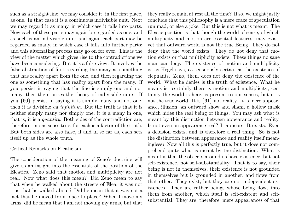such as a straight line, we may consider it, in the first place, as one. In that case it is a continuous indivisible unit. Next we may regard it as many, in which case it falls into parts. Now each of these parts may again be regarded as one, and as such is an indivisible unit; and again each part may be regarded as many, in which case it falls into further parts; and this alternating process may go on for ever. This is the view of the matter which gives rise to the contradictions we have been considering. But it is a false view. It involves the false abstraction of first regarding the many as something that has reality apart from the one, and then regarding the one as something that has reality apart from the many. If you persist in saying that the line is simply one and not many, then there arises the theory of indivisible units. If you {60} persist in saying it is simply many and not one, then it is divisible ad infinitum. But the truth is that it is neither simply many nor simply one; it is a many in one, that is, it is a quantity. Both sides of the contradiction are, therefore, in one sense true, for each is a factor of the truth. But both sides are also false, if and in so far as, each sets itself up as the whole truth.

Critical Remarks on Eleaticism.

The consideration of the meaning of Zeno's doctrine will give us an insight into the essentials of the position of the Eleatics. Zeno said that motion and multiplicity are not real. Now what does this mean? Did Zeno mean to say that when he walked about the streets of Elea, it was not true that he walked about? Did he mean that it was not a fact that he moved from place to place? When I move my arms, did he mean that I am not moving my arms, but that

they really remain at rest all the time? If so, we might justly conclude that this philosophy is a mere craze of speculation run mad, or else a joke. But this is not what is meant. The Eleatic position is that though the world of sense, of which multiplicity and motion are essential features, may exist, yet that outward world is not the true Being. They do not deny that the world exists. They do not deny that motion exists or that multiplicity exists. These things no sane man can deny. The existence of motion and multiplicity is, as Hegel says, as sensuously certain as the existence of elephants. Zeno, then, does not deny the existence of the world. What he denies is the truth of existence. What he means is: certainly there is motion and multiplicity; certainly the world is here, is present to our senses, but it is not the true world. It is  $\{61\}$  not reality. It is mere appearance, illusion, an outward show and sham, a hollow mask which hides the real being of things. You may ask what is meant by this distinction between appearance and reality. Is not even an appearance real? It appears. It exists. Even a delusion exists, and is therefore a real thing. So is not the distinction between appearance and reality itself meaningless? Now all this is perfectly true, but it does not comprehend quite what is meant by the distinction. What is meant is that the objects around us have existence, but not self-existence, not self-substantiality. That is to say, their being is not in themselves, their existence is not grounded in themselves but is grounded in another, and flows from that other. They exist, but they are not independent existences. They are rather beings whose being flows into them from another, which itself is self-existent and selfsubstantial. They are, therefore, mere appearances of that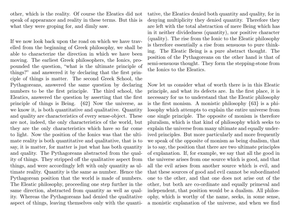other, which is the reality. Of course the Eleatics did not speak of appearance and reality in these terms. But this is what they were groping for, and dimly saw.

If we now look back upon the road on which we have travelled from the beginning of Greek philosophy, we shall be able to characterize the direction in which we have been moving. The earliest Greek philosophers, the Ionics, propounded the question, "what is the ultimate principle of things?" and answered it by declaring that the first principle of things is matter. The second Greek School, the Pythagoreans, answered the same question by declaring numbers to be the first principle. The third school, the Eleatics, answered the question by asserting that the first principle of things is Being. {62} Now the universe, as we know it, is both quantitative and qualitative. Quantity and quality are characteristics of every sense-object. These are not, indeed, the only characteristics of the world, but they are the only characteristics which have so far come to light. Now the position of the Ionics was that the ultimate reality is both quantitative and qualitative, that is to say, it is matter, for matter is just what has both quantity and quality. The Pythagoreans abstracted from the quality of things. They stripped off the qualitative aspect from things, and were accordingly left with only quantity as ultimate reality. Quantity is the same as number. Hence the Pythagorean position that the world is made of numbers. The Eleatic philosophy, proceeding one step further in the same direction, abstracted from quantity as well as quality. Whereas the Pythagoreans had denied the qualitative aspect of things, leaving themselves only with the quantitative, the Eleatics denied both quantity and quality, for in denying multiplicity they denied quantity. Therefore they are left with the total abstraction of mere Being which has in it neither dividedness (quantity), nor positive character (quality). The rise from the Ionic to the Eleatic philosophy is therefore essentially a rise from sensuous to pure thinking. The Eleatic Being is a pure abstract thought. The position of the Pythagoreans on the other hand is that of semi-sensuous thought. They form the stepping-stone from the Ionics to the Eleatics.

Now let us consider what of worth there is in this Eleatic principle, and what its defects are. In the first place, it is necessary for us to understand that the Eleatic philosophy is the first monism. A monistic philosophy {63} is a philosophy which attempts to explain the entire universe from one single principle. The opposite of monism is therefore pluralism, which is that kind of philosophy which seeks to explain the universe from many ultimate and equally underived principles. But more particularly and more frequently we speak of the opposite of monism as being dualism, that is to say, the position that there are two ultimate principles of explanation. If, for example, we say that all the good in the universe arises from one source which is good, and that all the evil arises from another source which is evil, and that these sources of good and evil cannot be subordinated one to the other, and that one does not arise out of the other, but both are co-ordinate and equally primeval and independent, that position would be a dualism. All philosophy, which is worthy of the name, seeks, in some sense, a monistic explanation of the universe, and when we find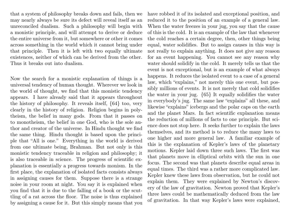that a system of philosophy breaks down and fails, then we may nearly always be sure its defect will reveal itself as an unreconciled dualism. Such a philosophy will begin with a monistic principle, and will attempt to derive or deduce the entire universe from it, but somewhere or other it comes across something in the world which it cannot bring under that principle. Then it is left with two equally ultimate existences, neither of which can be derived from the other. Thus it breaks out into dualism.

Now the search for a monistic explanation of things is a universal tendency of human thought. Wherever we look in the world of thought, we find that this monistic tendency appears. I have already said that it appears throughout the history of philosophy. It reveals itself, {64} too, very clearly in the history of religion. Religion begins in polytheism, the belief in many gods. From that it passes on to monotheism, the belief in one God, who is the sole author and creator of the universe. In Hindu thought we find the same thing. Hindu thought is based upon the principle that "All is one." Everything in the world is derived from one ultimate being, Brahman. But not only is this monistic tendency traceable in religion and philosophy; it is also traceable in science. The progress of scientific explanation is essentially a progress towards monism. In the first place, the explanation of isolated facts consists always in assigning causes for them. Suppose there is a strange noise in your room at night. You say it is explained when you find that it is due to the falling of a book or the scuttling of a rat across the floor. The noise is thus explained by assigning a cause for it. But this simply means that you

have robbed it of its isolated and exceptional position, and reduced it to the position of an example of a general law. When the water freezes in your jug, you say that the cause of this is the cold. It is an example of the law that whenever the cold reaches a certain degree, then, other things being equal, water solidifies. But to assign causes in this way is not really to explain anything. It does not give any reason for an event happening. You cannot see any reason why water should solidify in the cold. It merely tells us that the event is not exceptional, but is an example of what always happens. It reduces the isolated event to a case of a general law, which "explains," not merely this one event, but possibly millions of events. It is not merely that cold solidifies the water in your jug. {65} It equally solidifies the water in everybody's jug. The same law "explains" all these, and likewise "explains" icebergs and the polar caps on the earth and the planet Mars. In fact scientific explanation means the reduction of millions of facts to one principle. But science does not stop here. It seeks further to explain the laws themselves, and its method is to reduce the many laws to one higher and more general law. A familiar example of this is the explanation of Kepler's laws of the planetary motions. Kepler laid down three such laws. The first was that planets move in elliptical orbits with the sun in one focus. The second was that planets describe equal areas in equal times. The third was a rather more complicated law. Kepler knew these laws from observation, but he could not explain them. They were explained by Newton's discovery of the law of gravitation. Newton proved that Kepler's three laws could be mathematically deduced from the law of gravitation. In that way Kepler's laws were explained,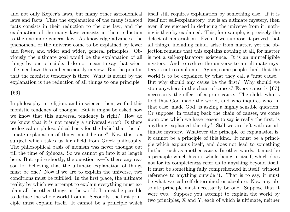and not only Kepler's laws, but many other astronomical laws and facts. Thus the explanation of the many isolated facts consists in their reduction to the one law, and the explanation of the many laws consists in their reduction to the one more general law. As knowledge advances, the phenomena of the universe come to be explained by fewer and fewer, and wider and wider, general principles. Obviously the ultimate goal would be the explanation of all things by one principle. I do not mean to say that scientific men have this end consciously in view. But the point is that the monistic tendency is there. What is meant by the explanation is the reduction of all things to one principle.

#### {66}

In philosophy, in religion, and in science, then, we find this monistic tendency of thought. But it might be asked how we know that this universal tendency is right? How do we know that it is not merely a universal error? Is there no logical or philosophical basis for the belief that the ultimate explanation of things must be one? Now this is a subject which takes us far afield from Greek philosophy. The philosophical basis of monism was never thought out till the time of Spinoza. So we cannot go into it at length here. But, quite shortly, the question is—Is there any reason for believing that the ultimate explanation of things must be one? Now if we are to explain the universe, two conditions must be fulfilled. In the first place, the ultimate reality by which we attempt to explain everything must explain all the other things in the world. It must be possible to deduce the whole world from it. Secondly, the first principle must explain itself. It cannot be a principle which

itself still requires explanation by something else. If it is itself not self-explanatory, but is an ultimate mystery, then even if we succeed in deducing the universe from it, nothing is thereby explained. This, for example, is precisely the defect of materialism. Even if we suppose it proved that all things, including mind, arise from matter, yet the objection remains that this explains nothing at all, for matter is not a self-explanatory existence. It is an unintelligible mystery. And to reduce the universe to an ultimate mystery is not to explain it. Again; some people think that the world is to be explained by what they call a "first cause." But why should any cause be the first? Why should we stop anywhere in the chain of causes? Every cause is {67} necessarily the effect of a prior cause. The child, who is told that God made the world, and who inquires who, in that case, made God, is asking a highly sensible question. Or suppose, in tracing back the chain of causes, we come upon one which we have reason to say is really the first, is anything explained thereby? Still we are left with an ultimate mystery. Whatever the principle of explanation is, it cannot be a principle of this kind. It must be a principle which explains itself, and does not lead to something further, such as another cause. In other words, it must be a principle which has its whole being in itself, which does not for its completeness refer us to anything beyond itself. It must be something fully comprehended in itself, without reference to anything outside it. That is to say, it must be what we call self-determined or absolute. Now any absolute principle must necessarily be one. Suppose that it were two. Suppose you attempt to explain the world by two principles, X and Y, each of which is ultimate, neither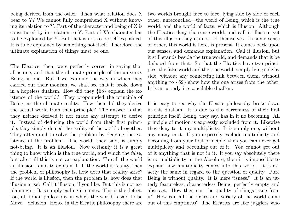being derived from the other. Then what relation does X bear to Y? We cannot fully comprehend X without knowing its relation to Y. Part of the character and being of X is constituted by its relation to Y. Part of X's character has to be explained by Y. But that is not to be self-explained. It is to be explained by something not itself. Therefore, the ultimate explanation of things must be one.

The Eleatics, then, were perfectly correct in saying that all is one, and that the ultimate principle of the universe, Being, is one. But if we examine the way in which they carried out their monism, we shall see that it broke down in a hopeless dualism. How did they {68} explain the existence of the world? They propounded the principle of Being, as the ultimate reality. How then did they derive the actual world from that principle? The answer is that they neither derived it nor made any attempt to derive it. Instead of deducing the world from their first principle, they simply denied the reality of the world altogether. They attempted to solve the problem by denying the existence of the problem. The world, they said, is simply not-being. It is an illusion. Now certainly it is a great thing to know which is the true world, and which the false, but after all this is not an explanation. To call the world an illusion is not to explain it. If the world is reality, then the problem of philosophy is, how does that reality arise? If the world is illusion, then the problem is, how does that illusion arise? Call it illusion, if you like. But this is not explaining it. It is simply calling it names. This is the defect, too, of Indian philosophy in which the world is said to be Maya—delusion. Hence in the Eleatic philosophy there are

two worlds brought face to face, lying side by side of each other, unreconciled—the world of Being, which is the true world, and the world of facts, which is illusion. Although the Eleatics deny the sense-world, and call it illusion, yet of this illusion they cannot rid themselves. In some sense or other, this world is here, is present. It comes back upon our senses, and demands explanation. Call it illusion, but it still stands beside the true world, and demands that it be deduced from that. So that the Eleatics have two principles, the false world and the true world, simply lying side by side, without any connecting link between them, without anything to {69} show how the one arises from the other. It is an utterly irreconcilable dualism.

It is easy to see why the Eleatic philosophy broke down in this dualism. It is due to the barrenness of their first principle itself. Being, they say, has in it no becoming. All principle of motion is expressly excluded from it. Likewise they deny to it any multiplicity. It is simply one, without any many in it. If you expressly exclude multiplicity and becoming from your first principle, then you can never get multiplicity and becoming out of it. You cannot get out of it anything that is not in it. If you say absolutely there is no multiplicity in the Absolute, then it is impossible to explain how multiplicity comes into this world. It is exactly the same in regard to the question of quality. Pure Being is without quality. It is mere "isness." It is an utterly featureless, characterless Being, perfectly empty and abstract. How then can the quality of things issue from it? How can all the riches and variety of the world come out of this emptiness? The Eleatics are like jugglers who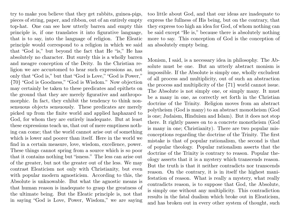try to make you believe that they get rabbits, guinea-pigs, pieces of string, paper, and ribbon, out of an entirely empty top-hat. One can see how utterly barren and empty this principle is, if one translates it into figurative language, that is to say, into the language of religion. The Eleatic principle would correspond to a religion in which we said that "God is," but beyond the fact that He "is," He has absolutely no character. But surely this is a wholly barren and meagre conception of the Deity. In the Christian religion we are accustomed to hear such expressions as, not only that "God is," but that "God is Love," "God is Power," {70} "God is Goodness," "God is Wisdom." Now objection may certainly be taken to these predicates and epithets on the ground that they are merely figurative and anthropomorphic. In fact, they exhibit the tendency to think nonsensuous objects sensuously. These predicates are merely picked up from the finite world and applied haphazard to God, for whom they are entirely inadequate. But at least these expressions teach us, that out of mere emptiness nothing can come; that the world cannot arise out of something which is lower and poorer than itself. Here in the world we find in a certain measure, love, wisdom, excellence, power. These things cannot spring from a source which is so poor that it contains nothing but "isness." The less can arise out of the greater, but not the greater out of the less. We may contrast Eleaticism not only with Christianity, but even with popular modern agnosticism. According to this, the Absolute is unknowable. But what the agnostic means is that human reason is inadequate to grasp the greatness of the ultimate being. But the Eleatic principle is, not that in saying "God is Love, Power, Wisdom," we are saying

too little about God, and that our ideas are inadequate to express the fullness of His being, but on the contrary, that they express too high an idea for God, of whom nothing can be said except "He is," because there is absolutely nothing more to say. This conception of God is the conception of an absolutely empty being.

Monism, I said, is a necessary idea in philosophy. The Absolute must be one. But an utterly abstract monism is impossible. If the Absolute is simply one, wholly excludent of all process and multiplicity, out of such an abstraction the process and multiplicity of the {71} world cannot issue. The Absolute is not simply one, or simply many. It must be a many in one, as correctly set forth in the Christian doctrine of the Trinity. Religion moves from an abstract polytheism (God is many) to an abstract monotheism (God is one; Judaism, Hinduism and Islam). But it does not stop there. It rightly passes on to a concrete monotheism (God is many in one; Christianity). There are two popular misconceptions regarding the doctrine of the Trinity. The first mistake is that of popular rationalism, the second is that of popular theology. Popular rationalism asserts that the doctrine of the Trinity is contrary to reason. Popular theology asserts that it is a mystery which transcends reason. But the truth is that it neither contradicts nor transcends reason. On the contrary, it is in itself the highest manifestation of reason. What is really a mystery, what really contradicts reason, is to suppose that God, the Absolute, is simply one without any multiplicity. This contradiction results in the fatal dualism which broke out in Eleaticism, and has broken out in every other system of thought, such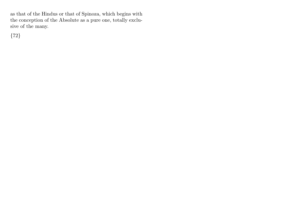as that of the Hindus or that of Spinoza, which begins with the conception of the Absolute as a pure one, totally exclusive of the many.

{72}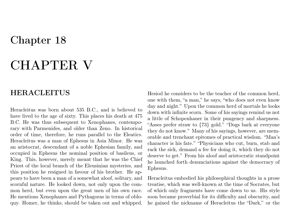# CHAPTER V

### HERACLEITUS

Heracleitus was born about 535 B.C., and is believed to have lived to the age of sixty. This places his death at 475 B.C. He was thus subsequent to Xenophanes, contemporary with Parmenides, and older than Zeno. In historical order of time, therefore, he runs parallel to the Eleatics. Heracleitus was a man of Ephesus in Asia Minor. He was an aristocrat, descendant of a noble Ephesian family, and occupied in Ephesus the nominal position of basileus, or King. This, however, merely meant that he was the Chief Priest of the local branch of the Eleusinian mysteries, and this position he resigned in favour of his brother. He appears to have been a man of a somewhat aloof, solitary, and scornful nature. He looked down, not only upon the common herd, but even upon the great men of his own race. He mentions Xenophanes and Pythagoras in terms of obloquy. Homer, he thinks, should be taken out and whipped.

Hesiod he considers to be the teacher of the common herd, one with them, "a man," he says, "who does not even know day and night." Upon the common herd of mortals he looks down with infinite scorn. Some of his sayings remind us not a little of Schopenhauer in their pungency and sharpness. "Asses prefer straw to {73} gold." "Dogs bark at everyone they do not know." Many of his sayings, however, are memorable and trenchant epitomes of practical wisdom. "Man's character is his fate." "Physicians who cut, burn, stab and rack the sick, demand a fee for doing it, which they do not deserve to get." From his aloof and aristocratic standpoint he launched forth denunciations against the democracy of Ephesus.

Heracleitus embodied his philosophical thoughts in a prose treatise, which was well-known at the time of Socrates, but of which only fragments have come down to us. His style soon became proverbial for its difficulty and obscurity, and he gained the nickname of Heracleitus the "Dark," or the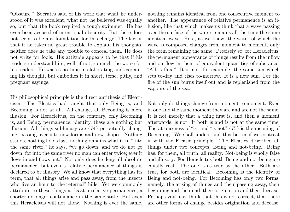"Obscure." Socrates said of his work that what he understood of it was excellent, what not, he believed was equally so, but that the book required a tough swimmer. He has even been accused of intentional obscurity. But there does not seem to be any foundation for this charge. The fact is that if he takes no great trouble to explain his thoughts, neither does he take any trouble to conceal them. He does not write for fools. His attitude appears to be that if his readers understand him, well; if not, so much the worse for his readers. He wastes no time in elaborating and explaining his thought, but embodies it in short, terse, pithy, and pregnant sayings.

His philosophical principle is the direct antithesis of Eleaticism. The Eleatics had taught that only Being is, and Becoming is not at all. All change, all Becoming is mere illusion. For Heracleitus, on the contrary, only Becoming is, and Being, permanence, identity, these are nothing but illusion. All things sublunary are {74} perpetually changing, passing over into new forms and new shapes. Nothing stands, nothing holds fast, nothing remains what it is. "Into the same river," he says, "we go down, and we do not go down; for into the same river no man can enter twice; ever it flows in and flows out." Not only does he deny all absolute permanence, but even a relative permanence of things is declared to be illusory. We all know that everything has its term, that all things arise and pass away, from the insects who live an hour to the "eternal" hills. Yet we commonly attribute to these things at least a relative permanence, a shorter or longer continuance in the same state. But even this Heracleitus will not allow. Nothing is ever the same,

nothing remains identical from one consecutive moment to another. The appearance of relative permanence is an illusion, like that which makes us think that a wave passing over the surface of the water remains all the time the same identical wave. Here, as we know, the water of which the wave is composed changes from moment to moment, only the form remaining the same. Precisely so, for Heracleitus, the permanent appearance of things results from the inflow and outflow in them of equivalent quantities of substance. "All is flux." It is not, for example, the same sun which sets to-day and rises to-morrow. It is a new sun. For the fire of the sun burns itself out and is replenished from the vapours of the sea.

Not only do things change from moment to moment. Even in one and the same moment they are and are not the same. It is not merely that a thing first is, and then a moment afterwards, is not. It both is and is not at the same time. The at-onceness of "is" and "is not" {75} is the meaning of Becoming. We shall understand this better if we contrast it with the Eleatic principle. The Eleatics described all things under two concepts, Being and not-being. Being has, for them, all truth, all reality. Not-being is wholly false and illusory. For Heracleitus both Being and not-being are equally real. The one is as true as the other. Both are true, for both are identical. Becoming is the identity of Being and not-being. For Becoming has only two forms, namely, the arising of things and their passing away, their beginning and their end, their origination and their decease. Perhaps you may think that this is not correct, that there are other forms of change besides origination and decease.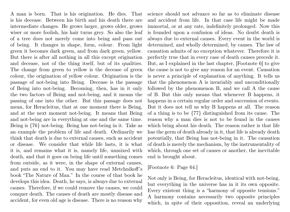A man is born. That is his origination. He dies. That is his decease. Between his birth and his death there are intermediate changes. He grows larger, grows older, grows wiser or more foolish, his hair turns grey. So also the leaf of a tree does not merely come into being and pass out of being. It changes in shape, form, colour. From light green it becomes dark green, and from dark green, yellow. But there is after all nothing in all this except origination and decease, not of the thing itself, but of its qualities. The change from green to yellow is the decease of green colour, the origination of yellow colour. Origination is the passage of not-being into Being. Decease is the passage of Being into not-being. Becoming, then, has in it only the two factors of Being and not-being, and it means the passing of one into the other. But this passage does not mean, for Heracleitus, that at one moment there is Being, and at the next moment not-being. It means that Being and not-being are in everything at one and the same time. Being is {76} not-being. Being has not-being in it. Take as an example the problem of life and death. Ordinarily we think that death is due to external causes, such as accident or disease. We consider that while life lasts, it is what it is, and remains what it is, namely life, unmixed with death, and that it goes on being life until something comes from outside, as it were, in the shape of external causes, and puts an end to it. You may have read Metchnikoff's book "The Nature of Man." In the course of that book he develops this idea. Death, he says, is always due to external causes. Therefore, if we could remove the causes, we could conquer death. The causes of death are mostly disease and accident, for even old age is disease. There is no reason why

science should not advance so far as to eliminate disease and accident from life. In that case life might be made immortal, or at any rate, indefinitely prolonged. Now this is founded upon a confusion of ideas. No doubt death is always due to external causes. Every event in the world is determined, and wholly determined, by causes. The law of causation admits of no exception whatever. Therefore it is perfectly true that in every case of death causes precede it. But, as I explained in the last chapter, [Footnote 6] to give the cause is not to give any reason for an event. Causation is never a principle of explanation of anything. It tells us that the phenomenon A is invariably and unconditionally followed by the phenomenon B, and we call A the cause of B. But this only means that whenever B happens, it happens in a certain regular order and succession of events. But it does not tell us why B happens at all. The reason of a thing is to be {77} distinguished from its cause. The reason why a man dies is not to be found in the causes which bring about his death. The reason rather is that life has the germ of death already in it, that life is already death potentially, that Being has not-being in it. The causation of death is merely the mechanism, by the instrumentality of which, through one set of causes or another, the inevitable end is brought about.

#### [Footnote 6: Page 64.]

Not only is Being, for Heracleitus, identical with not-being, but everything in the universe has in it its own opposite. Every existent thing is a "harmony of opposite tensions." A harmony contains necessarily two opposite principles which, in spite of their opposition, reveal an underlying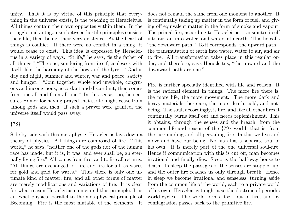unity. That it is by virtue of this principle that everything in the universe exists, is the teaching of Heracleitus. All things contain their own opposites within them. In the struggle and antagonism between hostile principles consists their life, their being, their very existence. At the heart of things is conflict. If there were no conflict in a thing, it would cease to exist. This idea is expressed by Heracleitus in a variety of ways. "Strife," he says, "is the father of all things." "The one, sundering from itself, coalesces with itself, like the harmony of the bow and the lyre." "God is day and night, summer and winter, war and peace, satiety and hunger." "Join together whole and unwhole, congruous and incongruous, accordant and discordant, then comes from one all and from all one." In this sense, too, he censures Homer for having prayed that strife might cease from among gods and men. If such a prayer were granted, the universe itself would pass away.

#### {78}

Side by side with this metaphysic, Heracleitus lays down a theory of physics. All things are composed of fire. "This world," he says, "neither one of the gods nor of the human race has made; but it is, it was, and ever shall be, an eternally living fire." All comes from fire, and to fire all returns. "All things are exchanged for fire and fire for all, as wares for gold and gold for wares." Thus there is only one ultimate kind of matter, fire, and all other forms of matter are merely modifications and variations of fire. It is clear for what reason Heracleitus enunciated this principle. It is an exact physical parallel to the metaphysical principle of Becoming. Fire is the most mutable of the elements. It

does not remain the same from one moment to another. It is continually taking up matter in the form of fuel, and giving off equivalent matter in the form of smoke and vapour. The primal fire, according to Heracleitus, transmutes itself into air, air into water, and water into earth. This he calls "the downward path." To it corresponds "the upward path," the transmutation of earth into water, water to air, and air to fire. All transformation takes place in this regular order, and therefore, says Heracleitus, "the upward and the downward path are one."

Fire is further specially identified with life and reason. It is the rational element in things. The more fire there is, the more life, the more movement. The more dark and heavy materials there are, the more death, cold, and notbeing. The soul, accordingly, is fire, and like all other fires it continually burns itself out and needs replenishment. This it obtains, through the senses and the breath, from the common life and reason of the {79} world, that is, from the surrounding and all-pervading fire. In this we live and move and have our being. No man has a separate soul of his own. It is merely part of the one universal soul-fire. Hence if communication with this is cut off, man becomes irrational and finally dies. Sleep is the half-way house to death. In sleep the passages of the senses are stopped up, and the outer fire reaches us only through breath. Hence in sleep we become irrational and senseless, turning aside from the common life of the world, each to a private world of his own. Heracleitus taught also the doctrine of periodic world-cycles. The world forms itself out of fire, and by conflagration passes back to the primitive fire.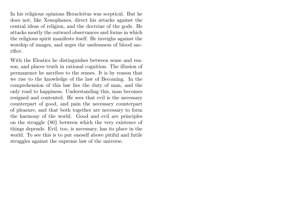In his religious opinions Heracleitus was sceptical. But he does not, like Xenophanes, direct his attacks against the central ideas of religion, and the doctrine of the gods. He attacks mostly the outward observances and forms in which the religious spirit manifests itself. He inveighs against the worship of images, and urges the uselessness of blood sacrifice.

With the Eleatics he distinguishes between sense and reason, and places truth in rational cognition. The illusion of permanence he ascribes to the senses. It is by reason that we rise to the knowledge of the law of Becoming. In the comprehension of this law lies the duty of man, and the only road to happiness. Understanding this, man becomes resigned and contented. He sees that evil is the necessary counterpart of good, and pain the necessary counterpart of pleasure, and that both together are necessary to form the harmony of the world. Good and evil are principles on the struggle {80} between which the very existence of things depends. Evil, too, is necessary, has its place in the world. To see this is to put oneself above pitiful and futile struggles against the supreme law of the universe.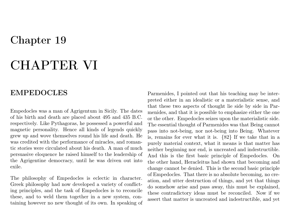## Chapter 19

# CHAPTER VI

### EMPEDOCLES

Empedocles was a man of Agrigentum in Sicily. The dates of his birth and death are placed about 495 and 435 B.C. respectively. Like Pythagoras, he possessed a powerful and magnetic personality. Hence all kinds of legends quickly grew up and wove themselves round his life and death. He was credited with the performance of miracles, and romantic stories were circulated about his death. A man of much persuasive eloquence he raised himself to the leadership of the Agrigentine democracy, until he was driven out into exile.

The philosophy of Empedocles is eclectic in character. Greek philosophy had now developed a variety of conflicting principles, and the task of Empedocles is to reconcile these, and to weld them together in a new system, containing however no new thought of its own. In speaking of Parmenides, I pointed out that his teaching may be interpreted either in an idealistic or a materialistic sense, and that these two aspects of thought lie side by side in Parmenides, and that it is possible to emphasize either the one or the other. Empedocles seizes upon the materialistic side. The essential thought of Parmenides was that Being cannot pass into not-being, nor not-being into Being. Whatever is, remains for ever what it is. {82} If we take that in a purely material context, what it means is that matter has neither beginning nor end, is uncreated and indestructible. And this is the first basic principle of Empedocles. On the other hand, Heracleitus had shown that becoming and change cannot be denied. This is the second basic principle of Empedocles. That there is no absolute becoming, no creation, and utter destruction of things, and yet that things do somehow arise and pass away, this must be explained, these contradictory ideas must be reconciled. Now if we assert that matter is uncreated and indestructible, and yet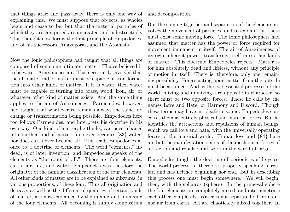that things arise and pass away, there is only one way of explaining this. We must suppose that objects, as wholes begin and cease to be, but that the material particles of which they are composed are uncreated and indestructible. This thought now forms the first principle of Empedocles, and of his successors, Anaxagoras, and the Atomists.

Now the Ionic philosophers had taught that all things are composed of some one ultimate matter. Thales believed it to be water, Anaximenes air. This necessarily involved that the ultimate kind of matter must be capable of transformation into other kinds of matter. If it is water, then water must be capable of turning into brass, wood, iron, air, or whatever other kind of matter exists. And the same thing applies to the air of Anaximenes. Parmenides, however, had taught that whatever is, remains always the same, no change or transformation being possible. Empedocles here too follows Parmenides, and interprets his doctrine in his own way. One kind of matter, he thinks, can never change into another kind of matter; fire never becomes {83} water, nor does earth ever become air. This leads Empedocles at once to a doctrine of elements. The word "elements," indeed, is of later invention, and Empedocles speaks of the elements as "the roots of all." There are four elements, earth, air, fire, and water. Empedocles was therefore the originator of the familiar classification of the four elements. All other kinds of matter are to be explained as mixtures, in various proportions, of these four. Thus all origination and decease, as well as the differential qualities of certain kinds of matter, are now explained by the mixing and unmixing of the four elements. All becoming is simply composition and decomposition.

But the coming together and separation of the elements involves the movement of particles, and to explain this there must exist some moving force. The Ionic philosophers had assumed that matter has the power or force required for movement immanent in itself. The air of Anaximenes, of its own inherent power, transforms itself into other kinds of matter. This doctrine Empedocles rejects. Matter is for him absolutely dead and lifeless, without any principle of motion in itself. There is, therefore, only one remaining possibility. Forces acting upon matter from the outside must be assumed. And as the two essential processes of the world, mixing and unmixing, are opposite in character, so there must be two opposite forces. These he calls by the names Love and Hate, or Harmony and Discord. Though these terms may have an idealistic sound, Empedocles conceives them as entirely physical and material forces. But he identifies the attractions and repulsions of human beings, which we call love and hate, with the universally operating forces of the material world. Human love and {84} hate are but the manifestations in us of the mechanical forces of attraction and repulsion at work in the world at large.

Empedocles taught the doctrine of periodic world-cycles. The world-process is, therefore, properly speaking, circular, and has neither beginning nor end. But in describing this process one must begin somewhere. We will begin, then, with the sphairos (sphere). In the primeval sphere the four elements are completely mixed, and interpenetrate each other completely. Water is not separated off from air, nor air from earth. All are chaotically mixed together. In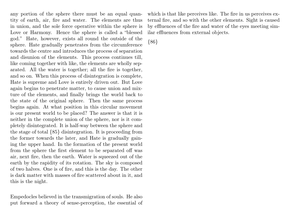any portion of the sphere there must be an equal quantity of earth, air, fire and water. The elements are thus in union, and the sole force operative within the sphere is Love or Harmony. Hence the sphere is called a "blessed god." Hate, however, exists all round the outside of the sphere. Hate gradually penetrates from the circumference towards the centre and introduces the process of separation and disunion of the elements. This process continues till, like coming together with like, the elements are wholly separated. All the water is together; all the fire is together, and so on. When this process of disintegration is complete, Hate is supreme and Love is entirely driven out. But Love again begins to penetrate matter, to cause union and mixture of the elements, and finally brings the world back to the state of the original sphere. Then the same process begins again. At what position in this circular movement is our present world to be placed? The answer is that it is neither in the complete union of the sphere, nor is it completely disintegrated. It is half-way between the sphere and the stage of total {85} disintegration. It is proceeding from the former towards the later, and Hate is gradually gaining the upper hand. In the formation of the present world from the sphere the first element to be separated off was air, next fire, then the earth. Water is squeezed out of the earth by the rapidity of its rotation. The sky is composed of two halves. One is of fire, and this is the day. The other is dark matter with masses of fire scattered about in it, and this is the night.

Empedocles believed in the transmigration of souls. He also put forward a theory of sense-perception, the essential of which is that like perceives like. The fire in us perceives external fire, and so with the other elements. Sight is caused by effluences of the fire and water of the eyes meeting similar effluences from external objects.

{86}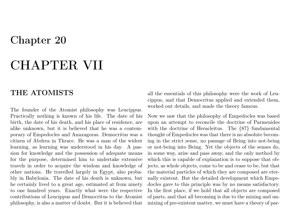## Chapter 20

# CHAPTER VII

### THE ATOMISTS

The founder of the Atomist philosophy was Leucippus. Practically nothing is known of his life. The date of his birth, the date of his death, and his place of residence, are alike unknown, but it is believed that he was a contemporary of Empedocles and Anaxagoras. Democritus was a citizen of Abdera in Thrace. He was a man of the widest learning, as learning was understood in his day. A passion for knowledge and the possession of adequate means for the purpose, determined him to undertake extensive travels in order to acquire the wisdom and knowledge of other nations. He travelled largely in Egypt, also probably in Babylonia. The date of his death is unknown, but he certainly lived to a great age, estimated at from ninety to one hundred years. Exactly what were the respective contributions of Leucippus and Democritus to the Atomist philosophy, is also a matter of doubt. But it is believed that

all the essentials of this philosophy were the work of Leucippus, and that Democritus applied and extended them, worked out details, and made the theory famous.

Now we saw that the philosophy of Empedocles was based upon an attempt to reconcile the doctrine of Parmenides with the doctrine of Heracleitus. The {87} fundamental thought of Empedocles was that there is no absolute becoming in the strict sense, no passage of Being into not-being or not-being into Being. Yet the objects of the senses do, in some way, arise and pass away, and the only method by which this is capable of explanation is to suppose that objects, as whole objects, come to be and cease to be, but that the material particles of which they are composed are eternally existent. But the detailed development which Empedocles gave to this principle was by no means satisfactory. In the first place, if we hold that all objects are composed of parts, and that all becoming is due to the mixing and unmixing of pre-existent matter, we must have a theory of par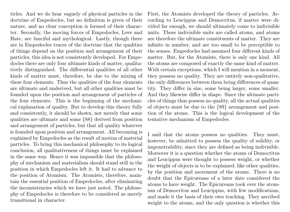ticles. And we do hear vaguely of physical particles in the doctrine of Empedocles, but no definition is given of their nature, and no clear conception is formed of their character. Secondly, the moving forces of Empedocles, Love and Hate, are fanciful and mythological. Lastly, though there are in Empedocles traces of the doctrine that the qualities of things depend on the position and arrangement of their particles, this idea is not consistently developed. For Empedocles there are only four ultimate kinds of matter, qualitatively distinguished. The differential qualities of all other kinds of matter must, therefore, be due to the mixing of these four elements. Thus the qualities of the four elements are ultimate and underived, but all other qualities must be founded upon the position and arrangement of particles of the four elements. This is the beginning of the mechanical explanation of quality. But to develop this theory fully and consistently, it should be shown, not merely that some qualities are ultimate and some {88} derived from position and arrangement of particles, but that all quality whatever is founded upon position and arrangement. All becoming is explained by Empedocles as the result of motion of material particles. To bring this mechanical philosophy to its logical conclusion, all qualitativeness of things must be explained in the same way. Hence it was impossible that the philosophy of mechanism and materialism should stand still in the position in which Empedocles left it. It had to advance to the position of Atomism. The Atomists, therefore, maintain the essential position of Empedocles, after eliminating the inconsistencies which we have just noted. The philosophy of Empedocles is therefore to be considered as merely transitional in character.

First, the Atomists developed the theory of particles. According to Leucippus and Democritus, if matter were divided far enough, we should ultimately come to indivisible units. These indivisible units are called atoms, and atoms are therefore the ultimate constituents of matter. They are infinite in number, and are too small to be perceptible to the senses. Empedocles had assumed four different kinds of matter. But, for the Atomists, there is only one kind. All the atoms are composed of exactly the same kind of matter. With certain exceptions, which I will mention in a moment, they possess no quality. They are entirely non-qualitative, the only differences between them being differences of quantity. They differ in size, some being larger, some smaller. And they likewise differ in shape. Since the ultimate particles of things thus possess no quality, all the actual qualities of objects must be due to the {89} arrangement and position of the atoms. This is the logical development of the tentative mechanism of Empedocles.

I said that the atoms possess no qualities. They must, however, be admitted to possess the quality of solidity, or impenetrability, since they are defined as being indivisible. Moreover it is a question whether the atoms of Democritus and Leucippus were thought to possess weight, or whether the weight of objects is to be explained, like other qualities, by the position and movement of the atoms. There is no doubt that the Epicureans of a later date considered the atoms to have weight. The Epicureans took over the atomism of Democritus and Leucippus, with few modifications, and made it the basis of their own teaching. They ascribed weight to the atoms, and the only question is whether this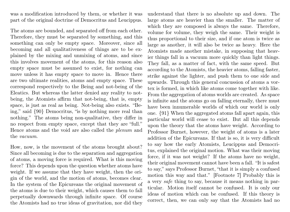was a modification introduced by them, or whether it was part of the original doctrine of Democritus and Leucippus.

The atoms are bounded, and separated off from each other. Therefore, they must be separated by something, and this something can only be empty space. Moreover, since all becoming and all qualitativeness of things are to be explained by the mixing and unmixing of atoms, and since this involves movement of the atoms, for this reason also empty space must be assumed to exist, for nothing can move unless it has empty space to move in. Hence there are two ultimate realities, atoms and empty space. These correspond respectively to the Being and not-being of the Eleatics. But whereas the latter denied any reality to notbeing, the Atomists affirm that not-being, that is, empty space, is just as real as being. Not-being also exists. "Being," said {90} Democritus, "is by nothing more real than nothing." The atoms being non-qualitative, they differ in no respect from empty space, except that they are "full." Hence atoms and the void are also called the plenum and the vacuum.

How, now, is the movement of the atoms brought about? Since all becoming is due to the separation and aggregation of atoms, a moving force is required. What is this moving force? This depends upon the question whether atoms have weight. If we assume that they have weight, then the origin of the world, and the motion of atoms, becomes clear. In the system of the Epicureans the original movement of the atoms is due to their weight, which causes them to fall perpetually downwards through infinite space. Of course the Atomists had no true ideas of gravitation, nor did they

understand that there is no absolute up and down. The large atoms are heavier than the smaller. The matter of which they are composed is always the same. Therefore, volume for volume, they weigh the same. Their weight is thus proportional to their size, and if one atom is twice as large as another, it will also be twice as heavy. Here the Atomists made another mistake, in supposing that heavier things fall in a vacuum more quickly than light things. They fall, as a matter of fact, with the same speed. But according to the Atomists, the heavier atoms, falling faster, strike against the lighter, and push them to one side and upwards. Through this general concussion of atoms a vortex is formed, in which like atoms come together with like. From the aggregation of atoms worlds are created. As space is infinite and the atoms go on falling eternally, there must have been innumerable worlds of which our world is only one. {91} When the aggregated atoms fall apart again, this particular world will cease to exist. But all this depends upon the theory that the atoms have weight. According to Professor Burnet, however, the weight of atoms is a later addition of the Epicureans. If that is so, it is very difficult to say how the early Atomists, Leucippus and Democritus, explained the original motion. What was their moving force, if it was not weight? If the atoms have no weight, their original movement cannot have been a fall. "It is safest to say," says Professor Burnet, "that it is simply a confused motion this way and that." [Footnote 7] Probably this is a very safe thing to say, because it means nothing in particular. Motion itself cannot be confused. It is only our ideas of motion which can be confused. If this theory is correct, then, we can only say that the Atomists had no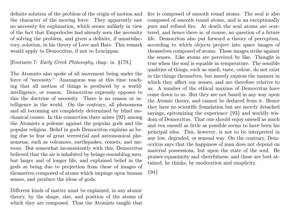definite solution of the problem of the origin of motion and the character of the moving force. They apparently saw no necessity for explanation, which seems unlikely in view of the fact that Empedocles had already seen the necessity of solving the problem, and given a definite, if unsatisfactory, solution, in his theory of Love and Hate. This remark would apply to Democritus, if not to Leucippus.

#### [Footnote 7: Early Greek Philosophy, chap. ix. §179.]

The Atomists also spoke of all movement being under the force of "necessity." Anaxagoras was at this time teaching that all motion of things is produced by a worldintelligence, or reason. Democritus expressly opposes to this the doctrine of necessity. There is no reason or intelligence in the world. On the contrary, all phenomena and all becoming are completely determined by blind mechanical causes. In this connection there arises {92} among the Atomists a polemic against the popular gods and the popular religion. Belief in gods Democritus explains as being due to fear of great terrestrial and astronomical phenomena, such as volcanoes, earthquakes, comets, and meteors. But somewhat inconsistently with this, Democritus believed that the air is inhabited by beings resembling men, but larger and of longer life, and explained belief in the gods as being due to projection from these of images of themselves composed of atoms which impinge upon human senses, and produce the ideas of gods.

Different kinds of matter must be explained, in any atomic theory, by the shape, size, and position of the atoms of which they are composed. Thus the Atomists taught that fire is composed of smooth round atoms. The soul is also composed of smooth round atoms, and is an exceptionally pure and refined fire. At death the soul atoms are scattered, and hence there is, of course, no question of a future life. Democritus also put forward a theory of perception, according to which objects project into space images of themselves composed of atoms. These images strike against the senses. Like atoms are perceived by like. Thought is true when the soul is equable in temperature. The sensible qualities of things, such as smell, taste, colour, do not exist in the things themselves, but merely express the manner in which they affect our senses, and are therefore relative to us. A number of the ethical maxims of Democritus have come down to us. But they are not based in any way upon the Atomic theory, and cannot be deduced from it. Hence they have no scientific foundation but are merely detached sayings, epitomizing the experience {93} and worldly wisdom of Democritus. That one should enjoy oneself as much and vex oneself as little as possible seems to have been his principal idea. This, however, is not to be interpreted in any low, degraded, or sensual way. On the contrary, Democritus says that the happiness of man does not depend on material possessions, but upon the state of the soul. He praises equanimity and cheerfulness, and these are best attained, he thinks, by moderation and simplicity.

{94}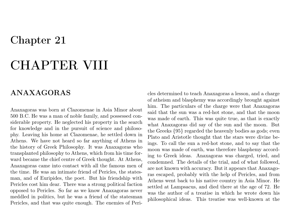## Chapter 21

# CHAPTER VIII

### ANAXAGORAS

Anaxagoras was born at Clazomenae in Asia Minor about 500 B.C. He was a man of noble family, and possessed considerable property. He neglected his property in the search for knowledge and in the pursuit of science and philosophy. Leaving his home at Clazomenae, he settled down in Athens. We have not heard so far anything of Athens in the history of Greek Philosophy. It was Anaxagoras who transplanted philosophy to Athens, which from his time forward became the chief centre of Greek thought. At Athens, Anaxagoras came into contact with all the famous men of the time. He was an intimate friend of Pericles, the statesman, and of Euripides, the poet. But his friendship with Pericles cost him dear. There was a strong political faction opposed to Pericles. So far as we know Anaxagoras never meddled in politics, but he was a friend of the statesman Pericles, and that was quite enough. The enemies of Pericles determined to teach Anaxagoras a lesson, and a charge of atheism and blasphemy was accordingly brought against him. The particulars of the charge were that Anaxagoras said that the sun was a red-hot stone, and that the moon was made of earth. This was quite true, as that is exactly what Anaxagoras did say of the sun and the moon. But the Greeks {95} regarded the heavenly bodies as gods; even Plato and Aristotle thought that the stars were divine beings. To call the sun a red-hot stone, and to say that the moon was made of earth, was therefore blasphemy according to Greek ideas. Anaxagoras was charged, tried, and condemned. The details of the trial, and of what followed, are not known with accuracy. But it appears that Anaxagoras escaped, probably with the help of Pericles, and from Athens went back to his native country in Asia Minor. He settled at Lampsacus, and died there at the age of 72. He was the author of a treatise in which he wrote down his philosophical ideas. This treatise was well-known at the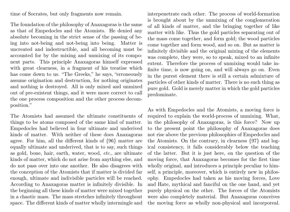time of Socrates, but only fragments now remain.

The foundation of the philosophy of Anaxagoras is the same as that of Empedocles and the Atomists. He denied any absolute becoming in the strict sense of the passing of being into not-being and not-being into being. Matter is uncreated and indestructible, and all becoming must be accounted for by the mixing and unmixing of its component parts. This principle Anaxagoras himself expressed with great clearness, in a fragment of his treatise which has come down to us. "The Greeks," he says, "erroneously assume origination and destruction, for nothing originates and nothing is destroyed. All is only mixed and unmixed out of pre-existent things, and it were more correct to call the one process composition and the other process decomposition."

The Atomists had assumed the ultimate constituents of things to be atoms composed of the same kind of matter. Empedocles had believed in four ultimate and underived kinds of matter. With neither of these does Anaxagoras agree. For him, all the different kinds of {96} matter are equally ultimate and underived, that is to say, such things as gold, bone, hair, earth, water, wood, etc., are ultimate kinds of matter, which do not arise from anything else, and do not pass over into one another. He also disagrees with the conception of the Atomists that if matter is divided far enough, ultimate and indivisible particles will be reached. According to Anaxagoras matter is infinitely divisible. In the beginning all these kinds of matter were mixed together in a chaotic mass. The mass stretches infinitely throughout space. The different kinds of matter wholly intermingle and

interpenetrate each other. The process of world-formation is brought about by the unmixing of the conglomeration of all kinds of matter, and the bringing together of like matter with like. Thus the gold particles separating out of the mass come together, and form gold; the wood particles come together and form wood, and so on. But as matter is infinitely divisible and the original mixing of the elements was complete, they were, so to speak, mixed to an infinite extent. Therefore the process of unmixing would take infinite time, is now going on, and will always go on. Even in the purest element there is still a certain admixture of particles of other kinds of matter. There is no such thing as pure gold. Gold is merely matter in which the gold particles predominate.

As with Empedocles and the Atomists, a moving force is required to explain the world-process of unmixing. What, in the philosophy of Anaxagoras, is this force? Now up to the present point the philosophy of Anaxagoras does not rise above the previous philosophies of Empedocles and the Atomists. On the contrary, in clearness {97} and logical consistency, it falls considerably below the teaching of the latter. But it is just here, on the question of the moving force, that Anaxagoras becomes for the first time wholly original, and introduces a principle peculiar to himself, a principle, moreover, which is entirely new in philosophy. Empedocles had taken as his moving forces, Love and Hate, mythical and fanciful on the one hand, and yet purely physical on the other. The forces of the Atomists were also completely material. But Anaxagoras conceives the moving force as wholly non-physical and incorporeal.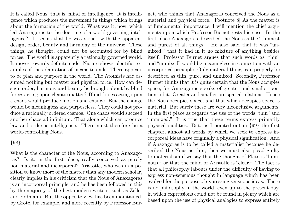It is called Nous, that is, mind or intelligence. It is intelligence which produces the movement in things which brings about the formation of the world. What was it, now, which led Anaxagoras to the doctrine of a world-governing intelligence? It seems that he was struck with the apparent design, order, beauty and harmony of the universe. These things, he thought, could not be accounted for by blind forces. The world is apparently a rationally governed world. It moves towards definite ends. Nature shows plentiful examples of the adaptation of means to ends. There appears to be plan and purpose in the world. The Atomists had assumed nothing but matter and physical force. How can design, order, harmony and beauty be brought about by blind forces acting upon chaotic matter? Blind forces acting upon a chaos would produce motion and change. But the change would be meaningless and purposeless. They could not produce a rationally ordered cosmos. One chaos would succeed another chaos ad infinitum. That alone which can produce law and order is intelligence. There must therefore be a world-controlling Nous.

#### {98}

What is the character of the Nous, according to Anaxagoras? Is it, in the first place, really conceived as purely non-material and incorporeal? Aristotle, who was in a position to know more of the matter than any modern scholar, clearly implies in his criticism that the Nous of Anaxagoras is an incorporeal principle, and he has been followed in this by the majority of the best modern writers, such as Zeller and Erdmann. But the opposite view has been maintained, by Grote, for example, and more recently by Professor Burnet, who thinks that Anaxagoras conceived the Nous as a material and physical force. [Footnote 8] As the matter is of fundamental importance, I will mention the chief arguments upon which Professor Burnet rests his case. In the first place Anaxagoras described the Nous as the "thinnest and purest of all things." He also said that it was "unmixed," that it had in it no mixture of anything besides itself. Professor Burnet argues that such words as "thin" and "unmixed" would be meaningless in connection with an incorporeal principle. Only material things can properly be described as thin, pure, and unmixed. Secondly, Professor Burnet thinks that it is quite certain that the Nous occupies space, for Anaxagoras speaks of greater and smaller portions of it. Greater and smaller are spatial relations. Hence the Nous occupies space, and that which occupies space is material. But surely these are very inconclusive arguments. In the first place as regards the use of the words "thin" and "unmixed." It is true that these terms express primarily physical qualities. But, as I pointed out in {99} the first chapter, almost all words by which we seek to express incorporeal ideas have originally a physical signification. And if Anaxagoras is to be called a materialist because he described the Nous as thin, then we must also plead guilty to materialism if we say that the thought of Plato is "luminous," or that the mind of Aristotle is "clear." The fact is that all philosophy labours under the difficulty of having to express non-sensuous thought in language which has been evolved for the purpose of expressing sensuous ideas. There is no philosophy in the world, even up to the present day, in which expressions could not be found in plenty which are based upon the use of physical analogies to express entirely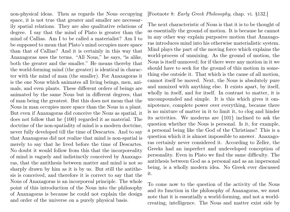non-physical ideas. Then as regards the Nous occupying space, it is not true that greater and smaller are necessarily spatial relations. They are also qualitative relations of degree. I say that the mind of Plato is greater than the mind of Callias. Am I to be called a materialist? Am I to be supposed to mean that Plato's mind occupies more space than that of Callias? And it is certainly in this way that Anaxagoras uses the terms. "All Nous," he says, "is alike, both the greater and the smaller." He means thereby that the world-forming mind (the greater) is identical in character with the mind of man (the smaller). For Anaxagoras it is the one Nous which animates all living beings, men, animals, and even plants. These different orders of beings are animated by the same Nous but in different degrees, that of man being the greatest. But this does not mean that the Nous in man occupies more space than the Nous in a plant. But even if Anaxagoras did conceive the Nous as spatial, it does not follow that he {100} regarded it as material. The doctrine of the non-spatiality of mind is a modern doctrine, never fully developed till the time of Descartes. And to say that Anaxagoras did not realize that mind is non-spatial is merely to say that he lived before the time of Descartes. No doubt it would follow from this that the incorporeality of mind is vaguely and indistinctly conceived by Anaxagoras, that the antithesis between matter and mind is not so sharply drawn by him as it is by us. But still the antithesis is conceived, and therefore it is correct to say that the Nous of Anaxagoras is an incorporeal principle. The whole point of this introduction of the Nous into the philosophy of Anaxagoras is because he could not explain the design and order of the universe on a purely physical basis.

#### [Footnote 8: Early Greek Philosophy, chap. vi. §132.]

The next characteristic of Nous is that it is to be thought of as essentially the ground of motion. It is because he cannot in any other way explain purposive motion that Anaxagoras introduces mind into his otherwise materialistic system. Mind plays the part of the moving force which explains the world-process of unmixing. As the ground of motion, the Nous is itself unmoved; for if there were any motion in it we should have to seek for the ground of this motion in something else outside it. That which is the cause of all motion, cannot itself be moved. Next, the Nous is absolutely pure and unmixed with anything else. It exists apart, by itself, wholly in itself, and for itself. In contrast to matter, it is uncompounded and simple. It is this which gives it omnipotence, complete power over everything, because there is no mixture of matter in it to limit it, to clog and hinder its activities. We moderns are {101} inclined to ask the question whether the Nous is personal. Is it, for example, a personal being like the God of the Christians? This is a question which it is almost impossible to answer. Anaxagoras certainly never considered it. According to Zeller, the Greeks had an imperfect and undeveloped conception of personality. Even in Plato we find the same difficulty. The antithesis between God as a personal and as an impersonal being, is a wholly modern idea. No Greek ever discussed it.

To come now to the question of the activity of the Nous and its function in the philosophy of Anaxagoras, we must note that it is essentially a world-forming, and not a worldcreating, intelligence. The Nous and matter exist side by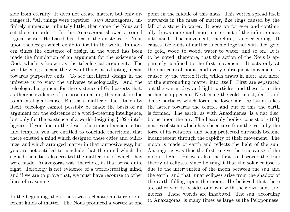side from eternity. It does not create matter, but only arranges it. "All things were together," says Anaxagoras, "infinitely numerous, infinitely little; then came the Nous and set them in order." In this Anaxagoras showed a sound logical sense. He based his idea of the existence of Nous upon the design which exhibits itself in the world. In modern times the existence of design in the world has been made the foundation of an argument for the existence of God, which is known as the teleological argument. The word teleology means the view of things as adapting means towards purposive ends. To see intelligent design in the universe is to view the universe teleologically. And the teleological argument for the existence of God asserts that, as there is evidence of purpose in nature, this must be due to an intelligent cause. But, as a matter of fact, taken by itself, teleology cannot possibly be made the basis of an argument for the existence of a world-creating intelligence, but only for the existence of a world-designing {102} intelligence. If you find in the desert the ruins of ancient cities and temples, you are entitled to conclude therefrom, that there existed a mind which designed these cities and buildings, and which arranged matter in that purposive way, but you are not entitled to conclude that the mind which designed the cities also created the matter out of which they were made. Anaxagoras was, therefore, in that sense quite right. Teleology is not evidence of a world-creating mind, and if we are to prove that, we must have recourse to other lines of reasoning.

In the beginning, then, there was a chaotic mixture of different kinds of matter. The Nous produced a vortex at one

point in the middle of this mass. This vortex spread itself outwards in the mass of matter, like rings caused by the fall of a stone in water. It goes on for ever and continually draws more and more matter out of the infinite mass into itself. The movement, therefore, is never-ending. It causes like kinds of matter to come together with like, gold to gold, wood to wood, water to water, and so on. It is to be noted, therefore, that the action of the Nous is apparently confined to the first movement. It acts only at the one central point, and every subsequent movement is caused by the vortex itself, which draws in more and more of the surrounding matter into itself. First are separated out the warm, dry, and light particles, and these form the aether or upper air. Next come the cold, moist, dark, and dense particles which form the lower air. Rotation takes the latter towards the centre, and out of this the earth is formed. The earth, as with Anaximenes, is a flat disc, borne upon the air. The heavenly bodies consist of {103} masses of stone which have been torn from the earth by the force of its rotation, and being projected outwards become incandescent through the rapidity of their movement. The moon is made of earth and reflects the light of the sun. Anaxagoras was thus the first to give the true cause of the moon's light. He was also the first to discover the true theory of eclipses, since he taught that the solar eclipse is due to the intervention of the moon between the sun and the earth, and that lunar eclipses arise from the shadow of the earth falling upon the moon. He believed that there are other worlds besides our own with their own suns and moons. These worlds are inhabited. The sun, according to Anaxagoras, is many times as large as the Peloponnese.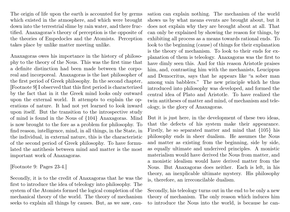The origin of life upon the earth is accounted for by germs which existed in the atmosphere, and which were brought down into the terrestrial slime by rain water, and there fructified. Anaxagoras's theory of perception is the opposite of the theories of Empedocles and the Atomists. Perception takes place by unlike matter meeting unlike.

Anaxagoras owes his importance in the history of philosophy to the theory of the Nous. This was the first time that a definite distinction had been made between the corporeal and incorporeal. Anaxagoras is the last philosopher of the first period of Greek philosophy. In the second chapter, [Footnote 9] I observed that this first period is characterized by the fact that in it the Greek mind looks only outward upon the external world. It attempts to explain the operations of nature. It had not yet learned to look inward upon itself. But the transition to the introspective study of mind is found in the Nous of {104} Anaxagoras. Mind is now brought to the fore as a problem for philosophy. To find reason, intelligence, mind, in all things, in the State, in the individual, in external nature, this is the characteristic of the second period of Greek philosophy. To have formulated the antithesis between mind and matter is the most important work of Anaxagoras.

[Footnote 9: Pages 23-4.]

Secondly, it is to the credit of Anaxagoras that he was the first to introduce the idea of teleology into philosophy. The system of the Atomists formed the logical completion of the mechanical theory of the world. The theory of mechanism seeks to explain all things by causes. But, as we saw, causation can explain nothing. The mechanism of the world shows us by what means events are brought about, but it does not explain why they are brought about at all. That can only be explained by showing the reason for things, by exhibiting all process as a means towards rational ends. To look to the beginning (cause) of things for their explanation is the theory of mechanism. To look to their ends for explanation of them is teleology. Anaxagoras was the first to have dimly seen this. And for this reason Aristotle praises him, and, contrasting him with the mechanists, Leucippus and Democritus, says that he appears like "a sober man among vain babblers." The new principle which he thus introduced into philosophy was developed, and formed the central idea of Plato and Aristotle. To have realized the twin antitheses of matter and mind, of mechanism and teleology, is the glory of Anaxagoras.

But it is just here, in the development of these two ideas, that the defects of his system make their appearance. Firstly, he so separated matter and mind that {105} his philosophy ends in sheer dualism. He assumes the Nous and matter as existing from the beginning, side by side, as equally ultimate and underived principles. A monistic materialism would have derived the Nous from matter, and a monistic idealism would have derived matter from the Nous. But Anaxagoras does neither. Each is left, in his theory, an inexplicable ultimate mystery. His philosophy is, therefore, an irreconcilable dualism.

Secondly, his teleology turns out in the end to be only a new theory of mechanism. The only reason which induces him to introduce the Nous into the world, is because he can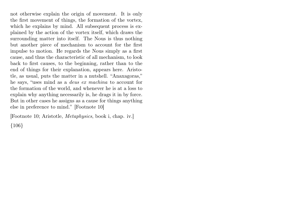not otherwise explain the origin of movement. It is only the first movement of things, the formation of the vortex, which he explains by mind. All subsequent process is explained by the action of the vortex itself, which draws the surrounding matter into itself. The Nous is thus nothing but another piece of mechanism to account for the first impulse to motion. He regards the Nous simply as a first cause, and thus the characteristic of all mechanism, to look back to first causes, to the beginning, rather than to the end of things for their explanation, appears here. Aristotle, as usual, puts the matter in a nutshell. "Anaxagoras," he says, "uses mind as a deus ex machina to account for the formation of the world, and whenever he is at a loss to explain why anything necessarily is, he drags it in by force. But in other cases he assigns as a cause for things anything else in preference to mind." [Footnote 10]

[Footnote 10; Aristotle, Metaphysics, book i, chap. iv.] {106}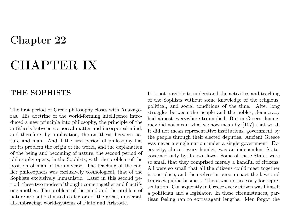## Chapter 22

# CHAPTER IX

### THE SOPHISTS

The first period of Greek philosophy closes with Anaxagoras. His doctrine of the world-forming intelligence introduced a new principle into philosophy, the principle of the antithesis between corporeal matter and incorporeal mind, and therefore, by implication, the antithesis between nature and man. And if the first period of philosophy has for its problem the origin of the world, and the explanation of the being and becoming of nature, the second period of philosophy opens, in the Sophists, with the problem of the position of man in the universe. The teaching of the earlier philosophers was exclusively cosmological, that of the Sophists exclusively humanistic. Later in this second period, these two modes of thought come together and fructify one another. The problem of the mind and the problem of nature are subordinated as factors of the great, universal, all-embracing, world-systems of Plato and Aristotle.

It is not possible to understand the activities and teaching of the Sophists without some knowledge of the religious, political, and social conditions of the time. After long struggles between the people and the nobles, democracy had almost everywhere triumphed. But in Greece democracy did not mean what we now mean by {107} that word. It did not mean representative institutions, government by the people through their elected deputies. Ancient Greece was never a single nation under a single government. Every city, almost every hamlet, was an independent State, governed only by its own laws. Some of these States were so small that they comprised merely a handful of citizens. All were so small that all the citizens could meet together in one place, and themselves in person enact the laws and transact public business. There was no necessity for representation. Consequently in Greece every citizen was himself a politician and a legislator. In these circumstances, partisan feeling ran to extravagant lengths. Men forgot the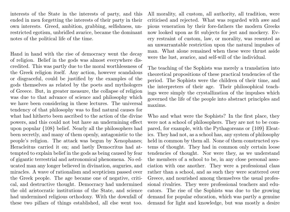interests of the State in the interests of party, and this ended in men forgetting the interests of their party in their own interests. Greed, ambition, grabbing, selfishness, unrestricted egotism, unbridled avarice, became the dominant notes of the political life of the time.

Hand in hand with the rise of democracy went the decay of religion. Belief in the gods was almost everywhere discredited. This was partly due to the moral worthlessness of the Greek religion itself. Any action, however scandalous or disgraceful, could be justified by the examples of the gods themselves as related by the poets and mythologers of Greece. But, in greater measure, the collapse of religion was due to that advance of science and philosophy which we have been considering in these lectures. The universal tendency of that philosophy was to find natural causes for what had hitherto been ascribed to the action of the divine powers, and this could not but have an undermining effect upon popular {108} belief. Nearly all the philosophers had been secretly, and many of them openly, antagonistic to the people's religion. The attack was begun by Xenophanes; Heracleitus carried it on; and lastly Democritus had attempted to explain belief in the gods as being caused by fear of gigantic terrestrial and astronomical phenomena. No educated man any longer believed in divination, auguries, and miracles. A wave of rationalism and scepticism passed over the Greek people. The age became one of negative, critical, and destructive thought. Democracy had undermined the old aristocratic institutions of the State, and science had undermined religious orthodoxy. With the downfall of these two pillars of things established, all else went too.

All morality, all custom, all authority, all tradition, were criticised and rejected. What was regarded with awe and pious veneration by their fore-fathers the modern Greeks now looked upon as fit subjects for jest and mockery. Every restraint of custom, law, or morality, was resented as an unwarrantable restriction upon the natural impulses of man. What alone remained when these were thrust aside were the lust, avarice, and self-will of the individual.

The teaching of the Sophists was merely a translation into theoretical propositions of these practical tendencies of the period. The Sophists were the children of their time, and the interpreters of their age. Their philosophical teachings were simply the crystallization of the impulses which governed the life of the people into abstract principles and maxims.

Who and what were the Sophists? In the first place, they were not a school of philosophers. They are not to be compared, for example, with the Pythagoreans or {109} Eleatics. They had not, as a school has, any system of philosophy held in common by them all. None of them constructed systems of thought. They had in common only certain loose tendencies of thought. Nor were they, as we understand the members of a school to be, in any close personal association with one another. They were a professional class rather than a school, and as such they were scattered over Greece, and nourished among themselves the usual professional rivalries. They were professional teachers and educators. The rise of the Sophists was due to the growing demand for popular education, which was partly a genuine demand for light and knowledge, but was mostly a desire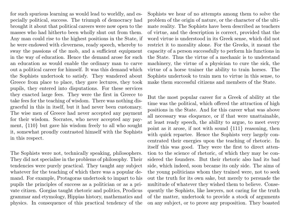for such spurious learning as would lead to worldly, and especially political, success. The triumph of democracy had brought it about that political careers were now open to the masses who had hitherto been wholly shut out from them. Any man could rise to the highest positions in the State, if he were endowed with cleverness, ready speech, whereby to sway the passions of the mob, and a sufficient equipment in the way of education. Hence the demand arose for such an education as would enable the ordinary man to carve out a political career for himself. It was this demand which the Sophists undertook to satisfy. They wandered about Greece from place to place, they gave lectures, they took pupils, they entered into disputations. For these services they exacted large fees. They were the first in Greece to take fees for the teaching of wisdom. There was nothing disgraceful in this in itself, but it had never been customary. The wise men of Greece had never accepted any payment for their wisdom. Socrates, who never accepted any payment, {110} but gave his wisdom freely to all who sought it, somewhat proudly contrasted himself with the Sophists in this respect.

The Sophists were not, technically speaking, philosophers. They did not specialise in the problems of philosophy. Their tendencies were purely practical. They taught any subject whatever for the teaching of which there was a popular demand. For example, Protagoras undertook to impart to his pupils the principles of success as a politician or as a private citizen. Gorgias taught rhetoric and politics, Prodicus grammar and etymology, Hippias history, mathematics and physics. In consequence of this practical tendency of the Sophists we hear of no attempts among them to solve the problem of the origin of nature, or the character of the ultimate reality. The Sophists have been described as teachers of virtue, and the description is correct, provided that the word virtue is understood in its Greek sense, which did not restrict it to morality alone. For the Greeks, it meant the capacity of a person successfully to perform his functions in the State. Thus the virtue of a mechanic is to understand machinery, the virtue of a physician to cure the sick, the virtue of a horse trainer the ability to train horses. The Sophists undertook to train men to virtue in this sense, to make them successful citizens and members of the State.

But the most popular career for a Greek of ability at the time was the political, which offered the attraction of high positions in the State. And for this career what was above all necessary was eloquence, or if that were unattainable, at least ready speech, the ability to argue, to meet every point as it arose, if not with sound {111} reasoning, then with quick repartee. Hence the Sophists very largely concentrated their energies upon the teaching of rhetoric. In itself this was good. They were the first to direct attention to the science of rhetoric, of which they may be considered the founders. But their rhetoric also had its bad side, which indeed, soon became its only side. The aims of the young politicians whom they trained were, not to seek out the truth for its own sake, but merely to persuade the multitude of whatever they wished them to believe. Consequently the Sophists, like lawyers, not caring for the truth of the matter, undertook to provide a stock of arguments on any subject, or to prove any proposition. They boasted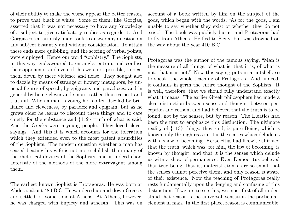of their ability to make the worse appear the better reason, to prove that black is white. Some of them, like Gorgias, asserted that it was not necessary to have any knowledge of a subject to give satisfactory replies as regards it. And Gorgias ostentatiously undertook to answer any question on any subject instantly and without consideration. To attain these ends mere quibbling, and the scoring of verbal points, were employed. Hence our word "sophistry." The Sophists, in this way, endeavoured to entangle, entrap, and confuse their opponents, and even, if this were not possible, to beat them down by mere violence and noise. They sought also to dazzle by means of strange or flowery metaphors, by unusual figures of speech, by epigrams and paradoxes, and in general by being clever and smart, rather than earnest and truthful. When a man is young he is often dazzled by brilliance and cleverness, by paradox and epigram, but as he grows older he learns to discount these things and to care chiefly for the substance and {112} truth of what is said. And the Greeks were a young people. They loved clever sayings. And this it is which accounts for the toleration which they extended even to the most patent absurdities of the Sophists. The modern question whether a man has ceased beating his wife is not more childish than many of the rhetorical devices of the Sophists, and is indeed characteristic of the methods of the more extravagant among them.

The earliest known Sophist is Protagoras. He was born at Abdera, about 480 B.C. He wandered up and down Greece, and settled for some time at Athens. At Athens, however, he was charged with impiety and atheism. This was on account of a book written by him on the subject of the gods, which began with the words, "As for the gods, I am unable to say whether they exist or whether they do not exist." The book was publicly burnt, and Protagoras had to fly from Athens. He fled to Sicily, but was drowned on the way about the year 410 B.C.

Protagoras was the author of the famous saying, "Man is the measure of all things; of what is, that it is; of what is not, that it is not." Now this saying puts in a nutshell, so to speak, the whole teaching of Protagoras. And, indeed, it contains in germ the entire thought of the Sophists. It is well, therefore, that we should fully understand exactly what it means. The earlier Greek philosophers had made a clear distinction between sense and thought, between perception and reason, and had believed that the truth is to be found, not by the senses, but by reason. The Eleatics had been the first to emphasize this distinction. The ultimate reality of {113} things, they said, is pure Being, which is known only through reason; it is the senses which delude us with a show of becoming. Heracleitus had likewise affirmed that the truth, which was, for him, the law of becoming, is known by thought, and that it is the senses which delude us with a show of permanence. Even Democritus believed that true being, that is, material atoms, are so small that the senses cannot perceive them, and only reason is aware of their existence. Now the teaching of Protagoras really rests fundamentally upon the denying and confusing of this distinction. If we are to see this, we must first of all understand that reason is the universal, sensation the particular, element in man. In the first place, reason is communicable,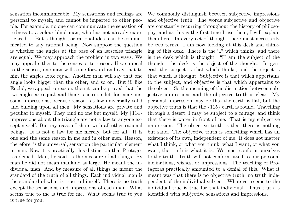sensation incommunicable. My sensations and feelings are personal to myself, and cannot be imparted to other people. For example, no one can communicate the sensation of redness to a colour-blind man, who has not already experienced it. But a thought, or rational idea, can be communicated to any rational being. Now suppose the question is whether the angles at the base of an isosceles triangle are equal. We may approach the problem in two ways. We may appeal either to the senses or to reason. If we appeal to the senses, one man will come forward and say that to him the angles look equal. Another man will say that one angle looks bigger than the other, and so on. But if, like Euclid, we appeal to reason, then it can be proved that the two angles are equal, and there is no room left for mere personal impressions, because reason is a law universally valid and binding upon all men. My sensations are private and peculiar to myself. They bind no one but myself. My {114} impressions about the triangle are not a law to anyone except myself. But my reason I share with all other rational beings. It is not a law for me merely, but for all. It is one and the same reason in me and in other men. Reason, therefore, is the universal, sensation the particular, element in man. Now it is practically this distinction that Protagoras denied. Man, he said, is the measure of all things. By man he did not mean mankind at large. He meant the individual man. And by measure of all things he meant the standard of the truth of all things. Each individual man is the standard of what is true to himself. There is no truth except the sensations and impressions of each man. What seems true to me is true for me. What seems true to you is true for you.

We commonly distinguish between subjective impressions and objective truth. The words subjective and objective are constantly recurring throughout the history of philosophy, and as this is the first time I use them, I will explain them here. In every act of thought there must necessarily be two terms. I am now looking at this desk and thinking of this desk. There is the "I" which thinks, and there is the desk which is thought. "I" am the subject of the thought, the desk is the object of the thought. In general, the subject is that which thinks, and the object is that which is thought. Subjective is that which appertains to the subject, and objective is that which appertains to the object. So the meaning of the distinction between subjective impressions and the objective truth is clear. My personal impression may be that the earth is flat, but the objective truth is that the {115} earth is round. Travelling through a desert, I may be subject to a mirage, and think that there is water in front of me. That is my subjective impression. The objective truth is that there is nothing but sand. The objective truth is something which has an existence of its own, independent of me. It does not matter what I think, or what you think, what I want, or what you want; the truth is what it is. We must conform ourselves to the truth. Truth will not conform itself to our personal inclinations, wishes, or impressions. The teaching of Protagoras practically amounted to a denial of this. What it meant was that there is no objective truth, no truth independent of the individual subject. Whatever seems to the individual true is true for that individual. Thus truth is identified with subjective sensations and impressions.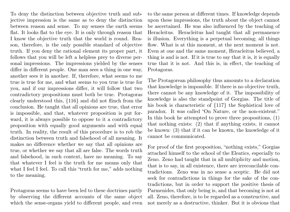To deny the distinction between objective truth and subjective impression is the same as to deny the distinction between reason and sense. To my senses the earth seems flat. It looks flat to the eye. It is only through reason that I know the objective truth that the world is round. Reason, therefore, is the only possible standard of objective truth. If you deny the rational element its proper part, it follows that you will be left a helpless prey to diverse personal impressions. The impressions yielded by the senses differ in different people. One man sees a thing in one way, another sees it in another. If, therefore, what seems to me true is true for me, and what seems to you true is true for you, and if our impressions differ, it will follow that two contradictory propositions must both be true. Protagoras clearly understood this, {116} and did not flinch from the conclusion. He taught that all opinions are true, that error is impossible, and that, whatever proposition is put forward, it is always possible to oppose to it a contradictory proposition with equally good arguments and with equal truth. In reality, the result of this procedure is to rob the distinction between truth and falsehood of all meaning. It makes no difference whether we say that all opinions are true, or whether we say that all are false. The words truth and falsehood, in such context, have no meaning. To say that whatever I feel is the truth for me means only that what I feel I feel. To call this "truth for me," adds nothing to the meaning.

Protagoras seems to have been led to these doctrines partly by observing the different accounts of the same object which the sense-organs yield to different people, and even to the same person at different times. If knowledge depends upon these impressions, the truth about the object cannot be ascertained. He was also influenced by the teaching of Heracleitus. Heracleitus had taught that all permanence is illusion. Everything is a perpetual becoming; all things flow. What is at this moment, at the next moment is not. Even at one and the same moment, Heracleitus believed, a thing is and is not. If it is true to say that it is, it is equally true that it is not. And this is, in effect, the teaching of Protagoras.

The Protagorean philosophy thus amounts to a declaration that knowledge is impossible. If there is no objective truth, there cannot be any knowledge of it. The impossibility of knowledge is also the standpoint of Gorgias. The title of his book is characteristic of {117} the Sophistical love of paradox. It was called "On Nature, or the non-existent." In this book he attempted to prove three propositions, (1) that nothing exists: (2) that if anything exists, it cannot be known: (3) that if it can be known, the knowledge of it cannot be communicated.

For proof of the first proposition, "nothing exists," Gorgias attached himself to the school of the Eleatics, especially to Zeno. Zeno had taught that in all multiplicity and motion, that is to say, in all existence, there are irreconcilable contradictions. Zeno was in no sense a sceptic. He did not seek for contradictions in things for the sake of the contradictions, but in order to support the positive thesis of Parmenides, that only being is, and that becoming is not at all. Zeno, therefore, is to be regarded as a constructive, and not merely as a destructive, thinker. But it is obvious that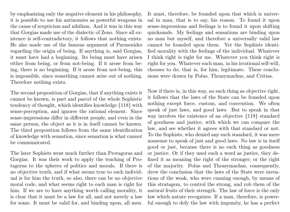by emphasizing only the negative element in his philosophy, it is possible to use his antinomies as powerful weapons in the cause of scepticism and nihilism. And it was in this way that Gorgias made use of the dialectic of Zeno. Since all existence is self-contradictory, it follows that nothing exists. He also made use of the famous argument of Parmenides regarding the origin of being. If anything is, said Gorgias, it must have had a beginning. Its being must have arisen either from being, or from not-being. If it arose from being, there is no beginning. If it arose from not-being, this is impossible, since something cannot arise out of nothing. Therefore nothing exists.

The second proposition of Gorgias, that if anything exists it cannot be known, is part and parcel of the whole Sophistic tendency of thought, which identifies knowledge {118} with sense-perception, and ignores the rational element. Since sense-impressions differ in different people, and even in the same person, the object as it is in itself cannot be known. The third proposition follows from the same identification of knowledge with sensation, since sensation is what cannot be communicated.

The later Sophists went much further than Protagoras and Gorgias. It was their work to apply the teaching of Protagoras to the spheres of politics and morals. If there is no objective truth, and if what seems true to each individual is for him the truth, so also, there can be no objective moral code, and what seems right to each man is right for him. If we are to have anything worth calling morality, it is clear that it must be a law for all, and not merely a law for some. It must be valid for, and binding upon, all men.

It must, therefore, be founded upon that which is universal in man, that is to say, his reason. To found it upon sense-impressions and feelings is to found it upon shifting quicksands. My feelings and sensations are binding upon no man but myself, and therefore a universally valid law cannot be founded upon them. Yet the Sophists identified morality with the feelings of the individual. Whatever I think right is right for me. Whatever you think right is right for you. Whatever each man, in his irrational self-will, chooses to do, that is, for him, legitimate. These conclusions were drawn by Polus, Thrasymachus, and Critias.

Now if there is, in this way, no such thing as objective right, it follows that the laws of the State can be founded upon nothing except force, custom, and convention. We often speak of just laws, and good laws. But to speak in that way involves the existence of an objective {119} standard of goodness and justice, with which we can compare the law, and see whether it agrees with that standard or not. To the Sophists, who denied any such standard, it was mere nonsense to speak of just and good laws. No law is in itself good or just, because there is no such thing as goodness or justice. Or if they used such a word as justice, they defined it as meaning the right of the stronger; or the right of the majority. Polus and Thrasymachus, consequently, drew the conclusion that the laws of the State were inventions of the weak, who were cunning enough, by means of this stratagem, to control the strong, and rob them of the natural fruits of their strength. The law of force is the only law which nature recognizes. If a man, therefore, is powerful enough to defy the law with impunity, he has a perfect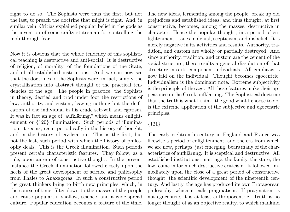right to do so. The Sophists were thus the first, but not the last, to preach the doctrine that might is right. And, in similar vein, Critias explained popular belief in the gods as the invention of some crafty statesman for controlling the mob through fear.

Now it is obvious that the whole tendency of this sophistical teaching is destructive and anti-social. It is destructive of religion, of morality, of the foundations of the State, and of all established institutions. And we can now see that the doctrines of the Sophists were, in fact, simply the crystallization into abstract thought of the practical tendencies of the age. The people in practice, the Sophists in theory, decried and trod under foot the restrictions of law, authority, and custom, leaving nothing but the deification of the individual in his crude self-will and egotism. It was in fact an age of "aufklärung," which means enlightenment or {120} illumination. Such periods of illumination, it seems, recur periodically in the history of thought, and in the history of civilization. This is the first, but not the last, such period with which the history of philosophy deals. This is the Greek illumination. Such periods present certain characteristic features. They follow, as a rule, upon an era of constructive thought. In the present instance the Greek illumination followed closely upon the heels of the great development of science and philosophy from Thales to Anaxagoras. In such a constructive period the great thinkers bring to birth new principles, which, in the course of time, filter down to the masses of the people and cause popular, if shallow, science, and a wide-spread culture. Popular education becomes a feature of the time.

The new ideas, fermenting among the people, break up old prejudices and established ideas, and thus thought, at first constructive, becomes, among the masses, destructive in character. Hence the popular thought, in a period of enlightenment, issues in denial, scepticism, and disbelief. It is merely negative in its activities and results. Authority, tradition, and custom are wholly or partially destroyed. And since authority, tradition, and custom are the cement of the social structure, there results a general dissolution of that structure into its component individuals. All emphasis is now laid on the individual. Thought becomes egocentric. Individualism is the dominant note. Extreme subjectivity is the principle of the age. All these features make their appearance in the Greek aufklärung. The Sophistical doctrine that the truth is what I think, the good what I choose to do, is the extreme application of the subjective and egocentric principles.

### {121}

The early eighteenth century in England and France was likewise a period of enlightenment, and the era from which we are now, perhaps, just emerging, bears many of the characteristics of aufklärung. It is sceptical and destructive. All established institutions, marriage, the family, the state, the law, come in for much destructive criticism. It followed immediately upon the close of a great period of constructive thought, the scientific development of the nineteenth century. And lastly, the age has produced its own Protagorean philosophy, which it calls pragmatism. If pragmatism is not egocentric, it is at least anthropocentric. Truth is no longer thought of as an objective reality, to which mankind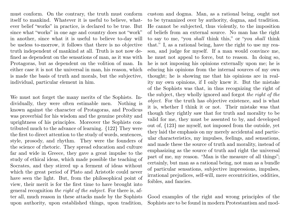must conform. On the contrary, the truth must conform itself to mankind. Whatever it is useful to believe, whatever belief "works" in practice, is declared to be true. But since what "works" in one age and country does not "work" in another, since what it is useful to believe to-day will be useless to-morrow, it follows that there is no objective truth independent of mankind at all. Truth is not now defined as dependent on the sensations of man, as it was with Protagoras, but as dependent on the volition of man. In either case it is not the universal in man, his reason, which is made the basis of truth and morals, but the subjective, individual, particular element in him.

We must not forget the many merits of the Sophists. Individually, they were often estimable men. Nothing is known against the character of Protagoras, and Prodicus was proverbial for his wisdom and the genuine probity and uprightness of his principles. Moreover the Sophists contributed much to the advance of learning. {122} They were the first to direct attention to the study of words, sentences, style, prosody, and rhythm. They were the founders of the science of rhetoric. They spread education and culture far and wide in Greece, they gave a great impulse to the study of ethical ideas, which made possible the teaching of Socrates, and they stirred up a ferment of ideas without which the great period of Plato and Aristotle could never have seen the light. But, from the philosophical point of view, their merit is for the first time to have brought into general recognition the right of the subject. For there is, after all, much reason in these attacks made by the Sophists upon authority, upon established things, upon tradition,

custom and dogma. Man, as a rational being, ought not to be tyrannized over by authority, dogma, and tradition. He cannot be subjected, thus violently, to the imposition of beliefs from an external source. No man has the right to say to me, "you shall think this," or "you shall think that." I, as a rational being, have the right to use my reason, and judge for myself. If a man would convince me, he must not appeal to force, but to reason. In doing so, he is not imposing his opinions externally upon me; he is educing his opinions from the internal sources of my own thought; he is showing me that his opinions are in reality my own opinions, if I only knew it. But the mistake of the Sophists was that, in thus recognizing the right of the subject, they wholly ignored and forgot the right of the object. For the truth has objective existence, and is what it is, whether I think it or not. Their mistake was that though they rightly saw that for truth and morality to be valid for me, they must be assented to by, and developed out of, {123} me myself, not imposed from the outside, yet they laid the emphasis on my merely accidental and particular characteristics, my impulses, feelings, and sensations, and made these the source of truth and morality, instead of emphasizing as the source of truth and right the universal part of me, my reason. "Man is the measure of all things"; certainly, but man as a rational being, not man as a bundle of particular sensations, subjective impressions, impulses, irrational prejudices, self-will, mere eccentricities, oddities, foibles, and fancies.

Good examples of the right and wrong principles of the Sophists are to be found in modern Protestantism and mod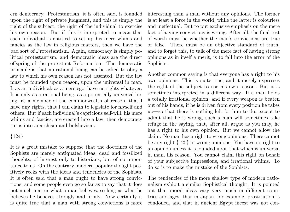ern democracy. Protestantism, it is often said, is founded upon the right of private judgment, and this is simply the right of the subject, the right of the individual to exercise his own reason. But if this is interpreted to mean that each individual is entitled to set up his mere whims and fancies as the law in religious matters, then we have the bad sort of Protestantism. Again, democracy is simply political protestantism, and democratic ideas are the direct offspring of the protestant Reformation. The democratic principle is that no rational being can be asked to obey a law to which his own reason has not assented. But the law must be founded upon reason, upon the universal in man. I, as an individual, as a mere ego, have no rights whatever. It is only as a rational being, as a potentially universal being, as a member of the commonwealth of reason, that I have any rights, that I can claim to legislate for myself and others. But if each individual's capricious self-will, his mere whims and fancies, are erected into a law, then democracy turns into anarchism and bolshevism.

### {124}

It is a great mistake to suppose that the doctrines of the Sophists are merely antiquated ideas, dead and fossilized thoughts, of interest only to historians, but of no importance to us. On the contrary, modern popular thought positively reeks with the ideas and tendencies of the Sophists. It is often said that a man ought to have strong convictions, and some people even go so far as to say that it does not much matter what a man believes, so long as what he believes he believes strongly and firmly. Now certainly it is quite true that a man with strong convictions is more interesting than a man without any opinions. The former is at least a force in the world, while the latter is colourless and ineffectual. But to put exclusive emphasis on the mere fact of having convictions is wrong. After all, the final test of worth must be whether the man's convictions are true or false. There must be an objective standard of truth, and to forget this, to talk of the mere fact of having strong opinions as in itself a merit, is to fall into the error of the Sophists.

Another common saying is that everyone has a right to his own opinions. This is quite true, and it merely expresses the right of the subject to use his own reason. But it is sometimes interpreted in a different way. If a man holds a totally irrational opinion, and if every weapon is beaten out of his hands, if he is driven from every position he takes up—so that there is nothing left for him to do, except to admit that he is wrong, such a man will sometimes take refuge in the saying, that, after all, argue as you may, he has a right to his own opinion. But we cannot allow the claim. No man has a right to wrong opinions. There cannot be any right {125} in wrong opinions. You have no right to an opinion unless it is founded upon that which is universal in man, his reason. You cannot claim this right on behalf of your subjective impressions, and irrational whims. To do so is to make the mistake of the Sophists.

The tendencies of the more shallow type of modern rationalism exhibit a similar Sophistical thought. It is pointed out that moral ideas vary very much in different countries and ages, that in Japan, for example, prostitution is condoned, and that in ancient Egypt incest was not con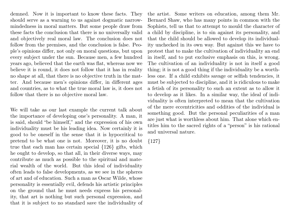demned. Now it is important to know these facts. They should serve as a warning to us against dogmatic narrowmindedness in moral matters. But some people draw from these facts the conclusion that there is no universally valid and objectively real moral law. The conclusion does not follow from the premises, and the conclusion is false. People's opinions differ, not only on moral questions, but upon every subject under the sun. Because men, a few hundred years ago, believed that the earth was flat, whereas now we believe it is round, it does not follow that it has in reality no shape at all, that there is no objective truth in the matter. And because men's opinions differ, in different ages and countries, as to what the true moral law is, it does not follow that there is no objective moral law.

We will take as our last example the current talk about the importance of developing one's personality. A man, it is said, should "be himself," and the expression of his own individuality must be his leading idea. Now certainly it is good to be oneself in the sense that it is hypocritical to pretend to be what one is not. Moreover, it is no doubt true that each man has certain special {126} gifts, which he ought to develop, so that all, in their diverse ways, may contribute as much as possible to the spiritual and material wealth of the world. But this ideal of individuality often leads to false developments, as we see in the spheres of art and of education. Such a man as Oscar Wilde, whose personality is essentially evil, defends his artistic principles on the ground that he must needs express his personality, that art is nothing but such personal expression, and that it is subject to no standard save the individuality of the artist. Some writers on education, among them Mr. Bernard Shaw, who has many points in common with the Sophists, tell us that to attempt to mould the character of a child by discipline, is to sin against its personality, and that the child should be allowed to develop its individuality unchecked in its own way. But against this we have to protest that to make the cultivation of individuality an end in itself, and to put exclusive emphasis on this, is wrong. The cultivation of an individuality is not in itself a good thing; it is not a good thing if the individuality be a worthless one. If a child exhibits savage or selfish tendencies, it must be subjected to discipline, and it is ridiculous to make a fetish of its personality to such an extent as to allow it to develop as it likes. In a similar way, the ideal of individuality is often interpreted to mean that the cultivation of the mere eccentricities and oddities of the individual is something good. But the personal peculiarities of a man are just what is worthless about him. That alone which entitles him to the sacred rights of a "person" is his rational and universal nature.

{127}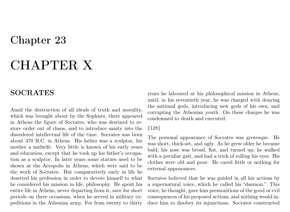## Chapter 23

# CHAPTER X

### SOCRATES

Amid the destruction of all ideals of truth and morality, which was brought about by the Sophists, there appeared in Athens the figure of Socrates, who was destined to restore order out of chaos, and to introduce sanity into the disordered intellectual life of the time. Socrates was born about 470 B.C. in Athens. His father was a sculptor, his mother a midwife. Very little is known of his early years and education, except that he took up his father's occupation as a sculptor. In later years some statues used to be shown at the Acropolis in Athens, which were said to be the work of Socrates. But comparatively early in life he deserted his profession in order to devote himself to what he considered his mission in life, philosophy. He spent his entire life in Athens, never departing from it, save for short periods on three occasions, when he served in military expeditions in the Athenian army. For from twenty to thirty

years he laboured at his philosophical mission in Athens, until, in his seventieth year, he was charged with denying the national gods, introducing new gods of his own, and corrupting the Athenian youth. On these charges he was condemned to death and executed.

#### {128}

The personal appearance of Socrates was grotesque. He was short, thick-set, and ugly. As he grew older he became bald; his nose was broad, flat, and turned up; he walked with a peculiar gait, and had a trick of rolling his eyes. His clothes were old and poor. He cared little or nothing for external appearances.

Socrates believed that he was guided in all his actions by a supernatural voice, which he called his "daemon." This voice, he thought, gave him premonitions of the good or evil consequences of his proposed actions, and nothing would induce him to disobey its injunctions. Socrates constructed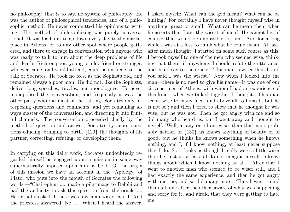no philosophy, that is to say, no system of philosophy. He was the author of philosophical tendencies, and of a philosophic method. He never committed his opinions to writing. His method of philosophizing was purely conversational. It was his habit to go down every day to the market place in Athens, or to any other spot where people gathered, and there to engage in conversation with anyone who was ready to talk to him about the deep problems of life and death. Rich or poor, young or old, friend or stranger, whoever came, and would attend, could listen freely to the talk of Socrates. He took no fees, as the Sophists did, and remained always a poor man. He did not, like the Sophists, deliver long speeches, tirades, and monologues. He never monopolised the conversation, and frequently it was the other party who did most of the talking, Socrates only interposing questions and comments, and yet remaining always master of the conversation, and directing it into fruitful channels. The conversation proceeded chiefly by the method of question and answer, Socrates by acute questions educing, bringing to birth, {129} the thoughts of his partner, correcting, refuting, or developing them.

In carrying on this daily work, Socrates undoubtedly regarded himself as engaged upon a mission in some way supernaturally imposed upon him by God. Of the origin of this mission we have an account in the "Apology" of Plato, who puts into the mouth of Socrates the following words:—"Chairephon .... made a pilgrimage to Delphi and had the audacity to ask this question from the oracle .... He actually asked if there was any man wiser than I. And the priestess answered, No .... When I heard the answer,

I asked myself: What can the god mean? what can he be hinting? For certainly I have never thought myself wise in anything, great or small. What can he mean then, when he asserts that I am the wisest of men? He cannot lie, of course: that would be impossible for him. And for a long while I was at a loss to think what he could mean. At last, after much thought, I started on some such course as this. I betook myself to one of the men who seemed wise, thinking that there, if anywhere, I should refute the utterance, and could say to the oracle: 'This man is wiser than I, and you said I was the wisest.' Now when I looked into the man—there is no need to give his name—it was one of our citizens, men of Athens, with whom I had an experience of this kind—when we talked together I thought, 'This man seems wise to many men, and above all to himself, but he is not so'; and then I tried to show that he thought he was wise, but he was not. Then he got angry with me and so did many who heard us, but I went away and thought to myself, 'Well, at any rate I am wiser than this man: probably neither of {130} us knows anything of beauty or of good, but he thinks he knows something when he knows nothing, and I, if I know nothing, at least never suppose that I do. So it looks as though I really were a little wiser than he, just in so far as I do not imagine myself to know things about which I know nothing at all.' After that I went to another man who seemed to be wiser still, and I had exactly the same experience, and then he got angry with me too, and so did many more. Thus I went round them all, one after the other, aware of what was happening and sorry for it, and afraid that they were getting to hate me."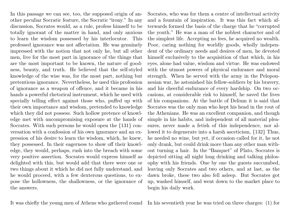In this passage we can see, too, the supposed origin of another peculiar Socratic feature, the Socratic "irony." In any discussion, Socrates would, as a rule, profess himself to be totally ignorant of the matter in hand, and only anxious to learn the wisdom possessed by his interlocutor. This professed ignorance was not affectation. He was genuinely impressed with the notion that not only he, but all other men, live for the most part in ignorance of the things that are the most important to be known, the nature of goodness, beauty, and truth. He believed that the self-styled knowledge of the wise was, for the most part, nothing but pretentious ignorance. Nevertheless, he used this profession of ignorance as a weapon of offence, and it became in his hands a powerful rhetorical instrument, which he used with specially telling effect against those who, puffed up with their own importance and wisdom, pretended to knowledge which they did not possess. Such hollow pretence of knowledge met with uncompromising exposure at the hands of Socrates. With such persons he would open the {131} conversation with a confession of his own ignorance and an expression of his desire to learn the wisdom, which, he knew, they possessed. In their eagerness to show off their knowledge, they would, perhaps, rush into the breach with some very positive assertion. Socrates would express himself as delighted with this, but would add that there were one or two things about it which he did not fully understand, and he would proceed, with a few dexterous questions, to expose the hollowness, the shallowness, or the ignorance of the answers.

Socrates, who was for them a centre of intellectual activity and a fountain of inspiration. It was this fact which afterwards formed the basis of the charge that he "corrupted the youth." He was a man of the noblest character and of the simplest life. Accepting no fees, he acquired no wealth. Poor, caring nothing for worldly goods, wholly independent of the ordinary needs and desires of men, he devoted himself exclusively to the acquisition of that which, in his eyes, alone had value, wisdom and virtue. He was endowed with the utmost powers of physical endurance and moral strength. When he served with the army in the Peloponnesian war, he astonished his fellow-soldiers by his bravery, and his cheerful endurance of every hardship. On two occasions, at considerable risk to himself, he saved the lives of his companions. At the battle of Delium it is said that Socrates was the only man who kept his head in the rout of the Athenians. He was an excellent companion, and though simple in his habits, and independent of all material pleasures, never made a fetish of this independence, nor allowed it to degenerate into a harsh asceticism, {132} Thus, he needed no wine, but yet, if occasion called for it, he not only drank, but could drink more than any other man without turning a hair. In the "Banquet" of Plato, Socrates is depicted sitting all night long drinking and talking philosophy with his friends. One by one the guests succumbed, leaving only Socrates and two others, and at last, as the dawn broke, these two also fell asleep. But Socrates got up, washed himself, and went down to the market place to begin his daily work.

It was chiefly the young men of Athens who gathered round In his seventieth year he was tried on three charges: (1) for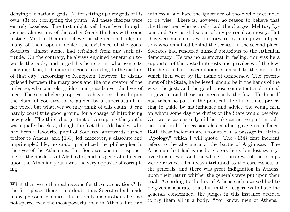denying the national gods, (2) for setting up new gods of his own, (3) for corrupting the youth. All these charges were entirely baseless. The first might well have been brought against almost any of the earlier Greek thinkers with some justice. Most of them disbelieved in the national religion; many of them openly denied the existence of the gods. Socrates, almost alone, had refrained from any such attitude. On the contrary, he always enjoined veneration towards the gods, and urged his hearers, in whatever city they might be, to honour the gods according to the custom of that city. According to Xenophon, however, he distinguished between the many gods and the one creator of the universe, who controls, guides, and guards over the lives of men. The second charge appears to have been based upon the claim of Socrates to be guided by a supernatural inner voice, but whatever we may think of this claim, it can hardly constitute good ground for a charge of introducing new gods. The third charge, that of corrupting the youth, was equally baseless, though the fact that Alcibiades, who had been a favourite pupil of Socrates, afterwards turned traitor to Athens, and {133} led, moreover, a dissolute and unprincipled life, no doubt prejudiced the philosopher in the eyes of the Athenians. But Socrates was not responsible for the misdeeds of Alcibiades, and his general influence upon the Athenian youth was the very opposite of corrupting.

What then were the real reasons for these accusations? In the first place, there is no doubt that Socrates had made many personal enemies. In his daily disputations he had not spared even the most powerful men in Athens, but had

ruthlessly laid bare the ignorance of those who pretended to be wise. There is, however, no reason to believe that the three men who actually laid the charges, Melitus, Lycon, and Anytus, did so out of any personal animosity. But they were men of straw, put forward by more powerful persons who remained behind the scenes. In the second place, Socrates had rendered himself obnoxious to the Athenian democracy. He was no aristocrat in feeling, nor was he a supporter of the vested interests and privileges of the few. But he could not accommodate himself to the mob-rule which then went by the name of democracy. The government of the State, he believed, should be in the hands of the wise, the just, and the good, those competent and trained to govern, and these are necessarily the few. He himself had taken no part in the political life of the time, preferring to guide by his influence and advice the young men on whom some day the duties of the State would devolve. On two occasions only did he take an active part in politics, and on both occasions his conduct gave great offence. Both these incidents are recounted in a passage in Plato's "Apology," which I will quote. The {134} first incident refers to the aftermath of the battle of Arginusae. The Athenian fleet had gained a victory here, but lost twentyfive ships of war, and the whole of the crews of these ships were drowned. This was attributed to the carelessness of the generals, and there was great indignation in Athens, upon their return whither the generals were put upon their trial. According to the law of Athens each accused had to be given a separate trial, but in their eagerness to have the generals condemned, the judges in this instance decided to try them all in a body. "You know, men of Athens,"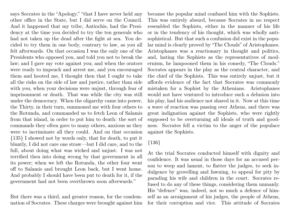says Socrates in the "Apology," "that I have never held any other office in the State, but I did serve on the Council. And it happened that my tribe, Antiochis, had the Presidency at the time you decided to try the ten generals who had not taken up the dead after the fight at sea. You decided to try them in one body, contrary to law, as you all felt afterwards. On that occasion I was the only one of the Presidents who opposed you, and told you not to break the law; and I gave my vote against you; and when the orators were ready to impeach and arrest me, and you encouraged them and hooted me, I thought then that I ought to take all the risks on the side of law and justice, rather than side with you, when your decisions were unjust, through fear of imprisonment or death. That was while the city was still under the democracy. When the oligarchy came into power, the Thirty, in their turn, summoned me with four others to the Rotunda, and commanded us to fetch Leon of Salamis from that island, in order to put him to death: the sort of commands they often gave to many others, anxious as they were to incriminate all they could. And on that occasion {135} I showed not by words only, that for death, to put it bluntly, I did not care one straw—but I did care, and to the full, about doing what was wicked and unjust. I was not terrified then into doing wrong by that government in all its power; when we left the Rotunda, the other four went off to Salamis and brought Leon back, but I went home. And probably I should have been put to death for it, if the government had not been overthrown soon afterwards."

But there was a third, and greater reason, for the condemnation of Socrates. These charges were brought against him

because the popular mind confused him with the Sophists. This was entirely absurd, because Socrates in no respect resembled the Sophists, either in the manner of his life or in the tendency of his thought, which was wholly antisophistical. But that such a confusion did exist in the popular mind is clearly proved by "The Clouds" of Aristophanes. Aristophanes was a reactionary in thought and politics, and, hating the Sophists as the representatives of modernism, he lampooned them in his comedy, "The Clouds." Socrates appears in the play as the central character, and the chief of the Sophists. This was entirely unjust, but it affords evidence of the fact that Socrates was commonly mistaken for a Sophist by the Athenians. Aristophanes would not have ventured to introduce such a delusion into his play, had his audience not shared in it. Now at this time a wave of reaction was passing over Athens, and there was great indignation against the Sophists, who were rightly supposed to be overturning all ideals of truth and goodness. Socrates fell a victim to the anger of the populace against the Sophists.

### {136}

At the trial Socrates conducted himself with dignity and confidence. It was usual in those days for an accused person to weep and lament, to flatter the judges, to seek indulgence by grovelling and fawning, to appeal for pity by parading his wife and children in the court. Socrates refused to do any of these things, considering them unmanly. His "defence" was, indeed, not so much a defence of himself as an arraignment of his judges, the people of Athens, for their corruption and vice. This attitude of Socrates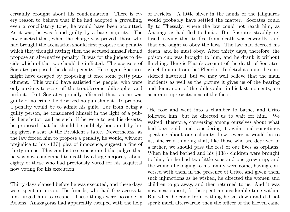certainly brought about his condemnation. There is every reason to believe that if he had adopted a grovelling, even a conciliatory tone, he would have been acquitted. As it was, he was found guilty by a bare majority. The law enacted that, when the charge was proved, those who had brought the accusation should first propose the penalty which they thought fitting; then the accused himself should propose an alternative penalty. It was for the judges to decide which of the two should be inflicted. The accusers of Socrates proposed the death-penalty. Here again Socrates might have escaped by proposing at once some petty punishment. This would have satisfied the people, who were only anxious to score off the troublesome philosopher and pedant. But Socrates proudly affirmed that, as he was guilty of no crime, he deserved no punishment. To propose a penalty would be to admit his guilt. Far from being a guilty person, he considered himself in the light of a public benefactor, and as such, if he were to get his deserts, he proposed that he should be publicly honoured by being given a seat at the President's table. Nevertheless, as the law forced him to propose a penalty, he would, without prejudice to his {137} plea of innocence, suggest a fine of thirty minas. This conduct so exasperated the judges that he was now condemned to death by a large majority, about eighty of those who had previously voted for his acquittal now voting for his execution.

Thirty days elapsed before he was executed, and these days were spent in prison. His friends, who had free access to him, urged him to escape. These things were possible in Athens. Anaxagoras had apparently escaped with the help of Pericles. A little silver in the hands of the jailguards would probably have settled the matter. Socrates could fly to Thessaly, where the law could not reach him, as Anaxagoras had fled to Ionia. But Socrates steadily refused, saying that to flee from death was cowardly, and that one ought to obey the laws. The law had decreed his death, and he must obey. After thirty days, therefore, the poison cup was brought to him, and he drank it without flinching. Here is Plato's account of the death of Socrates, which I quote from the "Phaedo." In detail it cannot be considered historical, but we may well believe that the main incidents as well as the picture it gives us of the bearing and demeanour of the philosopher in his last moments, are accurate representations of the facts.

"He rose and went into a chamber to bathe, and Crito followed him, but he directed us to wait for him. We waited, therefore, conversing among ourselves about what had been said, and considering it again, and sometimes speaking about our calamity, how severe it would be to us, sincerely thinking that, like those who are deprived of a father, we should pass the rest of our lives as orphans. When he had bathed and his {138} children were brought to him, for he had two little sons and one grown up, and the women belonging to his family were come, having conversed with them in the presence of Crito, and given them such injunctions as he wished, he directed the women and children to go away, and then returned to us. And it was now near sunset; for he spent a considerable time within. But when he came from bathing he sat down and did not speak much afterwards: then the officer of the Eleven came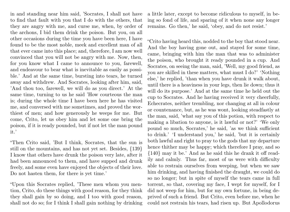in and standing near him said, 'Socrates, I shall not have to find that fault with you that I do with the others, that they are angry with me, and curse me, when, by order of the archons, I bid them drink the poison. But you, on all other occasions during the time you have been here, I have found to be the most noble, meek and excellent man of all that ever came into this place; and, therefore, I am now well convinced that you will not be angry with me. Now, then, for you know what I came to announce to you, farewell, and endeavour to bear what is inevitable as easily as possible.' And at the same time, bursting into tears, he turned away and withdrew. And Socrates, looking after him, said, 'And thou too, farewell, we will do as you direct.' At the same time, turning to us he said 'How courteous the man is; during the whole time I have been here he has visited me, and conversed with me sometimes, and proved the worthiest of men; and how generously he weeps for me. But come, Crito, let us obey him and let some one bring the poison, if it is ready pounded, but if not let the man pound it.'

"Then Crito said, 'But I think, Socrates, that the sun is still on the mountains, and has not yet set. Besides, {139} I know that others have drunk the poison very late, after it had been announced to them, and have supped and drunk freely, and some even have enjoyed the objects of their love. Do not hasten them, for there is yet time.'

"Upon this Socrates replied, 'These men whom you mention, Crito, do these things with good reason, for they think they shall gain by so doing, and I too with good reason, shall not do so; for I think I shall gain nothing by drinking a little later, except to become ridiculous to myself, in being so fond of life, and sparing of it when none any longer remains. Go then,' he said, 'obey, and do not resist.'

"Crito having heard this, nodded to the boy that stood near. And the boy having gone out, and stayed for some time, came, bringing with him the man that was to administer the poison, who brought it ready pounded in a cup. And Socrates, on seeing the man, said, 'Well, my good friend, as you are skilled in these matters, what must I do?' 'Nothing else,' he replied, 'than when you have drunk it walk about, until there is a heaviness in your legs, then lie down; thus it will do its purpose.' And at the same time he held out the cup to Socrates. And he having received it very cheerfully, Echecrates, neither trembling, nor changing at all in colour or countenance, but, as he was wont, looking steadfastly at the man, said, 'what say you of this potion, with respect to making a libation to anyone, is it lawful or not?' 'We only pound so much, Socrates,' he said, 'as we think sufficient to drink.' 'I understand you,' he said, 'but it is certainly both lawful and right to pray to the gods that my departure hence thither may be happy; which therefore I pray, and so {140} may it be.' And as he said this he drank it off readily and calmly. Thus far, most of us were with difficulty able to restrain ourselves from weeping, but when we saw him drinking, and having finished the draught, we could do so no longer; but in spite of myself the tears came in full torrent, so that, covering my face, I wept for myself, for I did not weep for him, but for my own fortune, in being deprived of such a friend. But Crito, even before me, when he could not restrain his tears, had risen up. But Apollodorus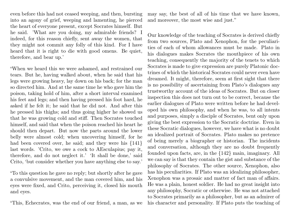even before this had not ceased weeping, and then, bursting into an agony of grief, weeping and lamenting, he pierced the heart of everyone present, except Socrates himself. But he said. 'What are you doing, my admirable friends? I indeed, for this reason chiefly, sent away the women, that they might not commit any folly of this kind. For I have heard that it is right to die with good omens. Be quiet, therefore, and bear up.'

"When we heard this we were ashamed, and restrained our tears. But he, having walked about, when he said that his legs were growing heavy, lay down on his back; for the man so directed him. And at the same time he who gave him the poison, taking hold of him, after a short interval examined his feet and legs; and then having pressed his foot hard, he asked if he felt it; he said that he did not. And after this he pressed his thighs; and thus going higher he showed us that he was growing cold and stiff. Then Socrates touched himself, and said that when the poison reached his heart he should then depart. But now the parts around the lower belly were almost cold; when uncovering himself, for he had been covered over, he said; and they were his  $\{141\}$ last words. 'Crito, we owe a cock to AEsculapius; pay it, therefore, and do not neglect it.' 'It shall be done,' said Crito, 'but consider whether you have anything else to say.'

"To this question he gave no reply; but shortly after he gave a convulsive movement, and the man covered him, and his eyes were fixed, and Crito, perceiving it, closed his mouth and eyes.

"This, Echecrates, was the end of our friend, a man, as we

may say, the best of all of his time that we have known, and moreover, the most wise and just."

Our knowledge of the teaching of Socrates is derived chiefly from two sources, Plato and Xenophon, for the peculiarities of each of whom allowances must be made. Plato in his dialogues makes Socrates the mouthpiece of his own teaching, consequently the majority of the tenets to which Socrates is made to give expression are purely Platonic doctrines of which the historical Socrates could never even have dreamed. It might, therefore, seem at first sight that there is no possibility of ascertaining from Plato's dialogues any trustworthy account of the ideas of Socrates. But on closer inspection this does not turn out to be correct, because the earlier dialogues of Plato were written before he had developed his own philosophy, and when he was, to all intents and purposes, simply a disciple of Socrates, bent only upon giving the best expression to the Socratic doctrine. Even in these Socratic dialogues, however, we have what is no doubt an idealized portrait of Socrates. Plato makes no pretence of being merely a biographer or historian. The incidents and conversation, although they are no doubt frequently founded upon facts, are, in the {142} main, imaginary. All we can say is that they contain the gist and substance of the philosophy of Socrates. The other source, Xenophon, also has his peculiarities. If Plato was an idealizing philosopher, Xenophon was a prosaic and matter of fact man of affairs. He was a plain, honest soldier. He had no great insight into any philosophy, Socratic or otherwise. He was not attached to Socrates primarily as a philosopher, but as an admirer of his character and personality. If Plato puts the teaching of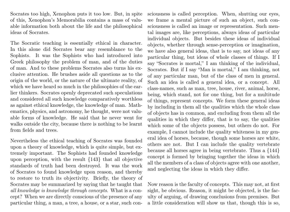Socrates too high, Xenophon puts it too low. But, in spite of this, Xenophon's Memorabilia contains a mass of valuable information both about the life and the philosophical ideas of Socrates.

The Socratic teaching is essentially ethical in character. In this alone did Socrates bear any resemblance to the Sophists. It was the Sophists who had introduced into Greek philosophy the problem of man, and of the duties of man. And to these problems Socrates also turns his exclusive attention. He brushes aside all questions as to the origin of the world, or the nature of the ultimate reality, of which we have heard so much in the philosophies of the earlier thinkers. Socrates openly deprecated such speculations and considered all such knowledge comparatively worthless as against ethical knowledge, the knowledge of man. Mathematics, physics, and astronomy, he thought, were not valuable forms of knowledge. He said that he never went for walks outside the city, because there is nothing to be learnt from fields and trees.

Nevertheless the ethical teaching of Socrates was founded upon a theory of knowledge, which is quite simple, but extremely important. The Sophists had founded knowledge upon perception, with the result {143} that all objective standards of truth had been destroyed. It was the work of Socrates to found knowledge upon reason, and thereby to restore to truth its objectivity. Briefly, the theory of Socrates may be summarized by saying that he taught that all knowledge is knowledge through concepts. What is a concept? When we are directly conscious of the presence of any particular thing, a man, a tree, a house, or a star, such consciousness is called perception. When, shutting our eyes, we frame a mental picture of such an object, such consciousness is called an image or representation. Such mental images are, like perceptions, always ideas of particular individual objects. But besides these ideas of individual objects, whether through sense-perception or imagination, we have also general ideas, that is to say, not ideas of any particular thing, but ideas of whole classes of things. If I say "Socrates is mortal," I am thinking of the individual, Socrates. But if I say "Man is mortal," I am thinking, not of any particular man, but of the class of men in general. Such an idea is called a general idea, or a concept. All class-names, such as man, tree, house, river, animal, horse, being, which stand, not for one thing, but for a multitude of things, represent concepts. We form these general ideas by including in them all the qualities which the whole class of objects has in common, and excluding from them all the qualities in which they differ, that is to say, the qualities which some of the objects possess, but others do not. For example, I cannot include the quality whiteness in my general idea of horses, because, though some horses are white, others are not. But I can include the quality vertebrate because all horses agree in being vertebrate. Thus a {144} concept is formed by bringing together the ideas in which all the members of a class of objects agree with one another, and neglecting the ideas in which they differ.

Now reason is the faculty of concepts. This may not, at first sight, be obvious. Reason, it might be objected, is the faculty of arguing, of drawing conclusions from premises. But a little consideration will show us that, though this is so,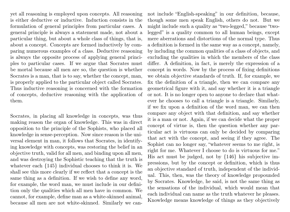yet all reasoning is employed upon concepts. All reasoning is either deductive or inductive. Induction consists in the formulation of general principles from particular cases. A general principle is always a statement made, not about a particular thing, but about a whole class of things, that is, about a concept. Concepts are formed inductively by comparing numerous examples of a class. Deductive reasoning is always the opposite process of applying general principles to particular cases. If we argue that Socrates must be mortal because all men are so, the question is whether Socrates is a man, that is to say, whether the concept, man, is properly applied to the particular object called Socrates. Thus inductive reasoning is concerned with the formation of concepts, deductive reasoning with the application of them.

Socrates, in placing all knowledge in concepts, was thus making reason the organ of knowledge. This was in direct opposition to the principle of the Sophists, who placed all knowledge in sense-perception. Now since reason is the universal element in man, it follows that Socrates, in identifying knowledge with concepts, was restoring the belief in an objective truth, valid for all men, and binding upon all men, and was destroying the Sophistic teaching that the truth is whatever each {145} individual chooses to think it is. We shall see this more clearly if we reflect that a concept is the same thing as a definition. If we wish to define any word, for example, the word man, we must include in our definition only the qualities which all men have in common. We cannot, for example, define man as a white-skinned animal, because all men are not white-skinned. Similarly we cannot include "English-speaking" in our definition, because, though some men speak English, others do not. But we might include such a quality as "two-legged," because "twolegged" is a quality common to all human beings, except mere aberrations and distortions of the normal type. Thus a definition is formed in the same way as a concept, namely, by including the common qualities of a class of objects, and excluding the qualities in which the members of the class differ. A definition, in fact, is merely the expression of a concept in words. Now by the process of fixing definitions we obtain objective standards of truth. If, for example, we fix the definition of a triangle, then we can compare any geometrical figure with it, and say whether it is a triangle or not. It is no longer open to anyone to declare that whatever he chooses to call a triangle is a triangle. Similarly, if we fix upon a definition of the word man, we can then compare any object with that definition, and say whether it is a man or not. Again, if we can decide what the proper concept of virtue is, then the question whether any particular act is virtuous can only be decided by comparing that act with the concept, and seeing if they agree. The Sophist can no longer say, "whatever seems to me right, is right for me. Whatever I choose to do is virtuous for me." His act must be judged, not by {146} his subjective impressions, but by the concept or definition, which is thus an objective standard of truth, independent of the individual. This, then, was the theory of knowledge propounded by Socrates. Knowledge, he said, is not the same thing as the sensations of the individual, which would mean that each individual can name as the truth whatever he pleases. Knowledge means knowledge of things as they objectively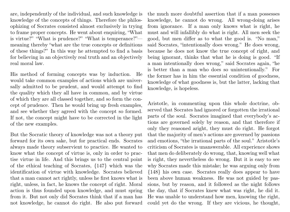are, independently of the individual, and such knowledge is knowledge of the concepts of things. Therefore the philosophizing of Socrates consisted almost exclusively in trying to frame proper concepts. He went about enquiring, "What is virtue?" "What is prudence?" "What is temperance?" meaning thereby "what are the true concepts or definitions of these things?" In this way he attempted to find a basis for believing in an objectively real truth and an objectively real moral law.

His method of forming concepts was by induction. He would take common examples of actions which are universally admitted to be prudent, and would attempt to find the quality which they all have in common, and by virtue of which they are all classed together, and so form the concept of prudence. Then he would bring up fresh examples, and see whether they agreed with the concept so formed. If not, the concept might have to be corrected in the light of the new examples.

But the Socratic theory of knowledge was not a theory put forward for its own sake, but for practical ends. Socrates always made theory subservient to practice. He wanted to know what the concept of virtue is, only in order to practise virtue in life. And this brings us to the central point of the ethical teaching of Socrates, {147} which was the identification of virtue with knowledge. Socrates believed that a man cannot act rightly, unless he first knows what is right, unless, in fact, he knows the concept of right. Moral action is thus founded upon knowledge, and must spring from it. But not only did Socrates think that if a man has not knowledge, he cannot do right. He also put forward the much more doubtful assertion that if a man possesses knowledge, he cannot do wrong. All wrong-doing arises from ignorance. If a man only knows what is right, he must and will infallibly do what is right. All men seek the good, but men differ as to what the good is. "No man," said Socrates, "intentionally does wrong." He does wrong, because he does not know the true concept of right, and being ignorant, thinks that what he is doing is good. "If a man intentionally does wrong," said Socrates again, "he is better than a man who does so unintentionally." For the former has in him the essential condition of goodness, knowledge of what goodness is, but the latter, lacking that knowledge, is hopeless.

Aristotle, in commenting upon this whole doctrine, observed that Socrates had ignored or forgotten the irrational parts of the soul. Socrates imagined that everybody's actions are governed solely by reason, and that therefore if only they reasoned aright, they must do right. He forgot that the majority of men's actions are governed by passions and emotions, "the irrational parts of the soul." Aristotle's criticism of Socrates is unanswerable. All experience shows that men do deliberately do wrong, that, knowing well what is right, they nevertheless do wrong. But it is easy to see why Socrates made this mistake; he was arguing only from {148} his own case. Socrates really does appear to have been above human weakness. He was not guided by passions, but by reason, and it followed as the night follows the day, that if Socrates knew what was right, he did it. He was unable to understand how men, knowing the right, could yet do the wrong. If they are vicious, he thought,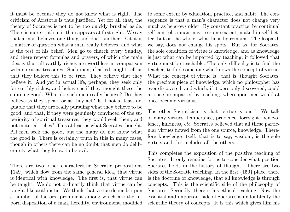it must be because they do not know what is right. The criticism of Aristotle is thus justified. Yet for all that, the theory of Socrates is not to be too quickly brushed aside. There is more truth in it than appears at first sight. We say that a man believes one thing and does another. Yet it is a matter of question what a man really believes, and what is the test of his belief. Men go to church every Sunday, and there repeat formulas and prayers, of which the main idea is that all earthly riches are worthless in comparison with spiritual treasures. Such men, if asked, might tell us that they believe this to be true. They believe that they believe it. And yet in actual life, perhaps, they seek only for earthly riches, and behave as if they thought these the supreme good. What do such men really believe? Do they believe as they speak, or as they act? Is it not at least arguable that they are really pursuing what they believe to be good, and that, if they were genuinely convinced of the superiority of spiritual treasures, they would seek them, and not material riches? This at least is what Socrates thought. All men seek the good, but the many do not know what the good is. There is certainly truth in this in many cases, though in others there can be no doubt that men do deliberately what they know to be evil.

There are two other characteristic Socratic propositions {149} which flow from the same general idea, that virtue is identical with knowledge. The first is, that virtue can be taught. We do not ordinarily think that virtue can be taught like arithmetic. We think that virtue depends upon a number of factors, prominent among which are the inborn disposition of a man, heredity, environment, modified to some extent by education, practice, and habit. The consequence is that a man's character does not change very much as he grows older. By constant practice, by continual self-control, a man may, to some extent, make himself better, but on the whole, what he is he remains. The leopard, we say, does not change his spots. But as, for Socrates, the sole condition of virtue is knowledge, and as knowledge is just what can be imparted by teaching, it followed that virtue must be teachable. The only difficulty is to find the teacher, to find some one who knows the concept of virtue. What the concept of virtue is—that is, thought Socrates, the precious piece of knowledge, which no philosopher has ever discovered, and which, if it were only discovered, could at once be imparted by teaching, whereupon men would at once become virtuous.

The other Socraticism is that "virtue is one." We talk of many virtues, temperance, prudence, foresight, benevolence, kindness, etc. Socrates believed that all these particular virtues flowed from the one source, knowledge. Therefore knowledge itself, that is to say, wisdom, is the sole virtue, and this includes all the others.

This completes the exposition of the positive teaching of Socrates. It only remains for us to consider what position Socrates holds in the history of thought. There are two sides of the Socratic teaching. In the first {150} place, there is the doctrine of knowledge, that all knowledge is through concepts. This is the scientific side of the philosophy of Socrates. Secondly, there is his ethical teaching. Now the essential and important side of Socrates is undoubtedly the scientific theory of concepts. It is this which gives him his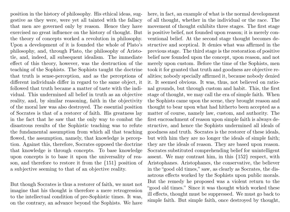position in the history of philosophy. His ethical ideas, suggestive as they were, were yet all tainted with the fallacy that men are governed only by reason. Hence they have exercised no great influence on the history of thought. But the theory of concepts worked a revolution in philosophy. Upon a development of it is founded the whole of Plato's philosophy, and, through Plato, the philosophy of Aristotle, and, indeed, all subsequent idealism. The immediate effect of this theory, however, was the destruction of the teaching of the Sophists. The Sophists taught the doctrine that truth is sense-perception, and as the perceptions of different individuals differ in regard to the same object, it followed that truth became a matter of taste with the individual. This undermined all belief in truth as an objective reality, and, by similar reasoning, faith in the objectivity of the moral law was also destroyed. The essential position of Socrates is that of a restorer of faith. His greatness lay in the fact that he saw that the only way to combat the disastrous results of the Sophistic teaching was to refute the fundamental assumption from which all that teaching flowed, the assumption, namely, that knowledge is perception. Against this, therefore, Socrates opposed the doctrine that knowledge is through concepts. To base knowledge upon concepts is to base it upon the universality of reason, and therefore to restore it from the {151} position of a subjective seeming to that of an objective reality.

But though Socrates is thus a restorer of faith, we must not imagine that his thought is therefore a mere retrogression to the intellectual condition of pre-Sophistic times. It was, on the contrary, an advance beyond the Sophists. We have

here, in fact, an example of what is the normal development of all thought, whether in the individual or the race. The movement of thought exhibits three stages. The first stage is positive belief, not founded upon reason; it is merely conventional belief. At the second stage thought becomes destructive and sceptical. It denies what was affirmed in the previous stage. The third stage is the restoration of positive belief now founded upon the concept, upon reason, and not merely upon custom. Before the time of the Sophists, men took it for granted that truth and goodness are objective realities; nobody specially affirmed it, because nobody denied it. It seemed obvious. It was, thus, not believed on rational grounds, but through custom and habit. This, the first stage of thought, we may call the era of simple faith. When the Sophists came upon the scene, they brought reason and thought to bear upon what had hitherto been accepted as a matter of course, namely law, custom, and authority. The first encroachment of reason upon simple faith is always destructive, and hence the Sophists undermined all ideals of goodness and truth. Socrates is the restorer of these ideals, but with him they are no longer the ideals of simple faith; they are the ideals of reason. They are based upon reason. Socrates substituted comprehending belief for unintelligent assent. We may contrast him, in this {152} respect, with Aristophanes. Aristophanes, the conservative, the believer in the "good old times," saw, as clearly as Socrates, the disastrous effects worked by the Sophists upon public morals. But the remedy he proposed was a violent return to the "good old times." Since it was thought which worked these ill effects, thought must be suppressed. We must go back to simple faith. But simple faith, once destroyed by thought,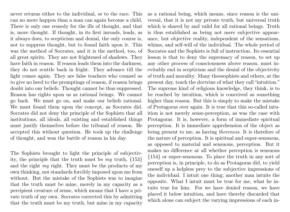never returns either to the individual, or to the race. This can no more happen than a man can again become a child. There is only one remedy for the ills of thought, and that is, more thought. If thought, in its first inroads, leads, as it always does, to scepticism and denial, the only course is, not to suppress thought, but to found faith upon it. This was the method of Socrates, and it is the method, too, of all great spirits. They are not frightened of shadows. They have faith in reason. If reason leads them into the darkness, they do not scuttle back in fright. They advance till the light comes again. They are false teachers who counsel us to give no heed to the promptings of reason, if reason brings doubt into our beliefs. Thought cannot be thus suppressed. Reason has rights upon us as rational beings. We cannot go back. We must go on, and make our beliefs rational. We must found them upon the concept, as Socrates did. Socrates did not deny the principle of the Sophists that all institutions, all ideals, all existing and established things must justify themselves before the tribunal of reason. He accepted this without question. He took up the challenge of thought, and won the battle of reason in his day.

The Sophists brought to light the principle of subjectivity, the principle that the truth must be  $my$  truth,  $\{153\}$ and the right  $my$  right. They must be the products of my own thinking, not standards forcibly imposed upon me from without. But the mistake of the Sophists was to imagine that the truth must be mine, merely in my capacity as a percipient creature of sense, which means that I have a private truth of my own. Socrates corrected this by admitting that the truth must be my truth, but mine in my capacity

as a rational being, which means, since reason is the universal, that it is not my private truth, but universal truth which is shared by and valid for all rational beings. Truth is thus established as being not mere subjective appearance, but objective reality, independent of the sensations, whims, and self-will of the individual. The whole period of Socrates and the Sophists is full of instruction. Its essential lesson is that to deny the supremacy of reason, to set up any other process of consciousness above reason, must inevitably end in scepticism and the denial of the objectivity of truth and morality. Many theosophists and others, at the present day, teach the doctrine of what they call "intuition." The supreme kind of religious knowledge, they think, is to be reached by intuition, which is conceived as something higher than reason. But this is simply to make the mistake of Protagoras over again. It is true that this so-called intuition is not merely sense-perception, as was the case with Protagoras. It is, however, a form of immediate spiritual perception. It is immediate apprehension of the object as being present to me, as having thereness. It is therefore of the nature of perception. It is spiritual and super-sensuous, as opposed to material and sensuous, perception. But it makes no difference at all whether perception is sensuous {154} or super-sensuous. To place the truth in any sort of perception is, in principle, to do as Protagoras did, to yield oneself up a helpless prey to the subjective impressions of the individual. I intuit one thing; another man intuits the opposite. What I intuit must be true for me, what he intuits true for him. For we have denied reason, we have placed it below intuition, and have thereby discarded that which alone can subject the varying impressions of each in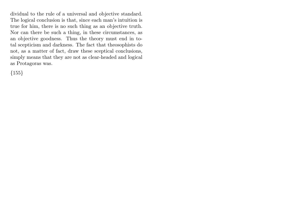dividual to the rule of a universal and objective standard. The logical conclusion is that, since each man's intuition is true for him, there is no such thing as an objective truth. Nor can there be such a thing, in these circumstances, as an objective goodness. Thus the theory must end in total scepticism and darkness. The fact that theosophists do not, as a matter of fact, draw these sceptical conclusions, simply means that they are not as clear-headed and logical as Protagoras was.

 ${155}$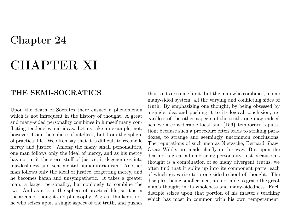# Chapter 24

# CHAPTER XI

# THE SEMI-SOCRATICS

Upon the death of Socrates there ensued a phenomenon which is not infrequent in the history of thought. A great and many-sided personality combines in himself many conflicting tendencies and ideas. Let us take an example, not, however, from the sphere of intellect, but from the sphere of practical life. We often say that it is difficult to reconcile mercy and justice. Among the many small personalities, one man follows only the ideal of mercy, and as his mercy has not in it the stern stuff of justice, it degenerates into mawkishness and sentimental humanitarianism. Another man follows only the ideal of justice, forgetting mercy, and he becomes harsh and unsympathetic. It takes a greater man, a larger personality, harmoniously to combine the two. And as it is in the sphere of practical life, so it is in the arena of thought and philosophy. A great thinker is not he who seizes upon a single aspect of the truth, and pushes

that to its extreme limit, but the man who combines, in one many-sided system, all the varying and conflicting sides of truth. By emphasizing one thought, by being obsessed by a single idea and pushing it to its logical conclusion, regardless of the other aspects of the truth, one may indeed achieve a considerable local and {156} temporary reputation; because such a procedure often leads to striking paradoxes, to strange and seemingly uncommon conclusions. The reputations of such men as Nietzsche, Bernard Shaw, Oscar Wilde, are made chiefly in this way. But upon the death of a great all-embracing personality, just because his thought is a combination of so many divergent truths, we often find that it splits up into its component parts, each of which gives rise to a one-sided school of thought. The disciples, being smaller men, are not able to grasp the great man's thought in its wholeness and many-sidedness. Each disciple seizes upon that portion of his master's teaching which has most in common with his own temperament,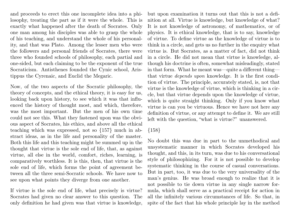and proceeds to erect this one incomplete idea into a philosophy, treating the part as if it were the whole. This is exactly what happened after the death of Socrates. Only one man among his disciples was able to grasp the whole of his teaching, and understand the whole of his personality, and that was Plato. Among the lesser men who were the followers and personal friends of Socrates, there were three who founded schools of philosophy, each partial and one-sided, but each claiming to be the exponent of the true Socraticism. Antisthenes founded the Cynic school, Aristippus the Cyrenaic, and Euclid the Megaric.

Now, of the two aspects of the Socratic philosophy, the theory of concepts, and the ethical theory, it is easy for us, looking back upon history, to see which it was that influenced the history of thought most, and which, therefore, was the most important. But the men of his own time could not see this. What they fastened upon was the obvious aspect of Socrates, his ethics, and above all the ethical teaching which was expressed, not so {157} much in abstract ideas, as in the life and personality of the master. Both this life and this teaching might be summed up in the thought that virtue is the sole end of life, that, as against virtue, all else in the world, comfort, riches, learning, is comparatively worthless. It is this, then, that virtue is the sole end of life, which forms the point of agreement between all the three semi-Socratic schools. We have now to see upon what points they diverge from one another.

If virtue is the sole end of life, what precisely is virtue? Socrates had given no clear answer to this question. The only definition he had given was that virtue is knowledge,

but upon examination it turns out that this is not a definition at all. Virtue is knowledge, but knowledge of what? It is not knowledge of astronomy, of mathematics, or of physics. It is ethical knowledge, that is to say, knowledge of virtue. To define virtue as the knowledge of virtue is to think in a circle, and gets us no further in the enquiry what virtue is. But Socrates, as a matter of fact, did not think in a circle. He did not mean that virtue is knowledge, although his doctrine is often, somewhat misleadingly, stated in that form. What he meant was—quite a different thing that virtue depends upon knowledge. It is the first condition of virtue. The principle, accurately stated, is, not that virtue is the knowledge of virtue, which is thinking in a circle, but that virtue depends upon the knowledge of virtue, which is quite straight thinking. Only if you know what virtue is can you be virtuous. Hence we have not here any definition of virtue, or any attempt to define it. We are still left with the question, "what is virtue?" unanswered.

## {158}

No doubt this was due in part to the unmethodical and unsystematic manner in which Socrates developed his thought, and this, in its turn, was due to his conversational style of philosophizing. For it is not possible to develop systematic thinking in the course of casual conversations. But in part, too, it was due to the very universality of the man's genius. He was broad enough to realize that it is not possible to tie down virtue in any single narrow formula, which shall serve as a practical receipt for action in all the infinitely various circumstances of life. So that, in spite of the fact that his whole principle lay in the method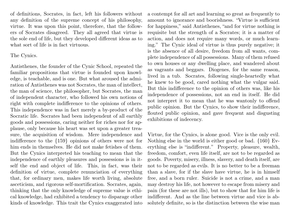of definitions, Socrates, in fact, left his followers without any definition of the supreme concept of his philosophy, virtue. It was upon this point, therefore, that the followers of Socrates disagreed. They all agreed that virtue is the sole end of life, but they developed different ideas as to what sort of life is in fact virtuous.

### The Cynics.

Antisthenes, the founder of the Cynic School, repeated the familiar propositions that virtue is founded upon knowledge, is teachable, and is one. But what aroused the admiration of Antisthenes was not Socrates, the man of intellect, the man of science, the philosopher, but Socrates, the man of independent character, who followed his own notions of right with complete indifference to the opinions of others. This independence was in fact merely a by-product of the Socratic life. Socrates had been independent of all earthly goods and possessions, caring neither for riches nor for applause, only because his heart was set upon a greater treasure, the acquisition of wisdom. Mere independence and indifference to the {159} opinions of others were not for him ends in themselves. He did not make fetishes of them. But the Cynics interpreted his teaching to mean that the independence of earthly pleasures and possessions is in itself the end and object of life. This, in fact, was their definition of virtue, complete renunciation of everything that, for ordinary men, makes life worth living, absolute asceticism, and rigorous self-mortification. Socrates, again, thinking that the only knowledge of supreme value is ethical knowledge, had exhibited a tendency to disparage other kinds of knowledge. This trait the Cynics exaggerated into

a contempt for all art and learning so great as frequently to amount to ignorance and boorishness. "Virtue is sufficient for happiness," said Antisthenes, "and for virtue nothing is requisite but the strength of a Socrates; it is a matter of action, and does not require many words, or much learning." The Cynic ideal of virtue is thus purely negative; it is the absence of all desire, freedom from all wants, complete independence of all possessions. Many of them refused to own houses or any dwelling place, and wandered about as vagrants and beggars. Diogenes, for the same reason, lived in a tub. Socrates, following single-heartedly what he knew to be good, cared nothing what the vulgar said. But this indifference to the opinion of others was, like his independence of possessions, not an end in itself. He did not interpret it to mean that he was wantonly to offend public opinion. But the Cynics, to show their indifference, flouted public opinion, and gave frequent and disgusting exhibitions of indecency.

Virtue, for the Cynics, is alone good. Vice is the only evil. Nothing else in the world is either good or bad. {160} Everything else is "indifferent." Property, pleasure, wealth, freedom, comfort, even life itself, are not to be regarded as goods. Poverty, misery, illness, slavery, and death itself, are not to be regarded as evils. It is no better to be a freeman than a slave, for if the slave have virtue, he is in himself free, and a born ruler. Suicide is not a crime, and a man may destroy his life, not however to escape from misery and pain (for these are not ills), but to show that for him life is indifferent. And as the line between virtue and vice is absolutely definite, so is the distinction between the wise man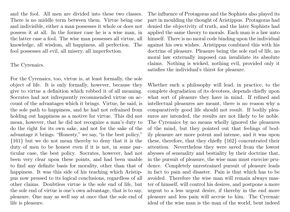and the fool. All men are divided into these two classes. There is no middle term between them. Virtue being one and indivisible, either a man possesses it whole or does not possess it at all. In the former case he is a wise man, in the latter case a fool. The wise man possesses all virtue, all knowledge, all wisdom, all happiness, all perfection. The fool possesses all evil, all misery, all imperfection.

### The Cyrenaics.

For the Cyrenaics, too, virtue is, at least formally, the sole object of life. It is only formally, however, because they give to virtue a definition which robbed it of all meaning. Socrates had not infrequently recommended virtue on account of the advantages which it brings. Virtue, he said, is the sole path to happiness, and he had not refrained from holding out happiness as a motive for virtue. This did not mean, however, that he did not recognize a man's duty to do the right for its own sake, and not for the sake of the advantage it brings. "Honesty," we say, "is the best policy," {161} but we do not mean thereby to deny that it is the duty of men to be honest even if it is not, in some particular case, the best policy. Socrates, however, had not been very clear upon these points, and had been unable to find any definite basis for morality, other than that of happiness. It was this side of his teaching which Aristippus now pressed to its logical conclusions, regardless of all other claims. Doubtless virtue is the sole end of life, but the sole end of virtue is one's own advantage, that is to say, pleasure. One may as well say at once that the sole end of life is pleasure.

The influence of Protagoras and the Sophists also played its part in moulding the thought of Aristippus. Protagoras had denied the objectivity of truth, and the later Sophists had applied the same theory to morals. Each man is a law unto himself. There is no moral code binding upon the individual against his own wishes. Aristippus combined this with his doctrine of pleasure. Pleasure being the sole end of life, no moral law externally imposed can invalidate its absolute claims. Nothing is wicked, nothing evil, provided only it satisfies the individual's thirst for pleasure.

Whether such a philosophy will lead, in practice, to the complete degradation of its devotees, depends chiefly upon what sort of pleasure they have in mind. If refined and intellectual pleasures are meant, there is no reason why a comparatively good life should not result. If bodily pleasures are intended, the results are not likely to be noble. The Cyrenaics by no means wholly ignored the pleasures of the mind, but they pointed out that feelings of bodily pleasure are more potent and intense, and it was upon these, therefore, that they chiefly {162} concentrated their attention. Nevertheless they were saved from the lowest abysses of sensuality and bestiality by their doctrine that, in the pursuit of pleasure, the wise man must exercise prudence. Completely unrestrained pursuit of pleasure leads in fact to pain and disaster. Pain is that which has to be avoided. Therefore the wise man will remain always master of himself, will control his desires, and postpone a more urgent to a less urgent desire, if thereby in the end more pleasure and less pain will accrue to him. The Cyrenaic ideal of the wise man is the man of the world, bent indeed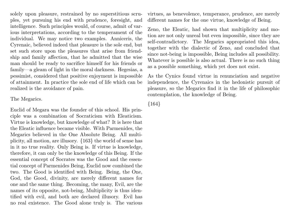solely upon pleasure, restrained by no superstitious scruples, yet pursuing his end with prudence, foresight, and intelligence. Such principles would, of course, admit of various interpretations, according to the temperament of the individual. We may notice two examples. Anniceris, the Cyrenaic, believed indeed that pleasure is the sole end, but set such store upon the pleasures that arise from friendship and family affection, that he admitted that the wise man should be ready to sacrifice himself for his friends or family—a gleam of light in the moral darkness. Hegesias, a pessimist, considered that positive enjoyment is impossible of attainment. In practice the sole end of life which can be realized is the avoidance of pain.

### The Megarics.

Euclid of Megara was the founder of this school. His principle was a combination of Socraticism with Eleaticism. Virtue is knowledge, but knowledge of what? It is here that the Eleatic influence became visible. With Parmenides, the Megarics believed in the One Absolute Being. All multiplicity, all motion, are illusory. {163} the world of sense has in it no true reality. Only Being is. If virtue is knowledge, therefore, it can only be the knowledge of this Being. If the essential concept of Socrates was the Good and the essential concept of Parmenides Being, Euclid now combined the two. The Good is identified with Being. Being, the One, God, the Good, divinity, are merely different names for one and the same thing. Becoming, the many, Evil, are the names of its opposite, not-being, Multiplicity is thus identified with evil, and both are declared illusory. Evil has no real existence. The Good alone truly is. The various

virtues, as benevolence, temperance, prudence, are merely different names for the one virtue, knowledge of Being.

Zeno, the Eleatic, had shown that multiplicity and motion are not only unreal but even impossible, since they are self-contradictory. The Megarics appropriated this idea, together with the dialectic of Zeno, and concluded that since not-being is impossible, Being includes all possibility. Whatever is possible is also actual. There is no such thing as a possible something, which yet does not exist.

As the Cynics found virtue in renunciation and negative independence, the Cyrenaics in the hedonistic pursuit of pleasure, so the Megarics find it in the life of philosophic contemplation, the knowledge of Being.

{164}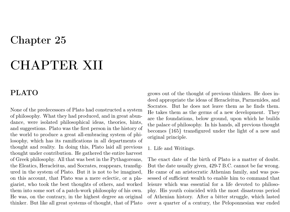# Chapter 25

# CHAPTER XII

# PLATO

None of the predecessors of Plato had constructed a system of philosophy. What they had produced, and in great abundance, were isolated philosophical ideas, theories, hints, and suggestions. Plato was the first person in the history of the world to produce a great all-embracing system of philosophy, which has its ramifications in all departments of thought and reality. In doing this, Plato laid all previous thought under contribution. He gathered the entire harvest of Greek philosophy. All that was best in the Pythagoreans, the Eleatics, Heracleitus, and Socrates, reappears, transfigured in the system of Plato. But it is not to be imagined, on this account, that Plato was a mere eclectic, or a plagiarist, who took the best thoughts of others, and worked them into some sort of a patch-work philosophy of his own. He was, on the contrary, in the highest degree an original thinker. But like all great systems of thought, that of Plato

grows out of the thought of previous thinkers. He does indeed appropriate the ideas of Heracleitus, Parmenides, and Socrates. But he does not leave them as he finds them. He takes them as the germs of a new development. They are the foundations, below ground, upon which he builds the palace of philosophy. In his hands, all previous thought becomes {165} transfigured under the light of a new and original principle.

1. Life and Writings.

The exact date of the birth of Plato is a matter of doubt. But the date usually given, 429-7 B.C. cannot be far wrong. He came of an aristocratic Athenian family, and was possessed of sufficient wealth to enable him to command that leisure which was essential for a life devoted to philosophy. His youth coincided with the most disastrous period of Athenian history. After a bitter struggle, which lasted over a quarter of a century, the Peloponnesian war ended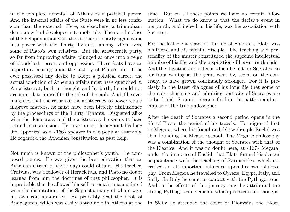in the complete downfall of Athens as a political power. And the internal affairs of the State were in no less confusion than the external. Here, as elsewhere, a triumphant democracy had developed into mob-rule. Then at the close of the Peloponnesian war, the aristocratic party again came into power with the Thirty Tyrants, among whom were some of Plato's own relatives. But the aristocratic party, so far from improving affairs, plunged at once into a reign of bloodshed, terror, and oppression. These facts have an important bearing upon the history of Plato's life. If he ever possessed any desire to adopt a political career, the actual condition of Athenian affairs must have quenched it. An aristocrat, both in thought and by birth, he could not accommodate himself to the rule of the mob. And if he ever imagined that the return of the aristocracy to power would improve matters, he must have been bitterly disillusioned by the proceedings of the Thirty Tyrants. Disgusted alike with the democracy and the aristocracy he seems to have retired into seclusion. He never once, throughout his long life, appeared as a {166} speaker in the popular assembly. He regarded the Athenian constitution as past help.

Not much is known of the philosopher's youth. He composed poems. He was given the best education that an Athenian citizen of those days could obtain. His teacher, Cratylus, was a follower of Heracleitus, and Plato no doubt learned from him the doctrines of that philosopher. It is improbable that he allowed himself to remain unacquainted with the disputations of the Sophists, many of whom were his own contemporaries. He probably read the book of Anaxagoras, which was easily obtainable in Athens at the

time. But on all these points we have no certain information. What we do know is that the decisive event in his youth, and indeed in his life, was his association with Socrates.

For the last eight years of the life of Socrates, Plato was his friend and his faithful disciple. The teaching and personality of the master constituted the supreme intellectual impulse of his life, and the inspiration of his entire thought. And the devotion and esteem which he felt for Socrates, so far from waning as the years went by, seem, on the contrary, to have grown continually stronger. For it is precisely in the latest dialogues of his long life that some of the most charming and admiring portraits of Socrates are to be found. Socrates became for him the pattern and exemplar of the true philosopher.

After the death of Socrates a second period opens in the life of Plato, the period of his travels. He migrated first to Megara, where his friend and fellow-disciple Euclid was then founding the Megaric school. The Megaric philosophy was a combination of the thought of Socrates with that of the Eleatics. And it was no doubt here, at {167} Megara, under the influence of Euclid, that Plato formed his deeper acquaintance with the teaching of Parmenides, which exercised an all-important influence upon his own philosophy. From Megara he travelled to Cyrene, Egypt, Italy, and Sicily. In Italy he came in contact with the Pythagoreans. And to the effects of this journey may be attributed the strong Pythagorean elements which permeate his thought.

In Sicily he attended the court of Dionysius the Elder,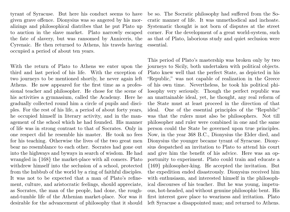tyrant of Syracuse. But here his conduct seems to have given grave offence. Dionysius was so angered by his moralizings and philosophical diatribes that he put Plato up to auction in the slave market. Plato narrowly escaped the fate of slavery, but was ransomed by Anniceris, the Cyrenaic. He then returned to Athens, his travels having occupied a period of about ten years.

With the return of Plato to Athens we enter upon the third and last period of his life. With the exception of two journeys to be mentioned shortly, he never again left Athens. He now appeared for the first time as a professional teacher and philosopher. He chose for the scene of his activities a gymnasium, called the Academy. Here he gradually collected round him a circle of pupils and disciples. For the rest of his life, a period of about forty years, he occupied himself in literary activity, and in the management of the school which he had founded. His manner of life was in strong contrast to that of Socrates. Only in one respect did he resemble his master. He took no fees for his teaching. Otherwise the lives of the two great men bear no resemblance to each other. Socrates had gone out into the highways and byways in search of wisdom. He had wrangled in {168} the market-place with all comers. Plato withdrew himself into the seclusion of a school, protected from the hubbub of the world by a ring of faithful disciples. It was not to be expected that a man of Plato's refinement, culture, and aristocratic feelings, should appreciate, as Socrates, the man of the people, had done, the roughand-tumble life of the Athenian market-place. Nor was it desirable for the advancement of philosophy that it should

be so. The Socratic philosophy had suffered from the Socratic manner of life. It was unmethodical and inchoate. Systematic thought is not born of disputes at the street corner. For the development of a great world-system, such as that of Plato, laborious study and quiet seclusion were essential.

This period of Plato's mastership was broken only by two journeys to Sicily, both undertaken with political objects. Plato knew well that the perfect State, as depicted in his "Republic," was not capable of realization in the Greece of his own time. Nevertheless, he took his political philosophy very seriously. Though the perfect republic was an unattainable ideal, yet, he thought, any real reform of the State must at least proceed in the direction of that ideal. One of the essential principles of the "Republic" was that the rulers must also be philosophers. Not till philosopher and ruler were combined in one and the same person could the State be governed upon true principles. Now, in the year 368 B.C., Dionysius the Elder died, and Dionysius the younger became tyrant of Syracuse. Dionysius despatched an invitation to Plato to attend his court and give him the benefit of his advice. Here was an opportunity to experiment. Plato could train and educate a {169} philosopher-king. He accepted the invitation. But the expedition ended disastrously. Dionysius received him with enthusiasm, and interested himself in the philosophical discourses of his teacher. But he was young, impetuous, hot-headed, and without genuine philosophic bent. His first interest gave place to weariness and irritation. Plato left Syracuse a disappointed man; and returned to Athens.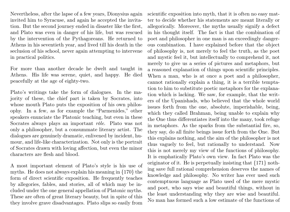Nevertheless, after the lapse of a few years, Dionysius again invited him to Syracuse, and again he accepted the invitation. But the second journey ended in disaster like the first, and Plato was even in danger of his life, but was rescued by the intervention of the Pythagoreans. He returned to Athens in his seventieth year, and lived till his death in the seclusion of his school, never again attempting to intervene in practical politics.

For more than another decade he dwelt and taught in Athens. His life was serene, quiet, and happy. He died peacefully at the age of eighty-two.

Plato's writings take the form of dialogues. In the majority of these, the chief part is taken by Socrates, into whose mouth Plato puts the exposition of his own philosophy. In a few, as for example the "Parmenides," other speakers enunciate the Platonic teaching, but even in these Socrates always plays an important rôle. Plato was not only a philosopher, but a consummate literary artist. The dialogues are genuinely dramatic, enlivened by incident, humour, and life-like characterization. Not only is the portrait of Socrates drawn with loving affection, but even the minor characters are flesh and blood.

A most important element of Plato's style is his use of myths. He does not always explain his meaning in {170} the form of direct scientific exposition. He frequently teaches by allegories, fables, and stories, all of which may be included under the one general appellation of Platonic myths. These are often of great literary beauty, but in spite of this they involve grave disadvantages. Plato slips so easily from

scientific exposition into myth, that it is often no easy matter to decide whether his statements are meant literally or allegorically. Moreover, the myths usually signify a defect in his thought itself. The fact is that the combination of poet and philosopher in one man is an exceedingly dangerous combination. I have explained before that the object of philosophy is, not merely to feel the truth, as the poet and mystic feel it, but intellectually to comprehend it, not merely to give us a series of pictures and metaphors, but a reasoned explanation of things upon scientific principles. When a man, who is at once a poet and a philosopher, cannot rationally explain a thing, it is a terrible temptation to him to substitute poetic metaphors for the explanation which is lacking. We saw, for example, that the writers of the Upanishads, who believed that the whole world issues forth from the one, absolute, imperishable, being, which they called Brahman, being unable to explain why the One thus differentiates itself into the many, took refuge in metaphors. As the sparks from the substantial fire, so, they say, do all finite beings issue forth from the One. But this explains nothing, and the aim of the philosopher is not thus vaguely to feel, but rationally to understand. Now this is not merely my view of the functions of philosophy. It is emphatically Plato's own view. In fact Plato was the originator of it. He is perpetually insisting that {171} nothing save full rational comprehension deserves the names of knowledge and philosophy. No writer has ever used such contemptuous language as Plato used of the mere mystic and poet, who says wise and beautiful things, without in the least understanding why they are wise and beautiful. No man has formed such a low estimate of the functions of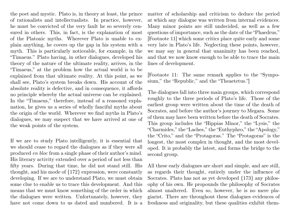the poet and mystic. Plato is, in theory at least, the prince of rationalists and intellectualists. In practice, however, he must be convicted of the very fault he so severely censured in others. This, in fact, is the explanation of most of the Platonic myths. Wherever Plato is unable to explain anything, he covers up the gap in his system with a myth. This is particularly noticeable, for example, in the "Timaeus." Plato having, in other dialogues, developed his theory of the nature of the ultimate reality, arrives, in the "Timaeus," at the problem how the actual world is to be explained from that ultimate reality. At this point, as we shall see, Plato's system breaks down. His account of the absolute reality is defective, and in consequence, it affords no principle whereby the actual universe can be explained. In the "Timaeus," therefore, instead of a reasoned explanation, he gives us a series of wholly fanciful myths about the origin of the world. Wherever we find myths in Plato's dialogues, we may suspect that we have arrived at one of the weak points of the system.

If we are to study Plato intelligently, it is essential that we should cease to regard the dialogues as if they were all produced en bloc from a single phase of their author's mind. His literary activity extended over a period of not less than fifty years. During that time, he did not stand still. His thought, and his mode of {172} expression, were constantly developing. If we are to understand Plato, we must obtain some clue to enable us to trace this development. And this means that we must know something of the order in which the dialogues were written. Unfortunately, however, they have not come down to us dated and numbered. It is a matter of scholarship and criticism to deduce the period at which any dialogue was written from internal evidences. Many minor points are still undecided, as well as a few questions of importance, such as the date of the "Phaedrus," [Footnote 11] which some critics place quite early and some very late in Plato's life. Neglecting these points, however, we may say in general that unanimity has been reached, and that we now know enough to be able to trace the main lines of development.

[Footnote 11: The same remark applies to the "Symposium," the "Republic," and the "Theaetetus."]

The dialogues fall into three main groups, which correspond roughly to the three periods of Plato's life. Those of the earliest group were written about the time of the death of Socrates, and before the author's journey to Megara. Some of them may have been written before the death of Socrates. This group includes the "Hippias Minor," the "Lysis," the "Charmides," the "Laches," the "Euthyphro," the "Apology," the "Crito," and the "Protagoras." The "Protagoras" is the longest, the most complex in thought, and the most developed. It is probably the latest, and forms the bridge to the second group.

All these early dialogues are short and simple, and are still, as regards their thought, entirely under the influence of Socrates. Plato has not as yet developed {173} any philosophy of his own. He propounds the philosophy of Socrates almost unaltered. Even so, however, he is no mere plagiarist. There are throughout these dialogues evidences of freshness and originality, but these qualities exhibit them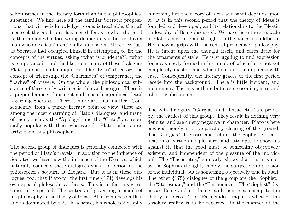selves rather in the literary form than in the philosophical substance. We find here all the familiar Socratic propositions, that virtue is knowledge, is one, is teachable; that all men seek the good, but that men differ as to what the good is; that a man who does wrong deliberately is better than a man who does it unintentionally; and so on. Moreover, just as Socrates had occupied himself in attempting to fix the concepts of the virtues, asking "what is prudence?", "what is temperance?", and the like, so in many of these dialogues Plato pursues similar inquiries. The "Lysis" discusses the concept of friendship, the "Charmides" of temperance, the "Laches" of bravery. On the whole, the philosophical substance of these early writings is thin and meagre. There is a preponderance of incident and much biographical detail regarding Socrates. There is more art than matter. Consequently, from a purely literary point of view, these are among the most charming of Plato's dialogues, and many of them, such as the "Apology" and the "Crito," are especially popular with those who care for Plato rather as an artist than as a philosopher.

The second group of dialogues is generally connected with the period of Plato's travels. In addition to the influence of Socrates, we have now the influence of the Eleatics, which naturally connects these dialogues with the period of the philosopher's sojourn at Megara. But it is in these dialogues, too, that Plato for the first time {174} develops his own special philosophical thesis. This is in fact his great constructive period. The central and governing principle of his philosophy is the theory of Ideas. All else hinges on this, and is dominated by this. In a sense, his whole philosophy

is nothing but the theory of Ideas and what depends upon it. It is in this second period that the theory of Ideas is founded and developed, and its relationship to the Eleatic philosophy of Being discussed. We have here the spectacle of Plato's most original thoughts in the pangs of childbirth. He is now at grips with the central problems of philosophy. He is intent upon the thought itself, and cares little for the ornaments of style. He is struggling to find expression for ideas newly-formed in his mind, of which he is not yet completely master, and which he cannot manipulate with ease. Consequently, the literary graces of the first period recede into the background. There is little incident, and no humour. There is nothing but close reasoning, hard and laborious discussion.

The twin dialogues, "Gorgias" and "Theaetetus" are probably the earliest of this group. They result in nothing very definite, and are chiefly negative in character. Plato is here engaged merely in a preparatory clearing of the ground. The "Gorgias" discusses and refutes the Sophistic identification of virtue and pleasure, and attempts to show, as against it, that the good must be something objectively existent, and independent of the pleasure of the individual. The "Theaetetus," similarly, shows that truth is not, as the Sophists thought, merely the subjective impression of the individual, but is something objectively true in itself. The other {175} dialogues of the group are the "Sophist," the "Statesman," and the "Parmenides." The "Sophist" discusses Being and not-being, and their relationship to the theory of Ideas. The "Parmenides" inquires whether the absolute reality is to be regarded, in the manner of the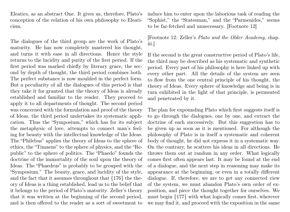Eleatics, as an abstract One. It gives us, therefore, Plato's conception of the relation of his own philosophy to Eleaticism.

The dialogues of the third group are the work of Plato's maturity. He has now completely mastered his thought, and turns it with ease in all directions. Hence the style returns to the lucidity and purity of the first period. If the first period was marked chiefly by literary grace, the second by depth of thought, the third period combines both. The perfect substance is now moulded in the perfect form. But a peculiarity of all the dialogues of this period is that they take it for granted that the theory of Ideas is already established and familiar to the reader. They proceed to apply it to all departments of thought. The second period was concerned with the formulation and proof of the theory of Ideas, the third period undertakes its systematic application. Thus the "Symposium," which has for its subject the metaphysic of love, attempts to connect man's feeling for beauty with the intellectual knowledge of the Ideas. The "Philebus" applies the theory of Ideas to the sphere of ethics, the "Timaeus" to the sphere of physics, and the "Republic" to the sphere of politics. The "Phaedo" founds the doctrine of the immortality of the soul upon the theory of Ideas. The "Phaedrus" is probably to be grouped with the "Symposium." The beauty, grace, and lucidity of the style, and the fact that it assumes throughout that {176} the theory of Ideas is a thing established, lead us to the belief that it belongs to the period of Plato's maturity. Zeller's theory that it was written at the beginning of the second period, and is then offered to the reader as a sort of sweetmeat to

induce him to enter upon the laborious task of reading the "Sophist," the "Statesman," and the "Parmenides," seems to be far-fetched and unnecessary. [Footnote 12]

[Footnote 12: Zeller's Plato and the Older Academy, chap. iii.]

If the second is the great constructive period of Plato's life, the third may be described as his systematic and synthetic period. Every part of his philosophy is here linked up with every other part. All the details of the system are seen to flow from the one central principle of his thought, the theory of Ideas. Every sphere of knowledge and being is in turn exhibited in the light of that principle, is permeated and penetrated by it.

The plan for expounding Plato which first suggests itself is to go through the dialogues, one by one, and extract the doctrine of each successively. But this suggestion has to be given up as soon as it is mentioned. For although the philosophy of Plato is in itself a systematic and coherent body of thought, he did not express it in a systematic way. On the contrary, he scatters his ideas in all directions. He throws them out at random in any order. What logically comes first often appears last. It may be found at the end of a dialogue, and the next step in reasoning may make its appearance at the beginning, or even in a totally different dialogue. If, therefore, we are to get any connected view of the system, we must abandon Plato's own order of exposition, and piece the thought together for ourselves. We must begin {177} with what logically comes first, wherever we may find it, and proceed with the exposition in the same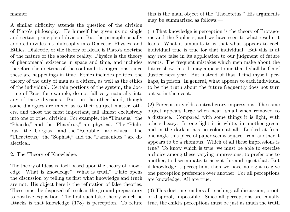manner.

A similar difficulty attends the question of the division of Plato's philosophy. He himself has given us no single and certain principle of division. But the principle usually adopted divides his philosophy into Dialectic, Physics, and Ethics. Dialectic, or the theory of Ideas, is Plato's doctrine of the nature of the absolute reality. Physics is the theory of phenomenal existence in space and time, and includes therefore the doctrine of the soul and its migrations, since these are happenings in time. Ethics includes politics, the theory of the duty of man as a citizen, as well as the ethics of the individual. Certain portions of the system, the doctrine of Eros, for example, do not fall very naturally into any of these divisions. But, on the other hand, though some dialogues are mixed as to their subject matter, others, and those the most important, fall almost exclusively into one or other division. For example, the "Timaeus," the "Phaedo," and the "Phaedrus," are physical. The "Philebus," the "Gorgias," and the "Republic," are ethical. The "Theaetetus," the "Sophist," and the "Parmenides," are dialectical.

2. The Theory of Knowledge.

The theory of Ideas is itself based upon the theory of knowledge. What is knowledge? What is truth? Plato opens the discussion by telling us first what knowledge and truth are not. His object here is the refutation of false theories. These must be disposed of to clear the ground preparatory to positive exposition. The first such false theory which he attacks is that knowledge {178} is perception. To refute

this is the main object of the "Theaetetus." His arguments may be summarized as follows:—

(1) That knowledge is perception is the theory of Protagoras and the Sophists, and we have seen to what results it leads. What it amounts to is that what appears to each individual true is true for that individual. But this is at any rate false in its application to our judgment of future events. The frequent mistakes which men make about the future show this. It may appear to me that I shall be Chief Justice next year. But instead of that, I find myself, perhaps, in prison. In general, what appears to each individual to be the truth about the future frequently does not turn out so in the event.

(2) Perception yields contradictory impressions. The same object appears large when near, small when removed to a distance. Compared with some things it is light, with others heavy. In one light it is white, in another green, and in the dark it has no colour at all. Looked at from one angle this piece of paper seems square, from another it appears to be a rhombus. Which of all these impressions is true? To know which is true, we must be able to exercise a choice among these varying impressions, to prefer one to another, to discriminate, to accept this and reject that. But if knowledge is perception, then we have no right to give one perception preference over another. For all perceptions are knowledge. All are true.

(3) This doctrine renders all teaching, all discussion, proof, or disproof, impossible. Since all perceptions are equally true, the child's perceptions must be just as much the truth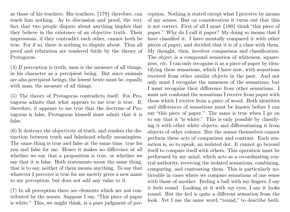as those of his teachers. His teachers, {179} therefore, can teach him nothing. As to discussion and proof, the very fact that two people dispute about anything implies that they believe in the existence of an objective truth. Their impressions, if they contradict each other, cannot both be true. For if so, there is nothing to dispute about. Thus all proof and refutation are rendered futile by the theory of Protagoras.

(4) If perception is truth, man is the measure of all things, in his character as a percipient being. But since animals are also percipient beings, the lowest brute must be, equally with man, the measure of all things.

(5) The theory of Protagoras contradicts itself. For Protagoras admits that what appears to me true is true. If, therefore, it appears to me true that the doctrine of Protagoras is false, Protagoras himself must admit that it is false.

(6) It destroys the objectivity of truth, and renders the distinction between truth and falsehood wholly meaningless. The same thing is true and false at the same time, true for you and false for me. Hence it makes no difference at all whether we say that a proposition is true, or whether we say that it is false. Both statements mean the same thing, that is to say, neither of them means anything. To say that whatever I perceive is true for me merely gives a new name to my perception, but does not add any value to it.

(7) In all perception there are elements which are not contributed by the senses. Suppose I say, "This piece of paper is white." This, we might think, is a pure judgment of perception. Nothing is stated except what I perceive by means of my senses. But on consideration it turns out that this is not correct. First of all I must {180} think "this piece of paper." Why do I call it paper? My doing so means that I have classified it. I have mentally compared it with other pieces of paper, and decided that it is of a class with them. My thought, then, involves comparison and classification. The object is a compound sensation of whiteness, squareness, etc. I can only recognise it as a piece of paper by identifying these sensations, which I have now, with sensations received from other similar objects in the past. And not only must I recognize the sameness of the sensations, but I must recognize their difference from other sensations. I must not confound the sensations I receive from paper with those which I receive from a piece of wood. Both identities and differences of sensations must be known before I can say "this piece of paper." The same is true when I go on to say that it "is white." This is only possible by classifying it with other white objects, and differentiating it from objects of other colours. But the senses themselves cannot perform these acts of comparison and contrast. Each sensation is, so to speak, an isolated dot. It cannot go beyond itself to compare itself with others. This operation must be performed by my mind, which acts as a co-ordinating central authority, receiving the isolated sensations, combining, comparing, and contrasting them. This is particularly noticeable in cases where we compare sensations of one sense with those of another. Feeling a ball with my fingers, I say it feels round. Looking at it with my eyes, I say it looks round. But the feel is quite a different sensation from the look. Yet I use the same word, "round," to describe both.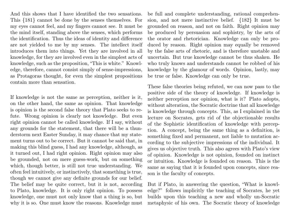And this shows that I have identified the two sensations. This {181} cannot be done by the senses themselves. For my eyes cannot feel, and my fingers cannot see. It must be the mind itself, standing above the senses, which performs the identification. Thus the ideas of identity and difference are not yielded to me by my senses. The intellect itself introduces them into things. Yet they are involved in all knowledge, for they are involved even in the simplest acts of knowledge, such as the proposition, "This is white." Knowledge, therefore, cannot consist simply of sense-impressions, as Protagoras thought, for even the simplest propositions contain more than sensation.

If knowledge is not the same as perception, neither is it, on the other hand, the same as opinion. That knowledge is opinion is the second false theory that Plato seeks to refute. Wrong opinion is clearly not knowledge. But even right opinion cannot be called knowledge. If I say, without any grounds for the statement, that there will be a thunderstorm next Easter Sunday, it may chance that my statement turns out to be correct. But it cannot be said that, in making this blind guess, I had any knowledge, although, as it turned out, I had right opinion. Right opinion may also be grounded, not on mere guess-work, but on something which, though better, is still not true understanding. We often feel intuitively, or instinctively, that something is true, though we cannot give any definite grounds for our belief. The belief may be quite correct, but it is not, according to Plato, knowledge. It is only right opinion. To possess knowledge, one must not only know that a thing is so, but why it is so. One must know the reasons. Knowledge must

be full and complete understanding, rational comprehension, and not mere instinctive belief. {182} It must be grounded on reason, and not on faith. Right opinion may be produced by persuasion and sophistry, by the arts of the orator and rhetorician. Knowledge can only be produced by reason. Right opinion may equally be removed by the false arts of rhetoric, and is therefore unstable and uncertain. But true knowledge cannot be thus shaken. He who truly knows and understands cannot be robbed of his knowledge by the glamour of words. Opinion, lastly, may be true or false. Knowledge can only be true.

These false theories being refuted, we can now pass to the positive side of the theory of knowledge. If knowledge is neither perception nor opinion, what is it? Plato adopts, without alteration, the Socratic doctrine that all knowledge is knowledge through concepts. This, as I explained in the lecture on Socrates, gets rid of the objectionable results of the Sophistic identification of knowledge with perception. A concept, being the same thing as a definition, is something fixed and permanent, not liable to mutation according to the subjective impressions of the individual. It gives us objective truth. This also agrees with Plato's view of opinion. Knowledge is not opinion, founded on instinct or intuition. Knowledge is founded on reason. This is the same as saying that it is founded upon concepts, since reason is the faculty of concepts.

But if Plato, in answering the question, "What is knowledge?" follows implicitly the teaching of Socrates, he yet builds upon this teaching a new and wholly un-Socratic metaphysic of his own. The Socratic theory of knowledge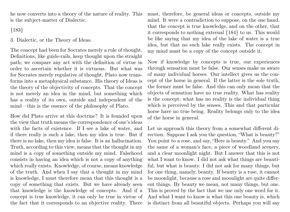he now converts into a theory of the nature of reality. This is the subject-matter of Dialectic.

{183}

3. Dialectic, or the Theory of Ideas.

The concept had been for Socrates merely a rule of thought. Definitions, like guide-rails, keep thought upon the straight path; we compare any act with the definition of virtue in order to ascertain whether it is virtuous. But what was for Socrates merely regulative of thought, Plato now transforms into a metaphysical substance. His theory of Ideas is the theory of the objectivity of concepts. That the concept is not merely an idea in the mind, but something which has a reality of its own, outside and independent of the mind—this is the essence of the philosophy of Plato.

How did Plato arrive at this doctrine? It is founded upon the view that truth means the correspondence of one's ideas with the facts of existence. If I see a lake of water, and if there really is such a lake, then my idea is true. But if there is no lake, then my idea is false. It is an hallucination. Truth, according to this view, means that the thought in my mind is a copy of something outside my mind. Falsehood consists in having an idea which is not a copy of anything which really exists. Knowledge, of course, means knowledge of the truth. And when I say that a thought in my mind is knowledge, I must therefore mean that this thought is a copy of something that exists. But we have already seen that knowledge is the knowledge of concepts. And if a concept is true knowledge, it can only be true in virtue of the fact that it corresponds to an objective reality. There

must, therefore, be general ideas or concepts, outside my mind. It were a contradiction to suppose, on the one hand, that the concept is true knowledge, and on the other, that it corresponds to nothing external {184} to us. This would be like saying that my idea of the lake of water is a true idea, but that no such lake really exists. The concept in my mind must be a copy of the concept outside it.

Now if knowledge by concepts is true, our experiences through sensation must be false. Our senses make us aware of many individual horses. Our intellect gives us the concept of the horse in general. If the latter is the sole truth, the former must be false. And this can only mean that the objects of sensation have no true reality. What has reality is the concept; what has no reality is the individual thing which is perceived by the senses. This and that particular horse have no true being. Reality belongs only to the idea of the horse in general.

Let us approach this theory from a somewhat different direction. Suppose I ask you the question, "What is beauty?" You point to a rose, and say, "Here is beauty." And you say the same of a woman's face, a piece of woodland scenery, and a clear moonlight night. But I answer that this is not what I want to know. I did not ask what things are beautiful, but what is beauty. I did not ask for many things, but for one thing, namely, beauty. If beauty is a rose, it cannot be moonlight, because a rose and moonlight are quite different things. By beauty we mean, not many things, but one. This is proved by the fact that we use only one word for it. And what I want to know is what this one beauty is, which is distinct from all beautiful objects. Perhaps you will say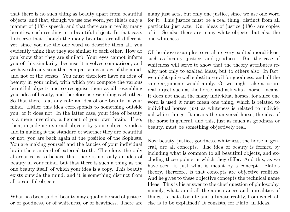that there is no such thing as beauty apart from beautiful objects, and that, though we use one word, yet this is only a manner of {185} speech, and that there are in reality many beauties, each residing in a beautiful object. In that case, I observe that, though the many beauties are all different, yet, since you use the one word to describe them all, you evidently think that they are similar to each other. How do you know that they are similar? Your eyes cannot inform you of this similarity, because it involves comparison, and we have already seen that comparison is an act of the mind, and not of the senses. You must therefore have an idea of beauty in your mind, with which you compare the various beautiful objects and so recognise them as all resembling your idea of beauty, and therefore as resembling each other. So that there is at any rate an idea of one beauty in your mind. Either this idea corresponds to something outside you, or it does not. In the latter case, your idea of beauty is a mere invention, a figment of your own brain. If so, then, in judging external objects by your subjective idea, and in making it the standard of whether they are beautiful or not, you are back again at the position of the Sophists. You are making yourself and the fancies of your individual brain the standard of external truth. Therefore, the only alternative is to believe that there is not only an idea of beauty in your mind, but that there is such a thing as the one beauty itself, of which your idea is a copy. This beauty exists outside the mind, and it is something distinct from all beautiful objects.

What has been said of beauty may equally be said of justice, or of goodness, or of whiteness, or of heaviness. There are many just acts, but only one justice, since we use one word for it. This justice must be a real thing, distinct from all particular just acts. Our ideas of justice {186} are copies of it. So also there are many white objects, but also the one whiteness.

Of the above examples, several are very exalted moral ideas, such as beauty, justice, and goodness. But the case of whiteness will serve to show that the theory attributes reality not only to exalted ideas, but to others also. In fact, we might quite well substitute evil for goodness, and all the same arguments would apply. Or we might take a corporeal object such as the horse, and ask what "horse" means. It does not mean the many individual horses, for since one word is used it must mean one thing, which is related to individual horses, just as whiteness is related to individual white things. It means the universal horse, the idea of the horse in general, and this, just as much as goodness or beauty, must be something objectively real.

Now beauty, justice, goodness, whiteness, the horse in general, are all concepts. The idea of beauty is formed by including what is common to all beautiful objects, and excluding those points in which they differ. And this, as we have seen, is just what is meant by a concept. Plato's theory, therefore, is that concepts are objective realities. And he gives to these objective concepts the technical name Ideas. This is his answer to the chief question of philosophy, namely, what, amid all the appearances and unrealities of things, is that absolute and ultimate reality, from which all else is to be explained? It consists, for Plato, in Ideas.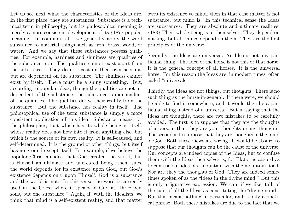Let us see next what the characteristics of the Ideas are. In the first place, they are substances. Substance is a technical term in philosophy, but its philosophical meaning is merely a more consistent development of its {187} popular meaning. In common talk, we generally apply the word substance to material things such as iron, brass, wood, or water. And we say that these substances possess qualities. For example, hardness and shininess are qualities of the substance iron. The qualities cannot exist apart from the substances. They do not exist on their own account, but are dependent on the substance. The shininess cannot exist by itself. There must be a shiny something. But, according to popular ideas, though the qualities are not independent of the substance, the substance is independent of the qualities. The qualities derive their reality from the substance. But the substance has reality in itself. The philosophical use of the term substance is simply a more consistent application of this idea. Substance means, for the philosopher, that which has its whole being in itself, whose reality does not flow into it from anything else, but which is the source of its own reality. It is self-caused, and self-determined. It is the ground of other things, but itself has no ground except itself. For example, if we believe the popular Christian idea that God created the world, but is Himself an ultimate and uncreated being, then, since the world depends for its existence upon God, but God's existence depends only upon Himself, God is a substance and the world is not. In this sense the word is correctly used in the Creed where it speaks of God as "three persons, but one substance." Again, if, with the Idealists, we think that mind is a self-existent reality, and that matter

owes its existence to mind, then in that case matter is not substance, but mind is. In this technical sense the Ideas are substances. They are absolute and ultimate realities. {188} Their whole being is in themselves. They depend on nothing, but all things depend on them. They are the first principles of the universe.

Secondly, the Ideas are universal. An Idea is not any particular thing. The Idea of the horse is not this or that horse. It is the general concept of all horses. It is the universal horse. For this reason the Ideas are, in modern times, often called "universals."

Thirdly, the Ideas are not things, but thoughts. There is no such thing as the horse-in-general. If there were, we should be able to find it somewhere, and it would then be a particular thing instead of a universal. But in saying that the Ideas are thoughts, there are two mistakes to be carefully avoided. The first is to suppose that they are the thoughts of a person, that they are your thoughts or my thoughts. The second is to suppose that they are thoughts in the mind of God. Both these views are wrong. It would be absurd to suppose that our thoughts can be the cause of the universe. Our concepts are indeed copies of the Ideas, but to confuse them with the Ideas themselves is, for Plato, as absurd as to confuse our idea of a mountain with the mountain itself. Nor are they the thoughts of God. They are indeed sometimes spoken of as the "Ideas in the divine mind." But this is only a figurative expression. We can, if we like, talk of the sum of all the Ideas as constituting the "divine mind." But this means nothing in particular, and is only a poetical phrase. Both these mistakes are due to the fact that we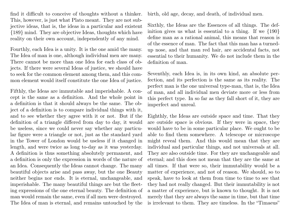find it difficult to conceive of thoughts without a thinker. This, however, is just what Plato meant. They are not subjective ideas, that is, the ideas in a particular and existent {189} mind. They are objective Ideas, thoughts which have reality on their own account, independently of any mind.

Fourthly, each Idea is a unity. It is the one amid the many. The Idea of man is one, although individual men are many. There cannot be more than one Idea for each class of objects. If there were several Ideas of justice, we should have to seek for the common element among them, and this common element would itself constitute the one Idea of justice.

Fifthly, the Ideas are immutable and imperishable. A concept is the same as a definition. And the whole point in a definition is that it should always be the same. The object of a definition is to compare individual things with it, and to see whether they agree with it or not. But if the definition of a triangle differed from day to day, it would be useless, since we could never say whether any particular figure were a triangle or not, just as the standard yard in the Tower of London would be useless if it changed in length, and were twice as long to-day as it was yesterday. A definition is thus something absolutely permanent, and a definition is only the expression in words of the nature of an Idea. Consequently the Ideas cannot change. The many beautiful objects arise and pass away, but the one Beauty neither begins nor ends. It is eternal, unchangeable, and imperishable. The many beautiful things are but the fleeting expressions of the one eternal beauty. The definition of man would remain the same, even if all men were destroyed. The Idea of man is eternal, and remains untouched by the

birth, old age, decay, and death, of individual men.

Sixthly, the Ideas are the Essences of all things. The definition gives us what is essential to a thing. If we {190} define man as a rational animal, this means that reason is of the essence of man. The fact that this man has a turnedup nose, and that man red hair, are accidental facts, not essential to their humanity. We do not include them in the definition of man.

Seventhly, each Idea is, in its own kind, an absolute perfection, and its perfection is the same as its reality. The perfect man is the one universal type-man, that is, the Idea of man, and all individual men deviate more or less from this perfect type. In so far as they fall short of it, they are imperfect and unreal.

Eighthly, the Ideas are outside space and time. That they are outside space is obvious. If they were in space, they would have to be in some particular place. We ought to be able to find them somewhere. A telescope or microscope might reveal them. And this would mean that they are individual and particular things, and not universals at all. They are also outside time. For they are unchangeable and eternal; and this does not mean that they are the same at all times. If that were so, their immutability would be a matter of experience, and not of reason. We should, so to speak, have to look at them from time to time to see that they had not really changed. But their immutability is not a matter of experience, but is known to thought. It is not merely that they are always the same in time, but that time is irrelevant to them. They are timeless. In the "Timaeus"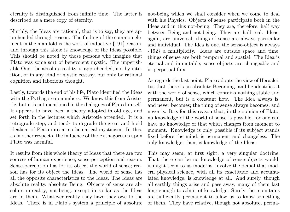eternity is distinguished from infinite time. The latter is described as a mere copy of eternity.

Ninthly, the Ideas are rational, that is to say, they are apprehended through reason. The finding of the common element in the manifold is the work of inductive {191} reason, and through this alone is knowledge of the Ideas possible. This should be noted by those persons who imagine that Plato was some sort of benevolent mystic. The imperishable One, the absolute reality, is apprehended, not by intuition, or in any kind of mystic ecstasy, but only by rational cognition and laborious thought.

Lastly, towards the end of his life, Plato identified the Ideas with the Pythagorean numbers. We know this from Aristotle, but it is not mentioned in the dialogues of Plato himself. It appears to have been a theory adopted in old age, and set forth in the lectures which Aristotle attended. It is a retrograde step, and tends to degrade the great and lucid idealism of Plato into a mathematical mysticism. In this, as in other respects, the influence of the Pythagoreans upon Plato was harmful.

It results from this whole theory of Ideas that there are two sources of human experience, sense-perception and reason. Sense-perception has for its object the world of sense; reason has for its object the Ideas. The world of sense has all the opposite characteristics to the Ideas. The Ideas are absolute reality, absolute Being. Objects of sense are absolute unreality, not-being, except in so far as the Ideas are in them. Whatever reality they have they owe to the Ideas. There is in Plato's system a principle of absolute not-being which we shall consider when we come to deal with his Physics. Objects of sense participate both in the Ideas and in this not-being. They are, therefore, half way between Being and not-being. They are half real. Ideas, again, are universal; things of sense are always particular and individual. The Idea is one, the sense-object is always {192} a multiplicity. Ideas are outside space and time, things of sense are both temporal and spatial. The Idea is eternal and immutable; sense-objects are changeable and in perpetual flux.

As regards the last point, Plato adopts the view of Heracleitus that there is an absolute Becoming, and he identifies it with the world of sense, which contains nothing stable and permanent, but is a constant flow. The Idea always is, and never becomes; the thing of sense always becomes, and never is. It is for this reason that, in the opinion of Plato, no knowledge of the world of sense is possible, for one can have no knowledge of that which changes from moment to moment. Knowledge is only possible if its subject stands fixed before the mind, is permanent and changeless. The only knowledge, then, is knowledge of the Ideas.

This may seem, at first sight, a very singular doctrine. That there can be no knowledge of sense-objects would, it might seem to us moderns, involve the denial that modern physical science, with all its exactitude and accumulated knowledge, is knowledge at all. And surely, though all earthly things arise and pass away, many of them last long enough to admit of knowledge. Surely the mountains are sufficiently permanent to allow us to know something of them. They have relative, though not absolute, perma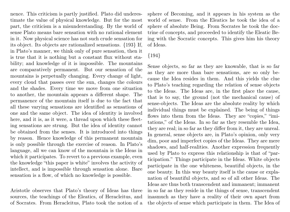nence. This criticism is partly justified. Plato did underestimate the value of physical knowledge. But for the most part, the criticism is a misunderstanding. By the world of sense Plato means bare sensation with no rational element in it. Now physical science has not such crude sensation for its object. Its objects are rationalized sensations. {193} If, in Plato's manner, we think only of pure sensation, then it is true that it is nothing but a constant flux without stability; and knowledge of it is impossible. The mountains are comparatively permanent. But our sensation of the mountains is perpetually changing. Every change of light, every cloud that passes over the sun, changes the colours and the shades. Every time we move from one situation to another, the mountain appears a different shape. The permanence of the mountain itself is due to the fact that all these varying sensations are identified as sensations of one and the same object. The idea of identity is involved here, and it is, as it were, a thread upon which these fleeting sensations are strung. But the idea of identity cannot be obtained from the senses. It is introduced into things by reason. Hence knowledge of this permanent mountain is only possible through the exercise of reason. In Plato's language, all we can know of the mountain is the Ideas in which it participates. To revert to a previous example, even the knowledge "this paper is white" involves the activity of intellect, and is impossible through sensation alone. Bare sensation is a flow, of which no knowledge is possible.

Aristotle observes that Plato's theory of Ideas has three sources, the teachings of the Eleatics, of Heracleitus, and of Socrates. From Heracleitus, Plato took the notion of a sphere of Becoming, and it appears in his system as the world of sense. From the Eleatics he took the idea of a sphere of absolute Being. From Socrates he took the doctrine of concepts, and proceeded to identify the Eleatic Being with the Socratic concepts. This gives him his theory of Ideas.

# {194}

Sense objects, so far as they are knowable, that is so far as they are more than bare sensations, are so only because the Idea resides in them. And this yields the clue to Plato's teaching regarding the relation of sense objects to the Ideas. The Ideas are, in the first place the cause, that is to say, the ground (not the mechanical cause) of sense-objects. The Ideas are the absolute reality by which individual things must be explained. The being of things flows into them from the Ideas. They are "copies," "imitations," of the Ideas. In so far as they resemble the Idea, they are real; in so far as they differ from it, they are unreal. In general, sense objects are, in Plato's opinion, only very dim, poor and imperfect copies of the Ideas. They are mere shadows, and half-realities. Another expression frequently used by Plato to express this relationship is that of "participation." Things participate in the Ideas. White objects participate in the one whiteness, beautiful objects, in the one beauty. In this way beauty itself is the cause or explanation of beautiful objects, and so of all other Ideas. The Ideas are thus both transcendent and immanent; immanent in so far as they reside in the things of sense, transcendent inasmuch as they have a reality of their own apart from the objects of sense which participate in them. The Idea of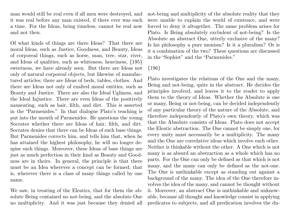man would still be real even if all men were destroyed, and it was real before any man existed, if there ever was such a time. For the Ideas, being timeless, cannot be real now and not then.

Of what kinds of things are there Ideas? That there are moral Ideas, such as Justice, Goodness, and Beauty, Ideas of corporeal things, such as horse, man, tree, star, river, and Ideas of qualities, such as whiteness, heaviness, {195} sweetness, we have already seen. But there are Ideas not only of natural corporeal objects, but likewise of manufactured articles; there are Ideas of beds, tables, clothes. And there are Ideas not only of exalted moral entities, such as Beauty and Justice. There are also the Ideal Ugliness, and the Ideal Injustice. There are even Ideas of the positively nauseating, such as hair, filth, and dirt. This is asserted in the "Parmenides." In that dialogue Plato's teaching is put into the mouth of Parmenides. He questions the young Socrates whether there are Ideas of hair, filth, and dirt. Socrates denies that there can be Ideas of such base things. But Parmenides corrects him, and tells him that, when he has attained the highest philosophy, he will no longer despise such things. Moreover, these Ideas of base things are just as much perfection in their kind as Beauty and Goodness are in theirs. In general, the principle is that there must be an Idea wherever a concept can be formed; that is, wherever there is a class of many things called by one name.

We saw, in treating of the Eleatics, that for them the absolute Being contained no not-being, and the absolute One no multiplicity. And it was just because they denied all not-being and multiplicity of the absolute reality that they were unable to explain the world of existence, and were forced to deny it altogether. The same problem arises for Plato. Is Being absolutely excludent of not-being? Is the Absolute an abstract One, utterly exclusive of the many? Is his philosophy a pure monism? Is it a pluralism? Or is it a combination of the two? These questions are discussed in the "Sophist" and the "Parmenides."

## {196}

Plato investigates the relations of the One and the many, Being and not-being, quite in the abstract. He decides the principles involved, and leaves it to the reader to apply them to the theory of Ideas. Whether the Absolute is one or many, Being or not-being, can be decided independently of any particular theory of the nature of the Absolute, and therefore independently of Plato's own theory, which was that the Absolute consists of Ideas. Plato does not accept the Eleatic abstraction. The One cannot be simply one, for every unity must necessarily be a multiplicity. The many and the One are correlative ideas which involve each other. Neither is thinkable without the other. A One which is not many is as absurd an abstraction as a whole which has no parts. For the One can only be defined as that which is not many, and the many can only be defined as the not-one. The One is unthinkable except as standing out against a background of the many. The idea of the One therefore involves the idea of the many, and cannot be thought without it. Moreover, an abstract One is unthinkable and unknowable, because all thought and knowledge consist in applying predicates to subjects, and all predication involves the du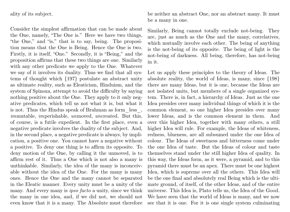ality of its subject.

Consider the simplest affirmation that can be made about the One, namely, "The One is." Here we have two things, "the One," and "is," that is to say, being. The proposition means that the One is Being. Hence the One is two. Firstly, it is itself, "One." Secondly, it is "Being," and the proposition affirms that these two things are one. Similarly with any other predicate we apply to the One. Whatever we say of it involves its duality. Thus we find that all systems of thought which {197} postulate an abstract unity as ultimate reality, such as Eleaticism, Hinduism, and the system of Spinoza, attempt to avoid the difficulty by saying nothing positive about the One. They apply to it only negative predicates, which tell us not what it is, but what it is not. Thus the Hindus speak of Brahman as form\_less\_, immutable, imperishable, unmoved, uncreated. But this, of course, is a futile expedient. In the first place, even a negative predicate involves the duality of the subject. And, in the second place, a negative predicate is always, by implication, a positive one. You cannot have a negative without a positive. To deny one thing is to affirm its opposite. To deny motion of the One, by calling it the unmoved, is to affirm rest of it. Thus a One which is not also a many is unthinkable. Similarly, the idea of the many is inconceivable without the idea of the One. For the many is many ones. Hence the One and the many cannot be separated in the Eleatic manner. Every unity must be a unity of the many. And every many is *ipso facto* a unity, since we think the many in one idea, and, if we did not, we should not even know that it is a many. The Absolute must therefore

be neither an abstract One, nor an abstract many. It must be a many in one.

Similarly, Being cannot totally exclude not-being. They are, just as much as the One and the many, correlatives, which mutually involve each other. The being of anything is the not-being of its opposite. The being of light is the not-being of darkness. All being, therefore, has not-being in it.

Let us apply these principles to the theory of Ideas. The absolute reality, the world of Ideas, is many, since {198} there are many Ideas, but it is one, because the Ideas are not isolated units, but members of a single organized system. There is, in fact, a hierarchy of Ideas. Just as the one Idea presides over many individual things of which it is the common element, so one higher Idea presides over many lower Ideas, and is the common element in them. And over this higher Idea, together with many others, a still higher Idea will rule. For example, the Ideas of whiteness, redness, blueness, are all subsumed under the one Idea of colour. The Ideas of sweetness and bitterness come under the one Idea of taste. But the Ideas of colour and taste themselves stand under the still higher Idea of quality. In this way, the Ideas form, as it were, a pyramid, and to this pyramid there must be an apex. There must be one highest Idea, which is supreme over all the others. This Idea will be the one final and absolutely real Being which is the ultimate ground, of itself, of the other Ideas, and of the entire universe. This Idea is, Plato tells us, the Idea of the Good. We have seen that the world of Ideas is many, and we now see that it is one. For it is one single system culminating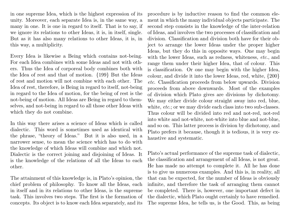in one supreme Idea, which is the highest expression of its unity. Moreover, each separate Idea is, in the same way, a many in one. It is one in regard to itself. That is to say, if we ignore its relations to other Ideas, it is, in itself, single. But as it has also many relations to other Ideas, it is, in this way, a multiplicity.

Every Idea is likewise a Being which contains not-being. For each Idea combines with some Ideas and not with others. Thus the Idea of corporeal body combines both with the Idea of rest and that of motion. {199} But the Ideas of rest and motion will not combine with each other. The Idea of rest, therefore, is Being in regard to itself, not-being in regard to the Idea of motion, for the being of rest is the not-being of motion. All Ideas are Being in regard to themselves, and not-being in regard to all those other Ideas with which they do not combine.

In this way there arises a science of Ideas which is called dialectic. This word is sometimes used as identical with the phrase, "theory of Ideas." But it is also used, in a narrower sense, to mean the science which has to do with the knowledge of which Ideas will combine and which not. Dialectic is the correct joining and disjoining of Ideas. It is the knowledge of the relations of all the Ideas to each other.

The attainment of this knowledge is, in Plato's opinion, the chief problem of philosophy. To know all the Ideas, each in itself and in its relations to other Ideas, is the supreme task. This involves two steps. The first is the formation of concepts. Its object is to know each Idea separately, and its

procedure is by inductive reason to find the common element in which the many individual objects participate. The second step consists in the knowledge of the inter-relation of Ideas, and involves the two processes of classification and division. Classification and division both have for their object to arrange the lower Ideas under the proper higher Ideas, but they do this in opposite ways. One may begin with the lower Ideas, such as redness, whiteness, etc., and range them under their higher Idea, that of colour. This is classification. Or one may begin with the higher Idea, colour, and divide it into the lower Ideas, red, white, {200} etc. Classification proceeds from below upwards. Division proceeds from above downwards. Most of the examples of division which Plato gives are divisions by dichotomy. We may either divide colour straight away into red, blue, white, *etc.*; or we may divide each class into two sub-classes. Thus colour will be divided into red and not-red, not-red into white and not-white, not-white into blue and not-blue, and so on. This latter process is division by dichotomy, and Plato prefers it because, though it is tedious, it is very exhaustive and systematic.

Plato's actual performance of the supreme task of dialectic, the classification and arrangement of all Ideas, is not great. He has made no attempt to complete it. All he has done is to give us numerous examples. And this is, in reality, all that can be expected, for the number of Ideas is obviously infinite, and therefore the task of arranging them cannot be completed. There is, however, one important defect in the dialectic, which Plato ought certainly to have remedied. The supreme Idea, he tells us, is the Good. This, as being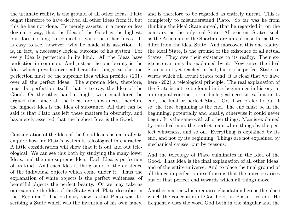the ultimate reality, is the ground of all other Ideas. Plato ought therefore to have derived all other Ideas from it, but this he has not done. He merely asserts, in a more or less dogmatic way, that the Idea of the Good is the highest, but does nothing to connect it with the other Ideas. It is easy to see, however, why he made this assertion. It is, in fact, a necessary logical outcome of his system. For every Idea is perfection in its kind. All the Ideas have perfection in common. And just as the one beauty is the Idea which presides over all beautiful things, so the one perfection must be the supreme Idea which presides {201} over all the perfect Ideas. The supreme Idea, therefore, must be perfection itself, that is to say, the Idea of the Good. On the other hand it might, with equal force, be argued that since all the Ideas are substances, therefore the highest Idea is the Idea of substance. All that can be said is that Plato has left these matters in obscurity, and has merely asserted that the highest Idea is the Good.

Consideration of the Idea of the Good leads us naturally to enquire how far Plato's system is teleological in character. A little consideration will show that it is out and out teleological. We can see this both by studying the many lower Ideas, and the one supreme Idea. Each Idea is perfection of its kind. And each Idea is the ground of the existence of the individual objects which come under it. Thus the explanation of white objects is the perfect whiteness, of beautiful objects the perfect beauty. Or we may take as our example the Idea of the State which Plato describes in the "Republic." The ordinary view is that Plato was describing a State which was the invention of his own fancy,

and is therefore to be regarded as entirely unreal. This is completely to misunderstand Plato. So far was he from thinking the ideal State unreal, that he regarded it, on the contrary, as the only real State. All existent States, such as the Athenian or the Spartan, are unreal in so far as they differ from the ideal State. And moreover, this one reality, the ideal State, is the ground of the existence of all actual States. They owe their existence to its reality. Their existence can only be explained by it. Now since the ideal State is not yet reached in fact, but is the perfect State towards which all actual States tend, it is clear that we have here  $\{202\}$  a teleological principle. The real explanation of the State is not to be found in its beginnings in history, in an original contract, or in biological necessities, but in its end, the final or perfect State. Or, if we prefer to put it so; the true beginning is the end. The end must be in the beginning, potentially and ideally, otherwise it could never begin: It is the same with all other things. Man is explained by the ideal man, the perfect man; white things by the perfect whiteness, and so on. Everything is explained by its end, and not by its beginning. Things are not explained by mechanical causes, but by reasons.

And the teleology of Plato culminates in the Idea of the Good. That Idea is the final explanation of all other Ideas, and of the entire universe. And to place the final ground of all things in perfection itself means that the universe arises out of that perfect end towards which all things move.

Another matter which requires elucidation here is the place which the conception of God holds in Plato's system. He frequently uses the word God both in the singular and the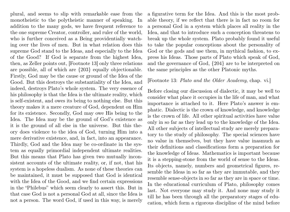plural, and seems to slip with remarkable ease from the monotheistic to the polytheistic manner of speaking. In addition to the many gods, we have frequent reference to the one supreme Creator, controller, and ruler of the world, who is further conceived as a Being providentially watching over the lives of men. But in what relation does this supreme God stand to the Ideas, and especially to the Idea of the Good? If God is separate from the highest Idea, then, as Zeller points out, [Footnote 13] only three relations are possible, all of which are {203} equally objectionable. Firstly, God may be the cause or ground of the Idea of the Good. But this destroys the substantiality of the Idea, and indeed, destroys Plato's whole system. The very essence of his philosophy is that the Idea is the ultimate reality, which is self-existent, and owes its being to nothing else. But this theory makes it a mere creature of God, dependent on Him for its existence. Secondly, God may owe His being to the Idea. The Idea may be the ground of God's existence as it is the ground of all else in the universe. But this theory does violence to the idea of God, turning Him into a mere derivative existence, and, in fact, into an appearance. Thirdly, God and the Idea may be co-ordinate in the system as equally primordial independent ultimate realities. But this means that Plato has given two mutually inconsistent accounts of the ultimate reality, or, if not, that his system is a hopeless dualism. As none of these theories can be maintained, it must be supposed that God is identical with the Idea of the Good, and we find certain expressions in the "Philebus" which seem clearly to assert this. But in that case God is not a personal God at all, since the Idea is not a person. The word God, if used in this way, is merely

a figurative term for the Idea. And this is the most probable theory, if we reflect that there is in fact no room for a personal God in a system which places all reality in the Idea, and that to introduce such a conception threatens to break up the whole system. Plato probably found it useful to take the popular conceptions about the personality of God or the gods and use them, in mythical fashion, to express his Ideas. Those parts of Plato which speak of God, and the governance of God, {204} are to be interpreted on the same principles as the other Platonic myths.

#### [Footnote 13: Plato and the Older Academy, chap. vi.]

Before closing our discussion of dialectic, it may be well to consider what place it occupies in the life of man, and what importance is attached to it. Here Plato's answer is emphatic. Dialectic is the crown of knowledge, and knowledge is the crown of life. All other spiritual activities have value only in so far as they lead up to the knowledge of the Idea. All other subjects of intellectual study are merely preparatory to the study of philosophy. The special sciences have no value in themselves, but they have value inasmuch as their definitions and classifications form a preparation for the knowledge of Ideas. Mathematics is important because it is a stepping-stone from the world of sense to the Ideas. Its objects, namely, numbers and geometrical figures, resemble the Ideas in so far as they are immutable, and they resemble sense-objects in so far as they are in space or time. In the educational curriculum of Plato, philosophy comes last. Not everyone may study it. And none may study it till he has been through all the preparatory stages of education, which form a rigorous discipline of the mind before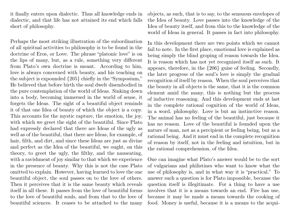it finally enters upon dialectic. Thus all knowledge ends in dialectic, and that life has not attained its end which falls short of philosophy.

Perhaps the most striking illustration of the subordination of all spiritual activities to philosophy is to be found in the doctrine of Eros, or Love. The phrase "platonic love" is on the lips of many, but, as a rule, something very different from Plato's own doctrine is meant. According to him, love is always concerned with beauty, and his teaching on the subject is expounded {205} chiefly in the "Symposium," He believed that before birth the soul dwelt disembodied in the pure contemplation of the world of Ideas. Sinking down into a body, becoming immersed in the world of sense, it forgets the Ideas. The sight of a beautiful object reminds it of that one Idea of beauty of which the object is a copy. This accounts for the mystic rapture, the emotion, the joy, with which we greet the sight of the beautiful. Since Plato had expressly declared that there are Ideas of the ugly as well as of the beautiful, that there are Ideas, for example, of hair, filth, and dirt, and since these Ideas are just as divine and perfect as the Idea of the beautiful, we ought, on this theory, to greet the ugly, the filthy, and the nauseating, with a ravishment of joy similar to that which we experience in the presence of beauty. Why this is not the case Plato omitted to explain. However, having learned to love the one beautiful object, the soul passes on to the love of others. Then it perceives that it is the same beauty which reveals itself in all these. It passes from the love of beautiful forms to the love of beautiful souls, and from that to the love of beautiful sciences. It ceases to be attached to the many

objects, as such, that is to say, to the sensuous envelopes of the Idea of beauty. Love passes into the knowledge of the Idea of beauty itself, and from this to the knowledge of the world of Ideas in general. It passes in fact into philosophy.

In this development there are two points which we cannot fail to note. In the first place, emotional love is explained as being simply the blind groping of reason towards the Idea. It is reason which has not yet recognized itself as such. It appears, therefore, in the {206} guise of feeling. Secondly, the later progress of the soul's love is simply the gradual recognition of itself by reason. When the soul perceives that the beauty in all objects is the same, that it is the common element amid the many, this is nothing but the process of inductive reasoning. And this development ends at last in the complete rational cognition of the world of Ideas, in a word, philosophy. Love is but an instinctive reason. The animal has no feeling of the beautiful, just because it has no reason. Love of the beautiful is founded upon the nature of man, not as a percipient or feeling being, but as a rational being. And it must end in the complete recognition of reason by itself, not in the feeling and intuition, but in the rational comprehension, of the Idea.

One can imagine what Plato's answer would be to the sort of vulgarians and philistines who want to know what the use of philosophy is, and in what way it is "practical." To answer such a question is for Plato impossible, because the question itself is illegitimate. For a thing to have a use involves that it is a means towards an end. Fire has use, because it may be made a means towards the cooking of food. Money is useful, because it is a means to the acqui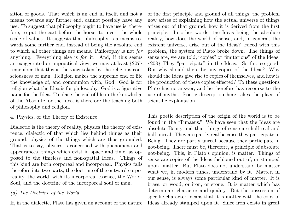sition of goods. That which is an end in itself, and not a means towards any further end, cannot possibly have any use. To suggest that philosophy ought to have use is, therefore, to put the cart before the horse, to invert the whole scale of values. It suggests that philosophy is a means towards some further end, instead of being the absolute end to which all other things are means. Philosophy is not for anything. Everything else is for it. And, if this seems an exaggerated or unpractical view, we may at least {207} remember that this is the view taken by the religious consciousness of man. Religion makes the supreme end of life the knowledge of, and communion with, God. God is for religion what the Idea is for philosophy. God is a figurative name for the Idea. To place the end of life in the knowledge of the Absolute, or the Idea, is therefore the teaching both of philosophy and religion.

4. Physics, or the Theory of Existence.

Dialectic is the theory of reality, physics the theory of existence, dialectic of that which lies behind things as their ground, physics of the things which are thus grounded. That is to say, physics is concerned with phenomena and appearances, things which exist in space and time, as opposed to the timeless and non-spatial Ideas. Things of this kind are both corporeal and incorporeal. Physics falls therefore into two parts, the doctrine of the outward corporeality, the world, with its incorporeal essence, the World-Soul, and the doctrine of the incorporeal soul of man.

# (a) The Doctrine of the World.

If, in the dialectic, Plato has given an account of the nature

of the first principle and ground of all things, the problem now arises of explaining how the actual universe of things arises out of that ground, how it is derived from the first principle. In other words, the Ideas being the absolute reality, how does the world of sense, and, in general, the existent universe, arise out of the Ideas? Faced with this problem, the system of Plato broke down. The things of sense are, we are told, "copies" or "imitations" of the Ideas. {208} They "participate" in the Ideas. So far, so good. But why should there be any copies of the Ideas? Why should the Ideas give rise to copies of themselves, and how is the production of these copies effected? To these questions Plato has no answer, and he therefore has recourse to the use of myths. Poetic description here takes the place of scientific explanation.

This poetic description of the origin of the world is to be found in the "Timaeus." We have seen that the Ideas are absolute Being, and that things of sense are half real and half unreal. They are partly real because they participate in Being. They are partly unreal because they participate in not-being. There must be, therefore, a principle of absolute not-being. This, in Plato's opinion, is matter. Things of sense are copies of the Ideas fashioned out of, or stamped upon, matter. But Plato does not understand by matter what we, in modern times, understand by it. Matter, in our sense, is always some particular kind of matter. It is brass, or wood, or iron, or stone. It is matter which has determinate character and quality. But the possession of specific character means that it is matter with the copy of Ideas already stamped upon it. Since iron exists in great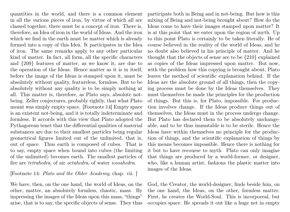quantities in the world, and there is a common element in all the various pieces of iron, by virtue of which all are classed together, there must be a concept of iron. There is, therefore, an Idea of iron in the world of Ideas. And the iron which we find in the earth must be matter which is already formed into a copy of this Idea. It participates in the Idea of iron. The same remarks apply to any other particular kind of matter. In fact, all form, all the specific characters and {209} features of matter, as we know it, are due to the operation of the Ideas. Hence matter as it is in itself, before the image of the Ideas is stamped upon it, must be absolutely without quality, featureless, formless. But to be absolutely without any quality is to be simply nothing at all. This matter is, therefore, as Plato says, absolute notbeing. Zeller conjectures, probably rightly, that what Plato meant was simply empty space. [Footnote 14] Empty space is an existent not-being, and it is totally indeterminate and formless. It accords with this view that Plato adopted the Pythagorean tenet that the differential qualities of material substances are due to their smallest particles being regular geometrical figures limited out of the unlimited, that is, out of space. Thus earth is composed of cubes. That is to say, empty space when bound into cubes (the limiting of the unlimited) becomes earth. The smallest particles of fire are tetrahedra, of air octahedra, of water icosahedra.

[Footnote 14: Plato and the Older Academy, chap. vii. ]

We have, then, on the one hand, the world of Ideas, on the other, matter, an absolutely formless, chaotic, mass. By impressing the images of the Ideas upon this mass, "things" arise, that is to say, the specific objects of sense. They thus participate both in Being and in not-being. But how is this mixing of Being and not-being brought about? How do the Ideas come to have their images stamped upon matter? It is at this point that we enter upon the region of myth. Up to this point Plato is certainly to be taken literally. He of course believed in the reality of the world of Ideas, and he no doubt also believed in his principle of matter. And he thought that the objects of sense are to be {210} explained as copies of the Ideas impressed upon matter. But now, with the problem how this copying is brought about, Plato leaves the method of scientific explanation behind. If the Ideas are the absolute ground of all things, then the copying process must be done by the Ideas themselves. They must themselves be made the principles for the production of things. But this is, for Plato, impossible. For production involves change. If the Ideas produce things out of themselves, the Ideas must in the process undergo change. But Plato has declared them to be absolutely unchangeable, and to be thus immutable is to be sterile. Hence the Ideas have within themselves no principle for the production of things, and the scientific explanation of things by this means becomes impossible. Hence there is nothing for it but to have recourse to myth. Plato can only imagine that things are produced by a world-former, or designer, who, like a human artist, fashions the plastic matter into images of the Ideas.

God, the Creator, the world-designer, finds beside him, on the one hand, the Ideas, on the other, formless matter. First, he creates the World-Soul. This is incorporeal, but occupies space. He spreads it out like a huge net in empty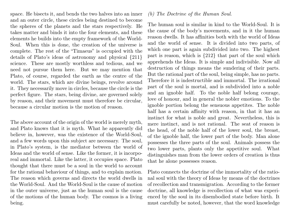space. He bisects it, and bends the two halves into an inner and an outer circle, these circles being destined to become the spheres of the planets and the stars respectively. He takes matter and binds it into the four elements, and these elements he builds into the empty framework of the World-Soul. When this is done, the creation of the universe is complete. The rest of the "Timaeus" is occupied with the details of Plato's ideas of astronomy and physical {211} science. These are mostly worthless and tedious, and we need not pursue them here. But we may mention that Plato, of course, regarded the earth as the centre of the world. The stars, which are divine beings, revolve around it. They necessarily move in circles, because the circle is the perfect figure. The stars, being divine, are governed solely by reason, and their movement must therefore be circular, because a circular motion is the motion of reason.

The above account of the origin of the world is merely myth, and Plato knows that it is myth. What he apparently did believe in, however, was the existence of the World-Soul, and a few words upon this subject are necessary. The soul, in Plato's system, is the mediator between the world of Ideas and the world of sense. Like the former, it is incorporeal and immortal. Like the latter, it occupies space. Plato thought that there must be a soul in the world to account for the rational behaviour of things, and to explain motion. The reason which governs and directs the world dwells in the World-Soul. And the World-Soul is the cause of motion in the outer universe, just as the human soul is the cause of the motions of the human body. The cosmos is a living being.

### (b) The Doctrine of the Human Soul.

The human soul is similar in kind to the World-Soul. It is the cause of the body's movements, and in it the human reason dwells. It has affinities both with the world of Ideas and the world of sense. It is divided into two parts, of which one part is again subdivided into two. The highest part is reason, which is {212} that part of the soul which apprehends the Ideas. It is simple and indivisible. Now all destruction of things means the sundering of their parts. But the rational part of the soul, being simple, has no parts. Therefore it is indestructible and immortal. The irrational part of the soul is mortal, and is subdivided into a noble and an ignoble half. To the noble half belong courage, love of honour, and in general the nobler emotions. To the ignoble portion belong the sensuous appetites. The noble half has a certain affinity with reason, in that it has an instinct for what is noble and great. Nevertheless, this is mere instinct, and is not rational. The seat of reason is the head, of the noble half of the lower soul, the breast, of the ignoble half, the lower part of the body. Man alone possesses the three parts of the soul. Animals possess the two lower parts, plants only the appetitive soul. What distinguishes man from the lower orders of creation is thus that he alone possesses reason.

Plato connects the doctrine of the immortality of the rational soul with the theory of Ideas by means of the doctrines of recollection and transmigration. According to the former doctrine, all knowledge is recollection of what was experienced by the soul in its disembodied state before birth. It must carefully be noted, however, that the word knowledge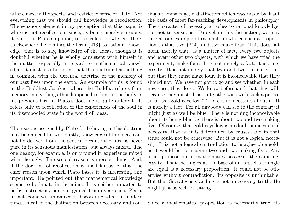is here used in the special and restricted sense of Plato. Not everything that we should call knowledge is recollection. The sensuous element in my perception that this paper is white is not recollection, since, as being merely sensuous, it is not, in Plato's opinion, to be called knowledge. Here, as elsewhere, he confines the term {213} to rational knowledge, that is to say, knowledge of the Ideas, though it is doubtful whether he is wholly consistent with himself in the matter, especially in regard to mathematical knowledge. It must also be noted that this doctrine has nothing in common with the Oriental doctrine of the memory of our past lives upon the earth. An example of this is found in the Buddhist Jàtakas, where the Buddha relates from memory many things that happened to him in the body in his previous births. Plato's doctrine is quite different. It refers only to recollection of the experiences of the soul in its disembodied state in the world of Ideas.

The reasons assigned by Plato for believing in this doctrine may be reduced to two. Firstly, knowledge of the Ideas cannot be derived from the senses, because the Idea is never pure in its sensuous manifestation, but always mixed. The one beauty, for example, is only found in experience mixed with the ugly. The second reason is more striking. And, if the doctrine of recollection is itself fantastic, this, the chief reason upon which Plato bases it, is interesting and important. He pointed out that mathematical knowledge seems to be innate in the mind. It is neither imparted to us by instruction, nor is it gained from experience. Plato, in fact, came within an ace of discovering what, in modern times, is called the distinction between necessary and contingent knowledge, a distinction which was made by Kant the basis of most far-reaching developments in philosophy. The character of necessity attaches to rational knowledge, but not to sensuous. To explain this distinction, we may take as our example of rational knowledge such a proposition as that two {214} and two make four. This does not mean merely that, as a matter of fact, every two objects and every other two objects, with which we have tried the experiment, make four. It is not merely a fact, it is a necessity. It is not merely that two and two do make four, but that they must make four. It is inconceivable that they should not. We have not got to go and see whether, in each new case, they do so. We know beforehand that they will, because they must. It is quite otherwise with such a proposition as, "gold is yellow." There is no necessity about it. It is merely a fact. For all anybody can see to the contrary it might just as well be blue. There is nothing inconceivable about its being blue, as there is about two and two making five. Of course, that gold is yellow is no doubt a mechanical necessity, that is, it is determined by causes, and in that sense could not be otherwise. But it is not a logical necessity. It is not a logical contradiction to imagine blue gold, as it would be to imagine two and two making five. Any other proposition in mathematics possesses the same necessity. That the angles at the base of an isosceles triangle are equal is a necessary proposition. It could not be otherwise without contradiction. Its opposite is unthinkable. But that Socrates is standing is not a necessary truth. He might just as well be sitting.

Since a mathematical proposition is necessarily true, its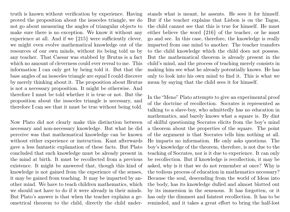truth is known without verification by experience. Having proved the proposition about the isosceles triangle, we do not go about measuring the angles of triangular objects to make sure there is no exception. We know it without any experience at all. And if we {215} were sufficiently clever, we might even evolve mathematical knowledge out of the resources of our own minds, without its being told us by any teacher. That Caesar was stabbed by Brutus is a fact which no amount of cleverness could ever reveal to me. This information I can only get by being told it. But that the base angles of an isosceles triangle are equal I could discover by merely thinking about it. The proposition about Brutus is not a necessary proposition. It might be otherwise. And therefore I must be told whether it is true or not. But the proposition about the isosceles triangle is necessary, and therefore I can see that it must be true without being told.

Now Plato did not clearly make this distinction between necessary and non-necessary knowledge. But what he did perceive was that mathematical knowledge can be known without either experience or instruction. Kant afterwards gave a less fantastic explanation of these facts. But Plato concluded that such knowledge must be already present in the mind at birth. It must be recollected from a previous existence. It might be answered that, though this kind of knowledge is not gained from the experience of the senses, it may be gained from teaching. It may be imparted by another mind. We have to teach children mathematics, which we should not have to do if it were already in their minds. But Plato's answer is that when the teacher explains a geometrical theorem to the child, directly the child understands what is meant, he assents. He sees it for himself. But if the teacher explains that Lisbon is on the Tagus, the child cannot see that this is true for himself. He must either believe the word {216} of the teacher, or he must go and see. In this case, therefore, the knowledge is really imparted from one mind to another. The teacher transfers to the child knowledge which the child does not possess. But the mathematical theorem is already present in the child's mind, and the process of teaching merely consists in making him see what he already potentially knows. He has only to look into his own mind to find it. This is what we mean by saying that the child sees it for himself.

In the "Meno" Plato attempts to give an experimental proof of the doctrine of recollection. Socrates is represented as talking to a slave-boy, who admittedly has no education in mathematics, and barely knows what a square is. By dint of skilful questioning Socrates elicits from the boy's mind a theorem about the properties of the square. The point of the argument is that Socrates tells him nothing at all. He imparts no information. He only asks questions. The boy's knowledge of the theorem, therefore, is not due to the teaching of Socrates, nor is it due to experience. It can only be recollection. But if knowledge is recollection, it may be asked, why is it that we do not remember at once? Why is the tedious process of education in mathematics necessary? Because the soul, descending from the world of Ideas into the body, has its knowledge dulled and almost blotted out by its immersion in the sensuous. It has forgotten, or it has only the dimmest and faintest recollection. It has to be reminded, and it takes a great effort to bring the half-lost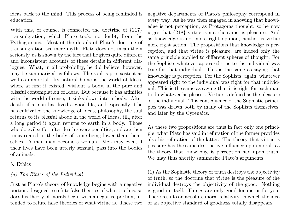ideas back to the mind. This process of being reminded is education.

With this, of course, is connected the doctrine of  $\{217\}$ transmigration, which Plato took, no doubt, from the Pythagoreans. Most of the details of Plato's doctrine of transmigration are mere myth. Plato does not mean them seriously, as is shown by the fact that he gives quite different and inconsistent accounts of these details in different dialogues. What, in all probability, he did believe, however, may be summarized as follows. The soul is pre-existent as well as immortal. Its natural home is the world of Ideas, where at first it existed, without a body, in the pure and blissful contemplation of Ideas. But because it has affinities with the world of sense, it sinks down into a body. After death, if a man has lived a good life, and especially if he has cultivated the knowledge of Ideas, philosophy, the soul returns to its blissful abode in the world of Ideas, till, after a long period it again returns to earth in a body. Those who do evil suffer after death severe penalties, and are then reincarnated in the body of some being lower than themselves. A man may become a woman. Men may even, if their lives have been utterly sensual, pass into the bodies of animals.

## 5. Ethics

## (a) The Ethics of the Individual

Just as Plato's theory of knowledge begins with a negative portion, designed to refute false theories of what truth is, so does his theory of morals begin with a negative portion, intended to refute false theories of what virtue is. These two

negative departments of Plato's philosophy correspond in every way. As he was then engaged in showing that knowledge is not perception, as Protagoras thought, so he now urges that {218} virtue is not the same as pleasure. And as knowledge is not mere right opinion, neither is virtue mere right action. The propositions that knowledge is perception, and that virtue is pleasure, are indeed only the same principle applied to different spheres of thought. For the Sophists whatever appeared true to the individual was true for that individual. This is the same as saying that knowledge is perception. For the Sophists, again, whatever appeared right to the individual was right for that individual. This is the same as saying that it is right for each man to do whatever he pleases. Virtue is defined as the pleasure of the individual. This consequence of the Sophistic principles was drawn both by many of the Sophists themselves, and later by the Cyrenaics.

As these two propositions are thus in fact only one principle, what Plato has said in refutation of the former provides also his refutation of the latter. The theory that virtue is pleasure has the same destructive influence upon morals as the theory that knowledge is perception had upon truth. We may thus shortly summarize Plato's arguments.

(1) As the Sophistic theory of truth destroys the objectivity of truth, so the doctrine that virtue is the pleasure of the individual destroys the objectivity of the good. Nothing is good in itself. Things are only good for me or for you. There results an absolute moral relativity, in which the idea of an objective standard of goodness totally disappears.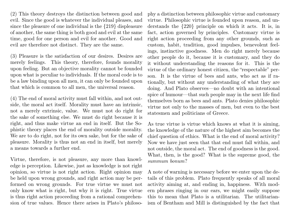(2) This theory destroys the distinction between good and evil. Since the good is whatever the individual pleases, and since the pleasure of one individual is the {219} displeasure of another, the same thing is both good and evil at the same time, good for one person and evil for another. Good and evil are therefore not distinct. They are the same.

(3) Pleasure is the satisfaction of our desires. Desires are merely feelings. This theory, therefore, founds morality upon feeling. But an objective morality cannot be founded upon what is peculiar to individuals. If the moral code is to be a law binding upon all men, it can only be founded upon that which is common to all men, the universal reason.

(4) The end of moral activity must fall within, and not outside, the moral act itself. Morality must have an intrinsic, not a merely extrinsic, value. We must not do right for the sake of something else. We must do right because it is right, and thus make virtue an end in itself. But the Sophistic theory places the end of morality outside morality. We are to do right, not for its own sake, but for the sake of pleasure. Morality is thus not an end in itself, but merely a means towards a further end.

Virtue, therefore, is not pleasure, any more than knowledge is perception. Likewise, just as knowledge is not right opinion, so virtue is not right action. Right opinion may be held upon wrong grounds, and right action may be performed on wrong grounds. For true virtue we must not only know what is right, but why it is right. True virtue is thus right action proceeding from a rational comprehension of true values. Hence there arises in Plato's philoso-

phy a distinction between philosophic virtue and customary virtue. Philosophic virtue is founded upon reason, and understands the {220} principle on which it acts. It is, in fact, action governed by principles. Customary virtue is right action proceeding from any other grounds, such as custom, habit, tradition, good impulses, benevolent feelings, instinctive goodness. Men do right merely because other people do it, because it is customary, and they do it without understanding the reasons for it. This is the virtue of the ordinary honest citizen, the "respectable" person. It is the virtue of bees and ants, who act as if rationally, but without any understanding of what they are doing. And Plato observes—no doubt with an intentional spice of humour—that such people may in the next life find themselves born as bees and ants. Plato denies philosophic virtue not only to the masses of men, but even to the best statesmen and politicians of Greece.

As true virtue is virtue which knows at what it is aiming, the knowledge of the nature of the highest aim becomes the chief question of ethics. What is the end of moral activity? Now we have just seen that that end must fall within, and not outside, the moral act. The end of goodness is the good. What, then, is the good? What is the supreme good, the summum bonum?

A note of warning is necessary before we enter upon the details of this problem. Plato frequently speaks of all moral activity aiming at, and ending in, happiness. With modern phrases ringing in our ears, we might easily suppose this to mean that Plato is a utilitarian. The utilitarianism of Bentham and Mill is distinguished by the fact that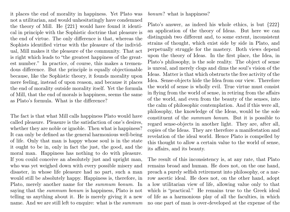it places the end of morality in happiness. Yet Plato was not a utilitarian, and would unhesitatingly have condemned the theory of Mill. He {221} would have found it identical in principle with the Sophistic doctrine that pleasure is the end of virtue. The only difference is that, whereas the Sophists identified virtue with the pleasure of the individual, Mill makes it the pleasure of the community. That act is right which leads to "the greatest happiness of the greatest number." In practice, of course, this makes a tremendous difference. But the principle is equally objectionable because, like the Sophistic theory, it founds morality upon mere feeling, instead of upon reason, and because it places the end of morality outside morality itself. Yet the formula of Mill, that the end of morals is happiness, seems the same as Plato's formula. What is the difference?

The fact is that what Mill calls happiness Plato would have called pleasure. Pleasure is the satisfaction of one's desires, whether they are noble or ignoble. Then what is happiness? It can only be defined as the general harmonious well-being of life. Only that man is happy whose soul is in the state it ought to be in, only in fact the just, the good, and the moral man. Happiness has nothing to do with pleasure. If you could conceive an absolutely just and upright man, who was yet weighed down with every possible misery and disaster, in whose life pleasure had no part, such a man would still be absolutely happy. Happiness is, therefore, in Plato, merely another name for the summum bonum. In saying that the *summum bonum* is happiness, Plato is not telling us anything about it. He is merely giving it a new name. And we are still left to enquire: what is the summum bonum? what is happiness?

Plato's answer, as indeed his whole ethics, is but {222} an application of the theory of Ideas. But here we can distinguish two different and, to some extent, inconsistent strains of thought, which exist side by side in Plato, and perpetually struggle for the mastery. Both views depend upon the theory of Ideas. In the first place, the Idea, in Plato's philosophy, is the sole reality. The object of sense is unreal, and merely clogs and dims the soul's vision of the Ideas. Matter is that which obstructs the free activity of the Idea. Sense-objects hide the Idea from our view. Therefore the world of sense is wholly evil. True virtue must consist in flying from the world of sense, in retiring from the affairs of the world, and even from the beauty of the senses, into the calm of philosophic contemplation. And if this were all, philosophy, the knowledge of the Ideas, would be the sole constituent of the summum bonum. But it is possible to regard sense-objects in another light. They are, after all, copies of the Ideas. They are therefore a manifestation and revelation of the ideal world. Hence Plato is compelled by this thought to allow a certain value to the world of sense, its affairs, and its beauty.

The result of this inconsistency is, at any rate, that Plato remains broad and human. He does not, on the one hand, preach a purely selfish retirement into philosophy, or a narrow ascetic ideal. He does not, on the other hand, adopt a low utilitarian view of life, allowing value only to that which is "practical." He remains true to the Greek ideal of life as a harmonious play of all the faculties, in which no one part of man is over-developed at the expense of the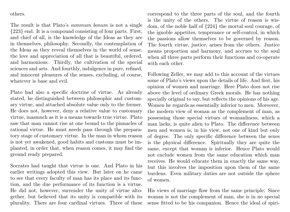others.

The result is that Plato's summum bonum is not a single {223} end. It is a compound consisting of four parts. First, and chief of all, is the knowledge of the Ideas as they are in themselves, philosophy. Secondly, the contemplation of the Ideas as they reveal themselves in the world of sense, the love and appreciation of all that is beautiful, ordered, and harmonious. Thirdly, the cultivation of the special sciences and arts. And fourthly, indulgence in pure, refined, and innocent pleasures of the senses, excluding, of course, whatever is base and evil.

Plato had also a specific doctrine of virtue. As already stated, he distinguished between philosophic and customary virtue, and attached absolute value only to the former. He does not, however, deny a relative value to customary virtue, inasmuch as it is a means towards true virtue. Plato saw that man cannot rise at one bound to the pinnacles of rational virtue. He must needs pass through the preparatory stage of customary virtue. In the man in whom reason is not yet awakened, good habits and customs must be implanted, in order that, when reason comes, it may find the ground ready prepared.

Socrates had taught that virtue is one. And Plato in his earlier writings adopted this view. But later on he came to see that every faculty of man has its place and its function, and the due performance of its function is a virtue. He did not, however, surrender the unity of virtue altogether, but believed that its unity is compatible with its plurality. There are four cardinal virtues. Three of these

correspond to the three parts of the soul, and the fourth is the unity of the others. The virtue of reason is wisdom, of the noble half of {224} the mortal soul courage, of the ignoble appetites, temperance or self-control, in which the passions allow themselves to be governed by reason. The fourth virtue, justice, arises from the others. Justice means proportion and harmony, and accrues to the soul when all three parts perform their functions and co-operate with each other.

Following Zeller, we may add to this account of the virtues some of Plato's views upon the details of life. And first, his opinion of women and marriage. Here Plato does not rise above the level of ordinary Greek morals. He has nothing specially original to say, but reflects the opinions of his age. Women he regards as essentially inferior to men. Moreover, the modern view of woman as the complement of man, as possessing those special virtues of womanliness, which a man lacks, is quite alien to Plato. The difference between men and women is, in his view, not one of kind but only of degree. The only specific difference between the sexes is the physical difference. Spiritually they are quite the same, except that woman is inferior. Hence Plato would not exclude women from the same education which man receives. He would educate them in exactly the same way, but this involves the imposition upon them of the same burdens. Even military duties are not outside the sphere of women.

His views of marriage flow from the same principle. Since woman is not the complement of man, she is in no special sense fitted to be his companion. Hence the ideal of spiri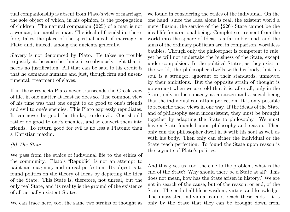tual companionship is absent from Plato's view of marriage, the sole object of which, in his opinion, is the propagation of children. The natural companion {225} of a man is not a woman, but another man. The ideal of friendship, therefore, takes the place of the spiritual ideal of marriage in Plato and, indeed, among the ancients generally.

Slavery is not denounced by Plato. He takes no trouble to justify it, because he thinks it so obviously right that it needs no justification. All that can be said to his credit is that he demands humane and just, though firm and unsentimental, treatment of slaves.

If in these respects Plato never transcends the Greek view of life, in one matter at least he does so. The common view of his time was that one ought to do good to one's friends and evil to one's enemies. This Plato expressly repudiates. It can never be good, he thinks, to do evil. One should rather do good to one's enemies, and so convert them into friends. To return good for evil is no less a Platonic than a Christian maxim.

## (b) The State.

We pass from the ethics of individual life to the ethics of the community. Plato's "Republic" is not an attempt to paint an imaginary and unreal perfection. Its object is to found politics on the theory of Ideas by depicting the Idea of the State. This State is, therefore, not unreal, but the only real State, and its reality is the ground of the existence of all actually existent States.

We can trace here, too, the same two strains of thought as

we found in considering the ethics of the individual. On the one hand, since the Idea alone is real, the existent world a mere illusion, the service of the {226} State cannot be the ideal life for a rational being. Complete retirement from the world into the sphere of Ideas is a far nobler end, and the aims of the ordinary politician are, in comparison, worthless baubles. Though only the philosopher is competent to rule, yet he will not undertake the business of the State, except under compulsion. In the political States, as they exist in the world, the philosopher dwells with his body, but his soul is a stranger, ignorant of their standards, unmoved by their ambitions. But the opposite strain of thought is uppermost when we are told that it is, after all, only in the State, only in his capacity as a citizen and a social being that the individual can attain perfection. It is only possible to reconcile these views in one way. If the ideals of the State and of philosophy seem inconsistent, they must be brought together by adapting the State to philosophy. We must have a State founded upon philosophy and reason. Then only can the philosopher dwell in it with his soul as well as with his body. Then only can either the individual or the State reach perfection. To found the State upon reason is the keynote of Plato's politics.

And this gives us, too, the clue to the problem, what is the end of the State? Why should there be a State at all? This does not mean, how has the State arisen in history? We are not in search of the cause, but of the reason, or end, of the State. The end of all life is wisdom, virtue, and knowledge. The unassisted individual cannot reach these ends. It is only by the State that they can be brought down from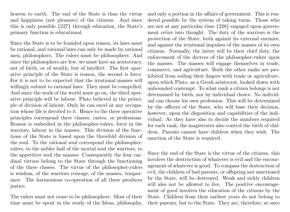heaven to earth. The end of the State is thus the virtue and happiness (not pleasure) of the citizens. And since this is only possible {227} through education, the State's primary function is educational.

Since the State is to be founded upon reason, its laws must be rational, and rational laws can only be made by rational men, philosophers. The rulers must be philosophers. And since the philosophers are few, we must have an aristocracy, not of birth, or of wealth, but of intellect. The first operative principle of the State is reason, the second is force. For it is not to be expected that the irrational masses will willingly submit to rational laws. They must be compelled. And since the work of the world must go on, the third operative principle will be labour. Plato believed in the principle of division of labour. Only he can excel at any occupation whose life is devoted to it. Hence to the three operative principles correspond three classes, castes, or professions. Reason is embodied in the philosopher-rulers, force in the warriors, labour in the masses. This division of the functions of the State is based upon the threefold division of the soul. To the rational soul correspond the philosopherrulers, to the nobler half of the mortal soul the warriors, to the appetitive soul the masses. Consequently the four cardinal virtues belong to the State through the functioning of the three classes. The virtue of the philosopher-rulers is wisdom, of the warriors courage, of the masses, temperance. The harmonious co-operation of all three produces justice.

The rulers must not cease to be philosophers. Most of their time must be spent in the study of the Ideas, philosophy,

and only a portion in the affairs of government. This is rendered possible by the system of taking turns. Those who are not at any particular time {228} engaged upon government retire into thought. The duty of the warriors is the protection of the State, both against its external enemies, and against the irrational impulses of the masses of its own citizens. Normally, the latter will be their chief duty, the enforcement of the decrees of the philosopher-rulers upon the masses. The masses will engage themselves in trade, commerce, and agriculture. Both the other ranks are prohibited from soiling their fingers with trade or agriculture, upon which Plato, as a Greek aristocrat, looked down with unbounded contempt. To what rank a citizen belongs is not determined by birth, nor by individual choice. No individual can choose his own profession. This will be determined by the officers of the State, who will base their decision, however, upon the disposition and capabilities of the individual. As they have also to decide the numbers required for each rank, the magistrates also control the birth of children. Parents cannot have children when they wish. The sanction of the State is required.

Since the end of the State is the virtue of the citizens, this involves the destruction of whatever is evil and the encouragement of whatever is good. To compass the destruction of evil, the children of bad parents, or offspring not sanctioned by the State, will be destroyed. Weak and sickly children will also not be allowed to live. The positive encouragement of good involves the education of the citizens by the State. Children from their earliest years do not belong to their parents, but to the State. They are, therefore, at once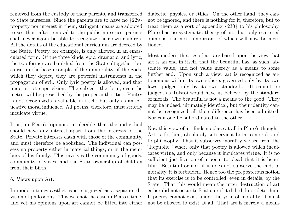removed from the custody of their parents, and transferred to State nurseries. Since the parents are to have no {229} property nor interest in them, stringent means are adopted to see that, after removal to the public nurseries, parents shall never again be able to recognize their own children. All the details of the educational curriculum are decreed by the State. Poetry, for example, is only allowed in an emasculated form. Of the three kinds, epic, dramatic, and lyric, the two former are banished from the State altogether, because, in the base example of the immorality of the gods, which they depict, they are powerful instruments in the propagation of evil. Only lyric poetry is allowed, and that under strict supervision. The subject, the form, even the metre, will be prescribed by the proper authorities. Poetry is not recognized as valuable in itself, but only as an educative moral influence. All poems, therefore, must strictly inculcate virtue.

It is, in Plato's opinion, intolerable that the individual should have any interest apart from the interests of the State. Private interests clash with those of the community, and must therefore be abolished. The individual can possess no property either in material things, or in the members of his family. This involves the community of goods, community of wives, and the State ownership of children from their birth.

6. Views upon Art.

In modern times aesthetics is recognized as a separate division of philosophy. This was not the case in Plato's time, and yet his opinions upon art cannot be fitted into either dialectic, physics, or ethics. On the other hand, they cannot be ignored, and there is nothing for it, therefore, but to treat them as a sort of appendix {230} to his philosophy. Plato has no systematic theory of art, but only scattered opinions, the most important of which will now be mentioned.

Most modern theories of art are based upon the view that art is an end in itself, that the beautiful has, as such, absolute value, and not value merely as a means to some further end. Upon such a view, art is recognized as autonomous within its own sphere, governed only by its own laws, judged only by its own standards. It cannot be judged, as Tolstoi would have us believe, by the standard of morals. The beautiful is not a means to the good. They may be indeed, ultimately identical, but their identity cannot be recognized till their difference has been admitted. Nor can one be subordinated to the other.

Now this view of art finds no place at all in Plato's thought. Art is, for him, absolutely subservient both to morals and to philosophy. That it subserves morality we see from the "Republic," where only that poetry is allowed which inculcates virtue, and only because it inculcates virtue. It is no sufficient justification of a poem to plead that it is beautiful. Beautiful or not, if it does not subserve the ends of morality, it is forbidden. Hence too the preposterous notion that its exercise is to be controlled, even in details, by the State. That this would mean the utter destruction of art either did not occur to Plato, or if it did, did not deter him. If poetry cannot exist under the yoke of morality, it must not be allowed to exist at all. That art is merely a means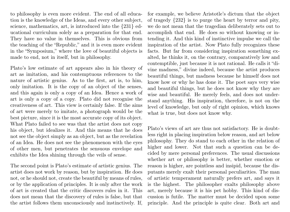to philosophy is even more evident. The end of all education is the knowledge of the Ideas, and every other subject, science, mathematics, art, is introduced into the {231} educational curriculum solely as a preparation for that end. They have no value in themselves. This is obvious from the teaching of the "Republic," and it is even more evident in the "Symposium," where the love of beautiful objects is made to end, not in itself, but in philosophy.

Plato's low estimate of art appears also in his theory of art as imitation, and his contemptuous references to the nature of artistic genius. As to the first, art is, to him, only imitation. It is the copy of an object of the senses, and this again is only a copy of an Idea. Hence a work of art is only a copy of a copy. Plato did not recognise the creativeness of art. This view is certainly false. If the aims of art were merely to imitate, a photograph would be the best picture, since it is the most accurate copy of its object. What Plato failed to see was that the artist does not copy his object, but idealizes it. And this means that he does not see the object simply as an object, but as the revelation of an Idea. He does not see the phenomenon with the eyes of other men, but penetrates the sensuous envelope and exhibits the Idea shining through the veils of sense.

The second point is Plato's estimate of artistic genius. The artist does not work by reason, but by inspiration. He does not, or he should not, create the beautiful by means of rules, or by the application of principles. It is only after the work of art is created that the critic discovers rules in it. This does not mean that the discovery of rules is false, but that the artist follows them unconsciously and instinctively. If,

for example, we believe Aristotle's dictum that the object of tragedy {232} is to purge the heart by terror and pity, we do not mean that the tragedian deliberately sets out to accomplish that end. He does so without knowing or intending it. And this kind of instinctive impulse we call the inspiration of the artist. Now Plato fully recognizes these facts. But far from considering inspiration something exalted, he thinks it, on the contrary, comparatively low and contemptible, just because it is not rational. He calls it "divine madness," divine indeed, because the artist produces beautiful things, but madness because he himself does not know how or why he has done it. The poet says very wise and beautiful things, but he does not know why they are wise and beautiful. He merely feels, and does not understand anything. His inspiration, therefore, is not on the level of knowledge, but only of right opinion, which knows what is true, but does not know why.

Plato's views of art are thus not satisfactory. He is doubtless right in placing inspiration below reason, and art below philosophy. They do stand to each other in the relation of higher and lower. Not that such a question can be decided by mere personal preferences. The usual discussions whether art or philosophy is better, whether emotion or reason is higher, are pointless and insipid, because the disputants merely exalt their personal peculiarities. The man of artistic temperament naturally prefers art, and says it is the highest. The philosopher exalts philosophy above art, merely because it is his pet hobby. This kind of discussion is futile. The matter must be decided upon some principle. And the principle is quite clear. Both art and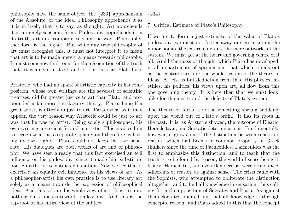philosophy have the same object, the {233} apprehension of the Absolute, or the Idea. Philosophy apprehends it as it is in itself, that is to say, as thought. Art apprehends it in a merely sensuous form. Philosophy apprehends it in its truth, art in a comparatively untrue way. Philosophy, therefore, is the higher. But while any true philosophy of art must recognize this, it must not interpret it to mean that art is to be made merely a means towards philosophy. It must somehow find room for the recognition of the truth that art is an end in itself, and it is in this that Plato fails.

Aristotle, who had no spark of artistic capacity in his composition, whose own writings are the severest of scientific treatises, did far greater justice to art than Plato, and propounded a far more satisfactory theory. Plato, himself a great artist, is utterly unjust to art. Paradoxical as it may appear, the very reason why Aristotle could be just to art was that he was no artist. Being solely a philosopher, his own writings are scientific and inartistic. This enables him to recognize art as a separate sphere, and therefore as having its own rights. Plato could not keep the two separate. His dialogues are both works of art and of philosophy. We have seen already that this fact exercised an evil influence on his philosophy, since it made him substitute poetic myths for scientific explanation. Now we see that it exercised an equally evil influence on his views of art. As a philosopher-artist his own practice is to use literary art solely as a means towards the expression of philosophical ideas. And this colours his whole view of art. It is, to him, nothing but a means towards philosophy. And this is the tap-root of his entire view of the subject.

{234}

7. Critical Estimate of Plato's Philosophy,

If we are to form a just estimate of the value of Plato's philosophy, we must not fritter away our criticism on the minor points, the external details, the mere outworks of the system. We must get at the heart and governing centre of it all. Amid the mass of thought which Plato has developed, in all departments of speculation, that which stands out as the central thesis of the whole system is the theory of Ideas. All else is but deduction from this. His physics, his ethics, his politics, his views upon art, all flow from this one governing theory. It is here then that we must look, alike for the merits and the defects of Plato's system.

The theory of Ideas is not a something sprung suddenly upon the world out of Plato's brain. It has its roots in the past. It is, as Aristotle showed, the outcome of Eleatic, Heracleitean, and Socratic determinations. Fundamentally, however, it grows out of the distinction between sense and reason, which had been the common property of Greek thinkers since the time of Parmenides. Parmenides was the first to emphasize this distinction, and to teach that the truth is to be found by reason, the world of sense being illusory. Heracleitus, and even Democritus, were pronounced adherents of reason, as against sense. The crisis came with the Sophists, who attempted to obliterate the distinction altogether, and to find all knowledge in sensation, thus calling forth the opposition of Socrates and Plato. As against them Socrates pointed out that all knowledge is through concepts, reason: and Plato added to this that the concept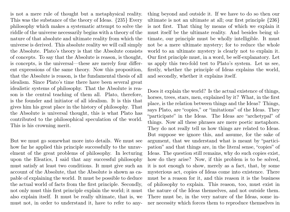is not a mere rule of thought but a metaphysical reality. This was the substance of the theory of Ideas. {235} Every philosophy which makes a systematic attempt to solve the riddle of the universe necessarily begins with a theory of the nature of that absolute and ultimate reality from which the universe is derived. This absolute reality we will call simply the Absolute. Plato's theory is that the Absolute consists of concepts. To say that the Absolute is reason, is thought, is concepts, is the universal—these are merely four different expressions of the same theory. Now this proposition, that the Absolute is reason, is the fundamental thesis of all idealism. Since Plato's time there have been several great idealistic systems of philosophy. That the Absolute is reason is the central teaching of them all. Plato, therefore, is the founder and initiator of all idealism. It is this that gives him his great place in the history of philosophy. That the Absolute is universal thought, this is what Plato has contributed to the philosophical speculation of the world. This is his crowning merit.

But we must go somewhat more into details. We must see how far he applied this principle successfully to the unravelment of the great problems of philosophy. In lecturing upon the Eleatics, I said that any successful philosophy must satisfy at least two conditions. It must give such an account of the Absolute, that the Absolute is shown as capable of explaining the world. It must be possible to deduce the actual world of facts from the first principle. Secondly, not only must this first principle explain the world; it must also explain itself. It must be really ultimate, that is, we must not, in order to understand it, have to refer to anything beyond and outside it. If we have to do so then our ultimate is not an ultimate at all; our first principle {236} is not first. That thing by means of which we explain it must itself be the ultimate reality. And besides being ultimate, our principle must be wholly intelligible. It must not be a mere ultimate mystery; for to reduce the whole world to an ultimate mystery is clearly not to explain it. Our first principle must, in a word, be self-explanatory. Let us apply this two-fold test to Plato's system. Let us see, firstly, whether the principle of Ideas explains the world, and secondly, whether it explains itself.

Does it explain the world? Is the actual existence of things, horses, trees, stars, men, explained by it? What, in the first place, is the relation between things and the Ideas? Things, says Plato, are "copies," or "imitations" of the Ideas. They "participate" in the Ideas. The Ideas are "archetypal" of things. Now all these phrases are mere poetic metaphors. They do not really tell us how things are related to Ideas. But suppose we ignore this, and assume, for the sake of argument, that we understand what is meant by "participation" and that things are, in the literal sense, "copies" of Ideas. The question still remains, why do such copies exist, how do they arise? Now, if this problem is to be solved, it is not enough to show, merely as a fact, that, by some mysterious act, copies of Ideas come into existence. There must be a reason for it, and this reason it is the business of philosophy to explain. This reason, too, must exist in the nature of the Ideas themselves, and not outside them. There must be, in the very nature of the Ideas, some inner necessity which forces them to reproduce themselves in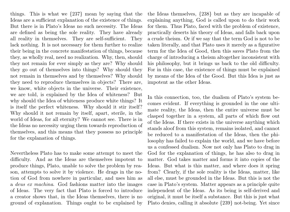things. This is what we {237} mean by saying that the Ideas are a sufficient explanation of the existence of things. But there is in Plato's Ideas no such necessity. The Ideas are defined as being the sole reality. They have already all reality in themselves. They are self-sufficient. They lack nothing. It is not necessary for them further to realize their being in the concrete manifestation of things, because they, as wholly real, need no realization. Why, then, should they not remain for ever simply as they are? Why should they go out of themselves into things? Why should they not remain in themselves and by themselves? Why should they need to reproduce themselves in objects? There are, we know, white objects in the universe. Their existence, we are told, is explained by the Idea of whiteness? But why should the Idea of whiteness produce white things? It is itself the perfect whiteness. Why should it stir itself? Why should it not remain by itself, apart, sterile, in the world of Ideas, for all eternity? We cannot see. There is in the Ideas no necessity urging them towards reproduction of themselves, and this means that they possess no principle for the explanation of things.

Nevertheless Plato has to make some attempt to meet the difficulty. And as the Ideas are themselves impotent to produce things, Plato, unable to solve the problem by reason, attempts to solve it by violence. He drags in the notion of God from nowhere in particular, and uses him as a deus ex machina. God fashions matter into the images of Ideas. The very fact that Plato is forced to introduce a creator shows that, in the Ideas themselves, there is no ground of explanation. Things ought to be explained by

the Ideas themselves, {238} but as they are incapable of explaining anything, God is called upon to do their work for them. Thus Plato, faced with the problem of existence, practically deserts his theory of Ideas, and falls back upon a crude theism. Or if we say that the term God is not to be taken literally, and that Plato uses it merely as a figurative term for the Idea of Good, then this saves Plato from the charge of introducing a theism altogether inconsistent with his philosophy, but it brings us back to the old difficulty. For in this case, the existence of things must be explained by means of the Idea of the Good. But this Idea is just as impotent as the other Ideas.

In this connection, too, the dualism of Plato's system becomes evident. If everything is grounded in the one ultimate reality, the Ideas, then the entire universe must be clasped together in a system, all parts of which flow out of the Ideas. If there exists in the universe anything which stands aloof from this system, remains isolated, and cannot be reduced to a manifestation of the Ideas, then the philosophy has failed to explain the world, and we have before us a confessed dualism. Now not only has Plato to drag in God for the explanation of things, he has also to drag in matter. God takes matter and forms it into copies of the Ideas. But what is this matter, and where does it spring from? Clearly, if the sole reality is the Ideas, matter, like all else, must be grounded in the Ideas. But this is not the case in Plato's system. Matter appears as a principle quite independent of the Ideas. As its being is self-derived and original, it must be itself a substance. But this is just what Plato denies, calling it absolute {239} not-being. Yet since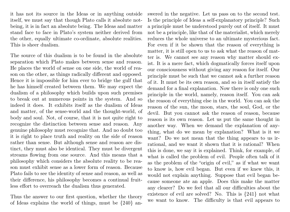it has not its source in the Ideas or in anything outside itself, we must say that though Plato calls it absolute notbeing, it is in fact an absolute being. The Ideas and matter stand face to face in Plato's system neither derived from the other, equally ultimate co-ordinate, absolute realities. This is sheer dualism.

The source of this dualism is to be found in the absolute separation which Plato makes between sense and reason. He places the world of sense on one side, the world of reason on the other, as things radically different and opposed. Hence it is impossible for him ever to bridge the gulf that he has himself created between them. We may expect the dualism of a philosophy which builds upon such premises to break out at numerous points in the system. And so indeed it does. It exhibits itself as the dualism of Ideas and matter, of the sense-world and the thought-world, of body and soul. Not, of course, that it is not quite right to recognize the distinction between sense and reason. Any genuine philosophy must recognize that. And no doubt too it is right to place truth and reality on the side of reason rather than sense. But although sense and reason are distinct, they must also be identical. They must be divergent streams flowing from one source. And this means that a philosophy which considers the absolute reality to be reason must exhibit sense as a lower form of reason. Because Plato fails to see the identity of sense and reason, as well as their difference, his philosophy becomes a continual fruitless effort to overreach the dualism thus generated.

Thus the answer to our first question, whether the theory of Ideas explains the world of things, must be {240} answered in the negative. Let us pass on to the second test. Is the principle of Ideas a self-explanatory principle? Such a principle must be understood purely out of itself. It must not be a principle, like that of the materialist, which merely reduces the whole universe to an ultimate mysterious fact. For even if it be shown that the reason of everything is matter, it is still open to us to ask what the reason of matter is. We cannot see any reason why matter should exist. It is a mere fact, which dogmatically forces itself upon our consciousness without giving any reason for itself. Our principle must be such that we cannot ask a further reason of it. It must be its own reason, and so in itself satisfy the demand for a final explanation. Now there is only one such principle in the world, namely, reason itself. You can ask the reason of everything else in the world. You can ask the reason of the sun, the moon, stars, the soul, God, or the devil. But you cannot ask the reason of reason, because reason is its own reason. Let us put the same thought in another way. When we demand the explanation of anything, what do we mean by explanation? What is it we want? Do we not mean that the thing appears to us irrational, and we want it shown that it is rational? When this is done, we say it is explained. Think, for example, of what is called the problem of evil. People often talk of it as the problem of the "origin of evil," as if what we want to know is, how evil began. But even if we knew this, it would not explain anything. Suppose that evil began because someone ate an apple. Does this make the matter any clearer? Do we feel that all our difficulties about the existence of evil are solved? No. This is {241} not what we want to know. The difficulty is that evil appears to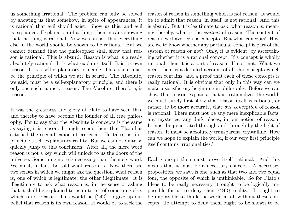us something irrational. The problem can only be solved by showing us that somehow, in spite of appearances, it is rational that evil should exist. Show us this, and evil is explained. Explanation of a thing, then, means showing that the thing is rational. Now we can ask that everything else in the world should be shown to be rational. But we cannot demand that the philosopher shall show that reason is rational. This is absurd. Reason is what is already absolutely rational. It is what explains itself. It is its own reason. It is a self-explanatory principle. This, then, must be the principle of which we are in search. The Absolute, we said, must be a self-explanatory principle, and there is only one such, namely, reason. The Absolute, therefore, is reason.

It was the greatness and glory of Plato to have seen this, and thereby to have become the founder of all true philosophy. For to say that the Absolute is concepts is the same as saying it is reason. It might seem, then, that Plato has satisfied the second canon of criticism. He takes as first principle a self-explanatory reality. But we cannot quite so quickly jump to this conclusion. After all, the mere word reason is not a key which will unlock to us the doors of the universe. Something more is necessary than the mere word. We must, in fact, be told what reason is. Now there are two senses in which we might ask the question, what reason is, one of which is legitimate, the other illegitimate. It is illegitimate to ask what reason is, in the sense of asking that it shall be explained to us in terms of something else, which is not reason. This would be {242} to give up our belief that reason is its own reason. It would be to seek the

reason of reason in something which is not reason. It would be to admit that reason, in itself, is not rational. And this is absurd. But it is legitimate to ask, what reason is, meaning thereby, what is the content of reason. The content of reason, we have seen, is concepts. But what concepts? How are we to know whether any particular concept is part of the system of reason or not? Only, it is evident, by ascertaining whether it is a rational concept. If a concept is wholly rational, then it is a part of reason. If not, not. What we need, then, is a detailed account of all the concepts which reason contains, and a proof that each of these concepts is really rational. It is obvious that only in this way can we make a satisfactory beginning in philosophy. Before we can show that reason explains, that is, rationalizes the world, we must surely first show that reason itself is rational, or rather, to be more accurate, that our conception of reason is rational. There must not be any mere inexplicable facts, any mysteries, any dark places, in our notion of reason. It must be penetrated through and through by the light of reason. It must be absolutely transparent, crystalline. How can we hope to explain the world, if our very first principle itself contains irrationalities?

Each concept then must prove itself rational. And this means that it must be a necessary concept. A necessary proposition, we saw, is one, such as that two and two equal four, the opposite of which is unthinkable. So for Plato's Ideas to be really necessary it ought to be logically impossible for us to deny their {243} reality. It ought to be impossible to think the world at all without these concepts. To attempt to deny them ought to be shown to be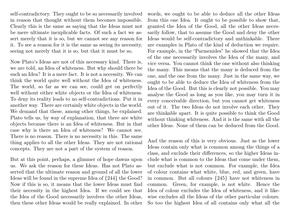self-contradictory. They ought to be so necessarily involved in reason that thought without them becomes impossible. Clearly this is the same as saying that the Ideas must not be mere ultimate inexplicable facts. Of such a fact we assert merely that it is so, but we cannot see any reason for it. To see a reason for it is the same as seeing its necessity, seeing not merely that it is so, but that it must be so.

Now Plato's Ideas are not of this necessary kind. There is, we are told, an Idea of whiteness. But why should there be such an Idea? It is a mere fact. It is not a necessity. We can think the world quite well without the Idea of whiteness. The world, so far as we can see, could get on perfectly well without either white objects or the Idea of whiteness. To deny its reality leads to no self-contradictions. Put it in another way. There are certainly white objects in the world. We demand that these, among other things, be explained. Plato tells us, by way of explanation, that there are white objects because there is an Idea of whiteness. But in that case why is there an Idea of whiteness? We cannot see. There is no reason. There is no necessity in this. The same thing applies to all the other Ideas. They are not rational concepts. They are not a part of the system of reason.

But at this point, perhaps, a glimmer of hope dawns upon us. We ask the reason for these Ideas. Has not Plato asserted that the ultimate reason and ground of all the lower Ideas will be found in the supreme Idea of {244} the Good? Now if this is so, it means that the lower Ideas must find their necessity in the highest Idea. If we could see that the Idea of the Good necessarily involves the other Ideas, then these other Ideas would be really explained. In other words, we ought to be able to deduce all the other Ideas from this one Idea. It ought to be possible to show that, granted the Idea of the Good, all the other Ideas necessarily follow, that to assume the Good and deny the other Ideas would be self-contradictory and unthinkable. There are examples in Plato of the kind of deduction we require. For example, in the "Parmenides" he showed that the Idea of the one necessarily involves the Idea of the many, and vice versa. You cannot think the one without also thinking the many. This means that the many is deduced from the one, and the one from the many. Just in the same way, we ought to be able to deduce the Idea of whiteness from the Idea of the Good. But this is clearly not possible. You may analyse the Good as long as you like, you may turn it in every conceivable direction, but you cannot get whiteness out of it. The two Ideas do not involve each other. They are thinkable apart. It is quite possible to think the Good without thinking whiteness. And it is the same with all the other Ideas. None of them can be deduced from the Good.

And the reason of this is very obvious. Just as the lower Ideas contain only what is common among the things of a class, and exclude their differences, so the higher Ideas include what is common to the Ideas that come under them, but exclude what is not common. For example, the Idea of colour contains what white, blue, red, and green, have in common. But all colours {245} have not whiteness in common. Green, for example, is not white. Hence the Idea of colour excludes the Idea of whiteness, and it likewise excludes all the Ideas of the other particular colours. So too the highest Idea of all contains only what all the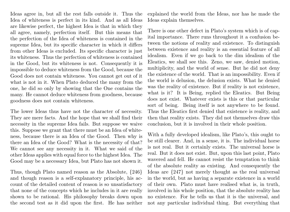Ideas agree in, but all the rest falls outside it. Thus the Idea of whiteness is perfect in its kind. And as all Ideas are likewise perfect, the highest Idea is that in which they all agree, namely, perfection itself. But this means that the perfection of the Idea of whiteness is contained in the supreme Idea, but its specific character in which it differs from other Ideas is excluded. Its specific character is just its whiteness. Thus the perfection of whiteness is contained in the Good, but its whiteness is not. Consequently it is impossible to deduce whiteness from the Good, because the Good does not contain whiteness. You cannot get out of it what is not in it. When Plato deduced the many from the one, he did so only by showing that the One contains the many. He cannot deduce whiteness from goodness, because goodness does not contain whiteness.

The lower Ideas thus have not the character of necessity. They are mere facts. And the hope that we shall find their necessity in the supreme Idea fails. But suppose we waive this. Suppose we grant that there must be an Idea of whiteness, because there is an Idea of the Good. Then why is there an Idea of the Good? What is the necessity of that? We cannot see any necessity in it. What we said of the other Ideas applies with equal force to the highest Idea. The Good may be a necessary Idea, but Plato has not shown it.

Thus, though Plato named reason as the Absolute, {246} and though reason is a self-explanatory principle, his account of the detailed content of reason is so unsatisfactory that none of the concepts which he includes in it are really shown to be rational. His philosophy breaks down upon the second test as it did upon the first. He has neither explained the world from the Ideas, nor has he made the Ideas explain themselves.

There is one other defect in Plato's system which is of capital importance. There runs throughout it a confusion between the notions of reality and existence. To distinguish between existence and reality is an essential feature of all idealism. Even if we go back to the dim idealism of the Eleatics, we shall see this. Zeno, we saw, denied motion, multiplicity, and the world of sense. But he did not deny the existence of the world. That is an impossibility. Even if the world is delusion, the delusion exists. What he denied was the reality of existence. But if reality is not existence, what is it? It is Being, replied the Eleatics. But Being does not exist. Whatever exists is this or that particular sort of being. Being itself is not anywhere to be found. Thus the Eleatics first denied that existence is reality, and then that reality exists. They did not themselves draw this conclusion, but it is involved in their whole position.

With a fully developed idealism, like Plato's, this ought to be still clearer. And, in a sense, it is. The individual horse is not real. But it certainly exists. The universal horse is real. But it does not exist. But, upon this last point, Plato wavered and fell. He cannot resist the temptation to think of the absolute reality as existing. And consequently the Ideas are {247} not merely thought as the real universal in the world, but as having a separate existence in a world of their own. Plato must have realised what is, in truth, involved in his whole position, that the absolute reality has no existence. For he tells us that it is the universal, and not any particular individual thing. But everything that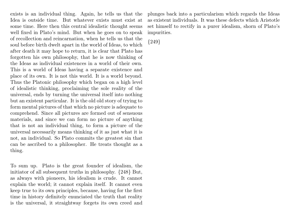exists is an individual thing. Again, he tells us that the Idea is outside time. But whatever exists must exist at some time. Here then this central idealistic thought seems well fixed in Plato's mind. But when he goes on to speak of recollection and reincarnation, when he tells us that the soul before birth dwelt apart in the world of Ideas, to which after death it may hope to return, it is clear that Plato has forgotten his own philosophy, that he is now thinking of the Ideas as individual existences in a world of their own. This is a world of Ideas having a separate existence and place of its own. It is not this world. It is a world beyond. Thus the Platonic philosophy which began on a high level of idealistic thinking, proclaiming the sole reality of the universal, ends by turning the universal itself into nothing but an existent particular. It is the old old story of trying to form mental pictures of that which no picture is adequate to comprehend. Since all pictures are formed out of sensuous materials, and since we can form no picture of anything that is not an individual thing, to form a picture of the universal necessarily means thinking of it as just what it is not, an individual. So Plato commits the greatest sin that can be ascribed to a philosopher. He treats thought as a thing.

To sum up. Plato is the great founder of idealism, the initiator of all subsequent truths in philosophy. {248} But, as always with pioneers, his idealism is crude. It cannot explain the world; it cannot explain itself. It cannot even keep true to its own principles, because, having for the first time in history definitely enunciated the truth that reality is the universal, it straightway forgets its own creed and

plunges back into a particularism which regards the Ideas as existent individuals. It was these defects which Aristotle set himself to rectify in a purer idealism, shorn of Plato's impurities.

{249}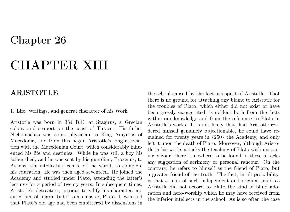## Chapter 26

# CHAPTER XIII

## ARISTOTLE

1. Life, Writings, and general character of his Work.

Aristotle was born in 384 B.C. at Stagirus, a Grecian colony and seaport on the coast of Thrace. His father Nichomachus was court physician to King Amyntas of Macedonia, and from this began Aristotle's long association with the Macedonian Court, which considerably influenced his life and destinies. While he was still a boy his father died, and he was sent by his guardian, Proxenus, to Athens, the intellectual centre of the world, to complete his education. He was then aged seventeen. He joined the Academy and studied under Plato, attending the latter's lectures for a period of twenty years. In subsequent times, Aristotle's detractors, anxious to vilify his character, accused him of "ingratitude" to his master, Plato. It was said that Plato's old age had been embittered by dissensions in

the school caused by the factious spirit of Aristotle. That there is no ground for attaching any blame to Aristotle for the troubles of Plato, which either did not exist or have been grossly exaggerated, is evident both from the facts within our knowledge and from the reference to Plato in Aristotle's works. It is not likely that, had Aristotle rendered himself genuinely objectionable, he could have remained for twenty years in {250} the Academy, and only left it upon the death of Plato. Moreover, although Aristotle in his works attacks the teaching of Plato with unsparing vigour, there is nowhere to be found in these attacks any suggestion of acrimony or personal rancour. On the contrary, he refers to himself as the friend of Plato, but a greater friend of the truth. The fact, in all probability, is that a man of such independent and original mind as Aristotle did not accord to Plato the kind of blind adoration and hero-worship which he may have received from the inferior intellects in the school. As is so often the case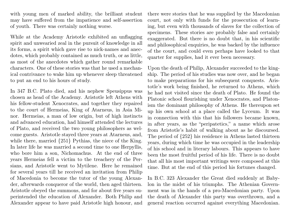with young men of marked ability, the brilliant student may have suffered from the impatience and self-assertion of youth. There was certainly nothing worse.

While at the Academy Aristotle exhibited an unflagging spirit and unwearied zeal in the pursuit of knowledge in all its forms, a spirit which gave rise to nick-names and anecdotes, which probably contained as much truth, or as little, as most of the anecdotes which gather round remarkable characters. One of these stories was that he used a mechanical contrivance to wake him up whenever sleep threatened to put an end to his hours of study.

In 347 B.C. Plato died, and his nephew Speusippus was chosen as head of the Academy. Aristotle left Athens with his fellow-student Xenocrates, and together they repaired to the court of Hermeias, King of Atarneus, in Asia Minor. Hermeias, a man of low origin, but of high instincts and advanced education, had himself attended the lectures of Plato, and received the two young philosophers as welcome guests. Aristotle stayed three years at Atarneus, and, while there, married {251} Pythias, the niece of the King. In later life he was married a second time to one Herpyllis, who bore him a son, Nichomachus. At the end of three years Hermeias fell a victim to the treachery of the Persians, and Aristotle went to Mytilene. Here he remained for several years till he received an invitation from Philip of Macedonia to become the tutor of the young Alexander, afterwards conqueror of the world, then aged thirteen. Aristotle obeyed the summons, and for about five years superintended the education of Alexander. Both Philip and Alexander appear to have paid Aristotle high honour, and

there were stories that he was supplied by the Macedonian court, not only with funds for the prosecution of learning, but even with thousands of slaves for the collection of specimens. These stories are probably false and certainly exaggerated. But there is no doubt that, in his scientific and philosophical enquiries, he was backed by the influence of the court, and could even perhaps have looked to that quarter for supplies, had it ever been necessary.

Upon the death of Philip, Alexander succeeded to the kingship. The period of his studies was now over, and he began to make preparations for his subsequent conquests. Aristotle's work being finished, he returned to Athens, which he had not visited since the death of Plato. He found the Platonic school flourishing under Xenocrates, and Platonism the dominant philosophy of Athens. He thereupon set up his own school at a place called the Lyceum. It was in connection with this that his followers became known, in after years, as the "peripatetics," a name which arose from Aristotle's habit of walking about as he discoursed. The period of {252} his residence in Athens lasted thirteen years, during which time he was occupied in the leadership of his school and in literary labours. This appears to have been the most fruitful period of his life. There is no doubt that all his most important writings were composed at this time. But at the end of this period his fortunes changed.

In B.C. 323 Alexander the Great died suddenly at Babylon in the midst of his triumphs. The Athenian Government was in the hands of a pro-Macedonian party. Upon the death of Alexander this party was overthrown, and a general reaction occurred against everything Macedonian.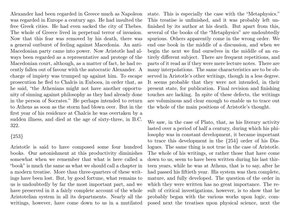Alexander had been regarded in Greece much as Napoleon was regarded in Europe a century ago. He had insulted the free Greek cities. He had even sacked the city of Thebes. The whole of Greece lived in perpetual terror of invasion. Now that this fear was removed by his death, there was a general outburst of feeling against Macedonia. An anti-Macedonian party came into power. Now Aristotle had always been regarded as a representative and protege of the Macedonian court, although, as a matter of fact, he had recently fallen out of favour with the autocratic Alexander. A charge of impiety was trumped up against him. To escape prosecution he fled to Chalcis in Euboea, in order that, as he said, "the Athenians might not have another opportunity of sinning against philosophy as they had already done in the person of Socrates." He perhaps intended to return to Athens as soon as the storm had blown over. But in the first year of his residence at Chalcis he was overtaken by a sudden illness, and died at the age of sixty-three, in B.C. 322.

{253}

Aristotle is said to have composed some four hundred books. Our astonishment at this productivity diminishes somewhat when we remember that what is here called a "book" is much the same as what we should call a chapter in a modern treatise. More than three-quarters of these writings have been lost. But, by good fortune, what remains to us is undoubtedly by far the most important part, and we have preserved in it a fairly complete account of the whole Aristotelian system in all its departments. Nearly all the writings, however, have come down to us in a mutilated

state. This is especially the case with the "Metaphysics." This treatise is unfinished, and it was probably left unfinished by its author at his death. But apart from this, several of the books of the "Metaphysics" are undoubtedly spurious. Others apparently come in the wrong order. We end one book in the middle of a discussion, and when we begin the next we find ourselves in the middle of an entirely different subject. There are frequent repetitions, and parts of it read as if they were mere lecture notes. There are many interpolations. The same characteristics are to be observed in Aristotle's other writings, though in a less degree. It seems probable that they were not intended, in their present state, for publication. Final revision and finishing touches are lacking. In spite of these defects, the writings are voluminous and clear enough to enable us to trace out the whole of the main positions of Aristotle's thought.

We saw, in the case of Plato, that, as his literary activity lasted over a period of half a century, during which his philosophy was in constant development, it became important to trace this development in the {254} order of his Dialogues. The same thing is not true in the case of Aristotle. The whole of his writings, or rather those that have come down to us, seem to have been written during his last thirteen years, while he was at Athens, that is to say, after he had passed his fiftieth year. His system was then complete, mature, and fully developed. The question of the order in which they were written has no great importance. The result of critical investigations, however, is to show that he probably began with the various works upon logic, composed next the treatises upon physical science, next the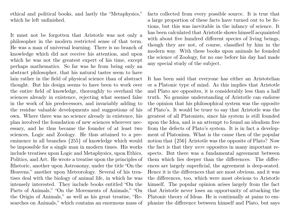ethical and political books, and lastly the "Metaphysics," which he left unfinished.

It must not be forgotten that Aristotle was not only a philosopher in the modern restricted sense of that term. He was a man of universal learning. There is no branch of knowledge which did not receive his attention, and upon which he was not the greatest expert of his time, except perhaps mathematics. So far was he from being only an abstract philosopher, that his natural tastes seem to have lain rather in the field of physical science than of abstract thought. But his design seems to have been to work over the entire field of knowledge, thoroughly to overhaul the sciences already in existence, rejecting what seemed false in the work of his predecessors, and invariably adding to the residue valuable developments and suggestions of his own. Where there was no science already in existence, his plan involved the foundation of new sciences wherever necessary, and he thus became the founder of at least two sciences, Logic and Zoology. He thus attained to a preeminence in all branches {255} of knowledge which would be impossible for a single man in modern times. His works include treatises upon Logic and Metaphysics, upon Ethics, Politics, and Art. He wrote a treatise upon the principles of Rhetoric, another upon Astronomy, under the title "On the Heavens," another upon Meteorology. Several of his treatises deal with the biology of animal life, in which he was intensely interested. They include books entitled "On the Parts of Animals," "On the Movements of Animals," "On the Origin of Animals," as well as his great treatise, "Researches on Animals," which contains an enormous mass of facts collected from every possible source. It is true that a large proportion of these facts have turned out to be fictions, but this was inevitable in the infancy of science. It has been calculated that Aristotle shows himself acquainted with about five hundred different species of living beings, though they are not, of course, classified by him in the modern way. With these books upon animals he founded the science of Zoology, for no one before his day had made any special study of the subject.

It has been said that everyone has either an Aristotelian or a Platonic type of mind. As this implies that Aristotle and Plato are opposites, it is considerably less than a half truth. No genuine understanding of Aristotle can endorse the opinion that his philosophical system was the opposite of Plato's. It would be truer to say that Aristotle was the greatest of all Platonists, since his system is still founded upon the Idea, and is an attempt to found an idealism free from the defects of Plato's system. It is in fact a development of Platonism. What is the cause then of the popular notion that {256} Aristotle was the opposite of Plato? Now the fact is that they were opposites in many important respects. But there was a fundamental agreement between them which lies deeper than the differences. The differences are largely superficial, the agreement is deep-seated. Hence it is the differences that are most obvious, and it was the differences, too, which were most obvious to Aristotle himself. The popular opinion arises largely from the fact that Aristotle never loses an opportunity of attacking the Platonic theory of Ideas. He is continually at pains to emphasize the difference between himself and Plato, but says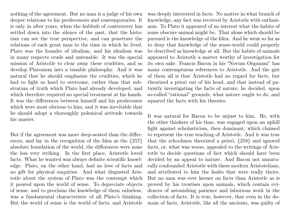nothing of the agreement. But no man is a judge of his own deeper relations to his predecessors and contemporaries. It is only in after years, when the hubbub of controversy has settled down into the silence of the past, that the historian can see the true perspective, and can penetrate the relations of each great man to the time in which he lived. Plato was the founder of idealism, and his idealism was in many respects crude and untenable. It was the special mission of Aristotle to clear away these crudities, and so develop Platonism into a tenable philosophy. And it was natural that he should emphasize the crudities, which he had to fight so hard to overcome, rather than that substratum of truth which Plato had already developed, and which therefore required no special treatment at his hands. It was the differences between himself and his predecessor which were most obvious to him, and it was inevitable that he should adopt a thoroughly polemical attitude towards his master.

But if the agreement was more deep-seated than the differences, and lay in the recognition of the Idea as the {257} absolute foundation of the world, the differences were none the less very striking. In the first place, Aristotle loved facts. What he wanted was always definite scientific knowledge. Plato, on the other hand, had no love of facts and no gift for physical enquiries. And what disgusted Aristotle about the system of Plato was the contempt which it poured upon the world of sense. To depreciate objects of sense, and to proclaim the knowledge of them valueless, was a fundamental characteristic of all Plato's thinking. But the world of sense is the world of facts, and Aristotle was deeply interested in facts. No matter in what branch of knowledge, any fact was received by Aristotle with enthusiasm. To Plato it appeared of no interest what the habits of some obscure animal might be. That alone which should be pursued is the knowledge of the Idea. And he went so far as to deny that knowledge of the sense-world could properly be described as knowledge at all. But the habits of animals appeared to Aristotle a matter worthy of investigation for its own sake. Francis Bacon in his "Novum Organum" has many contemptuous references to Aristotle. And the gist of them all is that Aristotle had no regard for facts, but theorized a priori out of his head, and that instead of patiently investigating the facts of nature, he decided, upon so-called "rational" grounds, what nature ought to do, and squared the facts with his theories.

It was natural for Bacon to be unjust to him. He, with the other thinkers of his time, was engaged upon an uphill fight against scholasticism, then dominant, which claimed to represent the true teaching of Aristotle. And it was true that the schoolmen theorized a priori, {258} and ignored facts, or, what was worse, appealed to the writings of Aristotle to decide questions of fact which should have been decided by an appeal to nature. And Bacon not unnaturally confounded Aristotle with these modern Aristotelians, and attributed to him the faults that were really theirs. But no man was ever keener on facts than Aristotle as is proved by his treatises upon animals, which contain evidences of astonishing patience and laborious work in the collection of facts. It is true, however, that even in the domain of facts, Aristotle, like all the ancients, was guilty of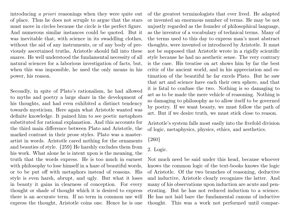introducing a priori reasonings when they were quite out of place. Thus he does not scruple to argue that the stars must move in circles because the circle is the perfect figure. And numerous similar instances could be quoted. But it was inevitable that, with science in its swaddling clothes, without the aid of any instruments, or of any body of previously ascertained truths, Aristotle should fall into these snares. He well understood the fundamental necessity of all natural sciences for a laborious investigation of facts, but, when this was impossible, he used the only means in his power, his reason.

Secondly, in spite of Plato's rationalism, he had allowed to myths and poetry a large share in the development of his thoughts, and had even exhibited a distinct tendency towards mysticism. Here again what Aristotle wanted was definite knowledge. It pained him to see poetic metaphors substituted for rational explanation. And this accounts for the third main difference between Plato and Aristotle, the marked contrast in their prose styles. Plato was a masterartist in words. Aristotle cared nothing for the ornaments and beauties of style. {259} He harshly excludes them from his work. What alone he is intent upon is the meaning, the truth that the words express. He is too much in earnest with philosophy to lose himself in a haze of beautiful words, or to be put off with metaphors instead of reasons. His style is even harsh, abrupt, and ugly. But what it loses in beauty it gains in clearness of conception. For every thought or shade of thought which it is desired to express there is an accurate term. If no term in common use will express the thought, Aristotle coins one. Hence he is one

of the greatest terminologists that ever lived. He adapted or invented an enormous number of terms. He may be not unjustly regarded as the founder of philosophical language, as the inventor of a vocabulary of technical terms. Many of the terms used to this day to express man's most abstract thoughts, were invented or introduced by Aristotle. It must not be supposed that Aristotle wrote in a rigidly scientific style because he had no aesthetic sense. The very contrary is the case. His treatise on art shows him by far the best critic of the ancient world, and in his appreciation and estimation of the beautiful he far excels Plato. But he saw that art and science have each their own sphere, and that it is fatal to confuse the two. Nothing is so damaging to art as to be made the mere vehicle of reasoning. Nothing is so damaging to philosophy as to allow itself to be governed by poetry. If we want beauty, we must follow the path of art. But if we desire truth, we must stick close to reason.

Aristotle's system falls most easily into the fivefold division of logic, metaphysics, physics, ethics, and aesthetics.

{260}

## 2. Logic.

Not much need be said under this head, because whoever knows the common logic of the text-books knows the logic of Aristotle. Of the two branches of reasoning, deductive and inductive, Aristotle clearly recognizes the latter. And many of his observations upon induction are acute and penetrating. But he has not reduced induction to a science. He has not laid bare the fundamental canons of inductive thought. This was a work not performed until compar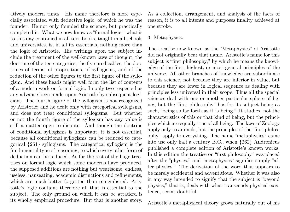atively modern times. His name therefore is more especially associated with deductive logic, of which he was the founder. He not only founded the science, but practically completed it. What we now know as "formal logic," what is to this day contained in all text-books, taught in all schools and universities, is, in all its essentials, nothing more than the logic of Aristotle. His writings upon the subject include the treatment of the well-known laws of thought, the doctrine of the ten categories, the five predicables, the doctrines of terms, of propositions, of syllogisms, and of the reduction of the other figures to the first figure of the syllogism. And these heads might well form the list of contents of a modern work on formal logic. In only two respects has any advance been made upon Aristotle by subsequent logicians. The fourth figure of the syllogism is not recognized by Aristotle; and he dealt only with categorical syllogisms, and does not treat conditional syllogisms. But whether or not the fourth figure of the syllogism has any value is still a matter open to dispute. And though the doctrine of conditional syllogisms is important, it is not essential, because all conditional syllogisms can be reduced to categorical {261} syllogisms. The categorical syllogism is the fundamental type of reasoning, to which every other form of deduction can be reduced. As for the rest of the huge treatises on formal logic which some moderns have produced, the supposed additions are nothing but wearisome, endless, useless, nauseating, academic distinctions and refinements, which are much better forgotten than remembered. Aristotle's logic contains therefore all that is essential to the subject. The only ground on which it can be attacked is its wholly empirical procedure. But that is another story.

As a collection, arrangement, and analysis of the facts of reason, it is to all intents and purposes finality achieved at one stroke.

#### 3. Metaphysics.

The treatise now known as the "Metaphysics" of Aristotle did not originally bear that name. Aristotle's name for this subject is "first philosophy," by which he means the knowledge of the first, highest, or most general principles of the universe. All other branches of knowledge are subordinate to this science, not because they are inferior in value, but because they are lower in logical sequence as dealing with principles less universal in their scope. Thus all the special sciences deal with one or another particular sphere of being, but the "first philosophy" has for its subject being as such, "being so far forth as it is being." It studies, not the characteristics of this or that kind of being, but the principles which are equally true of all being. The laws of Zoology apply only to animals, but the principles of the "first philosophy" apply to everything. The name "metaphysics" came into use only half a century B.C., when {262} Andronicus published a complete edition of Aristotle's known works. In this edition the treatise on "first philosophy" was placed after the "physics," and "metaphysics" signifies simply "after physics." The derivation of the word thus appears to be merely accidental and adventitious. Whether it was also in any way intended to signify that the subject is "beyond physics," that is, deals with what transcends physical existence, seems doubtful.

Aristotle's metaphysical theory grows naturally out of his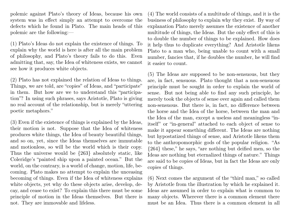polemic against Plato's theory of Ideas, because his own system was in effect simply an attempt to overcome the defects which he found in Plato. The main heads of this polemic are the following:—

(1) Plato's Ideas do not explain the existence of things. To explain why the world is here is after all the main problem of philosophy, and Plato's theory fails to do this. Even admitting that, say, the Idea of whiteness exists, we cannot see how it produces white objects.

(2) Plato has not explained the relation of Ideas to things. Things, we are told, are "copies" of Ideas, and "participate" in them. But how are we to understand this "participation"? In using such phrases, says Aristotle, Plato is giving no real account of the relationship, but is merely "uttering poetic metaphors."

(3) Even if the existence of things is explained by the Ideas, their motion is not. Suppose that the Idea of whiteness produces white things, the Idea of beauty beautiful things, and so on, yet, since the Ideas themselves are immutable and motionless, so will be the world which is their copy. Thus the universe would be {263} absolutely static, like Coleridge's "painted ship upon a painted ocean." But the world, on the contrary, is a world of change, motion, life, becoming. Plato makes no attempt to explain the unceasing becoming of things. Even if the Idea of whiteness explains white objects, yet why do these objects arise, develop, decay, and cease to exist? To explain this there must be some principle of motion in the Ideas themselves. But there is not. They are immovable and lifeless.

(4) The world consists of a multitude of things, and it is the business of philosophy to explain why they exist. By way of explanation Plato merely assumes the existence of another multitude of things, the Ideas. But the only effect of this is to double the number of things to be explained. How does it help thus to duplicate everything? And Aristotle likens Plato to a man who, being unable to count with a small number, fancies that, if he doubles the number, he will find it easier to count.

(5) The Ideas are supposed to be non-sensuous, but they are, in fact, sensuous. Plato thought that a non-sensuous principle must be sought in order to explain the world of sense. But not being able to find any such principle, he merely took the objects of sense over again and called them non-sensuous. But there is, in fact, no difference between the horse and the Idea of the horse, between the man and the Idea of the man, except a useless and meaningless "initself" or "in-general" attached to each object of sense to make it appear something different. The Ideas are nothing but hypostatized things of sense, and Aristotle likens them to the anthropomorphic gods of the popular religion. "As {264} these," he says, "are nothing but deified men, so the Ideas are nothing but eternalized things of nature." Things are said to be copies of Ideas, but in fact the Ideas are only copies of things.

(6) Next comes the argument of the "third man," so called by Aristotle from the illustration by which he explained it. Ideas are assumed in order to explain what is common to many objects. Wherever there is a common element there must be an Idea. Thus there is a common element in all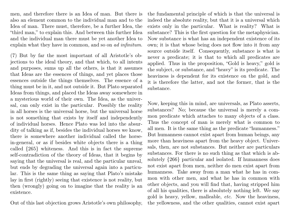men, and therefore there is an Idea of man. But there is also an element common to the individual man and to the Idea of man. There must, therefore, be a further Idea, the "third man," to explain this. And between this further Idea and the individual man there must be yet another Idea to explain what they have in common, and so on ad infinitum.

(7) But by far the most important of all Aristotle's objections to the ideal theory, and that which, to all intents and purposes, sums up all the others, is that it assumes that Ideas are the essences of things, and yet places those essences outside the things themselves. The essence of a thing must be in it, and not outside it. But Plato separated Ideas from things, and placed the Ideas away somewhere in a mysterious world of their own. The Idea, as the universal, can only exist in the particular. Possibly the reality in all horses is the universal horse, but the universal horse is not something that exists by itself and independently of individual horses. Hence Plato was led into the absurdity of talking as if, besides the individual horses we know, there is somewhere another individual called the horsein-general, or as if besides white objects there is a thing called {265} whiteness. And this is in fact the supreme self-contradiction of the theory of Ideas, that it begins by saying that the universal is real, and the particular unreal, but ends by degrading the universal again into a particular. This is the same thing as saying that Plato's mistake lay in first (rightly) seeing that existence is not reality, but then (wrongly) going on to imagine that the reality is an existence.

Out of this last objection grows Aristotle's own philosophy,

the fundamental principle of which is that the universal is indeed the absolute reality, but that it is a universal which exists only in the particular. What is reality? What is substance? This is the first question for the metaphysician. Now substance is what has an independent existence of its own; it is that whose being does not flow into it from any source outside itself. Consequently, substance is what is never a predicate; it is that to which all predicates are applied. Thus in the proposition, "Gold is heavy," gold is the subject, or substance, and "heavy" is its predicate. The heaviness is dependent for its existence on the gold, and it is therefore the latter, and not the former, that is the substance.

Now, keeping this in mind, are universals, as Plato asserts, substances? No; because the universal is merely a common predicate which attaches to many objects of a class. Thus the concept of man is merely what is common to all men. It is the same thing as the predicate "humanness." But humanness cannot exist apart from human beings, any more than heaviness apart from the heavy object. Universals, then, are not substances. But neither are particulars substances. For there is no such thing as that which is absolutely {266} particular and isolated. If humanness does not exist apart from men, neither do men exist apart from humanness. Take away from a man what he has in common with other men, and what he has in common with other objects, and you will find that, having stripped him of all his qualities, there is absolutely nothing left. We say gold is heavy, yellow, malleable, etc. Now the heaviness, the yellowness, and the other qualities, cannot exist apart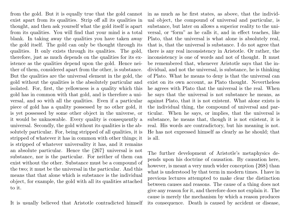from the gold. But it is equally true that the gold cannot exist apart from its qualities. Strip off all its qualities in thought, and then ask yourself what the gold itself is apart from its qualities. You will find that your mind is a total blank. In taking away the qualities you have taken away the gold itself. The gold can only be thought through its qualities. It only exists through its qualities. The gold, therefore, just as much depends on the qualities for its existence as the qualities depend upon the gold. Hence neither of them, considered apart from the other, is substance. But the qualities are the universal element in the gold, the gold without the qualities is the absolutely particular and isolated. For, first, the yellowness is a quality which this gold has in common with that gold, and is therefore a universal, and so with all the qualities. Even if a particular piece of gold has a quality possessed by no other gold, it is yet possessed by some other object in the universe, or it would be unknowable. Every quality is consequently a universal. Secondly, the gold without its qualities is the absolutely particular. For, being stripped of all qualities, it is stripped of whatever it has in common with other things; it is stripped of whatever universality it has, and it remains an absolute particular. Hence the {267} universal is not substance, nor is the particular. For neither of them can exist without the other. Substance must be a compound of the two; it must be the universal in the particular. And this means that that alone which is substance is the individual object, for example, the gold with all its qualities attached to it.

It is usually believed that Aristotle contradicted himself

in as much as he first states, as above, that the individual object, the compound of universal and particular, is substance, but later on allows a superior reality to the universal, or "form" as he calls it, and in effect teaches, like Plato, that the universal is what alone is absolutely real, that is, that the universal is substance. I do not agree that there is any real inconsistency in Aristotle. Or rather, the inconsistency is one of words and not of thought. It must be remembered that, whenever Aristotle says that the individual, and not the universal, is substance, he is thinking of Plato. What he means to deny is that the universal can exist on its own account, as Plato thought. Nevertheless he agrees with Plato that the universal is the real. When he says that the universal is not substance he means, as against Plato, that it is not existent. What alone exists is the individual thing, the compound of universal and particular. When he says, or implies, that the universal is substance, he means that, though it is not existent, it is real. His words are contradictory, but his meaning is not. He has not expressed himself as clearly as he should; that is all.

The further development of Aristotle's metaphysics depends upon his doctrine of causation. By causation here, however, is meant a very much wider conception  ${268}$  than what is understood by that term in modern times. I have in previous lectures attempted to make clear the distinction between causes and reasons. The cause of a thing does not give any reason for it, and therefore does not explain it. The cause is merely the mechanism by which a reason produces its consequence. Death is caused by accident or disease,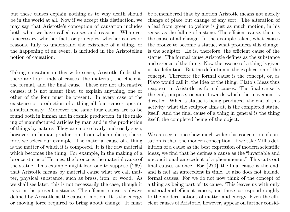but these causes explain nothing as to why death should be in the world at all. Now if we accept this distinction, we may say that Aristotle's conception of causation includes both what we have called causes and reasons. Whatever is necessary, whether facts or principles, whether causes or reasons, fully to understand the existence of a thing, or the happening of an event, is included in the Aristotelian notion of causation.

Taking causation in this wide sense, Aristotle finds that there are four kinds of causes, the material, the efficient, the formal, and the final cause. These are not alternative causes; it is not meant that, to explain anything, one or other of the four must be present. In every case of the existence or production of a thing all four causes operate simultaneously. Moreover the same four causes are to be found both in human and in cosmic production, in the making of manufactured articles by man and in the production of things by nature. They are more clearly and easily seen, however, in human production, from which sphere, therefore, we select our example. The material cause of a thing is the matter of which it is composed. It is the raw material which becomes the thing. For example, in the making of a bronze statue of Hermes, the bronze is the material cause of the statue. This example might lead one to suppose {269} that Aristotle means by material cause what we call matter, physical substance, such as brass, iron, or wood. As we shall see later, this is not necessarily the case, though it is so in the present instance. The efficient cause is always defined by Aristotle as the cause of motion. It is the energy or moving force required to bring about change. It must

be remembered that by motion Aristotle means not merely change of place but change of any sort. The alteration of a leaf from green to yellow is just as much motion, in his sense, as the falling of a stone. The efficient cause, then, is the cause of all change. In the example taken, what causes the bronze to become a statue, what produces this change, is the sculptor. He is, therefore, the efficient cause of the statue. The formal cause Aristotle defines as the substance and essence of the thing. Now the essence of a thing is given in its definition. But the definition is the explication of the concept. Therefore the formal cause is the concept, or, as Plato would call it, the Idea of the thing. Plato's Ideas thus reappear in Aristotle as formal causes. The final cause is the end, purpose, or aim, towards which the movement is directed. When a statue is being produced, the end of this activity, what the sculptor aims at, is the completed statue itself. And the final cause of a thing in general is the thing itself, the completed being of the object.

We can see at once how much wider this conception of causation is than the modern conception. If we take Mill's definition of a cause as the best expression of modern scientific ideas, we find that he defines a cause as the "invariable and unconditional antecedent of a phenomenon." This cuts out final causes at once. For {270} the final cause is the end, and is not an antecedent in time. It also does not include formal causes. For we do not now think of the concept of a thing as being part of its cause. This leaves us with only material and efficient causes, and these correspond roughly to the modern notions of matter and energy. Even the efficient causes of Aristotle, however, appear on further consid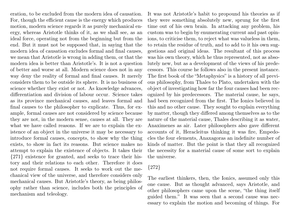eration, to be excluded from the modern idea of causation. For, though the efficient cause is the energy which produces motion, modern science regards it as purely mechanical energy, whereas Aristotle thinks of it, as we shall see, as an ideal force, operating not from the beginning but from the end. But it must not be supposed that, in saying that the modern idea of causation excludes formal and final causes, we mean that Aristotle is wrong in adding them, or that the modern idea is better than Aristotle's. It is not a question of better and worse at all. Modern science does not in any way deny the reality of formal and final causes. It merely considers them to be outside its sphere. It is no business of science whether they exist or not. As knowledge advances, differentiation and division of labour occur. Science takes as its province mechanical causes, and leaves formal and final causes to the philosopher to explicate. Thus, for example, formal causes are not considered by science because they are not, in the modern sense, causes at all. They are what we have called reasons. If we are to explain the existence of an object in the universe it may be necessary to introduce formal causes, concepts, to show why the thing exists, to show in fact its reasons. But science makes no attempt to explain the existence of objects. It takes their {271} existence for granted, and seeks to trace their history and their relations to each other. Therefore it does not require formal causes. It seeks to work out the mechanical view of the universe, and therefore considers only mechanical causes. But Aristotle's theory, as being philosophy rather than science, includes both the principles of mechanism and teleology.

It was not Aristotle's habit to propound his theories as if they were something absolutely new, sprung for the first time out of his own brain. In attacking any problem, his custom was to begin by enumerating current and past opinions, to criticise them, to reject what was valueless in them, to retain the residue of truth, and to add to it his own suggestions and original ideas. The resultant of this process was his own theory, which he thus represented, not as absolutely new, but as a development of the views of his predecessors. This course he follows also in the present instance. The first book of the "Metaphysics" is a history of all previous philosophy, from Thales to Plato, undertaken with the object of investigating how far the four causes had been recognized by his predecessors. The material cause, he says, had been recognized from the first. The Ionics believed in this and no other cause. They sought to explain everything by matter, though they differed among themselves as to the nature of the material cause, Thales describing it as water, Anaximenes as air. Later philosophers also gave different accounts of it, Heracleitus thinking it was fire, Empedocles the four elements, Anaxagoras an indefinite number of kinds of matter. But the point is that they all recognized the necessity for a material cause of some sort to explain the universe.

## {272}

The earliest thinkers, then, the Ionics, assumed only this one cause. But as thought advanced, says Aristotle, and other philosophers came upon the scene, "the thing itself guided them." It was seen that a second cause was necessary to explain the motion and becoming of things. For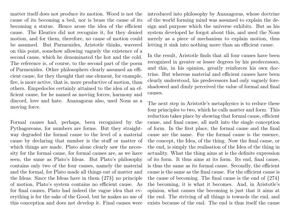matter itself does not produce its motion. Wood is not the cause of its becoming a bed, nor is brass the cause of its becoming a statue. Hence arose the idea of the efficient cause. The Eleatics did not recognize it, for they denied motion, and for them, therefore, no cause of motion could be assumed. But Parmenides, Aristotle thinks, wavered on this point, somehow allowing vaguely the existence of a second cause, which he denominated the hot and the cold. The reference is, of course, to the second part of the poem of Parmenides. Other philosophers clearly assumed an efficient cause, for they thought that one element, for example, fire, is more active, that is, more productive of motion, than others. Empedocles certainly attained to the idea of an efficient cause, for he named as moving forces, harmony and discord, love and hate. Anaxagoras also, used Nous as a moving force.

Formal causes had, perhaps, been recognized by the Pythagoreans, for numbers are forms. But they straightway degraded the formal cause to the level of a material cause by declaring that number is the stuff or matter of which things are made. Plato alone clearly saw the necessity for the formal cause, for formal causes are, as we have seen, the same as Plato's Ideas. But Plato's philosophy contains only two of the four causes, namely the material and the formal, for Plato made all things out of matter and the Ideas. Since the Ideas have in them {273} no principle of motion, Plato's system contains no efficient cause. As for final causes, Plato had indeed the vague idea that everything is for the sake of the Good, but he makes no use of this conception and does not develop it. Final causes were

introduced into philosophy by Anaxagoras, whose doctrine of the world forming mind was assumed to explain the design and purpose which the universe exhibits. But as his system developed he forgot about this, and used the Nous merely as a piece of mechanism to explain motion, thus letting it sink into nothing more than an efficient cause.

In the result, Aristotle finds that all four causes have been recognized in greater or lesser degrees by his predecessors, and this, in his opinion, greatly reinforces his own doctrine. But whereas material and efficient causes have been clearly understood, his predecessors had only vaguely foreshadowed and dimly perceived the value of formal and final causes.

The next step in Aristotle's metaphysics is to reduce these four principles to two, which he calls matter and form. This reduction takes place by showing that formal cause, efficient cause, and final cause, all melt into the single conception of form. In the first place, the formal cause and the final cause are the same. For the formal cause is the essence, the concept, the Idea, of the thing. Now the final cause, or the end, is simply the realisation of the Idea of the thing in actuality. What the thing aims at is the definite expression of its form. It thus aims at its form. Its end, final cause, is thus the same as its formal cause. Secondly, the efficient cause is the same as the final cause. For the efficient cause is the cause of becoming. The final cause is the end of {274} the becoming, it is what it becomes. And, in Aristotle's opinion, what causes the becoming is just that it aims at the end. The striving of all things is towards the end, and exists because of the end. The end is thus itself the cause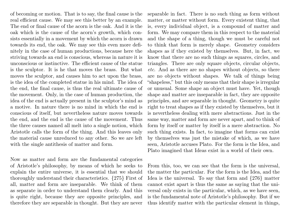of becoming or motion. That is to say, the final cause is the real efficient cause. We may see this better by an example. The end or final cause of the acorn is the oak. And it is the oak which is the cause of the acorn's growth, which consists essentially in a movement by which the acorn is drawn towards its end, the oak. We may see this even more definitely in the case of human productions, because here the striving towards an end is conscious, whereas in nature it is unconscious or instinctive. The efficient cause of the statue is the sculptor. It is he that moves the brass. But what moves the sculptor, and causes him to act upon the brass, is the idea of the completed statue in his mind. The idea of the end, the final cause, is thus the real ultimate cause of the movement. Only, in the case of human production, the idea of the end is actually present in the sculptor's mind as a motive. In nature there is no mind in which the end is conscious of itself, but nevertheless nature moves towards the end, and the end is the cause of the movement. Thus the three causes named all melt into a single notion, which Aristotle calls the form of the thing. And this leaves only the material cause unreduced to any other. So we are left with the single antithesis of matter and form.

Now as matter and form are the fundamental categories of Aristotle's philosophy, by means of which he seeks to explain the entire universe, it is essential that we should thoroughly understand their characteristics. {275} First of all, matter and form are inseparable. We think of them as separate in order to understand them clearly. And this is quite right, because they are opposite principles, and therefore they are separable in thought. But they are never

separable in fact. There is no such thing as form without matter, or matter without form. Every existent thing, that is, every individual object, is a compound of matter and form. We may compare them in this respect to the material and the shape of a thing, though we must be careful not to think that form is merely shape. Geometry considers shapes as if they existed by themselves. But, in fact, we know that there are no such things as squares, circles, and triangles. There are only square objects, circular objects, etc. And as there are no shapes without objects, so there are no objects without shapes. We talk of things being "shapeless," but this only means that their shape is irregular or unusual. Some shape an object must have. Yet, though shape and matter are inseparable in fact, they are opposite principles, and are separable in thought. Geometry is quite right to treat shapes as if they existed by themselves, but it is nevertheless dealing with mere abstractions. Just in the same way, matter and form are never apart, and to think of form by itself or matter by itself is a mere abstraction. No such thing exists. In fact, to imagine that forms can exist by themselves was just the mistake of which, as we have seen, Aristotle accuses Plato. For the form is the Idea, and Plato imagined that Ideas exist in a world of their own.

From this, too, we can see that the form is the universal, the matter the particular. For the form is the Idea, and the Idea is the universal. To say that form and {276} matter cannot exist apart is thus the same as saying that the universal only exists in the particular, which, as we have seen, is the fundamental note of Aristotle's philosophy. But if we thus identify matter with the particular element in things,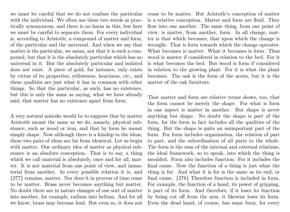we must be careful that we do not confuse the particular with the individual. We often use these two words as practically synonymous, and there is no harm in this, but here we must be careful to separate them. For every individual is, according to Aristotle, a compound of matter and form, of the particular and the universal. And when we say that matter is the particular, we mean, not that it is such a compound, but that it is the absolutely particular which has no universal in it. But the absolutely particular and isolated does not exist. A piece of gold, for instance, only exists by virtue of its properties, yellowness, heaviness, etc., and these qualities are just what it has in common with other things. So that the particular, as such, has no existence, but this is only the same as saying, what we have already said, that matter has no existence apart from form.

A very natural mistake would be to suppose that by matter Aristotle meant the same as we do, namely, physical substance, such as wood or iron, and that by form he meant simply shape. Now although there is a kinship in the ideas, these two pairs of ideas are far from identical. Let us begin with matter. Our ordinary idea of matter as physical substance is an absolute conception. That is to say, a thing which we call material is absolutely, once and for all, matter. It is not material from one point of view, and immaterial from another. In every possible relation it is, and {277} remains, matter. Nor does it in process of time cease to be matter. Brass never becomes anything but matter. No doubt there are in nature changes of one sort of matter into another, for example, radium into helium. And for all we know, brass may become lead. But even so, it does not cease to be matter. But Aristotle's conception of matter is a relative conception. Matter and form are fluid. They flow into one another. The same thing, from one point of view, is matter, from another, form. In all change, matter is that which becomes, that upon which the change is wrought. That is form towards which the change operates. What becomes is matter. What it becomes is form. Thus wood is matter if considered in relation to the bed. For it is what becomes the bed. But wood is form if considered in relation to the growing plant. For it is what the plant becomes. The oak is the form of the acorn, but it is the matter of the oak furniture.

That matter and form are relative terms shows, too, that the form cannot be merely the shape. For what is form in one aspect is matter in another. But shape is never anything but shape. No doubt the shape is part of the form, for the form in fact includes all the qualities of the thing. But the shape is quite an unimportant part of the form. For form includes organization, the relation of part to part, and the subordination of all parts to the whole. The form is the sum of the internal and external relations, the ideal framework, so to speak, into which the thing is moulded. Form also includes function. For it includes the final cause. Now the function of a thing is just what the thing is for. And what it is for is the same as its end, or final cause. {278} Therefore function is included in form. For example, the function of a hand, its power of gripping, is part of its form. And therefore, if it loses its function by being cut off from the arm, it likewise loses its form. Even the dead hand, of course, has some form, for every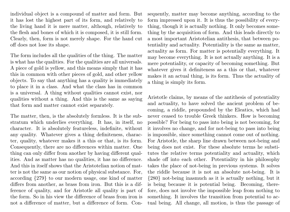individual object is a compound of matter and form. But it has lost the highest part of its form, and relatively to the living hand it is mere matter, although, relatively to the flesh and bones of which it is composed, it is still form. Clearly, then, form is not merely shape. For the hand cut off does not lose its shape.

The form includes all the qualities of the thing. The matter is what has the qualities. For the qualities are all universals. A piece of gold is yellow, and this means simply that it has this in common with other pieces of gold, and other yellow objects. To say that anything has a quality is immediately to place it in a class. And what the class has in common is a universal. A thing without qualities cannot exist, nor qualities without a thing. And this is the same as saying that form and matter cannot exist separately.

The matter, then, is the absolutely formless. It is the substratum which underlies everything. It has, in itself, no character. It is absolutely featureless, indefinite, without any quality. Whatever gives a thing definiteness, character, quality, whatever makes it a this or that, is its form. Consequently, there are no differences within matter. One thing can only differ from another by having different qualities. And as matter has no qualities, it has no difference. And this in itself shows that the Aristotelian notion of matter is not the same as our notion of physical substance. For, according {279} to our modern usage, one kind of matter differs from another, as brass from iron. But this is a difference of quality, and for Aristotle all quality is part of the form. So in his view the difference of brass from iron is not a difference of matter, but a difference of form. Consequently, matter may become anything, according to the form impressed upon it. It is thus the possibility of everything, though it is actually nothing. It only becomes something by the acquisition of form. And this leads directly to a most important Aristotelian antithesis, that between potentiality and actuality. Potentiality is the same as matter, actuality as form. For matter is potentially everything. It may become everything. It is not actually anything. It is a mere potentiality, or capacity of becoming something. But whatever gives it definiteness as a this or that, whatever makes it an actual thing, is its form. Thus the actuality of a thing is simply its form.

Aristotle claims, by means of the antithesis of potentiality and actuality, to have solved the ancient problem of becoming, a riddle, propounded by the Eleatics, which had never ceased to trouble Greek thinkers. How is becoming possible? For being to pass into being is not becoming, for it involves no change, and for not-being to pass into being is impossible, since something cannot come out of nothing. For Aristotle, the sharp line drawn between not-being and being does not exist. For these absolute terms he substitutes the relative terms potentiality and actuality, which shade off into each other. Potentiality in his philosophy takes the place of not-being in previous systems. It solves the riddle because it is not an absolute not-being. It is {280} not-being inasmuch as it is actually nothing, but it is being because it is potential being. Becoming, therefore, does not involve the impossible leap from nothing to something. It involves the transition from potential to actual being. All change, all motion, is thus the passage of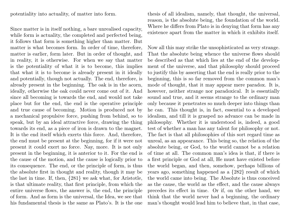potentiality into actuality, of matter into form.

Since matter is in itself nothing, a bare unrealised capacity, while form is actuality, the completed and perfected being, it follows that form is something higher than matter. But matter is what becomes form. In order of time, therefore, matter is earlier, form later. But in order of thought, and in reality, it is otherwise. For when we say that matter is the potentiality of what it is to become, this implies that what it is to become is already present in it ideally and potentially, though not actually. The end, therefore, is already present in the beginning. The oak is in the acorn, ideally, otherwise the oak could never come out of it. And since all becoming is towards the end, and would not take place but for the end, the end is the operative principle and true cause of becoming. Motion is produced not by a mechanical propulsive force, pushing from behind, so to speak, but by an ideal attractive force, drawing the thing towards its end, as a piece of iron is drawn to the magnet. It is the end itself which exerts this force. And, therefore, the end must be present at the beginning, for if it were not present it could exert no force. Nay, more. It is not only present in the beginning, it is anterior to it. For the end is the cause of the motion, and the cause is logically prior to its consequence. The end, or the principle of form, is thus the absolute first in thought and reality, though it may be the last in time. If, then, {281} we ask what, for Aristotle, is that ultimate reality, that first principle, from which the entire universe flows, the answer is, the end, the principle of form. And as form is the universal, the Idea, we see that his fundamental thesis is the same as Plato's. It is the one

thesis of all idealism, namely, that thought, the universal, reason, is the absolute being, the foundation of the world. Where he differs from Plato is in denying that form has any existence apart from the matter in which it exhibits itself.

Now all this may strike the unsophisticated as very strange. That the absolute being whence the universe flows should be described as that which lies at the end of the development of the universe, and that philosophy should proceed to justify this by asserting that the end is really prior to the beginning, this is so far removed from the common man's mode of thought, that it may appear mere paradox. It is, however, neither strange nor paradoxical. It is essentially sound and true, and it seems strange to the ordinary man only because it penetrates so much deeper into things than he can. This thought is, in fact, essential to a developed idealism, and till it is grasped no advance can be made in philosophy. Whether it is understood is, indeed, a good test of whether a man has any talent for philosophy or not. The fact is that all philosophies of this sort regard time as unreal, as an appearance. This being so, the relation of the absolute being, or God, to the world cannot be a relation of time at all. The common man's idea is that, if there is a first principle or God at all, He must have existed before the world began, and then, somehow, perhaps billions of years ago, something happened as a {282} result of which the world came into being. The Absolute is thus conceived as the cause, the world as the effect, and the cause always precedes its effect in time. Or if, on the other hand, we think that the world never had a beginning, the ordinary man's thought would lead him to believe that, in that case,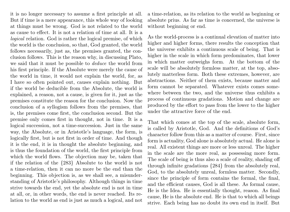it is no longer necessary to assume a first principle at all. But if time is a mere appearance, this whole way of looking at things must be wrong. God is not related to the world as cause to effect. It is not a relation of time at all. It is a logical relation. God is rather the logical premise, of which the world is the conclusion, so that, God granted, the world follows necessarily, just as, the premises granted, the conclusion follows. This is the reason why, in discussing Plato, we said that it must be possible to deduce the world from his first principle. If the Absolute were merely the cause of the world in time, it would not explain the world, for, as I have so often pointed out, causes explain nothing. But if the world be deducible from the Absolute, the world is explained, a reason, not a cause, is given for it, just as the premises constitute the reason for the conclusion. Now the conclusion of a syllogism follows from the premises, that is, the premises come first, the conclusion second. But the premise only comes first in thought, not in time. It is a logical succession, not a time-succession. Just in the same way, the Absolute, or in Aristotle's language, the form, is logically first, but is not first in order of time. And though it is the end, it is in thought the absolute beginning, and is thus the foundation of the world, the first principle from which the world flows. The objection may be, taken that if the relation of the {283} Absolute to the world is not a time-relation, then it can no more be the end than the beginning. This objection is, as we shall see, a misunderstanding of Aristotle's philosophy. Although things in time strive towards the end, yet the absolute end is not in time at all, or, in other words, the end is never reached. Its relation to the world as end is just as much a logical, and not

a time-relation, as its relation to the world as beginning or absolute prius. As far as time is concerned, the universe is without beginning or end.

As the world-process is a continual elevation of matter into higher and higher forms, there results the conception that the universe exhibits a continuous scale of being. That is higher in the scale in which form predominates, that lower in which matter outweighs form. At the bottom of the scale will be absolutely formless matter, at the top, absolutely matterless form. Both these extremes, however, are abstractions. Neither of them exists, because matter and form cannot be separated. Whatever exists comes somewhere between the two, and the universe thus exhibits a process of continuous gradations. Motion and change are produced by the effort to pass from the lower to the higher under the attractive force of the end.

That which comes at the top of the scale, absolute form, is called by Aristotle, God. And the definitions of God's character follow from this as a matter of course. First, since form is actuality, God alone is absolutely actual. He alone is real. All existent things are more or less unreal. The higher in the scale are the more real, as possessing more form. The scale of being is thus also a scale of reality, shading off through infinite gradations {284} from the absolutely real, God, to the absolutely unreal, formless matter. Secondly, since the principle of form contains the formal, the final, and the efficient causes, God is all these. As formal cause, He is the Idea. He is essentially thought, reason. As final cause, He is the absolute end. He is that to which all beings strive. Each being has no doubt its own end in itself. But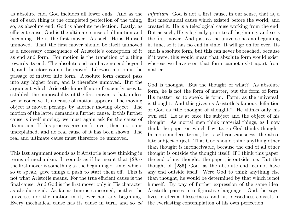as absolute end, God includes all lower ends. And as the end of each thing is the completed perfection of the thing, so, as absolute end, God is absolute perfection. Lastly, as efficient cause, God is the ultimate cause of all motion and becoming. He is the first mover. As such, He is Himself unmoved. That the first mover should be itself unmoved is a necessary consequence of Aristotle's conception of it as end and form. For motion is the transition of a thing towards its end. The absolute end can have no end beyond it, and therefore cannot be moved. Likewise motion is the passage of matter into form. Absolute form cannot pass into any higher form, and is therefore unmoved. But the argument which Aristotle himself more frequently uses to establish the immovability of the first mover is that, unless we so conceive it, no cause of motion appears. The moving object is moved perhaps by another moving object. The motion of the latter demands a further cause. If this further cause is itself moving, we must again ask for the cause of its motion. If this process goes on for ever, then motion is unexplained, and no real cause of it has been shown. The real and ultimate cause must therefore be unmoved.

This last argument sounds as if Aristotle is now thinking in terms of mechanism. It sounds as if he meant that {285} the first mover is something at the beginning of time, which, so to speak, gave things a push to start them off. This is not what Aristotle means. For the true efficient cause is the final cause. And God is the first mover only in His character as absolute end. As far as time is concerned, neither the universe, nor the motion in it, ever had any beginning. Every mechanical cause has its cause in turn, and so ad

infinitum. God is not a first cause, in our sense, that is, a first mechanical cause which existed before the world, and created it. He is a teleological cause working from the end. But as such, He is logically prior to all beginning, and so is the first mover. And just as the universe has no beginning in time, so it has no end in time. It will go on for ever. Its end is absolute form, but this can never be reached, because if it were, this would mean that absolute form would exist, whereas we have seen that form cannot exist apart from matter.

God is thought. But the thought of what? As absolute form, he is not the form of matter, but the form of form. His matter, so to speak, is form. Form, as the universal, is thought. And this gives us Aristotle's famous definition of God as "the thought of thought." He thinks only his own self. He is at once the subject and the object of his thought. As mortal men think material things, as I now think the paper on which I write, so God thinks thought. In more modern terms, he is self-consciousness, the absolute subject-object. That God should think anything other than thought is inconceivable, because the end of all other thought is outside the thought itself. If I think this paper, the end of my thought, the paper, is outside me. But the thought of {286} God, as the absolute end, cannot have any end outside itself. Were God to think anything else than thought, he would be determined by that which is not himself. By way of further expression of the same idea, Aristotle passes into figurative language. God, he says, lives in eternal blessedness, and his blessedness consists in the everlasting contemplation of his own perfection.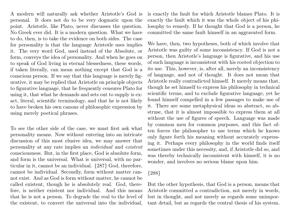A modern will naturally ask whether Aristotle's God is personal. It does not do to be very dogmatic upon the point. Aristotle, like Plato, never discusses the question. No Greek ever did. It is a modern question. What we have to do, then, is to take the evidence on both sides. The case for personality is that the language Aristotle uses implies it. The very word God, used instead of the Absolute, or form, conveys the idea of personality. And when he goes on to speak of God living in eternal blessedness, these words, if taken literally, can mean nothing except that God is a conscious person. If we say that this language is merely figurative, it may be replied that Aristotle on principle objects to figurative language, that he frequently censures Plato for using it, that what he demands and sets out to supply is exact, literal, scientific terminology, and that he is not likely to have broken his own canons of philosophic expression by using merely poetical phrases.

To see the other side of the case, we must first ask what personality means. Now without entering into an intricate discussion of this most elusive idea, we may answer that personality at any rate implies an individual and existent consciousness. But, in the first place, God is absolute form, and form is the universal. What is universal, with no particular in it, cannot be an individual. {287} God, therefore, cannot be individual. Secondly, form without matter cannot exist. And as God is form without matter, he cannot be called existent, though he is absolutely real. God, therefore, is neither existent nor individual. And this means that he is not a person. To degrade the real to the level of the existent, to convert the universal into the individual,

is exactly the fault for which Aristotle blames Plato. It is exactly the fault which it was the whole object of his philosophy to remedy. If he thought that God is a person, he committed the same fault himself in an aggravated form.

We have, then, two hypotheses, both of which involve that Aristotle was guilty of some inconsistency. If God is not a person, then Aristotle's language is figurative, and his use of such language is inconsistent with his rooted objection to its use. This, however, is, after all, merely an inconsistency of language, and not of thought. It does not mean that Aristotle really contradicted himself. It merely means that, though he set himself to express his philosophy in technical scientific terms, and to exclude figurative language, yet he found himself compelled in a few passages to make use of it. There are some metaphysical ideas so abstract, so abstruse, that it is almost impossible to express them at all without the use of figures of speech. Language was made by common men for common purposes, and this fact often forces the philosopher to use terms which he knows only figure forth his meaning without accurately expressing it. Perhaps every philosophy in the world finds itself sometimes under this necessity, and, if Aristotle did so, and was thereby technically inconsistent with himself, it is no wonder, and involves no serious blame upon him.

## {288}

But the other hypothesis, that God is a person, means that Aristotle committed a contradiction, not merely in words, but in thought, and not merely as regards some unimportant detail, but as regards the central thesis of his system.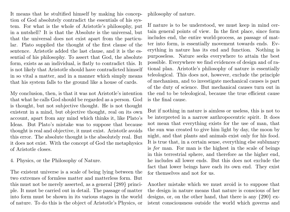It means that he stultified himself by making his conception of God absolutely contradict the essentials of his system. For what is the whole of Aristotle's philosophy, put in a nutshell? It is that the Absolute is the universal, but that the universal does not exist apart from the particular. Plato supplied the thought of the first clause of the sentence. Aristotle added the last clause, and it is the essential of his philosophy. To assert that God, the absolute form, exists as an individual, is flatly to contradict this. It is not likely that Aristotle should have contradicted himself in so vital a matter, and in a manner which simply means that his system falls to the ground like a house of cards.

My conclusion, then, is that it was not Aristotle's intention that what he calls God should be regarded as a person. God is thought, but not subjective thought. He is not thought existent in a mind, but objective thought, real on its own account, apart from any mind which thinks it, like Plato's Ideas. But Plato's mistake was to suppose that because thought is real and objective, it must exist. Aristotle avoids this error. The absolute thought is the absolutely real. But it does not exist. With the concept of God the metaphysics of Aristotle closes.

4. Physics, or the Philosophy of Nature.

The existent universe is a scale of being lying between the two extremes of formless matter and matterless form. But this must not be merely asserted, as a general {289} principle. It must be carried out in detail. The passage of matter into form must be shown in its various stages in the world of nature. To do this is the object of Aristotle's Physics, or

philosophy of nature.

If nature is to be understood, we must keep in mind certain general points of view. In the first place, since form includes end, the entire world-process, as passage of matter into form, is essentially movement towards ends. Everything in nature has its end and function. Nothing is purposeless. Nature seeks everywhere to attain the best possible. Everywhere we find evidences of design and of rational plan. Aristotle's philosophy of nature is essentially teleological. This does not, however, exclude the principle of mechanism, and to investigate mechanical causes is part of the duty of science. But mechanical causes turn out in the end to be teleological, because the true efficient cause is the final cause.

But if nothing in nature is aimless or useless, this is not to be interpreted in a narrow anthropocentric spirit. It does not mean that everything exists for the use of man, that the sun was created to give him light by day, the moon by night, and that plants and animals exist only for his food. It is true that, in a certain sense, everything else sublunary is for man. For man is the highest in the scale of beings in this terrestrial sphere, and therefore as the higher end, he includes all lower ends. But this does not exclude the fact that lower beings have each its own end. They exist for themselves and not for us.

Another mistake which we must avoid is to suppose that the design in nature means that nature is conscious of her designs, or, on the other hand, that there is any {290} existent consciousness outside the world which governs and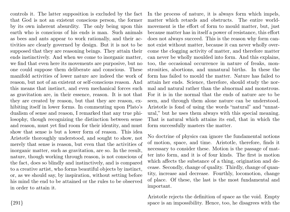controls it. The latter supposition is excluded by the fact that God is not an existent conscious person, the former by its own inherent absurdity. The only being upon this earth who is conscious of his ends is man. Such animals as bees and ants appear to work rationally, and their activities are clearly governed by design. But it is not to be supposed that they are reasoning beings. They attain their ends instinctively. And when we come to inorganic matter, we find that even here its movements are purposive, but no one could suppose them deliberate and conscious. These manifold activities of lower nature are indeed the work of reason, but not of an existent or self-conscious reason. And this means that instinct, and even mechanical forces such as gravitation are, in their essence, reason. It is not that they are created by reason, but that they are reason, exhibiting itself in lower forms. In commenting upon Plato's dualism of sense and reason, I remarked that any true philosophy, though recognizing the distinction between sense and reason, must yet find room for their identity, and must show that sense is but a lower form of reason. This idea Aristotle thoroughly understood, and sought to show, not merely that sense is reason, but even that the activities of inorganic matter, such as gravitation, are so. In the result, nature, though working through reason, is not conscious of the fact, does so blindly and instinctively, and is compared to a creative artist, who forms beautiful objects by instinct, or, as we should say, by inspiration, without setting before his mind the end to be attained or the rules to be observed in order to attain it.

In the process of nature, it is always form which impels, matter which retards and obstructs. The entire worldmovement is the effort of form to mould matter, but, just because matter has in itself a power of resistance, this effort does not always succeed. This is the reason why form cannot exist without matter, because it can never wholly overcome the clogging activity of matter, and therefore matter can never be wholly moulded into form. And this explains, too, the occasional occurrence in nature of freaks, monstrosities, abortions, and unnatural births. In these the form has failed to mould the matter. Nature has failed to attain her ends. Science, therefore, should study the normal and natural rather than the abnormal and monstrous. For it is in the normal that the ends of nature are to be seen, and through them alone nature can be understood. Aristotle is fond of using the words "natural" and "unnatural," but he uses them always with this special meaning. That is natural which attains its end, that in which the form successfully masters the matter.

No doctrine of physics can ignore the fundamental notions of motion, space, and time. Aristotle, therefore, finds it necessary to consider these. Motion is the passage of matter into form, and it is of four kinds. The first is motion which affects the substance of a thing, origination and decease. Secondly, change of quality. Thirdly, change of quantity, increase and decrease. Fourthly, locomotion, change of place. Of these, the last is the most fundamental and important.

Aristotle rejects the definition of space as the void. Empty space is an impossibility. Hence, too, he disagrees with the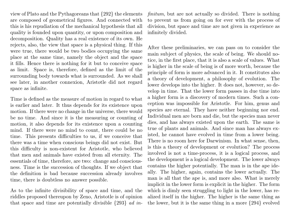view of Plato and the Pythagoreans that {292} the elements are composed of geometrical figures. And connected with this is his repudiation of the mechanical hypothesis that all quality is founded upon quantity, or upon composition and decomposition. Quality has a real existence of its own. He rejects, also, the view that space is a physical thing. If this were true, there would be two bodies occupying the same place at the same time, namely the object and the space it fills. Hence there is nothing for it but to conceive space as limit. Space is, therefore, defined as the limit of the surrounding body towards what is surrounded. As we shall see later, in another connexion, Aristotle did not regard space as infinite.

Time is defined as the measure of motion in regard to what is earlier and later. It thus depends for its existence upon motion. If there were no change in the universe, there would be no time. And since it is the measuring or counting of motion, it also depends for its existence upon a counting mind. If there were no mind to count, there could be no time. This presents difficulties to us, if we conceive that there was a time when conscious beings did not exist. But this difficulty is non-existent for Aristotle, who believed that men and animals have existed from all eternity. The essentials of time, therefore, are two: change and consciousness. Time is the succession of thoughts. If we object that the definition is bad because succession already involves time, there is doubtless no answer possible.

As to the infinite divisibility of space and time, and the riddles proposed thereupon by Zeno, Aristotle is of opinion that space and time are potentially divisible  $\{293\}$  *ad in*- finitum, but are not actually so divided. There is nothing to prevent us from going on for ever with the process of division, but space and time are not given in experience as infinitely divided.

After these preliminaries, we can pass on to consider the main subject of physics, the scale of being. We should notice, in the first place, that it is also a scale of values. What is higher in the scale of being is of more worth, because the principle of form is more advanced in it. It constitutes also a theory of development, a philosophy of evolution. The lower develops into the higher. It does not, however, so develop in time. That the lower form passes in due time into a higher form is a discovery of modern times. Such a conception was impossible for Aristotle. For him, genus and species are eternal. They have neither beginning nor end. Individual men are born and die, but the species man never dies, and has always existed upon the earth. The same is true of plants and animals. And since man has always existed, he cannot have evolved in time from a lower being. There is no room here for Darwinism. In what sense, then, is this a theory of development or evolution? The process involved is not a time-process, it is a logical process, and the development is a logical development. The lower always contains the higher potentially. The man is in the ape ideally. The higher, again, contains the lower actually. The man is all that the ape is, and more also. What is merely implicit in the lower form is explicit in the higher. The form which is dimly seen struggling to light in the lower, has realized itself in the higher. The higher is the same thing as the lower, but it is the same thing in a more {294} evolved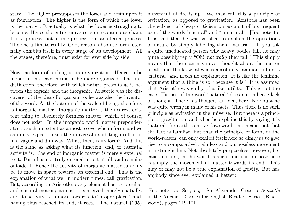state. The higher presupposes the lower and rests upon it as foundation. The higher is the form of which the lower is the matter. It actually is what the lower is struggling to become. Hence the entire universe is one continuous chain. It is a process; not a time-process, but an eternal process. The one ultimate reality, God, reason, absolute form, eternally exhibits itself in every stage of its development. All the stages, therefore, must exist for ever side by side.

Now the form of a thing is its organization. Hence to be higher in the scale means to be more organized. The first distinction, therefore, with which nature presents us is between the organic and the inorganic. Aristotle was the discoverer of the idea of organism, as he was also the inventor of the word. At the bottom of the scale of being, therefore, is inorganic matter. Inorganic matter is the nearest existent thing to absolutely formless matter, which, of course, does not exist. In the inorganic world matter preponderates to such an extent as almost to overwhelm form, and we can only expect to see the universal exhibiting itself in it in a vague and dim way. What, then, is its form? And this is the same as asking what its function, end, or essential activity is. The end of inorganic matter is merely external to it. Form has not truly entered into it at all, and remains outside it. Hence the activity of inorganic matter can only be to move in space towards its external end. This is the explanation of what we, in modern times, call gravitation. But, according to Aristotle, every element has its peculiar and natural motion; its end is conceived merely spatially, and its activity is to move towards its "proper place," and, having thus reached its end, it rests. The natural  $\{295\}$ 

movement of fire is up. We may call this a principle of levitation, as opposed to gravitation. Aristotle has been the subject of cheap criticism on account of his frequent use of the words "natural" and "unnatural." [Footnote 15] It is said that he was satisfied to explain the operations of nature by simply labelling them "natural." If you ask a quite uneducated person why heavy bodies fall, he may quite possibly reply, "Oh! naturally they fall." This simply means that the man has never thought about the matter at all, and thinks whatever is absolutely familiar to him is "natural" and needs no explanation. It is like the feminine argument that a thing is so, "because it is." It is assumed that Aristotle was guilty of a like futility. This is not the case. His use of the word "natural" does not indicate lack of thought. There is a thought, an idea, here. No doubt he was quite wrong in many of his facts. Thus there is no such principle as levitation in the universe. But there is a principle of gravitation, and when he explains this by saying it is "natural" for earth to move downwards, he means, not that the fact is familiar, but that the principle of form, or the world-reason, can only exhibit itself here so dimly as to give rise to a comparatively aimless and purposeless movement in a straight line. Not absolutely purposeless, however, because nothing in the world is such, and the purpose here is simply the movement of matter towards its end. This may or may not be a true explanation of gravity. But has anybody since ever explained it better?

[Footnote 15: See, e.g. Sir Alexander Grant's Aristotle in the Ancient Classics for English Readers Series (Blackwood), pages 119-121.]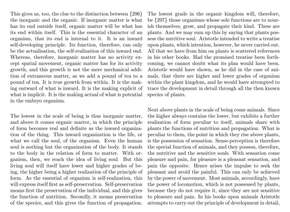This gives us, too, the clue to the distinction between {296} the inorganic and the organic. If inorganic matter is what has its end outside itself, organic matter will be what has its end within itself. This is the essential character of an organism, that its end is internal to it. It is an inward self-developing principle. Its function, therefore, can only be the actualisation, the self-realization of this inward end. Whereas, therefore, inorganic matter has no activity except spatial movement, organic matter has for its activity growth, and this growth is not the mere mechanical addition of extraneous matter, as we add a pound of tea to a pound of tea. It is true growth from within. It is the making outward of what is inward. It is the making explicit of what is implicit. It is the making actual of what is potential in the embryo organism.

The lowest in the scale of being is thus inorganic matter, and above it comes organic matter, in which the principle of form becomes real and definite as the inward organization of the thing. This inward organization is the life, or what we call the soul, of the organism. Even the human soul is nothing but the organization of the body. It stands to the body in the relation of form to matter. With organism, then, we reach the idea of living soul. But this living soul will itself have lower and higher grades of being, the higher being a higher realization of the principle of form. As the essential of organism is self-realization, this will express itself first as self-preservation. Self-preservation means first the preservation of the individual, and this gives the function of nutrition. Secondly, it means preservation of the species, and this gives the function of propagation.

The lowest grade in the organic kingdom will, therefore, be {297} those organisms whose sole functions are to nourish themselves, grow, and propagate their kind. These are plants. And we may sum up this by saying that plants possess the nutritive soul. Aristotle intended to write a treatise upon plants, which intention, however, he never carried out. All that we have from him on plants is scattered references in his other books. Had the promised treatise been forthcoming, we cannot doubt what its plan would have been. Aristotle would have shown, as he did in the case of animals, that there are higher and lower grades of organism within the plant kingdom, and he would have attempted to trace the development in detail through all the then known species of plants.

Next above plants in the scale of being come animals. Since the higher always contains the lower, but exhibits a further realization of form peculiar to itself, animals share with plants the functions of nutrition and propagation. What is peculiar to them, the point in which they rise above plants, is the possession of sensation. Sense-perception is therefore the special function of animals, and they possess, therefore, the nutritive and the sensitive souls. With sensation come pleasure and pain, for pleasure is a pleasant sensation, and pain the opposite. Hence arises the impulse to seek the pleasant and avoid the painful. This can only be achieved by the power of movement. Most animals, accordingly, have the power of locomotion, which is not possessed by plants, because they do not require it, since they are not sensitive to pleasure and pain. In his books upon animals Aristotle attempts to carry out the principle of development in detail,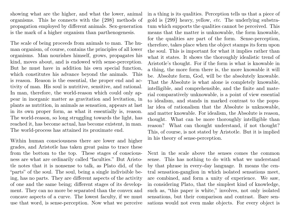showing what are the higher, and what the lower, animal organisms. This he connects with the {298} methods of propagation employed by different animals. Sex-generation is the mark of a higher organism than parthenogenesis.

The scale of being proceeds from animals to man. The human organism, of course, contains the principles of all lower organisms. Man nourishes himself, grows, propagates his kind, moves about, and is endowed with sense-perception. But he must have in addition his own special function, which constitutes his advance beyond the animals. This is reason. Reason is the essential, the proper end and activity of man. His soul is nutritive, sensitive, and rational. In man, therefore, the world-reason which could only appear in inorganic matter as gravitation and levitation, in plants as nutrition, in animals as sensation, appears at last in its own proper form, as what it essentially is, reason. The world-reason, so long struggling towards the light, has reached it, has become actual, has become existent, in man. The world-process has attained its proximate end.

Within human consciousness there are lower and higher grades, and Aristotle has taken great pains to trace these from the bottom to the top. These stages of consciousness are what are ordinarily called "faculties." But Aristotle notes that it is nonsense to talk, as Plato did, of the "parts" of the soul. The soul, being a single indivisible being, has no parts. They are different aspects of the activity of one and the same being; different stages of its development. They can no more be separated than the convex and concave aspects of a curve. The lowest faculty, if we must use that word, is sense-perception. Now what we perceive in a thing is its qualities. Perception tells us that a piece of gold is  $\{299\}$  heavy, yellow, *etc.* The underlying substratum which supports the qualities cannot be perceived. This means that the matter is unknowable, the form knowable, for the qualities are part of the form. Sense-perception, therefore, takes place when the object stamps its form upon the soul. This is important for what it implies rather than what it states. It shows the thoroughly idealistic trend of Aristotle's thought. For if the form is what is knowable in a thing, the more form there is, the more knowable it will be. Absolute form, God, will be the absolutely knowable. That the Absolute is what alone is completely knowable, intelligible, and comprehensible, and the finite and material comparatively unknowable, is a point of view essential to idealism, and stands in marked contrast to the popular idea of rationalism that the Absolute is unknowable, and matter knowable. For idealism, the Absolute is reason, thought. What can be more thoroughly intelligible than reason? What can thought understand, if not thought? This, of course, is not stated by Aristotle. But it is implied in his theory of sense-perception.

Next in the scale above the senses comes the common sense. This has nothing to do with what we understand by that phrase in every-day language. It means the central sensation-ganglion in which isolated sensations meet, are combined, and form a unity of experience. We saw, in considering Plato, that the simplest kind of knowledge, such as, "this paper is white," involves, not only isolated sensations, but their comparison and contrast. Bare sensations would not even make objects. For every object is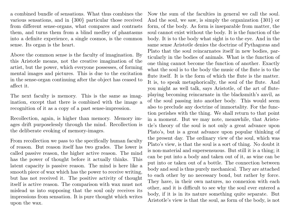a combined bundle of sensations. What thus combines the various sensations, and in {300} particular those received from different sense-organs, what compares and contrasts them, and turns them from a blind medley of phantasms into a definite experience, a single cosmos, is the common sense. Its organ is the heart.

Above the common sense is the faculty of imagination. By this Aristotle means, not the creative imagination of the artist, but the power, which everyone possesses, of forming mental images and pictures. This is due to the excitation in the sense-organ continuing after the object has ceased to affect it.

The next faculty is memory. This is the same as imagination, except that there is combined with the image a recognition of it as a copy of a past sense-impression.

Recollection, again, is higher than memory. Memory images drift purposelessly through the mind. Recollection is the deliberate evoking of memory-images.

From recollection we pass to the specifically human faculty of reason. But reason itself has two grades. The lower is called passive reason, the higher active reason. The mind has the power of thought before it actually thinks. This latent capacity is passive reason. The mind is here like a smooth piece of wax which has the power to receive writing, but has not received it. The positive activity of thought itself is active reason. The comparison with wax must not mislead us into supposing that the soul only receives its impressions from sensation. It is pure thought which writes upon the wax.

Now the sum of the faculties in general we call the soul. And the soul, we saw, is simply the organization {301} or form, of the body. As form is inseparable from matter, the soul cannot exist without the body. It is the function of the body. It is to the body what sight is to the eye. And in the same sense Aristotle denies the doctrine of Pythagoras and Plato that the soul reincarnates itself in new bodies, particularly in the bodies of animals. What is the function of one thing cannot become the function of another. Exactly what the soul is to the body the music of the flute is to the flute itself. It is the form of which the flute is the matter. It is, to speak metaphorically, the soul of the flute. And you might as well talk, says Aristotle, of the art of fluteplaying becoming reincarnate in the blacksmith's anvil, as of the soul passing into another body. This would seem also to preclude any doctrine of immortality. For the function perishes with the thing. We shall return to that point in a moment. But we may note, meanwhile, that Aristotle's theory of the soul is not only a great advance upon Plato's, but is a great advance upon popular thinking of the present day. The ordinary view of the soul, which was Plato's view, is that the soul is a sort of thing. No doubt it is non-material and supersensuous. But still it is a thing; it can be put into a body and taken out of it, as wine can be put into or taken out of a bottle. The connection between body and soul is thus purely mechanical. They are attached to each other by no necessary bond, but rather by force. They have, in their own natures, no connexion with each other, and it is difficult to see why the soul ever entered a body, if it is in its nature something quite separate. But Aristotle's view is that the soul, as form of the body, is not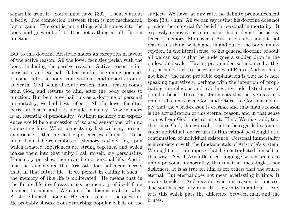separable from it. You cannot have {302} a soul without a body. The connection between them is not mechanical, but organic. The soul is not a thing which comes into the body and goes out of it. It is not a thing at all. It is a function.

But to this doctrine Aristotle makes an exception in favour of the active reason. All the lower faculties perish with the body, including the passive reason. Active reason is imperishable and eternal. It has neither beginning nor end. It comes into the body from without, and departs from it at death. God being absolute reason, man's reason comes from God, and returns to him, after the body ceases to function. But before we hail this as a doctrine of personal immortality, we had best reflect. All the lower faculties perish at death, and this includes memory. Now memory is an essential of personality. Without memory our experiences would be a succession of isolated sensations, with no connecting link. What connects my last with my present experience is that my last experience was "mine." To be mine it must be remembered. Memory is the string upon which isolated experiences are strung together, and which makes them into that unity I call myself, my personality. If memory perishes, there can be no personal life. And it must be remembered that Aristotle does not mean merely that, in that future life—if we persist in calling it such the memory of this life is obliterated. He means that in the future life itself reason has no memory of itself from moment to moment. We cannot be dogmatic about what Aristotle himself thought. He seems to avoid the question. He probably shrank from disturbing popular beliefs on the

subject. We have, at any rate, no definite pronouncement from {303} him. All we can say is that his doctrine does not provide the material for belief in personal immortality. It expressly removes the material in that it denies the persistence of memory. Moreover, if Aristotle really thought that reason is a thing, which goes in and out of the body, an exception, in the literal sense, to his general doctrine of soul, all we can say is that he undergoes a sudden drop in the philosophic scale. Having propounded so advanced a theory, he sinks back to the crude view of Plato. And as this is not likely, the most probable explanation is that he is here speaking figuratively, perhaps with the intention of propitiating the religious and avoiding any rude disturbance of popular belief. If so, the statements that active reason is immortal, comes from God, and returns to God, mean simply that the world-reason is eternal, and that man's reason is the actualization of this eternal reason, and in that sense "comes from God" and returns to Him. We may add, too, that since God, though real, is not to be regarded as an existent individual, our return to Him cannot be thought as a continuation of individual existence. Personal immortality is inconsistent with the fundamentals of Aristotle's system. We ought not to suppose that he contradicted himself in this way. Yet if Aristotle used language which seems to imply personal immortality, this is neither meaningless nor dishonest. It is as true for him as for others that the soul is eternal. But eternal does not mean everlasting in time. It means timeless. And reason, even our reason, is timeless. The soul has eternity in it. It is "eternity in an hour." And it is this which puts the difference between man and the brutes.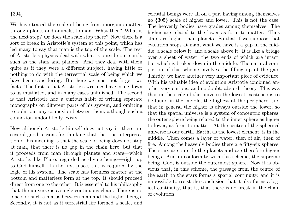### {304}

We have traced the scale of being from inorganic matter, through plants and animals, to man. What then? What is the next step? Or does the scale stop there? Now there is a sort of break in Aristotle's system at this point, which has led many to say that man is the top of the scale. The rest of Aristotle's physics deal with what is outside our earth, such as the stars and planets. And they deal with them quite as if they were a different subject, having little or nothing to do with the terrestrial scale of being which we have been considering. But here we must not forget two facts. The first is that Aristotle's writings have come down to us mutilated, and in many cases unfinished. The second is that Aristotle had a curious habit of writing separate monographs on different parts of his system, and omitting to point out any connexion between them, although such a connexion undoubtedly exists.

Now although Aristotle himself does not say it, there are several good reasons for thinking that the true interpretation of his meaning is that the scale of being does not stop at man, that there is no gap in the chain here, but that it proceeds from man through planets and stars—which Aristotle, like Plato, regarded as divine beings—right up to God himself. In the first place, this is required by the logic of his system. The scale has formless matter at the bottom and matterless form at the top. It should proceed direct from one to the other. It is essential to his philosophy that the universe is a single continuous chain. There is no place for such a hiatus between man and the higher beings. Secondly, it is not as if terrestrial life formed a scale, and celestial beings were all on a par, having among themselves no {305} scale of higher and lower. This is not the case. The heavenly bodies have grades among themselves. The higher are related to the lower as form to matter. Thus stars are higher than planets. So that if we suppose that evolution stops at man, what we have is a gap in the middle, a scale below it, and a scale above it. It is like a bridge over a sheet of water, the two ends of which are intact, but which is broken down in the middle. The natural completion of this scheme involves the filling up of the gap. Thirdly, we have another very important piece of evidence. With his valuable idea of evolution Aristotle combined another very curious, and no doubt, absurd, theory. This was that in the scale of the universe the lowest existence is to be found in the middle, the highest at the periphery, and that in general the higher is always outside the lower, so that the spatial universe is a system of concentric spheres, the outer sphere being related to the inner sphere as higher to lower, as form to matter. At the centre of the spherical universe is our earth. Earth, as the lowest element, is in the middle. Then comes a layer of water, then of air, then of fire. Among the heavenly bodies there are fifty-six spheres. The stars are outside the planets and are therefore higher beings. And in conformity with this scheme, the supreme being, God, is outside the outermost sphere. Now it is obvious that, in this scheme, the passage from the centre of the earth to the stars forms a spatial continuity, and it is impossible to resist the conclusion that it also forms a logical continuity, that is, that there is no break in the chain of evolution.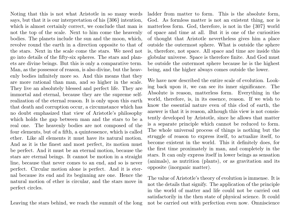Noting that this is not what Aristotle in so many words says, but that it is our interpretation of his {306} intention, which is almost certainly correct, we conclude that man is not the top of the scale. Next to him come the heavenly bodies. The planets include the sun and the moon, which, revolve round the earth in a direction opposite to that of the stars. Next in the scale come the stars. We need not go into details of the fifty-six spheres. The stars and planets are divine beings. But this is only a comparative term. Man, as the possessor of reason, is also divine, but the heavenly bodies infinitely more so. And this means that they are more rational than man, and so higher in the scale. They live an absolutely blessed and perfect life. They are immortal and eternal, because they are the supreme selfrealization of the eternal reason. It is only upon this earth that death and corruption occur, a circumstance which has no doubt emphasized that view of Aristotle's philosophy which holds the gap between man and the stars to be a real one. The heavenly bodies are not composed of the four elements, but of a fifth, a quintessence, which is called ether. Like all elements it must have its natural motion. And as it is the finest and most perfect, its motion must be perfect. And it must be an eternal motion, because the stars are eternal beings. It cannot be motion in a straight line, because that never comes to an end, and so is never perfect. Circular motion alone is perfect. And it is eternal because its end and its beginning are one. Hence the natural motion of ether is circular, and the stars move in perfect circles.

Leaving the stars behind, we reach the summit of the long

ladder from matter to form. This is the absolute form, God. As formless matter is not an existent thing, nor is matterless form. God, therefore, is not in the {307} world of space and time at all. But it is one of the curiosities of thought that Aristotle nevertheless gives him a place outside the outermost sphere. What is outside the sphere is, therefore, not space. All space and time are inside this globular universe. Space is therefore finite. And God must be outside the outermost sphere because he is the highest being, and the higher always comes outside the lower.

We have now described the entire scale of evolution. Looking back upon it, we can see its inner significance. The Absolute is reason, matterless form. Everything in the world, therefore, is, in its essence, reason. If we wish to know the essential nature even of this clod of earth, the answer is that it is reason, although this view is not consistently developed by Aristotle, since he allows that matter is a separate principle which cannot be reduced to form. The whole universal process of things is nothing but the struggle of reason to express itself, to actualize itself, to become existent in the world. This it definitely does, for the first time proximately in man, and completely in the stars. It can only express itself in lower beings as sensation (animals), as nutrition (plants), or as gravitation and its opposite (inorganic matter).

The value of Aristotle's theory of evolution is immense. It is not the details that signify. The application of the principle in the world of matter and life could not be carried out satisfactorily in the then state of physical science. It could not be carried out with perfection even now. Omniscience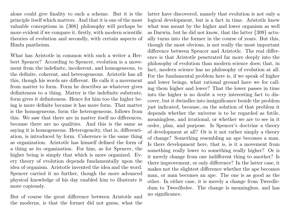alone could give finality to such a scheme. But it is the principle itself which matters. And that it is one of the most valuable conceptions in {308} philosophy will perhaps be more evident if we compare it, firstly, with modern scientific theories of evolution and secondly, with certain aspects of Hindu pantheism.

What has Aristotle in common with such a writer a Herbert Spencer? According to Spencer, evolution is a movement from the indefinite, incoherent, and homogeneous, to the definite, coherent, and heterogeneous. Aristotle has all this, though his words are different. He calls it a movement from matter to form. Form he describes as whatever gives definiteness to a thing. Matter is the indefinite substrate, form gives it definiteness. Hence for him too the higher being is more definite because it has more form. That matter is the homogeneous, form the heterogeneous, follows from this. We saw that there are in matter itself no differences, because there are no qualities. And this is the same as saying it is homogeneous. Heterogeneity, that is, differentiation, is introduced by form. Coherence is the same thing as organization. Aristotle has himself defined the form of a thing as its organization. For him, as for Spencer, the higher being is simply that which is more organized. Every theory of evolution depends fundamentally upon the idea of organism. Aristotle invented the idea and the word. Spencer carried it no further, though the more advanced physical knowledge of his day enabled him to illustrate it more copiously.

But of course the great difference between Aristotle and the moderns, is that the former did not guess, what the latter have discovered, namely that evolution is not only a logical development, but is a fact in time. Aristotle knew what was meant by the higher and lower organism as well as Darwin, but he did not know, that the latter {309} actually turns into the former in the course of years. But this, though the most obvious, is not really the most important difference between Spencer and Aristotle. The real difference is that Aristotle penetrated far more deeply into the philosophy of evolution than modern science does; that, in fact, modern science has no philosophy of evolution at all. For the fundamental problem here is, if we speak of higher and lower beings, what rational ground have we for calling them higher and lower? That the lower passes in time into the higher is no doubt a very interesting fact to discover, but it dwindles into insignificance beside the problem just indicated, because, on the solution of that problem it depends whether the universe is to be regarded as futile, meaningless, and irrational, or whether we are to see in it order, plan, and purpose. Is Spencer's doctrine a theory of development at all? Or is it not rather simply a theory of change? Something resembling an ape becomes a man. Is there development here, that is, is it a movement from something really lower to something really higher? Or is it merely change from one indifferent thing to another? Is there improvement, or only difference? In the latter case, it makes not the slightest difference whether the ape becomes man, or man becomes an ape. The one is as good as the other. In either case, it is merely a change from Tweedledum to Tweedledee. The change is meaningless, and has no significance.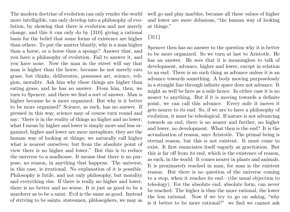The modern doctrine of evolution can only render the world more intelligible, can only develop into a philosophy of evolution, by showing that there is evolution and not merely change, and this it can only do by {310} giving a rational basis for the belief that some forms of existence are higher than others. To put the matter bluntly, why is a man higher than a horse, or a horse than a sponge? Answer that, and you have a philosophy of evolution. Fail to answer it, and you have none. Now the man in the street will say that man is higher than the horse, because he not merely eats grass, but thinks, deliberates, possesses art, science, religion, morality. Ask him why these things are higher than eating grass, and he has no answer. From him, then, we turn to Spencer, and there we find a sort of answer. Man is higher because he is more organized. But why is it better to be more organized? Science, as such, has no answer. If pressed in this way, science may of course turn round and say: "there is in the reality of things no higher and no lower; what I mean by higher and lower is simply more and less organized; higher and lower are mere metaphors; they are the human way of looking at things; we naturally call higher what is nearest ourselves; but from the absolute point of view there is no higher and lower." But this is to reduce the universe to a madhouse. It means that there is no purpose, no reason, in anything that happens. The universe, in this case, is irrational. No explanation of it is possible. Philosophy is futile, and not only philosophy, but morality and everything else. If there is really no higher and lower, there is no better and no worse. It is just as good to be a murderer as to be a saint. Evil is the same as good. Instead of striving to be saints, statesmen, philosophers, we may as

well go and play marbles, because all these values of higher and lower are mere delusions, "the human way of looking at things."

### {311}

Spencer then has no answer to the question why it is better to be more organized. So we turn at last to Aristotle. He has an answer. He sees that it is meaningless to talk of development, advance, higher and lower, except in relation to an end. There is no such thing as advance unless it is an advance towards something. A body moving purposelessly in a straight line through infinite space does not advance. It might as well be here as a mile hence. In either case it is no nearer to anything. But if it is moving towards a definite point, we can call this advance. Every mile it moves it gets nearer to its end. So, if we are to have a philosophy of evolution, it must be teleological. If nature is not advancing towards an end, there is no nearer and further, no higher and lower, no development. What then is the end? It is the actualization of reason, says Aristotle. The primal being is eternal reason, but this is not existent. It must come to exist. It first enunciates itself vaguely as gravitation. But this is far off from its end, which is the existence of reason, as such, in the world. It comes nearer in plants and animals. It is proximately reached in man, for man is the existent reason. But there is no question of the universe coming to a stop, when it reaches its end—(the usual objection to teleology). For the absolute end, absolute form, can never be reached. The higher is thus the more rational, the lower the less rational. Now if we try to go on asking, "why is it better to be more rational?" we find we cannot ask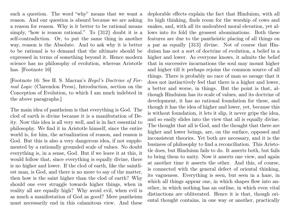such a question. The word "why" means that we want a reason. And our question is absurd because we are asking a reason for reason. Why is it better to be rational means simply, "how is reason rational." To {312} doubt it is a self-contradiction. Or, to put the same thing in another way, reason is the Absolute. And to ask why it is better to be rational is to demand that the ultimate should be expressed in terms of something beyond it. Hence modern science has no philosophy of evolution, whereas Aristotle has. [Footnote 16]

[Footnote 16: See H. S. Macran's Hegel's Doctrine of Formal Logic (Clarendon Press), Introduction, section on the Conception of Evolution, to which I am much indebted in the above paragraphs.]

The main idea of pantheism is that everything is God. The clod of earth is divine because it is a manifestation of Deity. Now this idea is all very well, and is in fact essential to philosophy. We find it in Aristotle himself, since the entire world is, for him, the actualization of reason, and reason is God. But this is also a very dangerous idea, if not supplemented by a rationally grounded scale of values. No doubt everything is, in a sense, God. But if we leave it at this, it would follow that, since everything is equally divine, there is no higher and lower. If the clod of earth, like the saintliest man, is God, and there is no more to say of the matter, then how is the saint higher than the clod of earth? Why should one ever struggle towards higher things, when in reality all are equally high? Why avoid evil, when evil is as much a manifestation of God as good? Mere pantheism must necessarily end in this calamitous view. And these

deplorable effects explain the fact that Hinduism, with all its high thinking, finds room for the worship of cows and snakes, and, with all its undoubted moral elevation, yet allows into its fold the grossest abominations. Both these features are due to the pantheistic placing of all things on a par as equally {313} divine. Not of course that Hinduism has not a sort of doctrine of evolution, a belief in a higher and lower. As everyone knows, it admits the belief that in successive incarnations the soul may mount higher and higher till it perhaps rejoins the common source of all things. There is probably no race of man so savage that it does not instinctively feel that there is a higher and lower, a better and worse, in things. But the point is that, although Hinduism has its scale of values, and its doctrine of development, it has no rational foundation for these, and though it has the idea of higher and lower, yet, because this is without foundation, it lets it slip, it never grips the idea, and so easily slides into the view that all is equally divine. The thought that all is God, and the thought that there are higher and lower beings, are, on the surface, opposed and inconsistent theories. Yet both are necessary, and it is the business of philosophy to find a reconciliation. This Aristotle does, but Hinduism fails to do. It asserts both, but fails to bring them to unity. Now it asserts one view, and again at another time it asserts the other. And this, of course, is connected with the general defect of oriental thinking, its vagueness. Everything is seen, but seen in a haze, in which all things appear one, in which shapes flow into another, in which nothing has an outline, in which even vital distinctions are obliterated. Hence it is that, though oriental thought contains, in one way or another, practically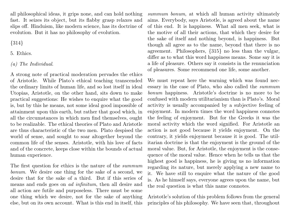all philosophical ideas, it grips none, and can hold nothing fast. It seizes its object, but its flabby grasp relaxes and slips off. Hinduism, like modern science, has its doctrine of evolution. But it has no philosophy of evolution.

{314}

5. Ethics.

### (a) The Individual.

A strong note of practical moderation pervades the ethics of Aristotle. While Plato's ethical teaching transcended the ordinary limits of human life, and so lost itself in ideal Utopias, Aristotle, on the other hand, sits down to make practical suggestions: He wishes to enquire what the good is, but by this he means, not some ideal good impossible of attainment upon this earth, but rather that good which, in all the circumstances in which men find themselves, ought to be realizable. The ethical theories of Plato and Aristotle are thus characteristic of the two men. Plato despised the world of sense, and sought to soar altogether beyond the common life of the senses. Aristotle, with his love of facts and of the concrete, keeps close within the bounds of actual human experience.

The first question for ethics is the nature of the summum bonum. We desire one thing for the sake of a second, we desire that for the sake of a third. But if this series of means and ends goes on ad infinitum, then all desire and all action are futile and purposeless. There must be some one thing which we desire, not for the sake of anything else, but on its own account. What is this end in itself, this

summum bonum, at which all human activity ultimately aims. Everybody, says Aristotle, is agreed about the name of this end. It is happiness. What all men seek, what is the motive of all their actions, that which they desire for the sake of itself and nothing beyond, is happiness. But though all agree as to the name, beyond that there is no agreement. Philosophers, {315} no less than the vulgar, differ as to what this word happiness means. Some say it is a life of pleasure. Others say it consists in the renunciation of pleasures. Some recommend one life, some another.

We must repeat here the warning which was found necessary in the case of Plato, who also called the summum bonum happiness. Aristotle's doctrine is no more to be confused with modern utilitarianism than is Plato's. Moral activity is usually accompanied by a subjective feeling of enjoyment. In modern times the word happiness connotes the feeling of enjoyment. But for the Greeks it was the moral activity which the word signified. For Aristotle an action is not good because it yields enjoyment. On the contrary, it yields enjoyment because it is good. The utilitarian doctrine is that the enjoyment is the ground of the moral value. But, for Aristotle, the enjoyment is the consequence of the moral value. Hence when he tells us that the highest good is happiness, he is giving us no information regarding its nature, but merely applying a new name to it. We have still to enquire what the nature of the good is. As he himself says, everyone agrees upon the name, but the real question is what this name connotes.

Aristotle's solution of this problem follows from the general principles of his philosophy. We have seen that, throughout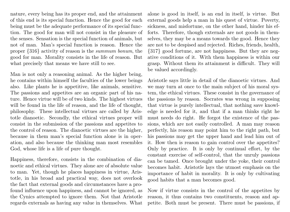nature, every being has its proper end, and the attainment of this end is its special function. Hence the good for each being must be the adequate performance of its special function. The good for man will not consist in the pleasure of the senses. Sensation is the special function of animals, but not of man. Man's special function is reason. Hence the proper {316} activity of reason is the summum bonum, the good for man. Morality consists in the life of reason. But what precisely that means we have still to see.

Man is not only a reasoning animal. As the higher being, he contains within himself the faculties of the lower beings also. Like plants he is appetitive, like animals, sensitive. The passions and appetites are an organic part of his nature. Hence virtue will be of two kinds. The highest virtues will be found in the life of reason, and the life of thought, philosophy. These intellectual virtues are called by Aristotle dianoetic. Secondly, the ethical virtues proper will consist in the submission of the passions and appetites to the control of reason. The dianoetic virtues are the higher, because in them man's special function alone is in operation, and also because the thinking man most resembles God, whose life is a life of pure thought.

Happiness, therefore, consists in the combination of dianoetic and ethical virtues. They alone are of absolute value to man. Yet, though he places happiness in virtue, Aristotle, in his broad and practical way, does not overlook the fact that external goods and circumstances have a profound influence upon happiness, and cannot be ignored, as the Cynics attempted to ignore them. Not that Aristotle regards externals as having any value in themselves. What

alone is good in itself, is an end in itself, is virtue. But external goods help a man in his quest of virtue. Poverty, sickness, and misfortune, on the other hand, hinder his efforts. Therefore, though externals are not goods in themselves, they may be a means towards the good. Hence they are not to be despised and rejected. Riches, friends, health, {317} good fortune, are not happiness. But they are negative conditions of it. With them happiness is within our grasp. Without them its attainment is difficult. They will be valued accordingly.

Aristotle says little in detail of the dianoetic virtues. And we may turn at once to the main subject of his moral system, the ethical virtues. These consist in the governance of the passions by reason. Socrates was wrong in supposing that virtue is purely intellectual, that nothing save knowledge is needed for it, and that if a man thinks right he must needs do right. He forgot the existence of the passions, which are not easily controlled. A man may reason perfectly, his reason may point him to the right path, but his passions may get the upper hand and lead him out of it. How then is reason to gain control over the appetites? Only by practice. It is only by continual effort, by the constant exercise of self-control, that the unruly passions can be tamed. Once brought under the yoke, their control becomes habit. Aristotle lays the utmost emphasis on the importance of habit in morality. It is only by cultivating good habits that a man becomes good.

Now if virtue consists in the control of the appetites by reason, it thus contains two constituents, reason and appetite. Both must be present. There must be passions, if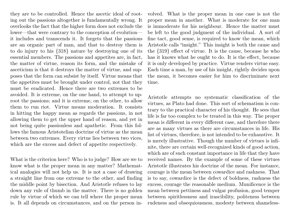they are to be controlled. Hence the ascetic ideal of rooting out the passions altogether is fundamentally wrong. It overlooks the fact that the higher form does not exclude the lower—that were contrary to the conception of evolution it includes and transcends it. It forgets that the passions are an organic part of man, and that to destroy them is to do injury to his {318} nature by destroying one of its essential members. The passions and appetites are, in fact, the matter of virtue, reason its form, and the mistake of asceticism is that it destroys the matter of virtue, and supposes that the form can subsist by itself. Virtue means that the appetites must be brought under control, not that they must be eradicated. Hence there are two extremes to be avoided. It is extreme, on the one hand, to attempt to uproot the passions; and it is extreme, on the other, to allow them to run riot. Virtue means moderation. It consists in hitting the happy mean as regards the passions, in not allowing them to get the upper hand of reason, and yet in not being quite passionless and apathetic. From this follows the famous Aristotelian doctrine of virtue as the mean between two extremes. Every virtue lies between two vices, which are the excess and defect of appetite respectively.

What is the criterion here? Who is to judge? How are we to know what is the proper mean in any matter? Mathematical analogies will not help us. It is not a case of drawing a straight line from one extreme to the other, and finding the middle point by bisection. And Aristotle refuses to lay down any rule of thumb in the matter. There is no golden rule by virtue of which we can tell where the proper mean is. It all depends on circumstances, and on the person involved. What is the proper mean in one case is not the proper mean in another. What is moderate for one man is immoderate for his neighbour. Hence the matter must be left to the good judgment of the individual. A sort of fine tact, good sense, is required to know the mean, which Aristotle calls "insight." This insight is both the cause and the {319} effect of virtue. It is the cause, because he who has it knows what he ought to do. It is the effect, because it is only developed by practice. Virtue renders virtue easy. Each time a man, by use of his insight, rightly decides upon the mean, it becomes easier for him to discriminate next time.

Aristotle attempts no systematic classification of the virtues, as Plato had done. This sort of schematism is contrary to the practical character of his thought. He sees that life is far too complex to be treated in this way. The proper mean is different in every different case, and therefore there are as many virtues as there are circumstances in life. His list of virtues, therefore, is not intended to be exhaustive. It is merely illustrative. Though the number of virtues is infinite, there are certain well-recognized kinds of good action, which are of such constant importance in life that they have received names. By the example of some of these virtues Aristotle illustrates his doctrine of the mean. For instance, courage is the mean between cowardice and rashness. That is to say, cowardice is the defect of boldness, rashness the excess, courage the reasonable medium. Munificence is the mean between pettiness and vulgar profusion, good temper between spiritlessness and irascibility, politeness between rudeness and obsequiousness, modesty between shameless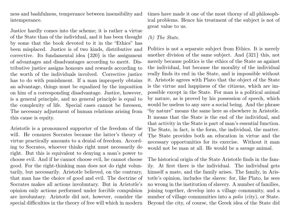ness and bashfulness, temperance between insensibility and intemperance.

Justice hardly comes into the scheme; it is rather a virtue of the State than of the individual, and it has been thought by some that the book devoted to it in the "Ethics" has been misplaced. Justice is of two kinds, distributive and corrective. Its fundamental idea {320} is the assignment of advantages and disadvantages according to merit. Distributive justice assigns honours and rewards according to the worth of the individuals involved. Corrective justice has to do with punishment. If a man improperly obtains an advantage, things must be equalized by the imposition on him of a corresponding disadvantage. Justice, however, is a general principle, and no general principle is equal to the complexity of life. Special cases cannot be foreseen, The necessary adjustment of human relations arising from this cause is equity.

Aristotle is a pronounced supporter of the freedom of the will. He censures Socrates because the latter's theory of virtue practically amounts to a denial of freedom. According to Socrates, whoever thinks right must necessarily do right. But this is equivalent to denying a man's power to choose evil. And if he cannot choose evil, he cannot choose good. For the right-thinking man does not do right voluntarily, but necessarily. Aristotle believed, on the contrary, that man has the choice of good and evil. The doctrine of Socrates makes all actions involuntary. But in Aristotle's opinion only actions performed under forcible compulsion are involuntary. Aristotle did not, however, consider the special difficulties in the theory of free will which in modern

times have made it one of the most thorny of all philosophical problems. Hence his treatment of the subject is not of great value to us.

#### (b) The State.

Politics is not a separate subject from Ethics. It is merely another division of the same subject. And {321} this, not merely because politics is the ethics of the State as against the individual, but because the morality of the individual really finds its end in the State, and is impossible without it. Aristotle agrees with Plato that the object of the State is the virtue and happiness of the citizens, which are impossible except in the State. For man is a political animal by nature, as is proved by his possession of speech, which would be useless to any save a social being. And the phrase "by nature" means the same here as elsewhere in Aristotle. It means that the State is the end of the individual, and that activity in the State is part of man's essential function. The State, in fact, is the form, the individual, the matter. The State provides both an education in virtue and the necessary opportunities for its exercise. Without it man would not be man at all. He would be a savage animal.

The historical origin of the State Aristotle finds in the family. At first there is the individual. The individual gets himself a mate, and the family arises. The family, in Aristotle's opinion, includes the slaves: for, like Plato, he sees no wrong in the institution of slavery. A number of families, joining together, develop into a village community, and a number of village communities into a *polis* (city), or State. Beyond the city, of course, the Greek idea of the State did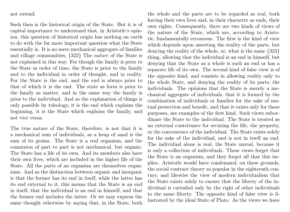not extend.

Such then is the historical origin of the State. But it is of capital importance to understand that, in Aristotle's opinion, this question of historical origin has nothing on earth to do with the far more important question what the State essentially is. It is no mere mechanical aggregate of families and village communities, {322} The nature of the State is not explained in this way. For though the family is prior to the State in order of time, the State is prior to the family and to the individual in order of thought, and in reality. For the State is the end, and the end is always prior to that of which it is the end. The state as form is prior to the family as matter, and in the same way the family is prior to the individual. And as the explanation of things is only possible by teleology, it is the end which explains the beginning, it is the State which explains the family, and not vice versa.

The true nature of the State, therefore, is not that it is a mechanical sum of individuals, as a heap of sand is the sum of its grains. The State is a real organism, and the connexion of part to part is not mechanical, but organic. The State has a life of its own. And its members also have their own lives, which are included in the higher life of the State. All the parts of an organism are themselves organisms. And as the distinction between organic and inorganic is that the former has its end in itself, while the latter has its end external to it, this means that the State is an end in itself, that the individual is an end in himself, and that the former end includes the latter. Or we may express the same thought otherwise by saying that, in the State, both

the whole and the parts are to be regarded as real, both having their own lives and, in their character as ends, their own rights. Consequently, there are two kinds of views of the nature of the State, which are, according to Aristotle, fundamentally erroneous. The first is the kind of view which depends upon asserting the reality of the parts, but denying the reality of the whole, or, what is the same {323} thing, allowing that the individual is an end in himself, but denying that the State as a whole is such an end or has a separate life of its own. The second kind of false view is of the opposite kind, and consists in allowing reality only to the whole State, and denying the reality of its parts, the individuals. The opinions that the State is merely a mechanical aggregate of individuals, that it is formed by the combination of individuals or families for the sake of mutual protection and benefit, and that it exists only for these purposes, are examples of the first kind. Such views subordinate the State to the individual. The State is treated as an external contrivance for securing the life, the property, or the convenience of the individual. The State exists solely for the sake of the individual, and is not in itself an end. The individual alone is real, the State unreal, because it is only a collection of individuals. These views forget that the State is an organism, and they forget all that this implies. Aristotle would have condemned, on these grounds, the social contract theory so popular in the eighteenth century, and likewise the view of modern individualism that the State exists solely to ensure that the liberty of the individual is curtailed only by the right of other individuals to the same liberty. The opposite kind of false view is illustrated by the ideal State of Plato. As the views we have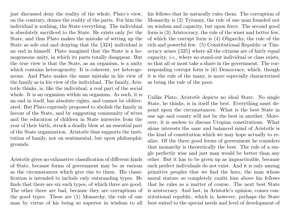just discussed deny the reality of the whole, Plato's view, on the contrary, denies the reality of the parts. For him the individual is nothing, the State everything. The individual is absolutely sacrificed to the State. He exists only for the State, and thus Plato makes the mistake of setting up the State as sole end and denying that the {324} individual is an end in himself. Plato imagined that the State is a homogeneous unity, in which its parts totally disappear. But the true view is that the State, as an organism, is a unity which contains heterogeneity. It is coherent, yet heterogeneous. And Plato makes the same mistake in his view of the family as in his view of the individual. The family, Aristotle thinks, is, like the individual, a real part of the social whole. It is an organism within an organism. As such, it is an end in itself, has absolute rights, and cannot be obliterated. But Plato expressly proposed to abolish the family in favour of the State, and by suggesting community of wives and the education of children in State nurseries from the year of their birth, struck a deadly blow at an essential part of the State organization. Aristotle thus supports the institution of family, not on sentimental, but upon philosophic grounds.

Aristotle gives no exhaustive classification of different kinds of State, because forms of government may be as various as the circumstances which give rise to them. His classification is intended to include only outstanding types. He finds that there are six such types, of which three are good. The other three are bad, because they are corruptions of the good types. These are (1) Monarchy, the rule of one man by virtue of his being so superior in wisdom to all

his fellows that he naturally rules them. The corruption of Monarchy is (2) Tyranny, the rule of one man founded not on wisdom and capacity, but upon force. The second good form is (3) Aristocracy, the rule of the wiser and better few, of which the corrupt form is (4) Oligarchy, the rule of the rich and powerful few. (5) Constitutional Republic or Timocracy arises {325} where all the citizens are of fairly equal capacity, i.e., where no stand-out individual or class exists, so that all or most take a share in the government. The corresponding corrupt form is (6) Democracy, which, though it is the rule of the many, is more especially characterized as being the rule of the poor.

Unlike Plato, Aristotle depicts no ideal State. No single State, he thinks, is in itself the best. Everything must depend upon the circumstances. What is the best State in one age and county will not be the best in another. Moreover, it is useless to discuss Utopian constitutions. What alone interests the sane and balanced mind of Aristotle is the kind of constitution which we may hope actually to realize. Of the three good forms of government he considers that monarchy is theoretically the best. The rule of a single perfectly wise and just man would be better than any other. But it has to be given up as impracticable, because such perfect individuals do not exist. And it is only among primitive peoples that we find the hero, the man whose moral stature so completely exalts him above his fellows that he rules as a matter of course. The next best State is aristocracy. And last, in Aristotle's opinion, comes constitutional republic, which is, however, perhaps the State best suited to the special needs and level of development of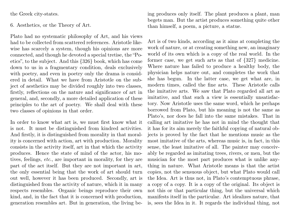the Greek city-states.

6. Aesthetics, or the Theory of Art.

Plato had no systematic philosophy of Art, and his views had to be collected from scattered references. Aristotle likewise has scarcely a system, though his opinions are more connected, and though he devoted a special tretise, the "Poetics", to the subject. And this {326} book, which has come down to us in a fragmentary condition, deals exclusively with poetry, and even in poetry only the drama is considered in detail. What we have from Aristotle on the subject of aesthetics may be divided roughly into two classes, firstly, reflections on the nature and significance of art in general, and, secondly, a more detailed application of these principles to the art of poetry. We shall deal with these two classes of opinions in that order.

In order to know what art is, we must first know what it is not. It must be distinguished from kindred activities. And firstly, it is distinguished from morality in that morality is concerned with action, art with production. Morality consists in the activity itself, art in that which the activity produces. Hence the state of mind of the actor, his motives, feelings, etc., are important in morality, for they are part of the act itself. But they are not important in art, the only essential being that the work of art should turn out well, however it has been produced. Secondly, art is distinguished from the activity of nature, which it in many respects resembles. Organic beings reproduce their own kind, and, in the fact that it is concerned with production, generation resembles art. But in generation, the living being produces only itself. The plant produces a plant, man begets man. But the artist produces something quite other than himself, a poem, a picture, a statue.

Art is of two kinds, according as it aims at completing the work of nature, or at creating something new, an imaginary world of its own which is a copy of the real world. In the former case, we get such arts as that of {327} medicine. Where nature has failed to produce a healthy body, the physician helps nature out, and completes the work that she has begun. In the latter case, we get what are, in modern times, called the fine arts. These Aristotle calls the imitative arts. We saw that Plato regarded all art as imitative, and that such a view is essentially unsatisfactory. Now Aristotle uses the same word, which he perhaps borrowed from Plato, but his meaning is not the same as Plato's, nor does he fall into the same mistakes. That in calling art imitative he has not in mind the thought that it has for its aim merely the faithful copying of natural objects is proved by the fact that he mentions music as the most imitative of the arts, whereas music is, in fact, in this sense, the least imitative of all. The painter may conceivably be regarded as imitating trees, rivers, or men, but the musician for the most part produces what is unlike anything in nature. What Aristotle means is that the artist copies, not the sensuous object, but what Plato would call the Idea. Art is thus not, in Plato's contemptuous phrase, a copy of a copy. It is a copy of the original. Its object is not this or that particular thing, but the universal which manifests itself in the particular. Art idealizes nature, that is, sees the Idea in it. It regards the individual thing, not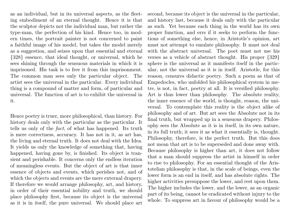as an individual, but in its universal aspects, as the fleeting embodiment of an eternal thought. Hence it is that the sculptor depicts not the individual man, but rather the type-man, the perfection of his kind. Hence too, in modern times, the portrait painter is not concerned to paint a faithful image of his model, but takes the model merely as a suggestion, and seizes upon that essential and eternal {328} essence, that ideal thought, or universal, which he sees shining through the sensuous materials in which it is imprisoned. His task is to free it from this imprisonment. The common man sees only the particular object. The artist sees the universal in the particular. Every individual thing is a compound of matter and form, of particular and universal. The function of art is to exhibit the universal in it.

Hence poetry is truer, more philosophical, than history. For history deals only with the particular as the particular. It tells us only of the fact, of what has happened. Its truth is mere correctness, accuracy. It has not in it, as art has, the living and eternal truth. It does not deal with the Idea. It yields us only the knowledge of something that, having happened, having gone by, is finished. Its object is transient and perishable. It concerns only the endless iteration of meaningless events. But the object of art is that inner essence of objects and events, which perishes not, and of which the objects and events are the mere external drapery. If therefore we would arrange philosophy, art, and history, in order of their essential nobility and truth, we should place philosophy first, because its object is the universal as it is in itself, the pure universal. We should place art

second, because its object is the universal in the particular, and history last, because it deals only with the particular as such. Yet because each thing in the world has its own proper function, and errs if it seeks to perform the functions of something else, hence, in Aristotle's opinion, art must not attempt to emulate philosophy. It must not deal with the abstract universal. The poet must not use his verses as a vehicle of abstract thought. His proper {329} sphere is the universal as it manifests itself in the particular, not the universal as it is in itself. Aristotle, for this reason, censures didactic poetry. Such a poem as that of Empedocles, who unfolded his philosophical system in metre, is not, in fact, poetry at all. It is versified philosophy. Art is thus lower than philosophy. The absolute reality, the inner essence of the world, is thought, reason, the universal. To contemplate this reality is the object alike of philosophy and of art. But art sees the Absolute not in its final truth, but wrapped up in a sensuous drapery. Philosophy sees the Absolute as it is in itself, in its own nature, in its full truth; it sees it as what it essentially is, thought. Philosophy, therefore, is the perfect truth. But this does not mean that art is to be superseded and done away with. Because philosophy is higher than art, it does not follow that a man should suppress the artist in himself in order to rise to philosophy. For an essential thought of the Aristotelian philosophy is that, in the scale of beings, even the lower form is an end in itself, and has absolute rights. The higher activities presuppose the lower, and rest upon them. The higher includes the lower, and the lower, as an organic part of its being, cannot be eradicated without injury to the whole. To suppress art in favour of philosophy would be a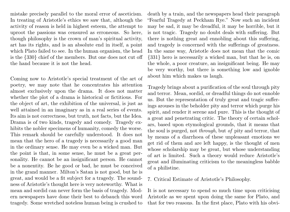mistake precisely parallel to the moral error of asceticism. In treating of Aristotle's ethics we saw that, although the activity of reason is held in highest esteem, the attempt to uproot the passions was censured as erroneous. So here, though philosophy is the crown of man's spiritual activity, art has its rights, and is an absolute end in itself, a point which Plato failed to see. In the human organism, the head is the {330} chief of the members. But one does not cut off the hand because it is not the head.

Coming now to Aristotle's special treatment of the art of poetry, we may note that he concentrates his attention almost exclusively upon the drama. It does not matter whether the plot of a drama is historical or fictitious. For the object of art, the exhibition of the universal, is just as well attained in an imaginary as in a real series of events. Its aim is not correctness, but truth, not facts, but the Idea. Drama is of two kinds, tragedy and comedy. Tragedy exhibits the nobler specimens of humanity, comedy the worse. This remark should be carefully understood. It does not mean that the hero of a tragedy is necessarily a good man in the ordinary sense. He may even be a wicked man. But the point is that, in some sense, he must be a great personality. He cannot be an insignificant person. He cannot be a nonentity. Be he good or bad, he must be conceived in the grand manner. Milton's Satan is not good, but he is great, and would be a fit subject for a tragedy. The soundness of Aristotle's thought here is very noteworthy. What is mean and sordid can never form the basis of tragedy. Modern newspapers have done their best to debauch this word tragedy. Some wretched noteless human being is crushed to

death by a train, and the newspapers head their paragraph "Fearful Tragedy at Peckham Rye." Now such an incident may be sad, it may be dreadful, it may be horrible, but it is not tragic. Tragedy no doubt deals with suffering. But there is nothing great and ennobling about this suffering, and tragedy is concerned with the sufferings of greatness. In the same way, Aristotle does not mean that the comic {331} hero is necessarily a wicked man, but that he is, on the whole, a poor creature, an insignificant being. He may be very worthy, but there is something low and ignoble about him which makes us laugh.

Tragedy brings about a purification of the soul through pity and terror. Mean, sordid, or dreadful things do not ennoble us. But the representation of truly great and tragic sufferings arouses in the beholder pity and terror which purge his spirit, and render it serene and pure. This is the thought of a great and penetrating critic. The theory of certain scholars, based upon etymological grounds, that it means that the soul is purged, not through, but of pity and terror, that by means of a diarrhoea of these unpleasant emotions we get rid of them and are left happy, is the thought of men whose scholarship may be great, but whose understanding of art is limited. Such a theory would reduce Aristotle's great and illuminating criticism to the meaningless babble of a philistine.

7. Critical Estimate of Aristotle's Philosophy.

It is not necessary to spend so much time upon criticising Aristotle as we spent upon doing the same for Plato, and that for two reasons. In the first place, Plato with his obvi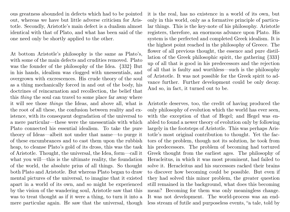ous greatness abounded in defects which had to be pointed out, whereas we have but little adverse criticism for Aristotle. Secondly, Aristotle's main defect is a dualism almost identical with that of Plato, and what has been said of the one need only be shortly applied to the other.

At bottom Aristotle's philosophy is the same as Plato's, with some of the main defects and crudities removed. Plato was the founder of the philosophy of the Idea. {332} But in his hands, idealism was clogged with unessentials, and overgrown with excrescences. His crude theory of the soul as a thing mechanically forced in and out of the body, his doctrines of reincarnation and recollection, the belief that this thing the soul can travel to some place far away where it will see those things the Ideas, and above all, what is the root of all these, the confusion between reality and existence, with its consequent degradation of the universal to a mere particular—these were the unessentials with which Plato connected his essential idealism. To take the pure theory of Ideas—albeit not under that name—to purge it of these encumbrances and to cast them upon the rubbish heap, to cleanse Plato's gold of its dross, this was the task of Aristotle. Thought, the universal, the Idea, form—call it what you will—this is the ultimate reality, the foundation of the world, the absolute prius of all things. So thought both Plato and Aristotle. But whereas Plato began to draw mental pictures of the universal, to imagine that it existed apart in a world of its own, and so might be experienced by the vision of the wandering soul, Aristotle saw that this was to treat thought as if it were a thing, to turn it into a mere particular again. He saw that the universal, though

it is the real, has no existence in a world of its own, but only in this world, only as a formative principle of particular things. This is the key-note of his philosophy. Aristotle registers, therefore, an enormous advance upon Plato. His system is the perfected and completed Greek idealism. It is the highest point reached in the philosophy of Greece. The flower of all previous thought, the essence and pure distillation of the Greek philosophic spirit, the gathering {333} up of all that is good in his predecessors and the rejection of all that is faulty and worthless—such is the philosophy of Aristotle. It was not possible for the Greek spirit to advance further. Further development could be only decay. And so, in fact, it turned out to be.

Aristotle deserves, too, the credit of having produced the only philosophy of evolution which the world has ever seen, with the exception of that of Hegel; and Hegel was enabled to found a newer theory of evolution only by following largely in the footsteps of Aristotle. This was perhaps Aristotle's most original contribution to thought. Yet the factors of the problem, though not its solution, he took from his predecessors. The problem of becoming had tortured Greek thought from the earliest ages. The philosophy of Heracleitus, in which it was most prominent, had failed to solve it. Heracleitus and his successors racked their brains to discover how becoming could be possible. But even if they had solved this minor problem, the greater question still remained in the background, what does this becoming mean? Becoming for them was only meaningless change. It was not development. The world-process was an endless stream of futile and purposeless events, "a tale, told by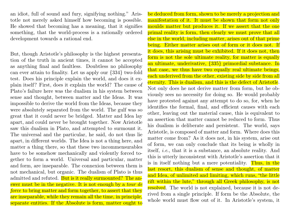an idiot, full of sound and fury, signifying nothing." Aristotle not merely asked himself how becoming is possible. He showed that becoming has a meaning, that it signifies something, that the world-process is a rationally ordered development towards a rational end.

But, though Aristotle's philosophy is the highest presentation of the truth in ancient times, it cannot be accepted as anything final and faultless. Doubtless no philosophy can ever attain to finality. Let us apply our {334} two-fold test. Does his principle explain the world, and does it explain itself? First, does it explain the world? The cause of Plato's failure here was the dualism in his system between sense and thought, between matter and the Ideas. It was impossible to derive the world from the Ideas, because they were absolutely separated from the world. The gulf was so great that it could never be bridged. Matter and Idea lay apart, and could never be brought together. Now Aristotle saw this dualism in Plato, and attempted to surmount it. The universal and the particular, he said, do not thus lie apart, in different worlds. The Idea is not a thing here, and matter a thing there, so that these two incommensurables have to be somehow mechanically and violently forced together to form a world. Universal and particular, matter and form, are inseparable. The connexion between them is not mechanical, but organic. The dualism of Plato is thus admitted and refuted. But is it really surmounted? The answer must be in the negative. It is not enough by a *tour de* force to bring matter and form together, to assert that they are inseparable, while they remain all the time, in principle, separate entities. If the Absolute is form, matter ought to

be deduced from form, shown to be merely a projection and manifestation of it. It must be shown that form not only moulds matter but produces it. If we assert that the one primal reality is form, then clearly we must prove that all else in the world, including matter, arises out of that prime being. Either matter arises out of form or it does not. If it does, this arising must be exhibited. If it does not, then form is not the sole ultimate reality, for matter is equally an ultimate, underivative, {335} primordial substance. In that case, we thus have two equally real ultimate beings, each underived from the other, existing side by side from all eternity. This is dualism, and this is the defect of Aristotle. Not only does he not derive matter from form, but he obviously sees no necessity for doing so. He would probably have protested against any attempt to do so, for, when he identifies the formal, final, and efficient causes with each other, leaving out the material cause, this is equivalent to an assertion that matter cannot be reduced to form. Thus his dualism is deliberate and persistent. The world, says Aristotle, is composed of matter and form. Where does this matter come from? As it does not, in his system, arise out of form, we can only conclude that its being is wholly in itself, i.e., that it is a substance, an absolute reality. And this is utterly inconsistent with Aristotle's assertion that it is in itself nothing but a mere potentiality. Thus, in the last resort, this dualism of sense and thought, of matter and Idea, of unlimited and limiting, which runs, "the little rift within the lute," through all Greek philosophy, is not resolved. The world is not explained, because it is not derived from a single principle. If form be the Absolute, the whole world must flow out of it. In Aristotle's system, it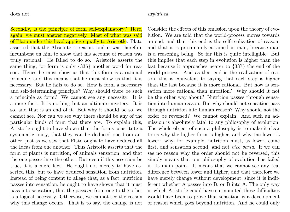does not.

Secondly, is the principle of form self-explanatory? Here, again, we must answer negatively. Most of what was said of Plato under this head applies equally to Aristotle. Plato asserted that the Absolute is reason, and it was therefore incumbent on him to show that his account of reason was truly rational. He failed to do so. Aristotle asserts the same thing, for form is only {336} another word for reason. Hence he must show us that this form is a rational principle, and this means that he must show us that it is necessary. But he fails to do so. How is form a necessary and self-determining principle? Why should there be such a principle as form? We cannot see any necessity. It is a mere fact. It is nothing but an ultimate mystery. It is so, and that is an end of it. But why it should be so, we cannot see. Nor can we see why there should be any of the particular kinds of form that there are. To explain this, Aristotle ought to have shown that the forms constitute a systematic unity, that they can be deduced one from another, just as we saw that Plato ought to have deduced all the Ideas from one another. Thus Aristotle asserts that the form of plants is nutrition, of animals sensation, and that the one passes into the other. But even if this assertion be true, it is a mere fact. He ought not merely to have asserted this, but to have deduced sensation from nutrition. Instead of being content to allege that, as a fact, nutrition passes into sensation, he ought to have shown that it must pass into sensation, that the passage from one to the other is a logical necessity. Otherwise, we cannot see the reason why this change occurs. That is to say, the change is not

Consider the effects of this omission upon the theory of evolution. We are told that the world-process moves towards an end, and that this end is the self-realization of reason, and that it is proximately attained in man, because man is a reasoning being. So far this is quite intelligible. But this implies that each step in evolution is higher than the last because it approaches nearer to {337} the end of the world-process. And as that end is the realization of reason, this is equivalent to saying that each step is higher than the last because it is more rational. But how is sensation more rational than nutrition? Why should it not be the other way about? Nutrition passes through sensation into human reason. But why should not sensation pass through nutrition into human reason? Why should not the order be reversed? We cannot explain. And such an admission is absolutely fatal to any philosophy of evolution. The whole object of such a philosophy is to make it clear to us why the higher form is higher, and why the lower is lower: why, for example, nutrition must, as lower, come first, and sensation second, and not vice versa. If we can see no reason why the order should not be reversed, this simply means that our philosophy of evolution has failed in its main point. It means that we cannot see any real difference between lower and higher, and that therefore we have merely change without development, since it is indifferent whether A passes into B, or B into A. The only way in which Aristotle could have surmounted these difficulties would have been to prove that sensation is a development of reason which goes beyond nutrition. And he could only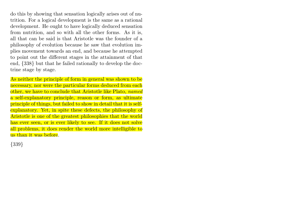do this by showing that sensation logically arises out of nutrition. For a logical development is the same as a rational development. He ought to have logically deduced sensation from nutrition, and so with all the other forms. As it is, all that can be said is that Aristotle was the founder of a philosophy of evolution because he saw that evolution implies movement towards an end, and because he attempted to point out the different stages in the attainment of that end, {338} but that he failed rationally to develop the doctrine stage by stage.

As neither the principle of form in general was shown to be necessary, nor were the particular forms deduced from each other, we have to conclude that Aristotle like Plato, named a self-explanatory principle, reason or form, as ultimate principle of things, but failed to show in detail that it is selfexplanatory. Yet, in spite these defects, the philosophy of Aristotle is one of the greatest philosophies that the world has ever seen, or is ever likely to see. If it does not solve all problems, it does render the world more intelligible to us than it was before.

{339}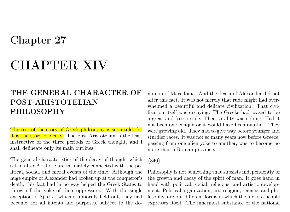## Chapter 27

# CHAPTER XIV

### THE GENERAL CHARACTER OF POST-ARISTOTELIAN PHILOSOPHY

The rest of the story of Greek philosophy is soon told, for it is the story of decay. The post-Aristotelian is the least instructive of the three periods of Greek thought, and I shall delineate only its main outlines.

The general characteristics of the decay of thought which set in after Aristotle are intimately connected with the political, social, and moral events of the time. Although the huge empire of Alexander had broken up at the conqueror's death, this fact had in no way helped the Greek States to throw off the yoke of their oppressors. With the single exception of Sparta, which stubbornly held out, they had become, for all intents and purposes, subject to the do-

minion of Macedonia. And the death of Alexander did not alter this fact. It was not merely that rude might had overwhelmed a beautiful and delicate civilization. That civilization itself was decaying. The Greeks had ceased to be a great and free people. Their vitality was ebbing. Had it not been one conqueror it would have been another. They were growing old. They had to give way before younger and sturdier races. It was not so many years now before Greece, passing from one alien yoke to another, was to become no more than a Roman province.

### {340}

Philosophy is not something that subsists independently of the growth and decay of the spirit of man. It goes hand in hand with political, social, religious, and artistic development. Political organization, art, religion, science, and philosophy, are but different forms in which the life of a people expresses itself. The innermost substance of the national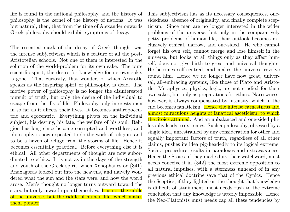life is found in the national philosophy, and the history of philosophy is the kernel of the history of nations. It was but natural, then, that from the time of Alexander onwards Greek philosophy should exhibit symptoms of decay.

The essential mark of the decay of Greek thought was the intense subjectivism which is a feature of all the post-Aristotelian schools. Not one of them is interested in the solution of the world-problem for its own sake. The pure scientific spirit, the desire for knowledge for its own sake, is gone. That curiosity, that wonder, of which Aristotle speaks as the inspiring spirit of philosophy, is dead. The motive power of philosophy is no longer the disinterested pursuit of truth, but only the desire of the individual to escape from the ills of life. Philosophy only interests men in so far as it affects their lives. It becomes anthropocentric and egocentric. Everything pivots on the individual subject, his destiny, his fate, the welfare of his soul. Religion has long since become corrupted and worthless, and philosophy is now expected to do the work of religion, and to be a haven of refuge from the storms of life. Hence it becomes essentially practical. Before everything else it is ethical. All other departments of thought are now subordinated to ethics. It is not as in the days of the strength and youth of the Greek spirit, when Xenophanes or {341} Anaxagoras looked out into the heavens, and naively wondered what the sun and the stars were, and how the world arose. Men's thought no longer turns outward toward the stars, but only inward upon themselves. It is not the riddle of the universe, but the riddle of human life, which makes them ponder.

This subjectivism has as its necessary consequences, onesidedness, absence of originality, and finally complete scepticism. Since men are no longer interested in the wider problems of the universe, but only in the comparatively petty problems of human life, their outlook becomes exclusively ethical, narrow, and one-sided. He who cannot forget his own self, cannot merge and lose himself in the universe, but looks at all things only as they affect himself, does not give birth to great and universal thoughts. He becomes self-centred, and makes the universe revolve round him. Hence we no longer have now great, universal, all-embracing systems, like those of Plato and Aristotle. Metaphysics, physics, logic, are not studied for their own sakes, but only as preparations for ethics. Narrowness, however, is always compensated by intensity, which in the end becomes fanaticism. Hence the intense earnestness and almost miraculous heights of fanatical asceticism, to which the Stoics attained. And an unbalanced and one-sided philosophy leads to extremes. Such a philosophy, obsessed by a single idea, unrestrained by any consideration for other and equally important factors of truth, regardless of all other claims, pushes its idea pig-headedly to its logical extreme. Such a procedure results in paradoxes and extravagances. Hence the Stoics, if they made duty their watchword, must needs conceive it in {342} the most extreme opposition to all natural impulses, with a sternness unheard of in any previous ethical doctrine save that of the Cynics. Hence the Sceptics, if they lighted on the thought that knowledge is difficult of attainment, must needs rush to the extreme conclusion that any knowledge is utterly impossible. Hence the Neo-Platonists must needs cap all these tendencies by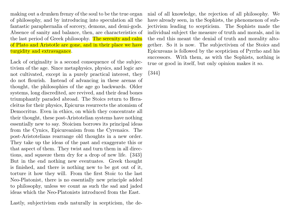making out a drunken frenzy of the soul to be the true organ of philosophy, and by introducing into speculation all the fantastic paraphernalia of sorcery, demons, and demi-gods. Absence of sanity and balance, then, are characteristics of the last period of Greek philosophy. The serenity and calm of Plato and Aristotle are gone, and in their place we have turgidity and extravagance.

Lack of originality is a second consequence of the subjectivism of the age. Since metaphysics, physics, and logic are not cultivated, except in a purely practical interest, they do not flourish. Instead of advancing in these arenas of thought, the philosophies of the age go backwards. Older systems, long discredited, are revived, and their dead bones triumphantly paraded abroad. The Stoics return to Heracleitus for their physics, Epicurus resurrects the atomism of Democritus. Even in ethics, on which they concentrate all their thought, these post-Aristotelian systems have nothing essentially new to say. Stoicism borrows its principal ideas from the Cynics, Epicureanism from the Cyrenaics. The post-Aristotelians rearrange old thoughts in a new order. They take up the ideas of the past and exaggerate this or that aspect of them. They twist and turn them in all directions, and squeeze them dry for a drop of new life. {343} But in the end nothing new eventuates. Greek thought is finished, and there is nothing new to be got out of it, torture it how they will. From the first Stoic to the last Neo-Platonist, there is no essentially new principle added to philosophy, unless we count as such the sad and jaded ideas which the Neo-Platonists introduced from the East.

Lastly, subjectivism ends naturally in scepticism, the de-

nial of all knowledge, the rejection of all philosophy. We have already seen, in the Sophists, the phenomenon of subjectivism leading to scepticism. The Sophists made the individual subject the measure of truth and morals, and in the end this meant the denial of truth and morality altogether. So it is now. The subjectivism of the Stoics and Epicureans is followed by the scepticism of Pyrrho and his successors. With them, as with the Sophists, nothing is true or good in itself, but only opinion makes it so.

{344}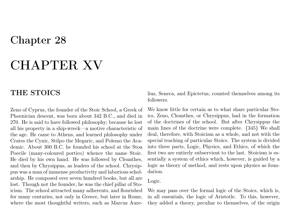## Chapter 28

# CHAPTER XV

### THE STOICS

Zeno of Cyprus, the founder of the Stoic School, a Greek of Phoenician descent, was born about 342 B.C., and died in 270. He is said to have followed philosophy; because he lost all his property in a ship-wreck—a motive characteristic of the age. He came to Athens, and learned philosophy under Crates the Cynic, Stilpo the Megaric, and Polemo the Academic. About 300 B.C. he founded his school at the Stoa Poecile (many-coloured portico) whence the name Stoic. He died by his own hand. He was followed by Cleanthes, and then by Chrysippus, as leaders of the school. Chrysippus was a man of immense productivity and laborious scholarship. He composed over seven hundred books, but all are lost. Though not the founder, he was the chief pillar of Stoicism. The school attracted many adherents, and flourished for many centuries, not only in Greece, but later in Rome, where the most thoughtful writers, such as Marcus Aurelius, Seneca, and Epictetus, counted themselves among its followers.

We know little for certain as to what share particular Stoics, Zeno, Cleanthes, or Chrysippus, had in the formation of the doctrines of the school. But after Chrysippus the main lines of the doctrine were complete. {345} We shall deal, therefore, with Stoicism as a whole, and not with the special teaching of particular Stoics. The system is divided into three parts, Logic, Physics, and Ethics, of which the first two are entirely subservient to the last. Stoicism is essentially a system of ethics which, however, is guided by a logic as theory of method, and rests upon physics as foundation.

### Logic.

We may pass over the formal logic of the Stoics, which is, in all essentials, the logic of Aristotle. To this, however, they added a theory, peculiar to themselves, of the origin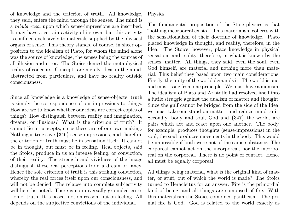of knowledge and the criterion of truth. All knowledge, they said, enters the mind through the senses. The mind is a tabula rasa, upon which sense-impressions are inscribed. It may have a certain activity of its own, but this activity is confined exclusively to materials supplied by the physical organs of sense. This theory stands, of course, in sheer opposition to the idealism of Plato, for whom the mind alone was the source of knowledge, the senses being the sources of all illusion and error. The Stoics denied the metaphysical reality of concepts. Concepts are merely ideas in the mind, abstracted from particulars, and have no reality outside consciousness.

Since all knowledge is a knowledge of sense-objects, truth is simply the correspondence of our impressions to things. How are we to know whether our ideas are correct copies of things? How distinguish between reality and imagination, dreams, or illusions? What is the criterion of truth? It cannot lie in concepts, since these are of our own making. Nothing is true save {346} sense-impressions, and therefore the criterion of truth must lie in sensation itself. It cannot be in thought, but must be in feeling. Real objects, said the Stoics, produce in us an intense feeling, or conviction, of their reality. The strength and vividness of the image distinguish these real perceptions from a dream or fancy. Hence the sole criterion of truth is this striking conviction, whereby the real forces itself upon our consciousness, and will not be denied. The relapse into complete subjectivity will here be noted. There is no universally grounded criterion of truth. It is based, not on reason, but on feeling. All depends on the subjective convictions of the individual.

Physics.

The fundamental proposition of the Stoic physics is that "nothing incorporeal exists." This materialism coheres with the sensationalism of their doctrine of knowledge. Plato placed knowledge in thought, and reality, therefore, in the Idea. The Stoics, however, place knowledge in physical sensation, and reality, therefore, in what is known by the senses, matter. All things, they said, even the soul, even God himself, are material and nothing more than material. This belief they based upon two main considerations. Firstly, the unity of the world demands it. The world is one, and must issue from one principle. We must have a monism. The idealism of Plato and Aristotle had resolved itself into a futile struggle against the dualism of matter and thought. Since the gulf cannot be bridged from the side of the Idea, we must take our stand on matter, and reduce mind to it. Secondly, body and soul, God and {347} the world, are pairs which act and react upon one another. The body, for example, produces thoughts (sense-impressions) in the soul, the soul produces movements in the body. This would be impossible if both were not of the same substance. The corporeal cannot act on the incorporeal, nor the incorporeal on the corporeal. There is no point of contact. Hence all must be equally corporeal.

All things being material, what is the original kind of matter, or stuff, out of which the world is made? The Stoics turned to Heracleitus for an answer. Fire is the primordial kind of being, and all things are composed of fire. With this materialism the Stoics combined pantheism. The primal fire is God. God is related to the world exactly as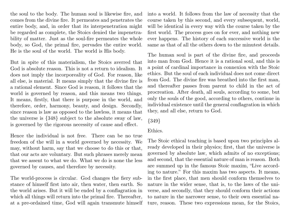the soul to the body. The human soul is likewise fire, and comes from the divine fire. It permeates and penetrates the entire body, and, in order that its interpenetration might be regarded as complete, the Stoics denied the impenetrability of matter. Just as the soul-fire permeates the whole body, so God, the primal fire, pervades the entire world. He is the soul of the world. The world is His body.

But in spite of this materialism, the Stoics averred that God is absolute reason. This is not a return to idealism. It does not imply the incorporeality of God. For reason, like all else, is material. It means simply that the divine fire is a rational element. Since God is reason, it follows that the world is governed by reason, and this means two things. It means, firstly, that there is purpose in the world, and therefore, order, harmony, beauty, and design. Secondly, since reason is law as opposed to the lawless, it means that the universe is {348} subject to the absolute sway of law, is governed by the rigorous necessity of cause and effect.

Hence the individual is not free. There can be no true freedom of the will in a world governed by necessity. We may, without harm, say that we choose to do this or that, that our acts are voluntary. But such phrases merely mean that we assent to what we do. What we do is none the less governed by causes, and therefore by necessity.

The world-process is circular. God changes the fiery substance of himself first into air, then water, then earth. So the world arises. But it will be ended by a conflagration in which all things will return into the primal fire. Thereafter, at a pre-ordained time, God will again transmute himself into a world. It follows from the law of necessity that the course taken by this second, and every subsequent, world, will be identical in every way with the course taken by the first world. The process goes on for ever, and nothing new ever happens. The history of each successive world is the same as that of all the others down to the minutest details.

The human soul is part of the divine fire, and proceeds into man from God. Hence it is a rational soul, and this is a point of cardinal importance in connexion with the Stoic ethics. But the soul of each individual does not come direct from God. The divine fire was breathed into the first man, and thereafter passes from parent to child in the act of procreation. After death, all souls, according to some, but only the souls of the good, according to others, continue in individual existence until the general conflagration in which they, and all else, return to God.

{349}

#### Ethics.

The Stoic ethical teaching is based upon two principles already developed in their physics; first, that the universe is governed by absolute law, which admits of no exceptions; and second, that the essential nature of man is reason. Both are summed up in the famous Stoic maxim, "Live according to nature." For this maxim has two aspects. It means, in the first place, that men should conform themselves to nature in the wider sense, that is, to the laws of the universe, and secondly, that they should conform their actions to nature in the narrower sense, to their own essential nature, reason. These two expressions mean, for the Stoics,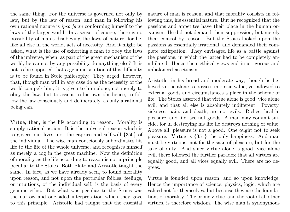the same thing. For the universe is governed not only by law, but by the law of reason, and man in following his own rational nature is ipso facto conforming himself to the laws of the larger world. In a sense, of course, there is no possibility of man's disobeying the laws of nature, for he, like all else in the world, acts of necessity. And it might be asked, what is the use of exhorting a man to obey the laws of the universe, when, as part of the great mechanism of the world, he cannot by any possibility do anything else? It is not to be supposed that a genuine solution of this difficulty is to be found in Stoic philosophy. They urged, however, that, though man will in any case do as the necessity of the world compels him, it is given to him alone, not merely to obey the law, but to assent to his own obedience, to follow the law consciously and deliberately, as only a rational being can.

Virtue, then, is the life according to reason. Morality is simply rational action. It is the universal reason which is to govern our lives, not the caprice and self-will {350} of the individual. The wise man consciously subordinates his life to the life of the whole universe, and recognises himself as merely a cog in the great machine. Now the definition of morality as the life according to reason is not a principle peculiar to the Stoics. Both Plato and Aristotle taught the same. In fact, as we have already seen, to found morality upon reason, and not upon the particular foibles, feelings, or intuitions, of the individual self, is the basis of every genuine ethic. But what was peculiar to the Stoics was the narrow and one-sided interpretation which they gave to this principle. Aristotle had taught that the essential

nature of man is reason, and that morality consists in following this, his essential nature. But he recognized that the passions and appetites have their place in the human organism. He did not demand their suppression, but merely their control by reason. But the Stoics looked upon the passions as essentially irrational, and demanded their complete extirpation. They envisaged life as a battle against the passions, in which the latter had to be completely annihilated. Hence their ethical views end in a rigorous and unbalanced asceticism.

Aristotle, in his broad and moderate way, though he believed virtue alone to possess intrinsic value, yet allowed to external goods and circumstances a place in the scheme of life. The Stoics asserted that virtue alone is good, vice alone evil, and that all else is absolutely indifferent. Poverty, sickness, pain, and death, are not evils. Riches, health, pleasure, and life, are not goods. A man may commit suicide, for in destroying his life he destroys nothing of value. Above all, pleasure is not a good. One ought not to seek pleasure. Virtue is {351} the only happiness. And man must be virtuous, not for the sake of pleasure, but for the sake of duty. And since virtue alone is good, vice alone evil, there followed the further paradox that all virtues are equally good, and all vices equally evil. There are no degrees.

Virtue is founded upon reason, and so upon knowledge. Hence the importance of science, physics, logic, which are valued not for themselves, but because they are the foundations of morality. The prime virtue, and the root of all other virtues, is therefore wisdom. The wise man is synonymous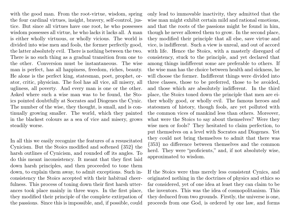with the good man. From the root-virtue, wisdom, spring the four cardinal virtues, insight, bravery, self-control, justice. But since all virtues have one root, he who possesses wisdom possesses all virtue, he who lacks it lacks all. A man is either wholly virtuous, or wholly vicious. The world is divided into wise men and fools, the former perfectly good, the latter absolutely evil. There is nothing between the two. There is no such thing as a gradual transition from one to the other. Conversion must be instantaneous. The wise man is perfect, has all happiness, freedom, riches, beauty. He alone is the perfect king, statesman, poet, prophet, orator, critic, physician. The fool has all vice, all misery, all ugliness, all poverty. And every man is one or the other. Asked where such a wise man was to be found, the Stoics pointed doubtfully at Socrates and Diogenes the Cynic. The number of the wise, they thought, is small, and is continually growing smaller. The world, which they painted in the blackest colours as a sea of vice and misery, grows steadily worse.

In all this we easily recognize the features of a resuscitated Cynicism. But the Stoics modified and softened {352} the harsh outlines of Cynicism, and rounded off its angles. To do this meant inconsistency. It meant that they first laid down harsh principles, and then proceeded to tone them down, to explain them away, to admit exceptions. Such inconsistency the Stoics accepted with their habitual cheerfulness. This process of toning down their first harsh utterances took place mainly in three ways. In the first place, they modified their principle of the complete extirpation of the passions. Since this is impossible, and, if possible, could

only lead to immovable inactivity, they admitted that the wise man might exhibit certain mild and rational emotions, and that the roots of the passions might be found in him, though he never allowed them to grow. In the second place, they modified their principle that all else, save virtue and vice, is indifferent. Such a view is unreal, and out of accord with life. Hence the Stoics, with a masterly disregard of consistency, stuck to the principle, and yet declared that among things indifferent some are preferable to others. If the wise man has the choice between health and sickness, he will choose the former. Indifferent things were divided into three classes, those to be preferred, those to be avoided, and those which are absolutely indifferent. In the third place, the Stoics toned down the principle that men are either wholly good, or wholly evil. The famous heroes and statesmen of history, though fools, are yet polluted with the common vices of mankind less than others. Moreover, what were the Stoics to say about themselves? Were they wise men or fools? They hesitated to claim perfection, to put themselves on a level with Socrates and Diogenes. Yet they could not bring themselves to admit that there was {353} no difference between themselves and the common herd. They were "proficients," and, if not absolutely wise, approximated to wisdom.

If the Stoics were thus merely less consistent Cynics, and originated nothing in the doctrines of physics and ethics so far considered, yet of one idea at least they can claim to be the inventors. This was the idea of cosmopolitanism. This they deduced from two grounds. Firstly, the universe is one, proceeds from one God, is ordered by one law, and forms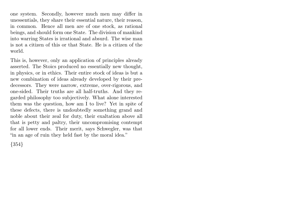one system. Secondly, however much men may differ in unessentials, they share their essential nature, their reason, in common. Hence all men are of one stock, as rational beings, and should form one State. The division of mankind into warring States is irrational and absurd. The wise man is not a citizen of this or that State. He is a citizen of the world.

This is, however, only an application of principles already asserted. The Stoics produced no essentially new thought, in physics, or in ethics. Their entire stock of ideas is but a new combination of ideas already developed by their predecessors. They were narrow, extreme, over-rigorous, and one-sided. Their truths are all half-truths. And they regarded philosophy too subjectively. What alone interested them was the question, how am I to live? Yet in spite of these defects, there is undoubtedly something grand and noble about their zeal for duty, their exaltation above all that is petty and paltry, their uncompromising contempt for all lower ends. Their merit, says Schwegler, was that "in an age of ruin they held fast by the moral idea."

{354}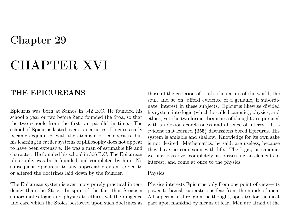## Chapter 29

# CHAPTER XVI

### THE EPICUREANS

Epicurus was born at Samos in 342 B.C. He founded his school a year or two before Zeno founded the Stoa, so that the two schools from the first ran parallel in time. The school of Epicurus lasted over six centuries. Epicurus early became acquainted with the atomism of Democritus, but his learning in earlier systems of philosophy does not appear to have been extensive. He was a man of estimable life and character. He founded his school in 306 B.C. The Epicurean philosophy was both founded and completed by him. No subsequent Epicurean to any appreciable extent added to or altered the doctrines laid down by the founder.

The Epicurean system is even more purely practical in tendency than the Stoic. In spite of the fact that Stoicism subordinates logic and physics to ethics, yet the diligence and care which the Stoics bestowed upon such doctrines as

those of the criterion of truth, the nature of the world, the soul, and so on, afford evidence of a genuine, if subordinate, interest in these subjects. Epicurus likewise divided his system into logic (which he called canonic), physics, and ethics, yet the two former branches of thought are pursued with an obvious carelessness and absence of interest. It is evident that learned {355} discussions bored Epicurus. His system is amiable and shallow. Knowledge for its own sake is not desired. Mathematics, he said, are useless, because they have no connexion with life. The logic, or canonic, we may pass over completely, as possessing no elements of interest, and come at once to the physics.

#### Physics.

Physics interests Epicurus only from one point of view—its power to banish superstitious fear from the minds of men. All supernatural religion, he thought, operates for the most part upon mankind by means of fear. Men are afraid of the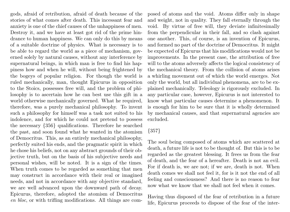gods, afraid of retribution, afraid of death because of the stories of what comes after death. This incessant fear and anxiety is one of the chief causes of the unhappiness of men. Destroy it, and we have at least got rid of the prime hindrance to human happiness. We can only do this by means of a suitable doctrine of physics. What is necessary is to be able to regard the world as a piece of mechanism, governed solely by natural causes, without any interference by supernatural beings, in which man is free to find his happiness how and when he will, without being frightened by the bogeys of popular religion. For though the world is ruled mechanically, man, thought Epicurus in opposition to the Stoics, possesses free will, and the problem of philosophy is to ascertain how he can best use this gift in a world otherwise mechanically governed. What he required, therefore, was a purely mechanical philosophy. To invent such a philosophy for himself was a task not suited to his indolence, and for which he could not pretend to possess the necessary {356} qualifications. Therefore he searched the past, and soon found what he wanted in the atomism of Democritus. This, as an entirely mechanical philosophy, perfectly suited his ends, and the pragmatic spirit in which he chose his beliefs, not on any abstract grounds of their objective truth, but on the basis of his subjective needs and personal wishes, will be noted. It is a sign of the times. When truth comes to be regarded as something that men may construct in accordance with their real or imagined needs, and not in accordance with any objective standard, we are well advanced upon the downward path of decay. Epicurus, therefore, adopted the atomism of Democritus en bloc, or with trifling modifications. All things are composed of atoms and the void. Atoms differ only in shape and weight, not in quality. They fall eternally through the void. By virtue of free will, they deviate infinitesimally from the perpendicular in their fall, and so clash against one another. This, of course, is an invention of Epicurus, and formed no part of the doctrine of Democritus. It might be expected of Epicurus that his modifications would not be improvements. In the present case, the attribution of free will to the atoms adversely affects the logical consistency of the mechanical theory. From the collision of atoms arises a whirling movement out of which the world emerges. Not only the world, but all individual phenomena, are to be explained mechanically. Teleology is rigorously excluded. In any particular case, however, Epicurus is not interested to know what particular causes determine a phenomenon. It is enough for him to be sure that it is wholly determined by mechanical causes, and that supernatural agencies are excluded.

#### {357}

The soul being composed of atoms which are scattered at death, a future life is not to be thought of. But this is to be regarded as the greatest blessing. It frees us from the fear of death, and the fear of a hereafter. Death is not an evil. For if death is, we are not; if we are, death is not. When death comes we shall not feel it, for is it not the end of all feeling and consciousness? And there is no reason to fear now what we know that we shall not feel when it comes.

Having thus disposed of the fear of retribution in a future life, Epicurus proceeds to dispose of the fear of the inter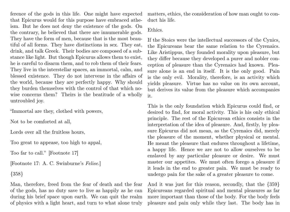ference of the gods in this life. One might have expected that Epicurus would for this purpose have embraced atheism. But he does not deny the existence of the gods. On the contrary, he believed that there are innumerable gods. They have the form of men, because that is the most beautiful of all forms. They have distinctions in sex. They eat, drink, and talk Greek. Their bodies are composed of a substance like light. But though Epicurus allows them to exist, he is careful to disarm them, and to rob them of their fears. They live in the interstellar spaces, an immortal, calm, and blessed existence. They do not intervene in the affairs of the world, because they are perfectly happy. Why should they burden themselves with the control of that which nowise concerns them? Theirs is the beatitude of a wholly untroubled joy.

"Immortal are they, clothed with powers,

Not to be comforted at all,

Lords over all the fruitless hours,

Too great to appease, too high to appal,

Too far to call." [Footnote 17]

[Footnote 17: A. C. Swinburne's Felise.]

{358}

Man, therefore, freed from the fear of death and the fear of the gods, has no duty save to live as happily as he can during his brief space upon earth. We can quit the realm of physics with a light heart, and turn to what alone truly

matters, ethics, the consideration of how man ought to conduct his life.

#### Ethics.

If the Stoics were the intellectual successors of the Cynics, the Epicureans bear the same relation to the Cyrenaics. Like Aristippus, they founded morality upon pleasure, but they differ because they developed a purer and nobler conception of pleasure than the Cyrenaics had known. Pleasure alone is an end in itself. It is the only good. Pain is the only evil. Morality, therefore, is an activity which yields pleasure. Virtue has no value on its own account, but derives its value from the pleasure which accompanies it.

This is the only foundation which Epicurus could find, or desired to find, for moral activity. This is his only ethical principle. The rest of the Epicurean ethics consists in the interpretation of the idea of pleasure. And, firstly, by pleasure Epicurus did not mean, as the Cyrenaics did, merely the pleasure of the moment, whether physical or mental. He meant the pleasure that endures throughout a lifetime, a happy life. Hence we are not to allow ourselves to be enslaved by any particular pleasure or desire. We must master our appetites. We must often forego a pleasure if it leads in the end to greater pain. We must be ready to undergo pain for the sake of a greater pleasure to come.

And it was just for this reason, secondly, that the  $\{359\}$ Epicureans regarded spiritual and mental pleasures as far more important than those of the body. For the body feels pleasure and pain only while they last. The body has in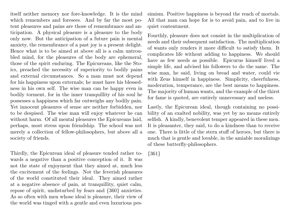itself neither memory nor fore-knowledge. It is the mind which remembers and foresees. And by far the most potent pleasures and pains are those of remembrance and anticipation. A physical pleasure is a pleasure to the body only now. But the anticipation of a future pain is mental anxiety, the remembrance of a past joy is a present delight. Hence what is to be aimed at above all is a calm untroubled mind, for the pleasures of the body are ephemeral, those of the spirit enduring. The Epicureans, like the Stoics, preached the necessity of superiority to bodily pains and external circumstances. So a man must not depend for his happiness upon externals; he must have his blessedness in his own self. The wise man can be happy even in bodily torment, for in the inner tranquillity of his soul he possesses a happiness which far outweighs any bodily pain. Yet innocent pleasures of sense are neither forbidden, nor to be despised. The wise man will enjoy whatever he can without harm. Of all mental pleasures the Epicureans laid, perhaps, most stress upon friendship. The school was not merely a collection of fellow-philosophers, but above all a society of friends.

Thirdly, the Epicurean ideal of pleasure tended rather towards a negative than a positive conception of it. It was not the state of enjoyment that they aimed at, much less the excitement of the feelings. Not the feverish pleasures of the world constituted their ideal. They aimed rather at a negative absence of pain, at tranquillity, quiet calm, repose of spirit, undisturbed by fears and {360} anxieties. As so often with men whose ideal is pleasure, their view of the world was tinged with a gentle and even luxurious pessimism. Positive happiness is beyond the reach of mortals. All that man can hope for is to avoid pain, and to live in quiet contentment.

Fourthly, pleasure does not consist in the multiplication of needs and their subsequent satisfaction. The multiplication of wants only renders it more difficult to satisfy them. It complicates life without adding to happiness. We should have as few needs as possible. Epicurus himself lived a simple life, and advised his followers to do the same. The wise man, he said, living on bread and water, could vie with Zeus himself in happiness. Simplicity, cheerfulness, moderation, temperance, are the best means to happiness. The majority of human wants, and the example of the thirst for fame is quoted, are entirely unnecessary and useless.

Lastly, the Epicurean ideal, though containing no possibility of an exalted nobility, was yet by no means entirely selfish. A kindly, benevolent temper appeared in these men. It is pleasanter, they said, to do a kindness than to receive one. There is little of the stern stuff of heroes, but there is much that is gentle and lovable, in the amiable moralizings of these butterfly-philosophers.

{361}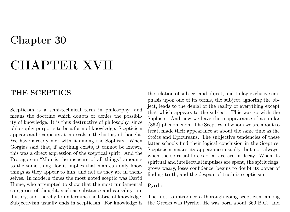### CHAPTER XVII

#### THE SCEPTICS

Scepticism is a semi-technical term in philosophy, and means the doctrine which doubts or denies the possibility of knowledge. It is thus destructive of philosophy, since philosophy purports to be a form of knowledge. Scepticism appears and reappears at intervals in the history of thought. We have already met with it among the Sophists. When Gorgias said that, if anything exists, it cannot be known, this was a direct expression of the sceptical spirit. And the Protagorean "Man is the measure of all things" amounts to the same thing, for it implies that man can only know things as they appear to him, and not as they are in themselves. In modern times the most noted sceptic was David Hume, who attempted to show that the most fundamental categories of thought, such as substance and causality, are illusory, and thereby to undermine the fabric of knowledge. Subjectivism usually ends in scepticism. For knowledge is the relation of subject and object, and to lay exclusive emphasis upon one of its terms, the subject, ignoring the object, leads to the denial of the reality of everything except that which appears to the subject. This was so with the Sophists. And now we have the reappearance of a similar {362} phenomenon. The Sceptics, of whom we are about to treat, made their appearance at about the same time as the Stoics and Epicureans. The subjective tendencies of these latter schools find their logical conclusion in the Sceptics. Scepticism makes its appearance usually, but not always, when the spiritual forces of a race are in decay. When its spiritual and intellectual impulses are spent, the spirit flags, grows weary, loses confidence, begins to doubt its power of finding truth; and the despair of truth is scepticism.

#### Pyrrho.

The first to introduce a thorough-going scepticism among the Greeks was Pyrrho. He was born about 360 B.C., and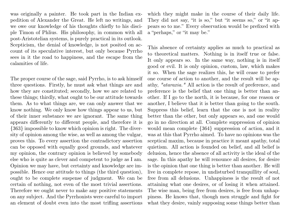was originally a painter. He took part in the Indian expedition of Alexander the Great. He left no writings, and we owe our knowledge of his thoughts chiefly to his disciple Timon of Phlius. His philosophy, in common with all post-Aristotelian systems, is purely practical in its outlook. Scepticism, the denial of knowledge, is not posited on account of its speculative interest, but only because Pyrrho sees in it the road to happiness, and the escape from the calamities of life.

The proper course of the sage, said Pyrrho, is to ask himself three questions. Firstly, he must ask what things are and how they are constituted; secondly, how we are related to these things; thirdly, what ought to be our attitude towards them. As to what things are, we can only answer that we know nothing. We only know how things appear to us, but of their inner substance we are ignorant. The same thing appears differently to different people, and therefore it is {363} impossible to know which opinion is right. The diversity of opinion among the wise, as well as among the vulgar, proves this. To every assertion the contradictory assertion can be opposed with equally good grounds, and whatever my opinion, the contrary opinion is believed by somebody else who is quite as clever and competent to judge as I am. Opinion we may have, but certainty and knowledge are impossible. Hence our attitude to things (the third question), ought to be complete suspense of judgment. We can be certain of nothing, not even of the most trivial assertions. Therefore we ought never to make any positive statements on any subject. And the Pyrrhonists were careful to import an element of doubt even into the most trifling assertions

which they might make in the course of their daily life. They did not say, "it is so," but "it seems so," or "it appears so to me." Every observation would be prefixed with a "perhaps," or "it may be."

This absence of certainty applies as much to practical as to theoretical matters. Nothing is in itself true or false. It only appears so. In the same way, nothing is in itself good or evil. It is only opinion, custom, law, which makes it so. When the sage realizes this, he will cease to prefer one course of action to another, and the result will be apathy, "ataraxia." All action is the result of preference, and preference is the belief that one thing is better than another. If I go to the north, it is because, for one reason or another, I believe that it is better than going to the south. Suppress this belief, learn that the one is not in reality better than the other, but only appears so, and one would go in no direction at all. Complete suppression of opinion would mean complete {364} suppression of action, and it was at this that Pyrrho aimed. To have no opinions was the sceptical maxim, because in practice it meant apathy, total quietism. All action is founded on belief, and all belief is delusion, hence the absence of all activity is the ideal of the sage. In this apathy he will renounce all desires, for desire is the opinion that one thing is better than another. He will live in complete repose, in undisturbed tranquillity of soul, free from all delusions. Unhappiness is the result of not attaining what one desires, or of losing it when attained. The wise man, being free from desires, is free from unhappiness. He knows that, though men struggle and fight for what they desire, vainly supposing some things better than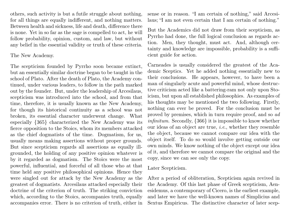others, such activity is but a futile struggle about nothing, for all things are equally indifferent, and nothing matters. Between health and sickness, life and death, difference there is none. Yet in so far as the sage is compelled to act, he will follow probability, opinion, custom, and law, but without any belief in the essential validity or truth of these criteria.

The New Academy.

The scepticism founded by Pyrrho soon became extinct, but an essentially similar doctrine began to be taught in the school of Plato. After the death of Plato, the Academy continued, under various leaders, to follow in the path marked out by the founder. But, under the leadership of Arcesilaus, scepticism was introduced into the school, and from that time, therefore, it is usually known as the New Academy, for though its historical continuity as a school was not broken, its essential character underwent change. What especially {365} characterized the New Academy was its fierce opposition to the Stoics, whom its members attacked as the chief dogmatists of the time. Dogmatism, for us, usually means making assertions without proper grounds. But since scepticism regards all assertions as equally illgrounded, the holding of any positive opinion whatever is by it regarded as dogmatism. The Stoics were the most powerful, influential, and forceful of all those who at that time held any positive philosophical opinions. Hence they were singled out for attack by the New Academy as the greatest of dogmatists. Arcesilaus attacked especially their doctrine of the criterion of truth. The striking conviction which, according to the Stoics, accompanies truth, equally accompanies error. There is no criterion of truth, either in sense or in reason. "I am certain of nothing," said Arcesilaus; "I am not even certain that I am certain of nothing."

But the Academics did not draw from their scepticism, as Pyrrho had done, the full logical conclusion as regards action. Men, they thought, must act. And, although certainty and knowledge are impossible, probability is a sufficient guide for action.

Carneades is usually considered the greatest of the Academic Sceptics. Yet he added nothing essentially new to their conclusions. He appears, however, to have been a man of singularly acute and powerful mind, whose destructive criticism acted like a battering-ram not only upon Stoicism, but upon all established philosophies. As examples of his thoughts may be mentioned the two following. Firstly, nothing can ever be proved. For the conclusion must be proved by premises, which in turn require proof, and so ad infinitum. Secondly, {366} it is impossible to know whether our ideas of an object are true, i.e., whether they resemble the object, because we cannot compare our idea with the object itself. To do so would involve getting outside our own minds. We know nothing of the object except our idea of it, and therefore we cannot compare the original and the copy, since we can see only the copy.

#### Later Scepticism.

After a period of obliteration, Scepticism again revived in the Academy. Of this last phase of Greek scepticism, Aenesidemus, a contemporary of Cicero, is the earliest example, and later we have the well-known names of Simplicius and Sextus Empiricus. The distinctive character of later scep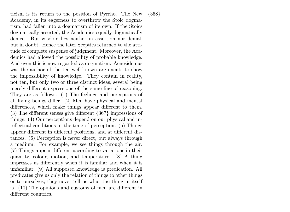ticism is its return to the position of Pyrrho. The New Academy, in its eagerness to overthrow the Stoic dogmatism, had fallen into a dogmatism of its own. If the Stoics dogmatically asserted, the Academics equally dogmatically denied. But wisdom lies neither in assertion nor denial, but in doubt. Hence the later Sceptics returned to the attitude of complete suspense of judgment. Moreover, the Academics had allowed the possibility of probable knowledge. And even this is now regarded as dogmatism. Aenesidemus was the author of the ten well-known arguments to show the impossibility of knowledge. They contain in reality, not ten, but only two or three distinct ideas, several being merely different expressions of the same line of reasoning. They are as follows. (1) The feelings and perceptions of all living beings differ. (2) Men have physical and mental differences, which make things appear different to them. (3) The different senses give different {367} impressions of things. (4) Our perceptions depend on our physical and intellectual conditions at the time of perception. (5) Things appear different in different positions, and at different distances. (6) Perception is never direct, but always through a medium. For example, we see things through the air. (7) Things appear different according to variations in their quantity, colour, motion, and temperature. (8) A thing impresses us differently when it is familiar and when it is unfamiliar. (9) All supposed knowledge is predication. All predicates give us only the relation of things to other things or to ourselves; they never tell us what the thing in itself is. (10) The opinions and customs of men are different in different countries.

{368}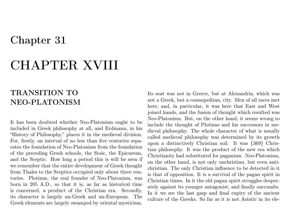### CHAPTER XVIII

#### TRANSITION TO NEO-PLATONISM

It has been doubted whether Neo-Platonism ought to be included in Greek philosophy at all, and Erdmann, in his "History of Philosophy," places it in the medieval division. For, firstly, an interval of no less than five centuries separates the foundation of Neo-Platonism from the foundation of the preceding Greek schools, the Stoic, the Epicurean, and the Sceptic. How long a period this is will be seen if we remember that the entire development of Greek thought from Thales to the Sceptics occupied only about three centuries. Plotinus, the real founder of Neo-Platonism, was born in 205 A.D., so that it is, as far as historical time is concerned, a product of the Christian era. Secondly, its character is largely un-Greek and un-European. The Greek elements are largely swamped by oriental mysticism.

Its seat was not in Greece, but at Alexandria, which was not a Greek, but a cosmopolitan, city. Men of all races met here, and, in particular, it was here that East and West joined hands, and the fusion of thought which resulted was Neo-Platonism. But, on the other hand, it seems wrong to include the thought of Plotinus and his successors in medieval philosophy. The whole character of what is usually called medieval philosophy was determined by its growth upon a distinctively Christian soil. It was {369} Christian philosophy. It was the product of the new era which Christianity had substituted for paganism. Neo-Platonism, on the other hand, is not only unchristian, but even antichristian. The only Christian influence to be detected in it is that of opposition. It is a survival of the pagan spirit in Christian times. In it the old pagan spirit struggles desperately against its younger antagonist, and finally succumbs. In it we see the last gasp and final expiry of the ancient culture of the Greeks. So far as it is not Asiatic in its ele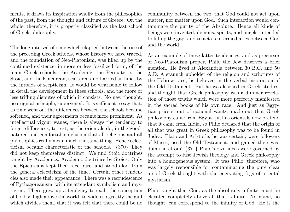ments, it draws its inspiration wholly from the philosophies of the past, from the thought and culture of Greece. On the whole, therefore, it is properly classified as the last school of Greek philosophy.

The long interval of time which elapsed between the rise of the preceding Greek schools, whose history we have traced, and the foundation of Neo-Platonism, was filled up by the continued existence, in more or less fossilized form, of the main Greek schools, the Academic, the Peripatetic, the Stoic, and the Epicurean, scattered and harried at times by the inroads of scepticism. It would be wearisome to follow in detail the development in these schools, and the more or less trifling disputes of which it consists. No new thought, no original principle, supervened. It is sufficient to say that, as time went on, the differences between the schools became softened, and their agreements became more prominent. As intellectual vigour wanes, there is always the tendency to forget differences, to rest, as the orientals do, in the goodnatured and comfortable delusion that all religions and all philosophies really mean much the same thing. Hence eclecticism became characteristic of the schools. {370} They did not keep themselves distinct. We find Stoic doctrines taught by Academics, Academic doctrines by Stoics. Only the Epicureans kept their race pure, and stood aloof from the general eclecticism of the time. Certain other tendencies also made their appearance. There was a recrudescence of Pythagoreanism, with its attendant symbolism and mysticism. There grew up a tendency to exalt the conception of God so high above the world, to widen so greatly the gulf which divides them, that it was felt that there could be no

community between the two, that God could not act upon matter, nor matter upon God. Such interaction would contaminate the purity of the Absolute. Hence all kinds of beings were invented, demons, spirits, and angels, intended to fill up the gap, and to act as intermediaries between God and the world.

As an example of these latter tendencies, and as precursor of Neo-Platonism proper, Philo the Jew deserves a brief mention. He lived at Alexandria between 30 B.C. and 50 A.D. A staunch upholder of the religion and scriptures of the Hebrew race, he believed in the verbal inspiration of the Old Testament. But he was learned in Greek studies, and thought that Greek philosophy was a dimmer revelation of those truths which were more perfectly manifested in the sacred books of his own race. And just as Egyptian priests, out of national vanity, made out that Greek philosophy came from Egypt, just as orientals now pretend that it came from India, so Philo declared that the origin of all that was great in Greek philosophy was to be found in Judea. Plato and Aristotle, he was certain, were followers of Moses, used the Old Testament, and gained their wisdom therefrom! {371} Philo's own ideas were governed by the attempt to fuse Jewish theology and Greek philosophy into a homogeneous system. It was Philo, therefore, who was largely responsible for contaminating the pure clear air of Greek thought with the enervating fogs of oriental mysticism.

Philo taught that God, as the absolutely infinite, must be elevated completely above all that is finite. No name, no thought, can correspond to the infinity of God. He is the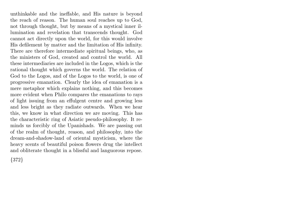unthinkable and the ineffable, and His nature is beyond the reach of reason. The human soul reaches up to God, not through thought, but by means of a mystical inner illumination and revelation that transcends thought. God cannot act directly upon the world, for this would involve His defilement by matter and the limitation of His infinity. There are therefore intermediate spiritual beings, who, as the ministers of God, created and control the world. All these intermediaries are included in the Logos, which is the rational thought which governs the world. The relation of God to the Logos, and of the Logos to the world, is one of progressive emanation. Clearly the idea of emanation is a mere metaphor which explains nothing, and this becomes more evident when Philo compares the emanations to rays of light issuing from an effulgent centre and growing less and less bright as they radiate outwards. When we hear this, we know in what direction we are moving. This has the characteristic ring of Asiatic pseudo-philosophy. It reminds us forcibly of the Upanishads. We are passing out of the realm of thought, reason, and philosophy, into the dream-and-shadow-land of oriental mysticism, where the heavy scents of beautiful poison flowers drug the intellect and obliterate thought in a blissful and languorous repose.

{372}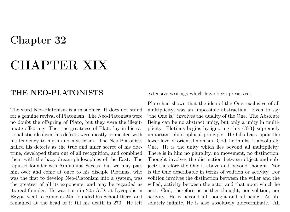### CHAPTER XIX

#### THE NEO-PLATONISTS

The word Neo-Platonism is a misnomer. It does not stand for a genuine revival of Platonism. The Neo-Platonists were no doubt the offspring of Plato, but they were the illegitimate offspring. The true greatness of Plato lay in his rationalistic idealism; his defects were mostly connected with his tendency to myth and mysticism. The Neo-Platonists hailed his defects as the true and inner secret of his doctrine, developed them out of all recognition, and combined them with the hazy dream-philosophies of the East. The reputed founder was Ammonius Saccas, but we may pass him over and come at once to his disciple Plotinus, who was the first to develop Neo-Platonism into a system, was the greatest of all its exponents, and may be regarded as its real founder. He was born in 205 A.D. at Lycopolis in Egypt, went to Rome in 245, founded his School there, and remained at the head of it till his death in 270. He left extensive writings which have been preserved.

Plato had shown that the idea of the One, exclusive of all multiplicity, was an impossible abstraction. Even to say "the One is," involves the duality of the One. The Absolute Being can be no abstract unity, but only a unity in multiplicity. Plotinus begins by ignoring this {373} supremely important philosophical principle. He falls back upon the lower level of oriental monism. God, he thinks, is absolutely One. He is the unity which lies beyond all multiplicity. There is in him no plurality, no movement, no distinction. Thought involves the distinction between object and subject; therefore the One is above and beyond thought. Nor is the One describable in terms of volition or activity. For volition involves the distinction between the willer and the willed, activity between the actor and that upon which he acts. God, therefore, is neither thought, nor volition, nor activity. He is beyond all thought and all being. As absolutely infinite, He is also absolutely indeterminate. All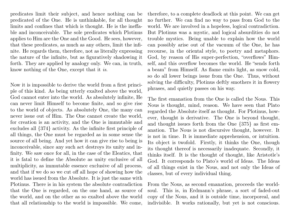predicates limit their subject, and hence nothing can be predicated of the One. He is unthinkable, for all thought limits and confines that which is thought. He is the ineffable and inconceivable. The sole predicates which Plotinus applies to Him are the One and the Good. He sees, however, that these predicates, as much as any others, limit the infinite. He regards them, therefore, not as literally expressing the nature of the infinite, but as figuratively shadowing it forth. They are applied by analogy only. We can, in truth, know nothing of the One, except that it is.

Now it is impossible to derive the world from a first principle of this kind. As being utterly exalted above the world, God cannot enter into the world. As absolutely infinite, He can never limit Himself to become finite, and so give rise to the world of objects. As absolutely One, the many can never issue out of Him. The One cannot create the world, for creation is an activity, and the One is immutable and excludes all {374} activity. As the infinite first principle of all things, the One must be regarded as in some sense the source of all being. And yet how it can give rise to being is inconceivable, since any such act destroys its unity and infinity. We saw once for all, in the case of the Eleatics, that it is fatal to define the Absolute as unity exclusive of all multiplicity, as immutable essence exclusive of all process, and that if we do so we cut off all hope of showing how the world has issued from the Absolute. It is just the same with Plotinus. There is in his system the absolute contradiction that the One is regarded, on the one hand, as source of the world, and on the other as so exalted above the world that all relationship to the world is impossible. We come,

therefore, to a complete deadlock at this point. We can get no further. We can find no way to pass from God to the world. We are involved in a hopeless, logical contradiction. But Plotinus was a mystic, and logical absurdities do not trouble mystics. Being unable to explain how the world can possibly arise out of the vacuum of the One, he has recourse, in the oriental style, to poetry and metaphors. God, by reason of His super-perfection, "overflows" Himself, and this overflow becomes the world. He "sends forth a beam" from Himself. As flame emits light, as snow cold, so do all lower beings issue from the One. Thus, without solving the difficulty, Plotinus deftly smothers it in flowery phrases, and quietly passes on his way.

The first emanation from the One is called the Nous. This Nous is thought, mind, reason. We have seen that Plato regarded the Absolute itself as thought. For Plotinus, however, thought is derivative. The One is beyond thought, and thought issues forth from the One {375} as first emanation. The Nous is not discursive thought, however. It is not in time. It is immediate apprehension, or intuition. Its object is twofold. Firstly, it thinks the One, though its thought thereof is necessarily inadequate. Secondly, it thinks itself. It is the thought of thought, like Aristotle's God. It corresponds to Plato's world of Ideas. The Ideas of all things exist in the Nous, and not only the Ideas of classes, but of every individual thing.

From the Nous, as second emanation, proceeds the worldsoul. This is, in Erdmann's phrase, a sort of faded-out copy of the Nous, and it is outside time, incorporeal, and indivisible. It works rationally, but yet is not conscious.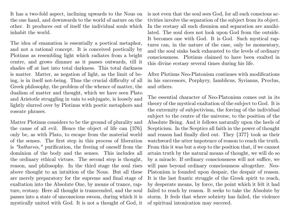It has a two-fold aspect, inclining upwards to the Nous on the one hand, and downwards to the world of nature on the other. It produces out of itself the individual souls which inhabit the world.

The idea of emanation is essentially a poetical metaphor, and not a rational concept. It is conceived poetically by Plotinus as resembling light which radiates from a bright centre, and grows dimmer as it passes outwards, till it shades off at last into total darkness. This total darkness is matter. Matter, as negation of light, as the limit of being, is in itself not-being. Thus the crucial difficulty of all Greek philosophy, the problem of the whence of matter, the dualism of matter and thought, which we have seen Plato and Aristotle struggling in vain to subjugate, is loosely and lightly slurred over by Plotinus with poetic metaphors and roseate phrases.

Matter Plotinus considers to be the ground of plurality and the cause of all evil. Hence the object of life can {376} only be, as with Plato, to escape from the material world of the senses. The first step in this process of liberation is "katharsis," purification, the freeing of oneself from the dominion of the body and the senses. This includes all the ordinary ethical virtues. The second step is thought, reason, and philosophy. In the third stage the soul rises above thought to an intuition of the Nous. But all these are merely preparatory for the supreme and final stage of exaltation into the Absolute One, by means of trance, rapture, ecstasy. Here all thought is transcended, and the soul passes into a state of unconscious swoon, during which it is mystically united with God. It is not a thought of God, it

is not even that the soul sees God, for all such conscious activities involve the separation of the subject from its object. In the ecstasy all such disunion and separation are annihilated. The soul does not look upon God from the outside. It becomes one with God. It is God. Such mystical raptures can, in the nature of the case, only be momentary, and the soul sinks back exhausted to the levels of ordinary consciousness. Plotinus claimed to have been exalted in this divine ecstasy several times during his life.

After Plotinus Neo-Platonism continues with modifications in his successors, Porphyry, Iamblicus, Syrianus, Proclus, and others.

The essential character of Neo-Platonism comes out in its theory of the mystical exaltation of the subject to God. It is the extremity of subjectivism, the forcing of the individual subject to the centre of the universe, to the position of the Absolute Being. And it follows naturally upon the heels of Scepticism. In the Sceptics all faith in the power of thought and reason had finally died out. They {377} took as their watchword the utter impotence of reason to reach the truth. From this it was but a step to the position that, if we cannot attain truth by the natural means of thought, we will do so by a miracle. If ordinary consciousness will not suffice, we will pass beyond ordinary consciousness altogether. Neo-Platonism is founded upon despair, the despair of reason. It is the last frantic struggle of the Greek spirit to reach, by desperate means, by force, the point which it felt it had failed to reach by reason. It seeks to take the Absolute by storm. It feels that where sobriety has failed, the violence of spiritual intoxication may succeed.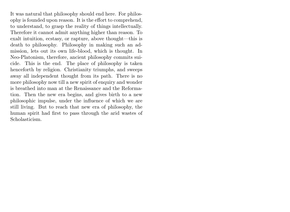It was natural that philosophy should end here. For philosophy is founded upon reason. It is the effort to comprehend, to understand, to grasp the reality of things intellectually. Therefore it cannot admit anything higher than reason. To exalt intuition, ecstasy, or rapture, above thought—this is death to philosophy. Philosophy in making such an admission, lets out its own life-blood, which is thought. In Neo-Platonism, therefore, ancient philosophy commits suicide. This is the end. The place of philosophy is taken henceforth by religion. Christianity triumphs, and sweeps away all independent thought from its path. There is no more philosophy now till a new spirit of enquiry and wonder is breathed into man at the Renaissance and the Reformation. Then the new era begins, and gives birth to a new philosophic impulse, under the influence of which we are still living. But to reach that new era of philosophy, the human spirit had first to pass through the arid wastes of Scholasticism.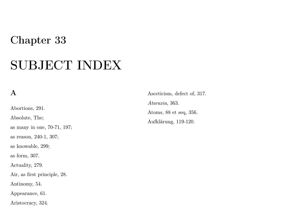### SUBJECT INDEX

#### A

Abortions, 291. Absolute, The; as many in one, 70-71, 197; as reason, 240-1, 307; as knowable, 299; as form, 307. Actuality, 279. Air, as first principle, 28. Antinomy, 54. Appearance, 61. Aristocracy, 324.

Asceticism, defect of, 317. Ataraxia, 363. Atoms, 88 et seq, 356. Aufklärung, 119-120.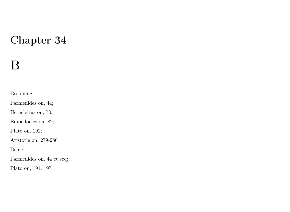### B

Becoming;

Parmenides on, 44;

Heracleitus on, 73;

Empedocles on, 82;

Plato on, 192;

Aristotle on, 279-280

Being;

Parmenides on, 44 et seq;

Plato on, 191, 197.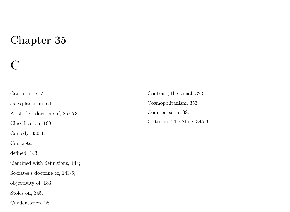### $\bigcap$

Causation, 6-7; as explanation, 64; Aristotle's doctrine of, 267-73. Classification, 199. Comedy, 330-1. Concepts; defined, 143; identified with definitions, 145; Socrates's doctrine of, 143-6; objectivity of, 183; Stoics on, 345. Condensation, 28.

Contract, the social, 323. Cosmopolitanism, 353. Counter-earth, 38. Criterion, The Stoic, 345-6.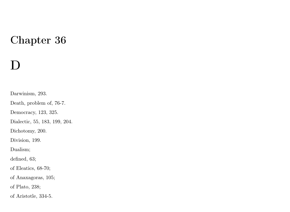## D

Darwinism, 293.

Death, problem of, 76-7.

Democracy, 123, 325.

Dialectic, 55, 183, 199, 204.

Dichotomy, 200.

Division, 199.

Dualism;

defined, 63;

of Eleatics, 68-70;

of Anaxagoras, 105;

of Plato, 238;

of Aristotle, 334-5.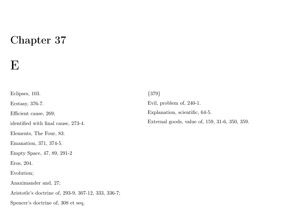### E

Eclipses, 103. Ecstasy, 376-7. Efficient cause, 269; identified with final cause, 273-4. Elements, The Four, 83. Emanation, 371, 374-5. Empty Space, 47, 89, 291-2 Eros, 204. Evolution; Anaximander and, 27; Aristotle's doctrine of, 293-9, 307-12, 333, 336-7; Spencer's doctrine of, 308 et seq.

Evil, problem of, 240-1. Explanation, scientific, 64-5. External goods, value of, 159, 31-6, 350, 359.

{379}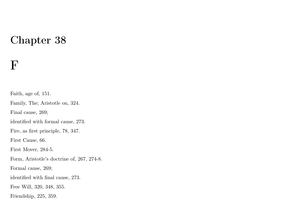### F

Faith, age of, 151. Family, The; Aristotle on, 324. Final cause, 269; identified with formal cause, 273. Fire, as first principle, 78, 347. First Cause, 66. First Mover, 284-5. Form, Aristotle's doctrine of, 267, 274-8. Formal cause, 269; identified with final cause, 273. Free Will, 320, 348, 355. Friendship, 225, 359.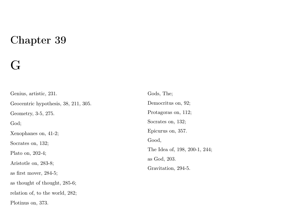# G

| Genius, artistic, 231.               | Gods, The:             |
|--------------------------------------|------------------------|
| Geocentric hypothesis, 38, 211, 305. | Democritus on, 92;     |
| Geometry, 3-5, 275.                  | Protagoras on, 112;    |
| God:                                 | Socrates on, 132;      |
| Xenophanes on, 41-2;                 | Epicurus on, 357.      |
| Socrates on, 132;                    | Good,                  |
| Plato on, $202-4$ ;                  | The Idea of, $198, 20$ |
| Aristotle on, 283-8;                 | as God, 203.           |
| as first mover, $284-5$ ;            | Gravitation, 294-5.    |
| as thought of thought, 285-6;        |                        |
| relation of, to the world, 282;      |                        |
| Plotinus on, 373.                    |                        |

of, 198, 200-1, 244;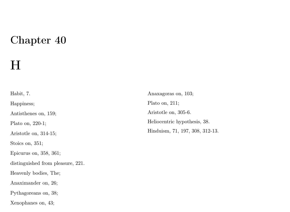### $H$

Habit, 7. Happiness; Antisthenes on, 159; Plato on, 220-1; Aristotle on, 314-15; Stoics on, 351; Epicurus on, 358, 361; distinguished from pleasure, 221. Heavenly bodies, The; Anaximander on, 26; Pythagoreans on, 38; Xenophanes on, 43;

Anaxagoras on, 103; Plato on, 211; Aristotle on, 305-6. Heliocentric hypothesis, 38. Hinduism, 71, 197, 308, 312-13.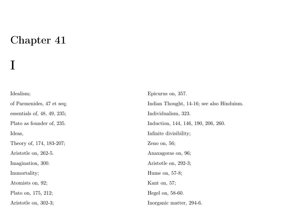I

#### Idealism; of Parmenides, 47 et seq; essentials of, 48, 49, 235; Plato as founder of, 235. Ideas, Theory of, 174, 183-207; Aristotle on, 262-5. Imagination, 300. Immortality; Atomists on, 92; Plato on, 175, 212; Aristotle on, 302-3;

Epicurus on, 357. Indian Thought, 14-16; see also Hinduism. Individualism, 323. Induction, 144, 146, 190, 206, 260. Infinite divisibility; Zeno on, 56; Anaxagoras on, 96; Aristotle on, 292-3; Hume on, 57-8; Kant on, 57; Hegel on, 58-60. Inorganic matter, 294-6.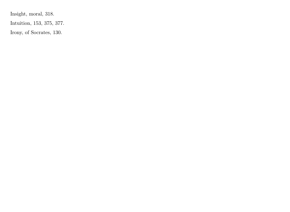Insight, moral, 318.

Intuition, 153, 375, 377.

Irony, of Socrates, 130.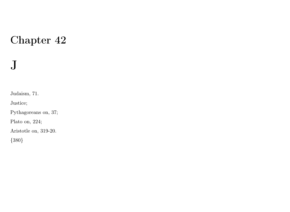# J

Judaism, 71.

Justice;

Pythagoreans on, 37;

Plato on, 224;

Aristotle on, 319-20.

{380}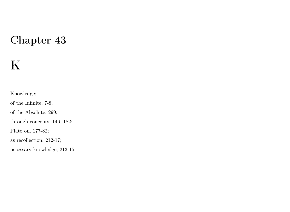# K

Knowledge;

of the Infinite, 7-8;

of the Absolute, 299;

through concepts, 146, 182;

Plato on, 177-82;

as recollection, 212-17;

necessary knowledge, 213-15.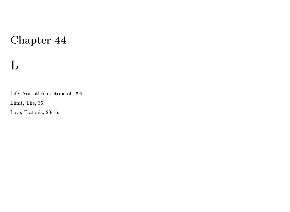# L

Life; Aristotle's doctrine of, 296.

Limit, The, 36.

Love, Platonic, 204-6.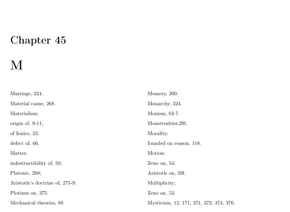# M

| Marriage, 224.                  | Memory, 300.                            |
|---------------------------------|-----------------------------------------|
| Material cause, 268.            | Monarchy, 324.                          |
| Materialism;                    | Monism, 62-7.                           |
| origin of, $9-11$ ;             | Monstrosities, 291.                     |
| of Ionics, 23;                  | Morality;                               |
| defect of, 66.                  | founded on reason, 118.                 |
| Matter:                         | Motion;                                 |
| indestructibility of, 50;       | Zeno on, $54$ ;                         |
| Platonic, 208;                  | Aristotle on, 291.                      |
| Aristotle's doctrine of, 275-9; | Multiplicity;                           |
| Plotinus on, 375.               | Zeno on, $53$ .                         |
| Mechanical theories, 88.        | Mysticism, 12, 171, 371, 372, 374, 376. |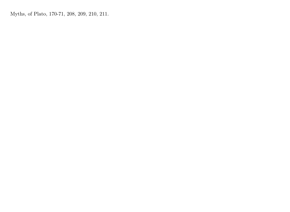Myths, of Plato, 170-71, 208, 209, 210, 211.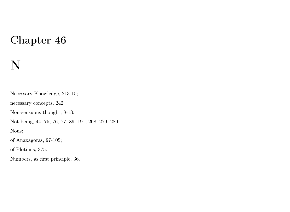## N

Necessary Knowledge, 213-15; necessary concepts, 242. Non-sensuous thought, 8-13. Not-being, 44, 75, 76, 77, 89, 191, 208, 279, 280. Nous; of Anaxagoras, 97-105; of Plotinus, 375. Numbers, as first principle, 36.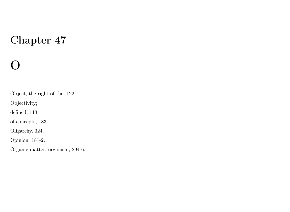# $\Omega$

Object, the right of the, 122.

Objectivity;

defined, 113;

of concepts, 183.

Oligarchy, 324.

Opinion, 181-2.

Organic matter, organism, 294-6.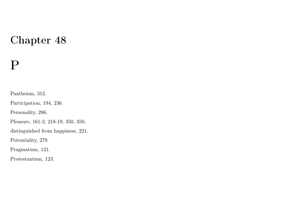### P

Pantheism, 312.

Participation, 194, 236.

Personality, 286.

Pleasure, 161-2, 218-19, 350, 358;

distinguished from happiness, 221.

Potentiality, 279.

Pragmatism, 121.

Protestantism, 123.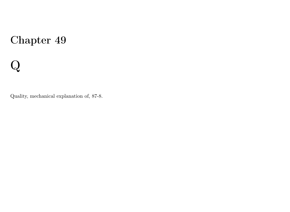# Q

Quality, mechanical explanation of, 87-8.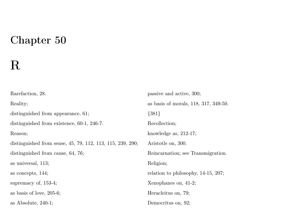# R

| Rarefaction, 28.                                           | passive and active, 300;              |
|------------------------------------------------------------|---------------------------------------|
| Reality;                                                   | as basis of morals, 118, 317, 349-50. |
| distinguished from appearance, 61;                         | ${381}$                               |
| distinguished from existence, 60-1, 246-7.                 | Recollection:                         |
| Reason;                                                    | knowledge as, $212-17$ ;              |
| distinguished from sense, 45, 79, 112, 113, 115, 239, 290; | Aristotle on, 300.                    |
| distinguished from cause, 64, 76;                          | Reincarnation; see Transmigration.    |
| as universal, 113;                                         | Religion;                             |
| as concepts, 144;                                          | relation to philosophy, 14-15, 207;   |
| supremacy of, 153-4;                                       | Xenophanes on, 41-2;                  |
| as basis of love, 205-6;                                   | Heracleitus on, 79;                   |
| as Absolute, $240-1$ ;                                     | Democritus on, 92;                    |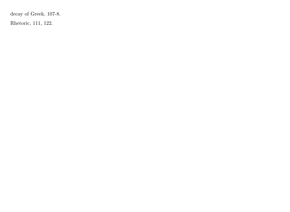decay of Greek, 107-8.

Rhetoric, 111, 122.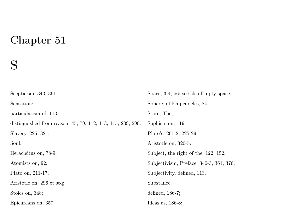### S

| Scepticism, 343, 361.                                       | Space, 3-4, 56; see also Empty space.   |
|-------------------------------------------------------------|-----------------------------------------|
| Sensation;                                                  | Sphere, of Empedocles, 84.              |
| particularism of, 113;                                      | State, The;                             |
| distinguished from reason, 45, 79, 112, 113, 115, 239, 290. | Sophists on, 119;                       |
| Slavery, 225, 321.                                          | Plato's, $201-2$ , $225-29$ ;           |
| Soul;                                                       | Aristotle on, 320-5.                    |
| Heracleitus on, 78-9;                                       | Subject, the right of the, 122, 152.    |
| Atomists on, 92;                                            | Subjectivism, Preface, 340-3, 361, 376. |
| Plato on, 211-17;                                           | Subjectivity, defined, 113.             |
| Aristotle on, 296 et seq;                                   | Substance:                              |
| Stoics on, 348;                                             | defined, $186-7$ ;                      |
| Epicureans on, 357.                                         | Ideas as, $186-8$ ;                     |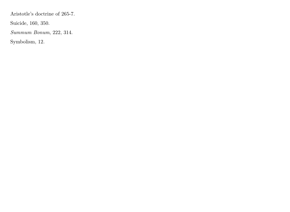Aristotle's doctrine of 265-7.

Suicide, 160, 350.

Summum Bonum, 222, 314.

Symbolism, 12.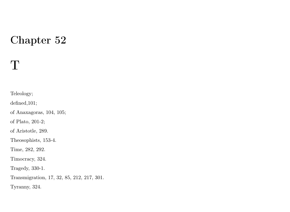## T

Teleology;

defined,101;

of Anaxagoras, 104, 105;

of Plato, 201-2;

of Aristotle, 289.

Theosophists, 153-4.

Time, 282, 292.

Timocracy, 324.

Tragedy, 330-1.

Transmigration, 17, 32, 85, 212, 217, 301.

Tyranny, 324.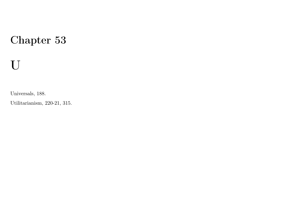# U

Universals, 188.

Utilitarianism, 220-21, 315.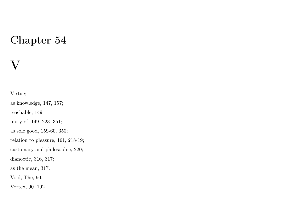## V

Virtue;

as knowledge, 147, 157;

teachable, 149;

unity of, 149, 223, 351;

as sole good, 159-60, 350;

relation to pleasure, 161, 218-19;

customary and philosophic, 220;

dianoetic, 316, 317;

as the mean, 317.

Void, The, 90.

Vortex, 90, 102.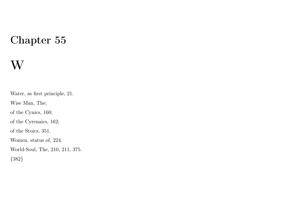## W

Water, as first principle, 21. Wise Man, The; of the Cynics, 160; of the Cyrenaics, 162; of the Stoics, 351. Women, status of, 224. World-Soul, The, 210, 211, 375. {382}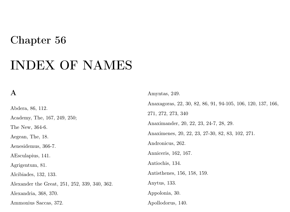## INDEX OF NAMES

#### A

Abdera, 86, 112. Academy, The, 167, 249, 250; The New, 364-6. Aegean, The, 18. Aenesidemus, 366-7. AEsculapius, 141. Agrigentum, 81. Alcibiades, 132, 133. Alexander the Great, 251, 252, 339, 340, 362. Alexandria, 368, 370. Ammonius Saccas, 372.

Amyntas, 249. Anaxagoras, 22, 30, 82, 86, 91, 94-105, 106, 120, 137, 166, 271, 272, 273, 340 Anaximander, 20, 22, 23, 24-7, 28, 29. Anaximenes, 20, 22, 23, 27-30, 82, 83, 102, 271. Andronicus, 262. Anniceris, 162, 167. Antiochis, 134. Antisthenes, 156, 158, 159. Anytus, 133. Appolonia, 30. Apollodorus, 140.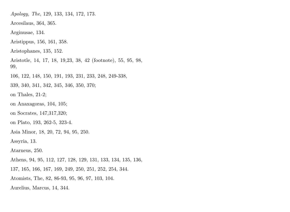Apology, The, 129, 133, 134, 172, 173. Arcesilaus, 364, 365. Arginusae, 134. Aristippus, 156, 161, 358. Aristophanes, 135, 152. Aristotle, 14, 17, 18, 19,23, 38, 42 (footnote), 55, 95, 98, 99, 106, 122, 148, 150, 191, 193, 231, 233, 248, 249-338, 339, 340, 341, 342, 345, 346, 350, 370; on Thales, 21-2; on Anaxagoras, 104, 105; on Socrates, 147,317,320; on Plato, 193, 262-5, 323-4. Asia Minor, 18, 20, 72, 94, 95, 250. Assyria, 13. Atarneus, 250. Athens, 94, 95, 112, 127, 128, 129, 131, 133, 134, 135, 136, 137, 165, 166, 167, 169, 249, 250, 251, 252, 254, 344. Atomists, The, 82, 86-93, 95, 96, 97, 103, 104. Aurelius, Marcus, 14, 344.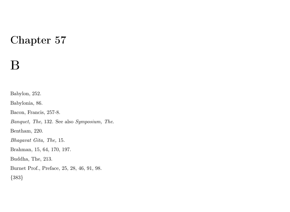## B

Babylon, 252. Babylonia, 86. Bacon, Francis, 257-8. Banquet, The, 132. See also Symposium, The. Bentham, 220. Bhagavat Gita, The, 15. Brahman, 15, 64, 170, 197. Buddha, The, 213. Burnet Prof., Preface, 25, 28, 46, 91, 98. {383}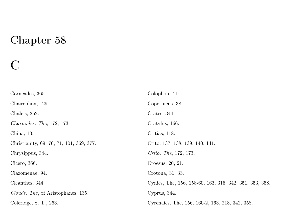## C

| Carneades, 365.                          | Colophon, 41.                                           |
|------------------------------------------|---------------------------------------------------------|
| Chairephon, 129.                         | Copernicus, 38.                                         |
| Chalcis, 252.                            | Crates, 344.                                            |
| <i>Charmides, The</i> , 172, 173.        | Cratylus, 166.                                          |
| China, 13.                               | Critias, 118.                                           |
| Christianity, 69, 70, 71, 101, 369, 377. | Crito, 137, 138, 139, 140, 141.                         |
| Chrysippus, 344.                         | <i>Crito, The, 172, 173.</i>                            |
| Cicero, 366.                             | Croesus, 20, 21.                                        |
| Clazomenae, 94.                          | Crotona, 31, 33.                                        |
| Cleanthes, 344.                          | Cynics, The, 156, 158-60, 163, 316, 342, 351, 353, 358. |
| Clouds, The, of Aristophanes, 135.       | Cyprus, 344.                                            |
| Coleridge, S. T., 263.                   | Cyrenaics, The, 156, 160-2, 163, 218, 342, 358.         |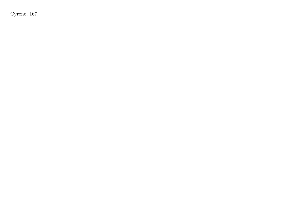Cyrene, 167.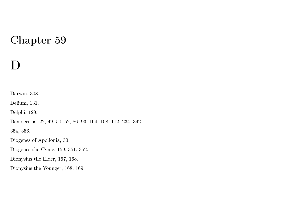## D

Darwin, 308.

Delium, 131.

Delphi, 129.

Democritus, 22, 49, 50, 52, 86, 93, 104, 108, 112, 234, 342,

354, 356.

Diogenes of Apollonia, 30.

Diogenes the Cynic, 159, 351, 352.

Dionysius the Elder, 167, 168.

Dionysius the Younger, 168, 169.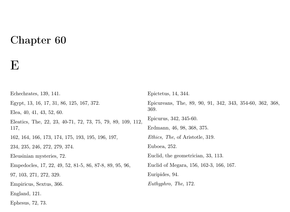### $\mathbf E$

Echechrates, 139, 141. Egypt, 13, 16, 17, 31, 86, 125, 167, 372. Elea, 40, 41, 43, 52, 60. Eleatics, The, 22, 23, 40-71, 72, 73, 75, 79, 89, 109, 112, 117, 162, 164, 166, 173, 174, 175, 193, 195, 196, 197, 234, 235, 246, 272, 279, 374. Eleusinian mysteries, 72. Empedocles, 17, 22, 49, 52, 81-5, 86, 87-8, 89, 95, 96, 97, 103, 271, 272, 329. Empiricus, Sextus, 366. England, 121. Epictetus, 14, 344. Epicureans, The, 89, 90, 91, 342, 343, 354-60, 362, 368, 369. Epicurus, 342, 345-60. Erdmann, 46, 98, 368, 375. Ethics, The, of Aristotle, 319. Euboea, 252. Euclid, the geometrician, 33, 113. Euclid of Megara, 156, 162-3, 166, 167. Euripides, 94. Euthyphro, The, 172.

Ephesus, 72, 73.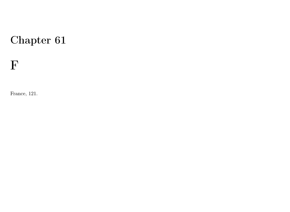F

France, 121.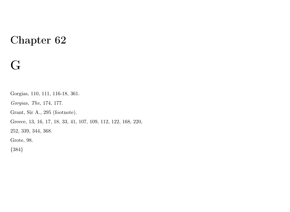## G

Gorgias, 110, 111, 116-18, 361. Gorgias, The, 174, 177. Grant, Sir A., 295 (footnote). Greece, 13, 16, 17, 18, 33, 41, 107, 109, 112, 122, 168, 220, 252, 339, 344, 368. Grote, 98. {384}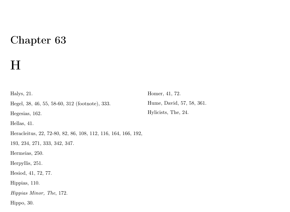## H

Halys, 21. Hegel, 38, 46, 55, 58-60, 312 (footnote), 333. Hegesias, 162. Hellas, 41. Heracleitus, 22, 72-80, 82, 86, 108, 112, 116, 164, 166, 192, 193, 234, 271, 333, 342, 347. Hermeias, 250. Herpyllis, 251. Hesiod, 41, 72, 77. Hippias, 110. Hippias Minor, The, 172. Hippo, 30.

Homer, 41, 72. Hume, David, 57, 58, 361. Hylicists, The, 24.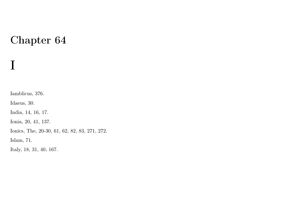Iamblicus, 376.

Idaeus, 30.

I

India, 14, 16, 17.

Ionia, 20, 41, 137.

Ionics, The, 20-30, 61, 62, 82, 83, 271, 272.

Islam, 71.

Italy, 18, 31, 40, 167.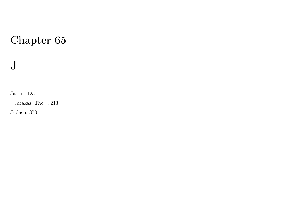## J

Japan, 125.

 $+$ Jàtakas, The $+$ , 213.

Judaea, 370.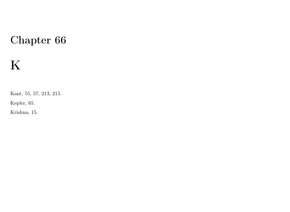# K

Kant, 55, 57, 213, 215.

Kepler, 65.

Krishna, 15.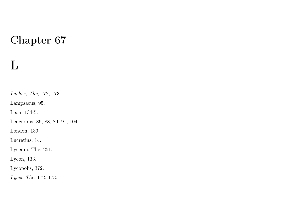## L

Laches, The, 172, 173. Lampsacus, 95.

Leon, 134-5.

Leucippus, 86, 88, 89, 91, 104.

London, 189.

Lucretius, 14.

Lyceum, The, 251.

Lycon, 133.

Lycopolis, 372.

Lysis, The, 172, 173.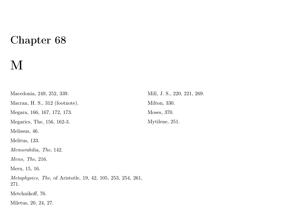## M

Macedonia, 249, 252, 339. Macran, H. S., 312 (footnote). Megara, 166, 167, 172, 173. Megarics, The, 156, 162-3. Melissus, 46. Melitus, 133. Memorabilia, The, 142. Meno, The, 216. Meru, 15, 16. Metaphysics, The, of Aristotle, 19, 42, 105, 253, 254, 261, 271. Metchnikoff, 76. Miletus, 20, 24, 27.

Mill, J. S., 220, 221, 269. Milton, 330. Moses, 370. Mytilene, 251.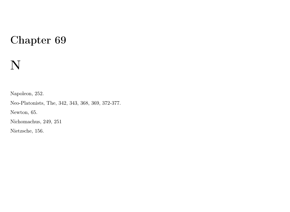# N

Napoleon, 252.

Neo-Platonists, The, 342, 343, 368, 369, 372-377.

Newton, 65.

Nichomachus, 249, 251

Nietzsche, 156.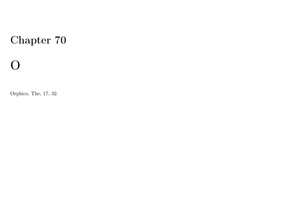# O

Orphics, The, 17, 32.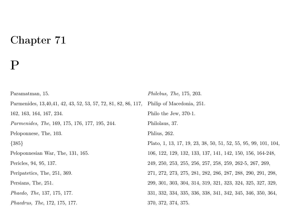## P

| Paramatman, 15.                                                | <i>Philebus, The, 175, 203.</i>                                 |
|----------------------------------------------------------------|-----------------------------------------------------------------|
| Parmenides, 13,40,41, 42, 43, 52, 53, 57, 72, 81, 82, 86, 117, | Philip of Macedonia, 251.                                       |
| 162, 163, 164, 167, 234.                                       | Philo the Jew, 370-1.                                           |
| <i>Parmenides, The, 169, 175, 176, 177, 195, 244.</i>          | Philolaus, 37.                                                  |
| Peloponnese, The, 103.                                         | Phlius, 262.                                                    |
| ${385}$                                                        | Plato, 1, 13, 17, 19, 23, 38, 50, 51, 52, 55, 95, 99, 101, 104, |
| Peloponnesian War, The, 131, 165.                              | 106, 122, 129, 132, 133, 137, 141, 142, 150, 156, 164-248,      |
| Pericles, 94, 95, 137.                                         | 249, 250, 253, 255, 256, 257, 258, 259, 262-5, 267, 269,        |
| Peripatetics, The, 251, 369.                                   | 271, 272, 273, 275, 281, 282, 286, 287, 288, 290, 291, 298,     |
| Persians, The, 251.                                            | 299, 301, 303, 304, 314, 319, 321, 323, 324, 325, 327, 329,     |
| <i>Phaedo, The, 137, 175, 177.</i>                             | 331, 332, 334, 335, 336, 338, 341, 342, 345, 346, 350, 364,     |
| <i>Phaedrus, The, 172, 175, 177.</i>                           | 370, 372, 374, 375.                                             |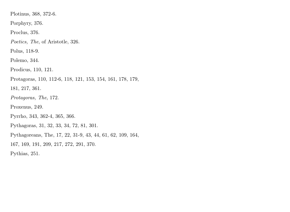Plotinus, 368, 372-6.

Porphyry, 376.

Proclus, 376.

Poetics, The, of Aristotle, 326.

Polus, 118-9.

Polemo, 344.

Prodicus, 110, 121.

Protagoras, 110, 112-6, 118, 121, 153, 154, 161, 178, 179,

181, 217, 361.

Protagoras, The, 172.

Proxenus, 249.

Pyrrho, 343, 362-4, 365, 366.

Pythagoras, 31, 32, 33, 34, 72, 81, 301.

Pythagoreans, The, 17, 22, 31-9, 43, 44, 61, 62, 109, 164,

167, 169, 191, 209, 217, 272, 291, 370.

Pythias, 251.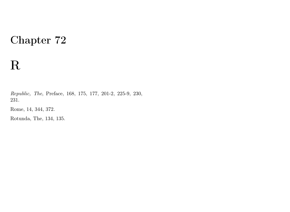## R

Republic, The, Preface, 168, 175, 177, 201-2, 225-9, 230, 231.

Rome, 14, 344, 372.

Rotunda, The, 134, 135.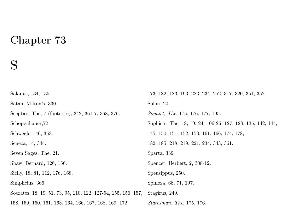## S

Salamis, 134, 135. Satan, Milton's, 330. Sceptics, The, 7 (footnote), 342, 361-7, 368, 376. Schopenhauer,72. Schwegler, 46, 353. Seneca, 14, 344. Seven Sages, The, 21. Shaw, Bernard, 126, 156. Sicily, 18, 81, 112, 176, 168. Simplicius, 366. Socrates, 18, 19, 51, 73, 95, 110, 122, 127-54, 155, 156, 157, 158, 159, 160, 161, 163, 164, 166, 167, 168, 169, 172, 173, 182, 183, 193, 223, 234, 252, 317, 320, 351, 352. Solon, 20. Sophist, The, 175, 176, 177, 195. Sophists, The, 18, 19, 24, 106-26, 127, 128, 135, 142, 144, 145, 150, 151, 152, 153, 161, 166, 174, 178, 182, 185, 218, 219, 221, 234, 343, 361. Sparta, 339. Spencer, Herbert, 2, 308-12. Speusippus, 250. Spinoza, 66, 71, 197. Stagirus, 249. Statesman, The, 175, 176.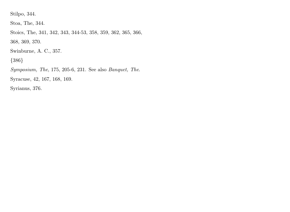Stilpo, 344.

Stoa, The, 344.

Stoics, The, 341, 342, 343, 344-53, 358, 359, 362, 365, 366, 368, 369, 370.

Swinburne, A. C., 357.

{386}

Symposium, The, 175, 205-6, 231. See also Banquet, The.

Syracuse, 42, 167, 168, 169.

Syrianus, 376.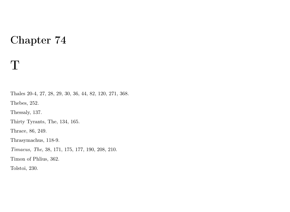#### T

Thales 20-4, 27, 28, 29, 30, 36, 44, 82, 120, 271, 368. Thebes, 252. Thessaly, 137. Thirty Tyrants, The, 134, 165. Thrace, 86, 249. Thrasymachus, 118-9. Timaeus, The, 38, 171, 175, 177, 190, 208, 210. Timon of Phlius, 362. Tolstoi, 230.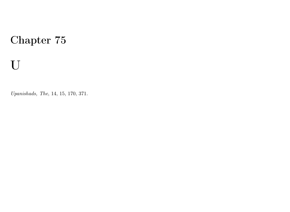# U

Upanishads, The, 14, 15, 170, 371.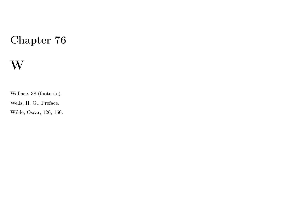## W

Wallace, 38 (footnote).

Wells, H. G., Preface.

Wilde, Oscar, 126, 156.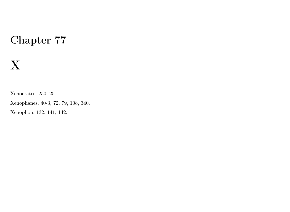## X

Xenocrates, 250, 251.

Xenophanes, 40-3, 72, 79, 108, 340.

Xenophon, 132, 141, 142.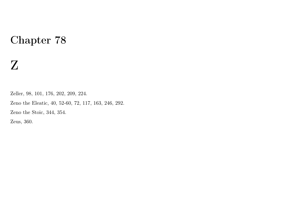## Z

Zeller, 98, 101, 176, 202, 209, 224. Zeno the Eleatic, 40, 52-60, 72, 117, 163, 246, 292. Zeno the Stoic, 344, 354. Zeus, 360.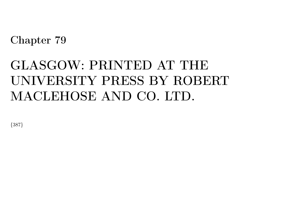# GLASGOW: PRINTED AT THE UNIVERSITY PRESS BY ROBERT MACLEHOSE AND CO. LTD.

{387}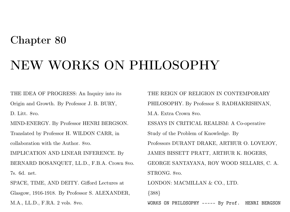## NEW WORKS ON PHILOSOPHY

THE IDEA OF PROGRESS: An Inquiry into its Origin and Growth. By Professor J. B. BURY,

D. Litt. 8vo.

MIND-ENERGY. By Professor HENRI BERGSON.

Translated by Professor H. WILDON CARR, in collaboration with the Author. 8vo.

IMPLICATION AND LINEAR INFERENCE. By BERNARD BOSANQUET, LL.D., F.B.A. Crown 8vo. 7s. 6d. net.

SPACE, TIME, AND DEITY. Gifford Lectures at Glasgow, 1916-1918. By Professor S. ALEXANDER, M.A., LL.D., F.RA. 2 vols. 8vo.

THE REIGN OF RELIGION IN CONTEMPORARY PHILOSOPHY. By Professor S. RADHAKRISHNAN, M.A. Extra Crown 8vo. ESSAYS IN CRITICAL REALISM: A Co-operative Study of the Problem of Knowledge. By Professors DURANT DRAKE, ARTHUR O. LOVEJOY, JAMES BISSETT PRATT, ARTHUR K. ROGERS, GEORGE SANTAYANA, ROY WOOD SELLARS, C. A. STRONG. 8vo. LONDON: MACMILLAN & CO., LTD. {388}

WORKS ON PHILOSOPHY ----- By Prof. HENRI BERGSON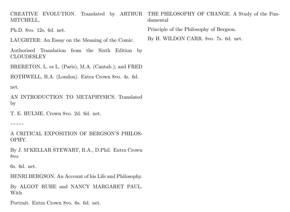CREATIVE EVOLUTION. Translated by ARTHUR THE PHILOSOPHY OF CHANGE. A Study of the Fun-MITCHELL, damental

Ph.D. 8vo. 12s. 6d. net.

LAUGHTER: An Essay on the Meaning of the Comic.

Authorised Translation from the Sixth Edition by CLOUDESLEY

BRERETON, L. es L. (Paris), M.A. (Cantab.); and FRED

ROTHWELL, B.A. (London). Extra Crown 8vo. 4s. 6d.

net.

AN INTRODUCTION TO METAPHYSICS. Translated by

T. E. HULME. Crown 8vo. 2d. 6d. net.

-----

A CRITICAL EXPOSITION OF BERGSON'S PHILOS-OPHY.

By J. M'KELLAR STEWART, B.A., D.Phil. Extra Crown 8vo.

6s. 6d. net.

HENRI BERGSON. An Account of his Life and Philosophy.

By ALGOT RUHE and NANCY MARGARET PAUL. With

Portrait. Extra Crown 8vo. 6s. 6d. net.

Principle of the Philosophy of Bergson.

By H. WILDON CARR. 8vo. 7s. 6d. net.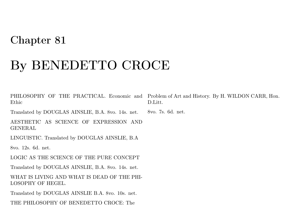# By BENEDETTO CROCE

PHILOSOPHY OF THE PRACTICAL. Economic and Problem of Art and History. By H. WILDON CARR, Hon. Ethic

Translated by DOUGLAS AINSLIE, B.A. 8vo. 14s. net. 8vo. 7s. 6d. net.

AESTHETIC AS SCIENCE OF EXPRESSION AND GENERAL

LINGUISTIC. Translated by DOUGLAS AINSLIE, B.A

8vo. 12s. 6d. net.

LOGIC AS THE SCIENCE OF THE PURE CONCEPT

Translated by DOUGLAS AINSLIE, B.A. 8vo. 14s. net.

WHAT IS LIVING AND WHAT IS DEAD OF THE PHI-LOSOPHY OF HEGEL.

Translated by DOUGLAS AINSLIE B.A. 8vo. 10s. net.

THE PHILOSOPHY OF BENEDETTO CROCE: The

D.Litt.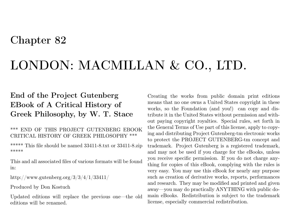## LONDON: MACMILLAN & CO., LTD.

#### End of the Project Gutenberg EBook of A Critical History of Greek Philosophy, by W. T. Stace

#### \*\*\* END OF THIS PROJECT GUTENBERG EBOOK CRITICAL HISTORY OF GREEK PHILOSOPHY \*\*\*

\*\*\*\*\* This file should be named 33411-8.txt or 33411-8.zip \*\*\*\*\*

This and all associated files of various formats will be found in:

http://www.gutenberg.org/3/3/4/1/33411/

Produced by Don Kostuch

Updated editions will replace the previous one—the old editions will be renamed.

Creating the works from public domain print editions means that no one owns a United States copyright in these works, so the Foundation (and you!) can copy and distribute it in the United States without permission and without paying copyright royalties. Special rules, set forth in the General Terms of Use part of this license, apply to copying and distributing Project Gutenberg-tm electronic works to protect the PROJECT GUTENBERG-tm concept and trademark. Project Gutenberg is a registered trademark, and may not be used if you charge for the eBooks, unless you receive specific permission. If you do not charge anything for copies of this eBook, complying with the rules is very easy. You may use this eBook for nearly any purpose such as creation of derivative works, reports, performances and research. They may be modified and printed and given away—you may do practically ANYTHING with public domain eBooks. Redistribution is subject to the trademark license, especially commercial redistribution.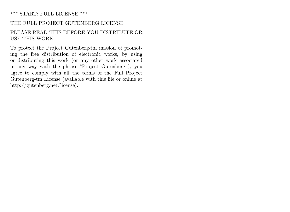#### \*\*\* START: FULL LICENSE \*\*\*

#### THE FULL PROJECT GUTENBERG LICENSE

#### PLEASE READ THIS BEFORE YOU DISTRIBUTE OR USE THIS WORK

To protect the Project Gutenberg-tm mission of promoting the free distribution of electronic works, by using or distributing this work (or any other work associated in any way with the phrase "Project Gutenberg"), you agree to comply with all the terms of the Full Project Gutenberg-tm License (available with this file or online at http://gutenberg.net/license).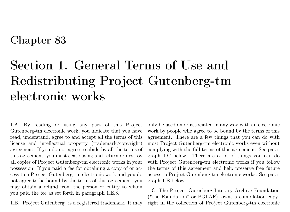## Section 1. General Terms of Use and Redistributing Project Gutenberg-tm electronic works

1.A. By reading or using any part of this Project Gutenberg-tm electronic work, you indicate that you have read, understand, agree to and accept all the terms of this license and intellectual property (trademark/copyright) agreement. If you do not agree to abide by all the terms of this agreement, you must cease using and return or destroy all copies of Project Gutenberg-tm electronic works in your possession. If you paid a fee for obtaining a copy of or access to a Project Gutenberg-tm electronic work and you do not agree to be bound by the terms of this agreement, you may obtain a refund from the person or entity to whom you paid the fee as set forth in paragraph 1.E.8.

1.B. "Project Gutenberg" is a registered trademark. It may

only be used on or associated in any way with an electronic work by people who agree to be bound by the terms of this agreement. There are a few things that you can do with most Project Gutenberg-tm electronic works even without complying with the full terms of this agreement. See paragraph 1.C below. There are a lot of things you can do with Project Gutenberg-tm electronic works if you follow the terms of this agreement and help preserve free future access to Project Gutenberg-tm electronic works. See paragraph 1.E below.

1.C. The Project Gutenberg Literary Archive Foundation ("the Foundation" or PGLAF), owns a compilation copyright in the collection of Project Gutenberg-tm electronic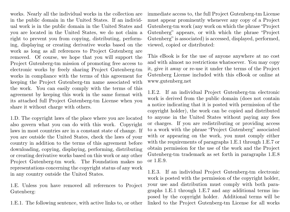works. Nearly all the individual works in the collection are in the public domain in the United States. If an individual work is in the public domain in the United States and you are located in the United States, we do not claim a right to prevent you from copying, distributing, performing, displaying or creating derivative works based on the work as long as all references to Project Gutenberg are removed. Of course, we hope that you will support the Project Gutenberg-tm mission of promoting free access to electronic works by freely sharing Project Gutenberg-tm works in compliance with the terms of this agreement for keeping the Project Gutenberg-tm name associated with the work. You can easily comply with the terms of this agreement by keeping this work in the same format with its attached full Project Gutenberg-tm License when you share it without charge with others.

1.D. The copyright laws of the place where you are located also govern what you can do with this work. Copyright laws in most countries are in a constant state of change. If you are outside the United States, check the laws of your country in addition to the terms of this agreement before downloading, copying, displaying, performing, distributing or creating derivative works based on this work or any other Project Gutenberg-tm work. The Foundation makes no representations concerning the copyright status of any work in any country outside the United States.

1.E. Unless you have removed all references to Project Gutenberg:

1.E.1. The following sentence, with active links to, or other

immediate access to, the full Project Gutenberg-tm License must appear prominently whenever any copy of a Project Gutenberg-tm work (any work on which the phrase "Project Gutenberg" appears, or with which the phrase "Project Gutenberg" is associated) is accessed, displayed, performed, viewed, copied or distributed:

This eBook is for the use of anyone anywhere at no cost and with almost no restrictions whatsoever. You may copy it, give it away or re-use it under the terms of the Project Gutenberg License included with this eBook or online at www.gutenberg.net

1.E.2. If an individual Project Gutenberg-tm electronic work is derived from the public domain (does not contain a notice indicating that it is posted with permission of the copyright holder), the work can be copied and distributed to anyone in the United States without paying any fees or charges. If you are redistributing or providing access to a work with the phrase "Project Gutenberg" associated with or appearing on the work, you must comply either with the requirements of paragraphs 1.E.1 through 1.E.7 or obtain permission for the use of the work and the Project Gutenberg-tm trademark as set forth in paragraphs 1.E.8 or 1.E.9.

1.E.3. If an individual Project Gutenberg-tm electronic work is posted with the permission of the copyright holder, your use and distribution must comply with both paragraphs 1.E.1 through 1.E.7 and any additional terms imposed by the copyright holder. Additional terms will be linked to the Project Gutenberg-tm License for all works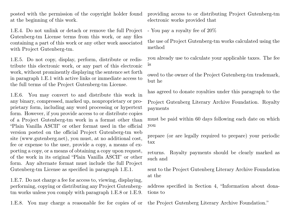posted with the permission of the copyright holder found at the beginning of this work.

1.E.4. Do not unlink or detach or remove the full Project Gutenberg-tm License terms from this work, or any files containing a part of this work or any other work associated with Project Gutenberg-tm.

1.E.5. Do not copy, display, perform, distribute or redistribute this electronic work, or any part of this electronic work, without prominently displaying the sentence set forth in paragraph 1.E.1 with active links or immediate access to the full terms of the Project Gutenberg-tm License.

1.E.6. You may convert to and distribute this work in any binary, compressed, marked up, nonproprietary or proprietary form, including any word processing or hypertext form. However, if you provide access to or distribute copies of a Project Gutenberg-tm work in a format other than "Plain Vanilla ASCII" or other format used in the official version posted on the official Project Gutenberg-tm web site (www.gutenberg.net), you must, at no additional cost, fee or expense to the user, provide a copy, a means of exporting a copy, or a means of obtaining a copy upon request, of the work in its original "Plain Vanilla ASCII" or other form. Any alternate format must include the full Project Gutenberg-tm License as specified in paragraph 1.E.1.

1.E.7. Do not charge a fee for access to, viewing, displaying, performing, copying or distributing any Project Gutenbergtm works unless you comply with paragraph 1.E.8 or 1.E.9.

1.E.8. You may charge a reasonable fee for copies of or

providing access to or distributing Project Gutenberg-tm electronic works provided that

- You pay a royalty fee of 20%

the use of Project Gutenberg-tm works calculated using the method

you already use to calculate your applicable taxes. The fee is

owed to the owner of the Project Gutenberg-tm trademark, but he

has agreed to donate royalties under this paragraph to the

Project Gutenberg Literary Archive Foundation. Royalty payments

must be paid within 60 days following each date on which you

prepare (or are legally required to prepare) your periodic tax

returns. Royalty payments should be clearly marked as such and

sent to the Project Gutenberg Literary Archive Foundation at the

address specified in Section 4, "Information about donations to

the Project Gutenberg Literary Archive Foundation."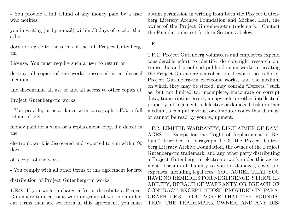- You provide a full refund of any money paid by a user who notifies

you in writing (or by e-mail) within 30 days of receipt that s/he

does not agree to the terms of the full Project Gutenbergtm

License. You must require such a user to return or

destroy all copies of the works possessed in a physical medium

and discontinue all use of and all access to other copies of

Project Gutenberg-tm works.

- You provide, in accordance with paragraph 1.F.3, a full refund of any

money paid for a work or a replacement copy, if a defect in the

electronic work is discovered and reported to you within 90 days

of receipt of the work.

- You comply with all other terms of this agreement for free distribution of Project Gutenberg-tm works.

1.E.9. If you wish to charge a fee or distribute a Project Gutenberg-tm electronic work or group of works on different terms than are set forth in this agreement, you must

obtain permission in writing from both the Project Gutenberg Literary Archive Foundation and Michael Hart, the owner of the Project Gutenberg-tm trademark. Contact the Foundation as set forth in Section 3 below.

1.F.

1.F.1. Project Gutenberg volunteers and employees expend considerable effort to identify, do copyright research on, transcribe and proofread public domain works in creating the Project Gutenberg-tm collection. Despite these efforts, Project Gutenberg-tm electronic works, and the medium on which they may be stored, may contain "Defects," such as, but not limited to, incomplete, inaccurate or corrupt data, transcription errors, a copyright or other intellectual property infringement, a defective or damaged disk or other medium, a computer virus, or computer codes that damage or cannot be read by your equipment.

1.F.2. LIMITED WARRANTY, DISCLAIMER OF DAM-AGES — Except for the "Right of Replacement or Refund" described in paragraph 1.F.3, the Project Gutenberg Literary Archive Foundation, the owner of the Project Gutenberg-tm trademark, and any other party distributing a Project Gutenberg-tm electronic work under this agreement, disclaim all liability to you for damages, costs and expenses, including legal fees. YOU AGREE THAT YOU HAVE NO REMEDIES FOR NEGLIGENCE, STRICT LI-ABILITY, BREACH OF WARRANTY OR BREACH OF CONTRACT EXCEPT THOSE PROVIDED IN PARA-GRAPH 1.F.3. YOU AGREE THAT THE FOUNDA-TION, THE TRADEMARK OWNER, AND ANY DIS-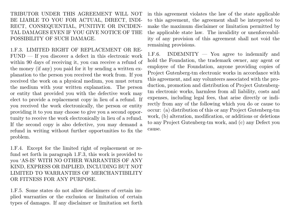TRIBUTOR UNDER THIS AGREEMENT WILL NOT BE LIABLE TO YOU FOR ACTUAL, DIRECT, INDI-RECT, CONSEQUENTIAL, PUNITIVE OR INCIDEN-TAL DAMAGES EVEN IF YOU GIVE NOTICE OF THE POSSIBILITY OF SUCH DAMAGE.

1.F.3. LIMITED RIGHT OF REPLACEMENT OR RE-FUND — If you discover a defect in this electronic work within 90 days of receiving it, you can receive a refund of the money (if any) you paid for it by sending a written explanation to the person you received the work from. If you received the work on a physical medium, you must return the medium with your written explanation. The person or entity that provided you with the defective work may elect to provide a replacement copy in lieu of a refund. If you received the work electronically, the person or entity providing it to you may choose to give you a second opportunity to receive the work electronically in lieu of a refund. If the second copy is also defective, you may demand a refund in writing without further opportunities to fix the problem.

1.F.4. Except for the limited right of replacement or refund set forth in paragraph 1.F.3, this work is provided to you 'AS-IS' WITH NO OTHER WARRANTIES OF ANY KIND, EXPRESS OR IMPLIED, INCLUDING BUT NOT LIMITED TO WARRANTIES OF MERCHANTIBILITY OR FITNESS FOR ANY PURPOSE.

1.F.5. Some states do not allow disclaimers of certain implied warranties or the exclusion or limitation of certain types of damages. If any disclaimer or limitation set forth in this agreement violates the law of the state applicable to this agreement, the agreement shall be interpreted to make the maximum disclaimer or limitation permitted by the applicable state law. The invalidity or unenforceability of any provision of this agreement shall not void the remaining provisions.

1.F.6. INDEMNITY — You agree to indemnify and hold the Foundation, the trademark owner, any agent or employee of the Foundation, anyone providing copies of Project Gutenberg-tm electronic works in accordance with this agreement, and any volunteers associated with the production, promotion and distribution of Project Gutenbergtm electronic works, harmless from all liability, costs and expenses, including legal fees, that arise directly or indirectly from any of the following which you do or cause to occur: (a) distribution of this or any Project Gutenberg-tm work, (b) alteration, modification, or additions or deletions to any Project Gutenberg-tm work, and (c) any Defect you cause.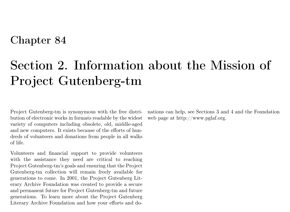# Section 2. Information about the Mission of Project Gutenberg-tm

Project Gutenberg-tm is synonymous with the free distribution of electronic works in formats readable by the widest variety of computers including obsolete, old, middle-aged and new computers. It exists because of the efforts of hundreds of volunteers and donations from people in all walks of life.

Volunteers and financial support to provide volunteers with the assistance they need are critical to reaching Project Gutenberg-tm's goals and ensuring that the Project Gutenberg-tm collection will remain freely available for generations to come. In 2001, the Project Gutenberg Literary Archive Foundation was created to provide a secure and permanent future for Project Gutenberg-tm and future generations. To learn more about the Project Gutenberg Literary Archive Foundation and how your efforts and donations can help, see Sections 3 and 4 and the Foundation web page at http://www.pglaf.org.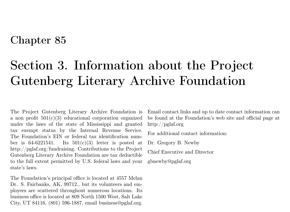## Section 3. Information about the Project Gutenberg Literary Archive Foundation

The Project Gutenberg Literary Archive Foundation is a non profit  $501(c)(3)$  educational corporation organized under the laws of the state of Mississippi and granted tax exempt status by the Internal Revenue Service. The Foundation's EIN or federal tax identification number is  $64-6221541$ . Its  $501(c)(3)$  letter is posted at http://pglaf.org/fundraising. Contributions to the Project Gutenberg Literary Archive Foundation are tax deductible to the full extent permitted by U.S. federal laws and your state's laws.

The Foundation's principal office is located at 4557 Melan Dr. S. Fairbanks, AK, 99712., but its volunteers and employees are scattered throughout numerous locations. Its business office is located at 809 North 1500 West, Salt Lake City, UT 84116, (801) 596-1887, email business@pglaf.org.

Email contact links and up to date contact information can be found at the Foundation's web site and official page at http://pglaf.org

For additional contact information:

Dr. Gregory B. Newby

Chief Executive and Director

gbnewby@pglaf.org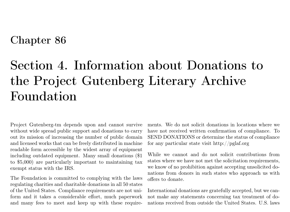# Section 4. Information about Donations to the Project Gutenberg Literary Archive Foundation

Project Gutenberg-tm depends upon and cannot survive without wide spread public support and donations to carry out its mission of increasing the number of public domain and licensed works that can be freely distributed in machine readable form accessible by the widest array of equipment including outdated equipment. Many small donations (\$1 to \$5,000) are particularly important to maintaining tax exempt status with the IRS.

The Foundation is committed to complying with the laws regulating charities and charitable donations in all 50 states of the United States. Compliance requirements are not uniform and it takes a considerable effort, much paperwork and many fees to meet and keep up with these requirements. We do not solicit donations in locations where we have not received written confirmation of compliance. To SEND DONATIONS or determine the status of compliance for any particular state visit http://pglaf.org

While we cannot and do not solicit contributions from states where we have not met the solicitation requirements, we know of no prohibition against accepting unsolicited donations from donors in such states who approach us with offers to donate.

International donations are gratefully accepted, but we cannot make any statements concerning tax treatment of donations received from outside the United States. U.S. laws